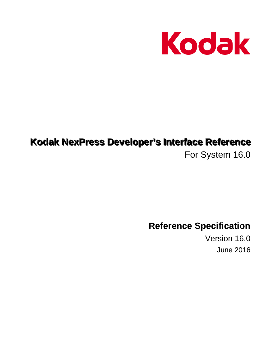

# Kodak NexPress Developer's Interface Reference

For System 16.0

**Reference Specification** 

Version 16.0 **June 2016**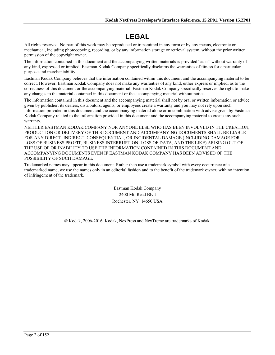## **LEGAL**

All rights reserved. No part of this work may be reproduced or transmitted in any form or by any means, electronic or mechanical, including photocopying, recording, or by any information storage or retrieval system, without the prior written permission of the copyright owner.

The information contained in this document and the accompanying written materials is provided "as is" without warranty of any kind, expressed or implied. Eastman Kodak Company specifically disclaims the warranties of fitness for a particular purpose and merchantability.

Eastman Kodak Company believes that the information contained within this document and the accompanying material to be correct. However, Eastman Kodak Company does not make any warranties of any kind, either express or implied, as to the correctness of this document or the accompanying material. Eastman Kodak Company specifically reserves the right to make any changes to the material contained in this document or the accompanying material without notice.

The information contained in this document and the accompanying material shall not by oral or written information or advice given by publisher, its dealers, distributors, agents, or employees create a warranty and you may not rely upon such information provided in this document and the accompanying material alone or in combination with advise given by Eastman Kodak Company related to the information provided in this document and the accompanying material to create any such warranty.

NEITHER EASTMAN KODAK COMPANY NOR ANYONE ELSE WHO HAS BEEN INVOLVED IN THE CREATION, PRODUCTION OR DELIVERY OF THIS DOCUMENT AND ACCOMPANYING DOCUMENTS SHALL BE LIABLE FOR ANY DIRECT, INDIRECT, CONSEQUENTIAL, OR INCIDENTAL DAMAGE (INCLUDING DAMAGE FOR LOSS OF BUSINESS PROFIT, BUSINESS INTERRUPTION, LOSS OF DATA, AND THE LIKE) ARISING OUT OF THE USE OF OR INABILITY TO USE THE INFORMATION CONTAINED IN THIS DOCUMENT AND ACCOMPANYING DOCUMENTS EVEN IF EASTMAN KODAK COMPANY HAS BEEN ADVISED OF THE POSSIBILITY OF SUCH DAMAGE.

Trademarked names may appear in this document. Rather than use a trademark symbol with every occurrence of a trademarked name, we use the names only in an editorial fashion and to the benefit of the trademark owner, with no intention of infringement of the trademark.

> Eastman Kodak Company 2400 Mt. Read Blvd Rochester, NY 14650 USA

© Kodak, 2006-2016. Kodak, NexPress and NexTreme are trademarks of Kodak.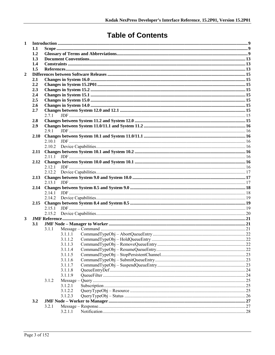## **Table of Contents**

| $\mathbf{1}$ |      |        |                    |  |  |  |
|--------------|------|--------|--------------------|--|--|--|
| 1.1          |      |        |                    |  |  |  |
|              | 1.2  |        |                    |  |  |  |
|              | 1.3  |        |                    |  |  |  |
|              | 1.4  |        |                    |  |  |  |
|              | 1.5  |        |                    |  |  |  |
| $\mathbf{2}$ |      |        |                    |  |  |  |
|              | 2.1  |        |                    |  |  |  |
|              | 2.2  |        |                    |  |  |  |
|              | 2.3  |        |                    |  |  |  |
|              | 2.4  |        |                    |  |  |  |
|              | 2.5  |        |                    |  |  |  |
|              | 2.6  |        |                    |  |  |  |
|              | 2.7  |        |                    |  |  |  |
|              |      | 2.7.1  |                    |  |  |  |
|              | 2.8  |        |                    |  |  |  |
|              | 2.9  | 291    |                    |  |  |  |
|              |      |        |                    |  |  |  |
|              | 2.10 | 2.10.1 |                    |  |  |  |
|              |      |        |                    |  |  |  |
|              | 2.11 |        |                    |  |  |  |
|              |      |        |                    |  |  |  |
|              |      |        |                    |  |  |  |
|              |      |        |                    |  |  |  |
|              |      |        |                    |  |  |  |
|              |      |        |                    |  |  |  |
|              |      |        |                    |  |  |  |
|              | 2.14 |        |                    |  |  |  |
|              |      |        |                    |  |  |  |
|              |      |        |                    |  |  |  |
|              | 2.15 |        |                    |  |  |  |
|              |      |        |                    |  |  |  |
|              |      |        |                    |  |  |  |
| 3            |      |        |                    |  |  |  |
|              | 3.1  |        |                    |  |  |  |
|              |      | 3.1.1  |                    |  |  |  |
|              |      |        | 3.1.1.1            |  |  |  |
|              |      |        | 3.1.1.2            |  |  |  |
|              |      |        | 3.1.1.3            |  |  |  |
|              |      |        | 3.1.1.4            |  |  |  |
|              |      |        | 3.1.1.5            |  |  |  |
|              |      |        | 3.1.1.6            |  |  |  |
|              |      |        | 3.1.1.7            |  |  |  |
|              |      |        | 3.1.1.8            |  |  |  |
|              |      |        | 3.1.1.9            |  |  |  |
|              |      | 3.1.2  |                    |  |  |  |
|              |      |        | 3.1.2.1            |  |  |  |
|              |      |        | 3.1.2.2<br>3.1.2.3 |  |  |  |
|              |      |        |                    |  |  |  |
|              | 3.2  |        |                    |  |  |  |
|              |      | 3.2.1  | 3.2.1.1            |  |  |  |
|              |      |        |                    |  |  |  |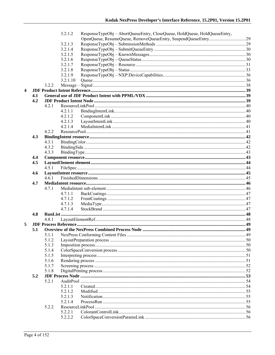|                  |     |       | 3.2.1.2            | ResponseTypeObj - AbortQueueEntry, CloseQueue, HoldQueue, HoldQueueEntry, |  |
|------------------|-----|-------|--------------------|---------------------------------------------------------------------------|--|
|                  |     |       |                    |                                                                           |  |
|                  |     |       | 3.2.1.3            |                                                                           |  |
|                  |     |       | 3.2.1.4            |                                                                           |  |
|                  |     |       | 3.2.1.5            |                                                                           |  |
|                  |     |       | 3.2.1.6            |                                                                           |  |
|                  |     |       | 3.2.1.7            |                                                                           |  |
|                  |     |       | 3.2.1.8            |                                                                           |  |
|                  |     |       | 3.2.1.9            |                                                                           |  |
|                  |     |       | 3.2.1.10           |                                                                           |  |
|                  |     | 3.2.2 |                    |                                                                           |  |
| $\boldsymbol{4}$ |     |       |                    |                                                                           |  |
|                  | 4.1 |       |                    |                                                                           |  |
|                  | 4.2 |       |                    |                                                                           |  |
|                  |     | 4.2.1 |                    |                                                                           |  |
|                  |     |       | 4.2.1.1            |                                                                           |  |
|                  |     |       | 4.2.1.2            |                                                                           |  |
|                  |     |       | 4.2.1.3            |                                                                           |  |
|                  |     |       | 4.2.1.4            |                                                                           |  |
|                  |     | 4.2.2 |                    |                                                                           |  |
|                  | 4.3 |       |                    |                                                                           |  |
|                  |     |       |                    |                                                                           |  |
|                  |     | 4.3.1 |                    |                                                                           |  |
|                  |     | 4.3.2 |                    |                                                                           |  |
|                  |     | 4.3.3 |                    |                                                                           |  |
|                  | 4.4 |       |                    |                                                                           |  |
|                  | 4.5 |       |                    |                                                                           |  |
|                  |     | 4.5.1 |                    |                                                                           |  |
|                  | 4.6 |       |                    |                                                                           |  |
|                  |     | 4.6.1 |                    |                                                                           |  |
|                  | 4.7 |       |                    |                                                                           |  |
|                  |     | 4.7.1 |                    |                                                                           |  |
|                  |     |       | 4.7.1.1            |                                                                           |  |
|                  |     |       | 4.7.1.2            |                                                                           |  |
|                  |     |       | 4.7.1.3            |                                                                           |  |
|                  |     |       | 4.7.1.4            |                                                                           |  |
|                  | 4.8 |       |                    |                                                                           |  |
|                  |     | 4.8.1 |                    |                                                                           |  |
| 5                |     |       |                    |                                                                           |  |
|                  | 5.1 |       |                    |                                                                           |  |
|                  |     | 5.1.1 |                    |                                                                           |  |
|                  |     | 5.1.2 |                    |                                                                           |  |
|                  |     | 5.1.3 |                    |                                                                           |  |
|                  |     | 5.1.4 |                    |                                                                           |  |
|                  |     | 5.1.5 |                    |                                                                           |  |
|                  |     | 5.1.6 |                    |                                                                           |  |
|                  |     | 5.1.7 |                    |                                                                           |  |
|                  |     | 5.1.8 |                    |                                                                           |  |
|                  | 5.2 |       |                    |                                                                           |  |
|                  |     | 5.2.1 |                    |                                                                           |  |
|                  |     |       | 5.2.1.1            |                                                                           |  |
|                  |     |       | 5.2.1.2            |                                                                           |  |
|                  |     |       |                    |                                                                           |  |
|                  |     |       | 5.2.1.3<br>5.2.1.4 |                                                                           |  |
|                  |     |       |                    |                                                                           |  |
|                  |     | 5.2.2 |                    |                                                                           |  |
|                  |     |       | 5.2.2.1            |                                                                           |  |
|                  |     |       | 5.2.2.2            |                                                                           |  |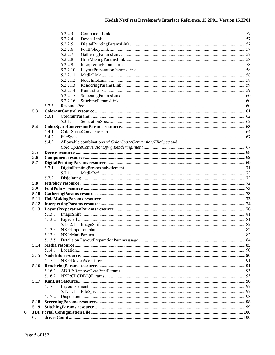|      |         | 5.2.2.3                                                     |  |
|------|---------|-------------------------------------------------------------|--|
|      |         | 5.2.2.4                                                     |  |
|      |         | 5.2.2.5                                                     |  |
|      |         | 5.2.2.6                                                     |  |
|      |         | 5.2.2.7                                                     |  |
|      |         | 5.2.2.8                                                     |  |
|      |         | 5.2.2.9                                                     |  |
|      |         | 5.2.2.10                                                    |  |
|      |         | 5.2.2.11                                                    |  |
|      |         | 5.2.2.12                                                    |  |
|      |         | 5.2.2.13                                                    |  |
|      |         | 5.2.2.14                                                    |  |
|      |         | 5.2.2.15<br>5.2.2.16                                        |  |
|      | 5.2.3   |                                                             |  |
| 5.3  |         |                                                             |  |
|      | 5.3.1   |                                                             |  |
|      |         | 5.3.1.1                                                     |  |
| 5.4  |         |                                                             |  |
|      | 5.4.1   |                                                             |  |
|      | 5.4.2   |                                                             |  |
|      | 5.4.3   | Allowable combinations of ColorSpaceConversion/FileSpec and |  |
|      |         |                                                             |  |
| 5.5  |         |                                                             |  |
| 5.6  |         |                                                             |  |
| 5.7  |         |                                                             |  |
|      | 5.7.1   |                                                             |  |
|      |         | 5.7.1.1                                                     |  |
|      | 5.7.2   |                                                             |  |
| 5.8  |         |                                                             |  |
| 5.9  |         |                                                             |  |
| 5.10 |         |                                                             |  |
| 5.11 |         |                                                             |  |
| 5.12 |         |                                                             |  |
| 5.13 |         |                                                             |  |
|      | 5.13.1  |                                                             |  |
|      | 5.13.2  |                                                             |  |
|      |         |                                                             |  |
|      | 5.13.3  |                                                             |  |
|      | 5.13.4  |                                                             |  |
|      | 5.13.5  |                                                             |  |
| 5.14 |         |                                                             |  |
|      | 5 14 1  |                                                             |  |
|      |         |                                                             |  |
|      | 5 1 5 1 |                                                             |  |
| 5.16 |         |                                                             |  |
|      | 5.16.1  |                                                             |  |
|      | 5.16.2  |                                                             |  |
| 5.17 | 5.17.1  |                                                             |  |
|      |         | 5.17.1.1                                                    |  |
|      | 5.17.2  |                                                             |  |
| 5.18 |         |                                                             |  |
| 5.19 |         |                                                             |  |
|      |         |                                                             |  |
| 6.1  |         |                                                             |  |
|      |         |                                                             |  |

 $\boldsymbol{6}$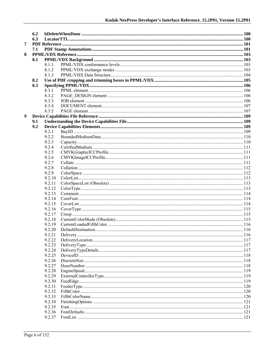|   | 6.2 |        |  |
|---|-----|--------|--|
|   | 6.3 |        |  |
| 7 |     |        |  |
|   | 7.1 |        |  |
| 8 |     |        |  |
|   | 8.1 |        |  |
|   |     | 8.1.1  |  |
|   |     | 8.1.2  |  |
|   |     | 8.1.3  |  |
|   | 8.2 |        |  |
|   | 8.3 |        |  |
|   |     | 8.3.1  |  |
|   |     | 8.3.2  |  |
|   |     | 8.3.3  |  |
|   |     | 8.3.4  |  |
|   |     | 8.3.5  |  |
| 9 |     |        |  |
|   | 9.1 |        |  |
|   | 9.2 |        |  |
|   |     | 9.2.1  |  |
|   |     | 9.2.2  |  |
|   |     | 9.2.3  |  |
|   |     | 9.2.4  |  |
|   |     | 9.2.5  |  |
|   |     | 9.2.6  |  |
|   |     | 9.2.7  |  |
|   |     | 9.2.8  |  |
|   |     | 9.2.9  |  |
|   |     | 9.2.10 |  |
|   |     | 9.2.11 |  |
|   |     | 9.2.12 |  |
|   |     | 9.2.13 |  |
|   |     | 9.2.14 |  |
|   |     | 9.2.15 |  |
|   |     | 9.2.16 |  |
|   |     | 9.2.17 |  |
|   |     | 9.2.18 |  |
|   |     | 9.2.19 |  |
|   |     | 9.2.20 |  |
|   |     | 9.2.21 |  |
|   |     | 9.2.22 |  |
|   |     | 9.2.23 |  |
|   |     | 9.2.24 |  |
|   |     | 9.2.25 |  |
|   |     | 9.2.26 |  |
|   |     |        |  |
|   |     | 9.2.27 |  |
|   |     | 9.2.28 |  |
|   |     | 9.2.29 |  |
|   |     | 9.2.30 |  |
|   |     | 9.2.31 |  |
|   |     | 9.2.32 |  |
|   |     | 9.2.33 |  |
|   |     | 9.2.34 |  |
|   |     | 9.2.35 |  |
|   |     | 9.2.36 |  |
|   |     | 9.2.37 |  |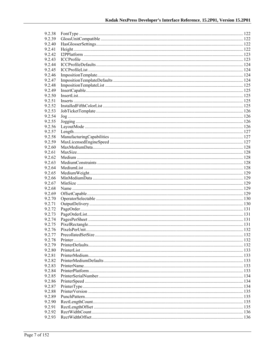| 9.2.38 |                                                                                                                                                                                                                                |  |
|--------|--------------------------------------------------------------------------------------------------------------------------------------------------------------------------------------------------------------------------------|--|
| 9.2.39 |                                                                                                                                                                                                                                |  |
| 9.2.40 |                                                                                                                                                                                                                                |  |
| 9.2.41 |                                                                                                                                                                                                                                |  |
| 9.2.42 | 123 metropolitics materials and the control of the control of the control of the control of the control of the control of the control of the control of the control of the control of the control of the control of the contro |  |
| 9.2.43 |                                                                                                                                                                                                                                |  |
| 9.2.44 |                                                                                                                                                                                                                                |  |
| 9.2.45 |                                                                                                                                                                                                                                |  |
| 9.2.46 |                                                                                                                                                                                                                                |  |
| 9.2.47 |                                                                                                                                                                                                                                |  |
| 9.2.48 |                                                                                                                                                                                                                                |  |
| 9.2.49 |                                                                                                                                                                                                                                |  |
| 9.2.50 |                                                                                                                                                                                                                                |  |
| 9.2.51 |                                                                                                                                                                                                                                |  |
| 9.2.52 |                                                                                                                                                                                                                                |  |
| 9.2.53 |                                                                                                                                                                                                                                |  |
| 9.2.54 |                                                                                                                                                                                                                                |  |
| 9.2.55 |                                                                                                                                                                                                                                |  |
| 9.2.56 |                                                                                                                                                                                                                                |  |
| 9.2.57 |                                                                                                                                                                                                                                |  |
| 9.2.58 |                                                                                                                                                                                                                                |  |
| 9.2.59 |                                                                                                                                                                                                                                |  |
| 9.2.60 |                                                                                                                                                                                                                                |  |
| 9.2.61 |                                                                                                                                                                                                                                |  |
| 9.2.62 |                                                                                                                                                                                                                                |  |
| 9.2.63 |                                                                                                                                                                                                                                |  |
| 9.2.64 |                                                                                                                                                                                                                                |  |
| 9.2.65 |                                                                                                                                                                                                                                |  |
| 9.2.66 |                                                                                                                                                                                                                                |  |
| 9.2.67 |                                                                                                                                                                                                                                |  |
| 9.2.68 |                                                                                                                                                                                                                                |  |
| 9.2.69 |                                                                                                                                                                                                                                |  |
| 9.2.70 |                                                                                                                                                                                                                                |  |
| 9.2.71 |                                                                                                                                                                                                                                |  |
| 9.2.72 |                                                                                                                                                                                                                                |  |
| 9.2.73 |                                                                                                                                                                                                                                |  |
| 9.2.74 |                                                                                                                                                                                                                                |  |
| 9.2.75 |                                                                                                                                                                                                                                |  |
| 9.2.76 |                                                                                                                                                                                                                                |  |
| 9.2.77 |                                                                                                                                                                                                                                |  |
| 9.2.78 |                                                                                                                                                                                                                                |  |
| 9.2.79 |                                                                                                                                                                                                                                |  |
| 9.2.80 |                                                                                                                                                                                                                                |  |
| 9.2.81 |                                                                                                                                                                                                                                |  |
| 9.2.82 |                                                                                                                                                                                                                                |  |
| 9.2.83 |                                                                                                                                                                                                                                |  |
| 9.2.84 |                                                                                                                                                                                                                                |  |
| 9.2.85 |                                                                                                                                                                                                                                |  |
| 9.2.86 |                                                                                                                                                                                                                                |  |
| 9.2.87 |                                                                                                                                                                                                                                |  |
| 9.2.88 |                                                                                                                                                                                                                                |  |
| 9.2.89 |                                                                                                                                                                                                                                |  |
| 9.2.90 |                                                                                                                                                                                                                                |  |
| 9.2.91 |                                                                                                                                                                                                                                |  |
| 9.2.92 |                                                                                                                                                                                                                                |  |
| 9.2.93 |                                                                                                                                                                                                                                |  |
|        |                                                                                                                                                                                                                                |  |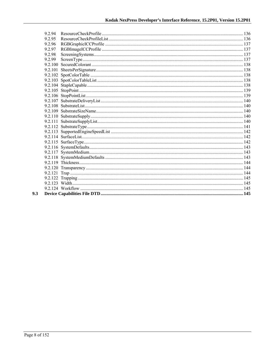| 9 2 9 4 |  |
|---------|--|
| 9.2.95  |  |
| 9.2.96  |  |
| 9.2.97  |  |
| 9.2.98  |  |
| 9.2.99  |  |
|         |  |
|         |  |
|         |  |
|         |  |
|         |  |
|         |  |
|         |  |
|         |  |
|         |  |
|         |  |
|         |  |
|         |  |
|         |  |
|         |  |
|         |  |
|         |  |
|         |  |
|         |  |
|         |  |
|         |  |
|         |  |
|         |  |
|         |  |
|         |  |
|         |  |
|         |  |

 $9.3$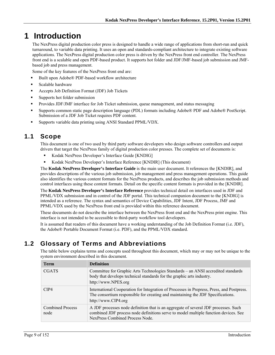## **1 Introduction**

The NexPress digital production color press is designed to handle a wide range of applications from short-run and quick turnaround, to variable data printing. It uses an open and standards-compliant architecture to integrate existing software applications. The NexPress digital production color press is driven by the NexPress front end controller. The NexPress front end is a scalable and open PDF-based product. It supports hot folder and JDF/JMF-based job submission and JMFbased job and press management.

Some of the key features of the NexPress front end are:

- Built upon Adobe® PDF-based workflow architecture
- Scalable hardware
- Accepts Job Definition Format (JDF) Job Tickets
- Supports hot folder submission
- Provides JDF/JMF interface for Job Ticket submission, queue management, and status messaging
- Supports common static page description language (PDL) formats including Adobe® PDF and Adobe® PostScript. Submission of a JDF Job Ticket requires PDF content.
- Supports variable data printing using ANSI Standard PPML/VDX.

### **1.1 Scope**

This document is one of two used by third party software developers who design software controllers and output drivers that target the NexPress family of digital production color presses. The complete set of documents is:

- Kodak NexPress Developer's Interface Guide [KNDIG]
- Kodak NexPress Developer's Interface Reference [KNDIR] (This document)

The **Kodak NexPress Developer's Interface Guide** is the main user document. It references the [KNDIR], and provides descriptions of the various job submission, job management and press management operations. This guide also identifies the various content formats for the NexPress products, and describes the job submission methods and control interfaces using these content formats. Detail on the specific content formats is provided in the [KNDIR].

The **Kodak NexPress Developer's Interface Reference** provides technical detail on interfaces used in JDF and PPML/VDX submission and in control of the JDF portal. This technical companion document to the [KNDIG] is intended as a reference. The syntax and semantics of Device Capabilities, JDF Intent, JDF Process, JMF and PPML/VDX used by the NexPress front end is provided within this reference document.

These documents do not describe the interface between the NexPress front end and the NexPress print engine. This interface is not intended to be accessible to third-party workflow tool developers.

It is assumed that readers of this document have a working understanding of the Job Definition Format (i.e. JDF), the Adobe® Portable Document Format (i.e. PDF), and the PPML/VDX standard.

### **1.2 Glossary of Terms and Abbreviations**

The table below explains terms and concepts used throughout this document, which may or may not be unique to the system environment described in this document.

| <b>Term</b>                     | <b>Definition</b>                                                                                                                                                                                             |
|---------------------------------|---------------------------------------------------------------------------------------------------------------------------------------------------------------------------------------------------------------|
| <b>CGATS</b>                    | Committee for Graphic Arts Technologies Standards – an ANSI accredited standards<br>body that develops technical standards for the graphic arts industry.<br>http://www.NPES.org                              |
| CIP4                            | International Cooperation for Integration of Processes in Prepress, Press, and Postpress.<br>The consortium responsible for creating and maintaining the JDF Specifications.<br>http://www.CIP4.org           |
| <b>Combined Process</b><br>node | A JDF processes node definition that is an aggregate of several JDF processes. Such<br>combined JDF process node definitions serve to model multiple function devices. See<br>NexPress Combined Process Node. |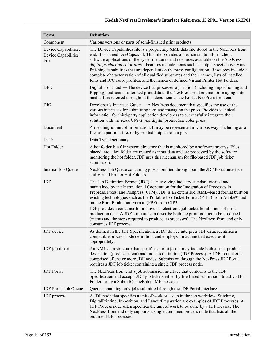| <b>Term</b>                                         | <b>Definition</b>                                                                                                                                                                                                                                                                                                                                                                                                                                                                                                                                                                                                                                                                                      |  |  |  |  |
|-----------------------------------------------------|--------------------------------------------------------------------------------------------------------------------------------------------------------------------------------------------------------------------------------------------------------------------------------------------------------------------------------------------------------------------------------------------------------------------------------------------------------------------------------------------------------------------------------------------------------------------------------------------------------------------------------------------------------------------------------------------------------|--|--|--|--|
| Component                                           | Various versions or parts of semi-finished print products.                                                                                                                                                                                                                                                                                                                                                                                                                                                                                                                                                                                                                                             |  |  |  |  |
| Device Capabilities;<br>Device Capabilities<br>File | The Device Capabilities file is a proprietary XML data file stored in the NexPress front<br>end. It is named DevCaps.xml. This file provides a mechanism to inform client<br>software applications of the system features and resources available on the NexPress<br>digital production color press. Features include items such as output sheet delivery and<br>finishing capabilities that are dependent on the press configuration. Resources include a<br>complete characterization of all qualified substrates and their names, lists of installed<br>fonts and ICC color profiles, and the names of defined Virtual Printer Hot Folders.                                                         |  |  |  |  |
| <b>DFE</b>                                          | Digital Front End — The device that processes a print job (including impositioning and<br>Ripping) and sends rasterized print data to the NexPress print engine for imaging onto<br>media. It is referred throughout this document as the Kodak NexPress front end.                                                                                                                                                                                                                                                                                                                                                                                                                                    |  |  |  |  |
| <b>DIG</b>                                          | Developer's Interface Guide $-$ A NexPress document that specifies the use of the<br>various interfaces for submitting jobs and managing the press. Provides technical<br>information for third-party application developers to successfully integrate their<br>solution with the Kodak NexPress digital production color press.                                                                                                                                                                                                                                                                                                                                                                       |  |  |  |  |
| Document                                            | A meaningful unit of information. It may be represented in various ways including as a<br>file, as a part of a file, or by printed output from a job.                                                                                                                                                                                                                                                                                                                                                                                                                                                                                                                                                  |  |  |  |  |
| <b>DTD</b>                                          | Data Type Dictionary                                                                                                                                                                                                                                                                                                                                                                                                                                                                                                                                                                                                                                                                                   |  |  |  |  |
| Hot Folder                                          | A hot folder is a file system directory that is monitored by a software process. Files<br>placed into a hot folder are treated as input data and are processed by the software<br>monitoring the hot folder. JDF uses this mechanism for file-based JDF job ticket<br>submission.                                                                                                                                                                                                                                                                                                                                                                                                                      |  |  |  |  |
| Internal Job Queue                                  | NexPress Job Queue containing jobs submitted through both the JDF Portal interface<br>and Virtual Printer Hot Folders.                                                                                                                                                                                                                                                                                                                                                                                                                                                                                                                                                                                 |  |  |  |  |
| JDF                                                 | The Job Definition Format (JDF) is an evolving industry standard created and<br>maintained by the International Cooperation for the Integration of Processes in<br>Prepress, Press, and Postpress (CIP4). JDF is an extensible, XML-based format built on<br>existing technologies such as the Portable Job Ticket Format (PJTF) from Adobe® and<br>on the Print Production Format (PPF) from CIP3.<br>JDF provides a container for a universal electronic job ticket for all kinds of print<br>production data. A JDF structure can describe both the print product to be produced<br>(intent) and the steps required to produce it (processes). The NexPress front end only<br>consumes JDF process. |  |  |  |  |
| <b>JDF</b> device                                   | As defined in the JDF Specification, a JDF device interprets JDF data, identifies a<br>compatible process node definition, and employs a machine that executes it<br>appropriately.                                                                                                                                                                                                                                                                                                                                                                                                                                                                                                                    |  |  |  |  |
| JDF job ticket                                      | An XML data structure that specifies a print job. It may include both a print product<br>description (product intent) and process definition (JDF Process). A JDF job ticket is<br>comprised of one or more JDF nodes. Submission through the NexPress JDF Portal<br>requires a JDF job ticket containing a single JDF process node.                                                                                                                                                                                                                                                                                                                                                                   |  |  |  |  |
| <b>JDF</b> Portal                                   | The NexPress front end's job submission interface that conforms to the JDF<br>Specification and accepts JDF job tickets either by file-based submission to a JDF Hot<br>Folder, or by a SubmitQueueEntry JMF message.                                                                                                                                                                                                                                                                                                                                                                                                                                                                                  |  |  |  |  |
| JDF Portal Job Queue                                | Queue containing only jobs submitted through the JDF Portal interface.                                                                                                                                                                                                                                                                                                                                                                                                                                                                                                                                                                                                                                 |  |  |  |  |
| JDF process                                         | A JDF node that specifies a unit of work or a step in the job workflow. Stitching,<br>DigitalPrinting, Imposition, and LayoutPreparation are examples of JDF Processes. A<br>JDF Process node often specifies the unit of work to be done by a JDF Device. The<br>NexPress front end only supports a single combined process node that lists all the<br>required JDF processes.                                                                                                                                                                                                                                                                                                                        |  |  |  |  |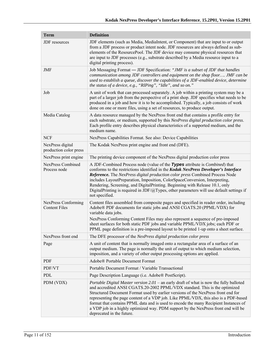| <b>Term</b>                                 | <b>Definition</b>                                                                                                                                                                                                                                                                                                                                                                                                                                                                                                                                                   |  |  |  |
|---------------------------------------------|---------------------------------------------------------------------------------------------------------------------------------------------------------------------------------------------------------------------------------------------------------------------------------------------------------------------------------------------------------------------------------------------------------------------------------------------------------------------------------------------------------------------------------------------------------------------|--|--|--|
| JDF resources                               | JDF elements (such as Media, MediaIntent, or Component) that are input to or output<br>from a JDF process or product intent node. JDF resources are always defined as sub-<br>elements of the ResourcePool. The JDF device may consume physical resources that<br>are input to JDF processes (e.g., substrate described by a Media resource input to a<br>digital printing process).                                                                                                                                                                                |  |  |  |
| JMF                                         | Job Messaging Format - JDF Specification: "JMF is a subset of JDF that handles<br>communication among JDF controllers and equipment on the shop floor JMF can be<br>used to establish a queue, discover the capabilities of a JDF-enabled device, determine<br>the status of a device, e.g., "RIPing", "Idle", and so on."                                                                                                                                                                                                                                          |  |  |  |
| Job                                         | A unit of work that can processed separately. A job within a printing system may be a<br>part of a larger job from the perspective of a print shop. JDF specifies what needs to be<br>produced in a job and how it is to be accomplished. Typically, a job consists of work<br>done on one or more files, using a set of resources, to produce output.                                                                                                                                                                                                              |  |  |  |
| Media Catalog                               | A data resource managed by the NexPress front end that contains a profile entry for<br>each substrate, or medium, supported by this NexPress digital production color press.<br>Each profile entry describes physical characteristics of a supported medium, and the<br>medium name.                                                                                                                                                                                                                                                                                |  |  |  |
| <b>NCF</b>                                  | NexPress Capabilities Format. See also: Device Capabilities                                                                                                                                                                                                                                                                                                                                                                                                                                                                                                         |  |  |  |
| NexPress digital<br>production color press  | The Kodak NexPress print engine and front end (DFE).                                                                                                                                                                                                                                                                                                                                                                                                                                                                                                                |  |  |  |
| NexPress print engine                       | The printing device component of the NexPress digital production color press                                                                                                                                                                                                                                                                                                                                                                                                                                                                                        |  |  |  |
| NexPress Combined<br>Process node           | A JDF-Combined Process node (value of the Types attribute is <i>Combined</i> ) that<br>conforms to the restrictions identified in the Kodak NexPress Developer's Interface<br>Reference. The NexPress digital production color press Combined Process Node<br>includes LayoutPreparation, Imposition, ColorSpaceConversion, Interpreting,<br>Rendering, Screening, and DigitalPrinting. Beginning with Release 10.1, only<br>DigitalPrinting is required in JDF/ $@$ Types, other parameters will use default settings if<br>not specified.                         |  |  |  |
| NexPress Conforming<br><b>Content Files</b> | Content files assembled from composite pages and specified in reader order, including<br>Adobe® PDF documents for static jobs and ANSI CGATS.20 (PPML/VDX) for<br>variable data jobs.<br>NexPress Conforming Content Files may also represent a sequence of pre-imposed<br>sheet surfaces for both static PDF jobs and variable PPML/VDX jobs; each PDF or<br>PPML page definition is a pre-imposed layout to be printed 1-up onto a sheet surface.                                                                                                                 |  |  |  |
| NexPress front end                          | The DFE processor of the NexPress digital production color press                                                                                                                                                                                                                                                                                                                                                                                                                                                                                                    |  |  |  |
| Page                                        | A unit of content that is normally imaged onto a rectangular area of a surface of an<br>output medium. The page is normally the unit of output to which medium selection,<br>imposition, and a variety of other output processing options are applied.                                                                                                                                                                                                                                                                                                              |  |  |  |
| <b>PDF</b>                                  | Adobe® Portable Document Format                                                                                                                                                                                                                                                                                                                                                                                                                                                                                                                                     |  |  |  |
| PDF/VT                                      | Portable Document Format / Variable Transactional                                                                                                                                                                                                                                                                                                                                                                                                                                                                                                                   |  |  |  |
| PDL                                         | Page Description Language (i.e. Adobe® PostScript).                                                                                                                                                                                                                                                                                                                                                                                                                                                                                                                 |  |  |  |
| PDM (VDX)                                   | <i>Portable Digital Master version 2.01</i> – an early draft of what is now the fully balloted<br>and accredited ANSI CGATS.20-2002 PPML/VDX standard. This is the optimized<br>Structured Document Format used by earlier versions of the NexPress front end for<br>representing the page content of a VDP job. Like PPML/VDX, this also is a PDF-based<br>format that contains PPML data and is used to encode the many Recipient Instances of<br>a VDP job in a highly optimized way. PDM support by the NexPress front end will be<br>deprecated in the future. |  |  |  |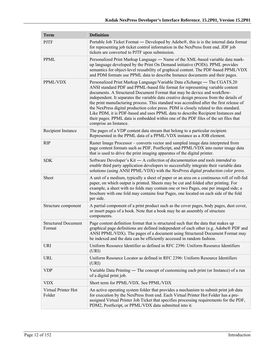| <b>Term</b>                          | <b>Definition</b>                                                                                                                                                                                                                                                                                                                                                                                                                                                                                                                                                                                                                                                                                                           |  |  |  |
|--------------------------------------|-----------------------------------------------------------------------------------------------------------------------------------------------------------------------------------------------------------------------------------------------------------------------------------------------------------------------------------------------------------------------------------------------------------------------------------------------------------------------------------------------------------------------------------------------------------------------------------------------------------------------------------------------------------------------------------------------------------------------------|--|--|--|
| <b>PJTF</b>                          | Portable Job Ticket Format — Developed by Adobe®, this is is the internal data format<br>for representing job ticket control information in the NexPress front end. JDF job<br>tickets are converted to PJTF upon submission.                                                                                                                                                                                                                                                                                                                                                                                                                                                                                               |  |  |  |
| <b>PPML</b>                          | Personalized Print Markup Language - Name of the XML-based variable data mark-<br>up language developed by the Print On Demand initiative (PODi). PPML provides<br>semantics for object-level reusability of graphical content. The PDF-based PPML/VDX<br>and PDM formats use PPML data to describe Instance documents and their pages.                                                                                                                                                                                                                                                                                                                                                                                     |  |  |  |
| PPML/VDX                             | Personalized Print Markup Language/Variable Data eXchange — The CGATS.20<br>ANSI standard PDF and PPML-based file format for representing variable content<br>documents. A Structured Document Format that may be device and workflow-<br>independent. It separates the variable data creative design process from the details of<br>the print manufacturing process. This standard was accredited after the first release of<br>the NexPress digital production color press. PDM is closely related to this standard.<br>Like PDM, it is PDF-based and uses PPML data to describe Recipient Instances and<br>their pages. PPML data is embedded within one of the PDF files of the set files that<br>comprise an Instance. |  |  |  |
| Recipient Instance                   | The pages of a VDP content data stream that belong to a particular recipient.<br>Represented in the PPML data of a PPML/VDX instance as a JOB element.                                                                                                                                                                                                                                                                                                                                                                                                                                                                                                                                                                      |  |  |  |
| <b>RIP</b>                           | Raster Image Processor – converts vector and sampled image data interpreted from<br>page content formats such as PDF, PostScript, and PPML/VDX into raster image data<br>that is used to drive the print imaging apparatus of the digital printer.                                                                                                                                                                                                                                                                                                                                                                                                                                                                          |  |  |  |
| <b>SDK</b>                           | Software Developer's Kit - A collection of documentation and tools intended to<br>enable third party application developers to successfully integrate their variable data<br>solutions (using ANSI PPML/VDX) with the NexPress digital production color press.                                                                                                                                                                                                                                                                                                                                                                                                                                                              |  |  |  |
| Sheet                                | A unit of a medium, typically a sheet of paper or an area on a continuous roll of roll-fed<br>paper, on which output is printed. Sheets may be cut and folded after printing. For<br>example, a sheet with no folds may contain one or two Pages, one per imaged side; a<br>brochure with one fold may contains four Pages, one located on each side of the fold<br>per side.                                                                                                                                                                                                                                                                                                                                               |  |  |  |
| Structure component                  | A partial component of a print product such as the cover pages, body pages, dust cover,<br>or insert pages of a book. Note that a book may be an assembly of structure<br>components.                                                                                                                                                                                                                                                                                                                                                                                                                                                                                                                                       |  |  |  |
| <b>Structured Document</b><br>Format | Page content definition format that is structured such that the data that makes up<br>graphical page definitions are defined independent of each other (e.g. Adobe® PDF and<br>ANSI PPML/VDX). The pages of a document using Structured Document Format may<br>be indexed and the data can be efficiently accessed in random fashion.                                                                                                                                                                                                                                                                                                                                                                                       |  |  |  |
| URI                                  | Uniform Resource Identifier as defined in RFC 2396: Uniform Resource Identifiers<br>(URI)                                                                                                                                                                                                                                                                                                                                                                                                                                                                                                                                                                                                                                   |  |  |  |
| <b>URL</b>                           | Uniform Resource Locator as defined in RFC 2396: Uniform Resource Identifiers<br>(URI)                                                                                                                                                                                                                                                                                                                                                                                                                                                                                                                                                                                                                                      |  |  |  |
| <b>VDP</b>                           | Variable Data Printing — The concept of customizing each print (or Instance) of a run<br>of a digital print job.                                                                                                                                                                                                                                                                                                                                                                                                                                                                                                                                                                                                            |  |  |  |
| <b>VDX</b>                           | Short term for PPML/VDX. See PPML/VDX                                                                                                                                                                                                                                                                                                                                                                                                                                                                                                                                                                                                                                                                                       |  |  |  |
| Virtual Printer Hot<br>Folder        | An active operating system folder that provides a mechanism to submit print job data<br>for execution by the NexPress front end. Each Virtual Printer Hot Folder has a pre-<br>assigned Virtual Printer Job Ticket that specifies processing requirements for the PDF,<br>PDM2, PostScript, or PPML/VDX data submitted into it.                                                                                                                                                                                                                                                                                                                                                                                             |  |  |  |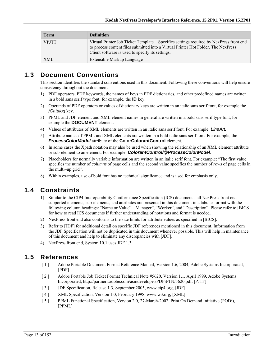| <b>Term</b>  | <b>Definition</b>                                                                                                                                                                                                                 |
|--------------|-----------------------------------------------------------------------------------------------------------------------------------------------------------------------------------------------------------------------------------|
| <b>VPJTT</b> | Virtual Printer Job Ticket Template – Specifies settings required by NexPress front end<br>to process content files submitted into a Virtual Printer Hot Folder. The NexPress<br>Client software is used to specify its settings. |
| <b>XML</b>   | Extensible Markup Language                                                                                                                                                                                                        |

### **1.3 Document Conventions**

This section identifies the standard conventions used in this document. Following these conventions will help ensure consistency throughout the document.

- 1) PDF operators, PDF keywords, the names of keys in PDF dictionaries, and other predefined names are written in a bold sans serif type font; for example, the **ID** key.
- 2) Operands of PDF operators or values of dictionary keys are written in an italic sans serif font, for example the */Catalog* key.
- 3) PPML and JDF element and XML element names in general are written in a bold sans serif type font, for example the **DOCUMENT** element.
- 4) Values of attributes of XML elements are written in an italic sans serif font. For example: *LineArt.*
- 5) Attribute names of PPML and XML elements are written in a bold italic sans serif font. For example, the *ProcessColorModel* attribute of the **ColorColorantControl** element.
- 6) In some cases the Xpath notation may also be used when showing the relationship of an XML element attribute or sub-element to an element. For example: *ColorantControl/@ProcessColorModel*.
- 7) Placeholders for normally variable information are written in an italic serif font. For example: "The first value specifies the number of *columns* of page cells and the second value specifies the number of *rows* of page cells in the multi–up grid".
- 8) Within examples, use of bold font has no technical significance and is used for emphasis only.

### **1.4 Constraints**

- 1) Similar to the CIP4 Interoperability Conformance Specification (ICS) documents, all NexPress front end supported elements, sub-elements, and attributes are presented in this document in a tabular format with the following column headings: "Name or Value", "Manager", "Worker", and "Description". Please refer to [BICS] for how to read ICS documents if further understanding of notations and format is needed.
- 2) NexPress front end also conforms to the size limits for attribute values as specified in [BICS].
- 3) Refer to [JDF] for additional detail on specific JDF references mentioned in this document. Information from the JDF Specification will not be duplicated in this document whenever possible. This will help in maintenance of this document and help to eliminate any discrepancies with [JDF].
- 4) NexPress front end, System 10.1 uses JDF 1.3.

### **1.5 References**

- [ 1 ] Adobe Portable Document Format Reference Manual, Version 1.6, 2004, Adobe Systems Incorporated, [PDF]
- [ 2 ] Adobe Portable Job Ticket Format Technical Note #5620, Version 1.1, April 1999, Adobe Systems Incorporated, http://partners.adobe.com/asn/developer/PDFS/TN/5620.pdf, [PJTF]
- [ 3 ] JDF Specification, Release 1.3, September 2005, www.cip4.org, [JDF]
- [ 4 ] XML Specification, Version 1.0, February 1998, www.w3.org, [XML]
- [ 5 ] PPML Functional Specification, Version 2.0, 27-March-2002, Print On Demand Initiative (PODi), [PPML]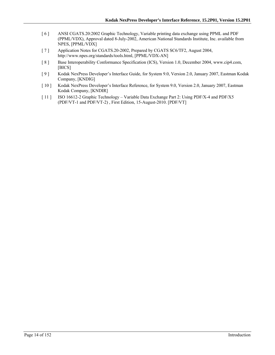- [ 6 ] ANSI CGATS.20:2002 Graphic Technology, Variable printing data exchange using PPML and PDF (PPML/VDX), Approval dated 8-July-2002, American National Standards Institute, Inc. available from NPES, [PPML/VDX]
- [ 7 ] Application Notes for CGATS.20-2002, Prepared by CGATS SC6/TF2, August 2004, http://www.npes.org/standards/tools.html, [PPML/VDX-AN]
- [8] Base Interoperability Conformance Specification (ICS), Version 1.0, December 2004, www.cip4.com, [BICS]
- [ 9 ] Kodak NexPress Developer's Interface Guide, for System 9.0, Version 2.0, January 2007, Eastman Kodak Company, [KNDIG]
- [ 10 ] Kodak NexPress Developer's Interface Reference, for System 9.0, Version 2.0, January 2007, Eastman Kodak Company, [KNDIR]
- [ 11 ] ISO 16612-2 Graphic Technology Variable Data Exchange Part 2: Using PDF/X-4 and PDF/X5 (PDF/VT-1 and PDF/VT-2) , First Edition, 15-August-2010. [PDF/VT]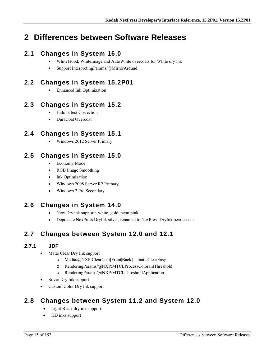## **2 Differences between Software Releases**

### **2.1 Changes in System 16.0**

- WhiteFlood, WhiteImage and AutoWhite overcoats for White dry ink
- Support InterpretingParams/@MirrorAround

### **2.2 Changes in System 15.2P01**

Enhanced Ink Optimization

### **2.3 Changes in System 15.2**

- Halo Effect Correction
- DuraCoat Overcoat

### **2.4 Changes in System 15.1**

Windows 2012 Server Primary

### **2.5 Changes in System 15.0**

- Economy Mode
- RGB Image Smoothing
- Ink Optimization
- Windows 2008 Server R2 Primary
- Windows 7 Pro Secondary

### **2.6 Changes in System 14.0**

- New Dry ink support: white, gold, neon pink
- Deprecate NexPress DryInk silver, renamed to NexPress DryInk pearlescent

### **2.7 Changes between System 12.0 and 12.1**

#### **2.7.1 JDF**

- Matte Clear Dry Ink support
	- o Media/@NXP:ClearCoat[Front|Back] = matteClearEasy
	- o RenderingParams/@NXP:MTCLProcessColorantThreshold
	- o RenderingParams/@NXP:MTCLThresholdApplication
- Silver Dry Ink support
- Custom Color Dry Ink support

### **2.8 Changes between System 11.2 and System 12.0**

- Light Black dry ink support
- HD inks support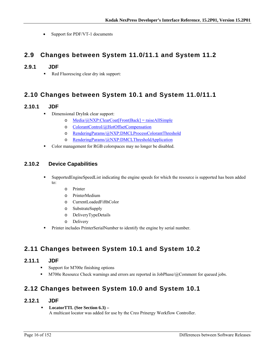• Support for PDF/VT-1 documents

### **2.9 Changes between System 11.0/11.1 and System 11.2**

#### **2.9.1 JDF**

Red Fluorescing clear dry ink support:

### **2.10 Changes between System 10.1 and System 11.0/11.1**

#### **2.10.1 JDF**

- Dimensional DryInk clear support:
	- o Media/@NXP:ClearCoat[Front|Back] = raiseAllSimple
	- o ColorantControl/@HotOffsetCompensation
	- o RenderingParams/@NXP:DMCLProcessColorantThreshold
	- o RenderingParams/@NXP:DMCLThresholdApplication
- Color management for RGB colorspaces may no longer be disabled.

#### **2.10.2 Device Capabilities**

- SupportedEngineSpeedList indicating the engine speeds for which the resource is supported has been added to:
	- o Printer
	- o PrinterMedium
	- o CurrentLoadedFifthColor
	- o SubstrateSupply
	- o DeliveryTypeDetails
	- o Delivery
- Printer includes PrinterSerialNumber to identify the engine by serial number.

### **2.11 Changes between System 10.1 and System 10.2**

#### **2.11.1 JDF**

- Support for M700e finishing options
- M700e Resource Check warnings and errors are reported in JobPhase/@Comment for queued jobs.

### **2.12 Changes between System 10.0 and System 10.1**

#### **2.12.1 JDF**

 **LocatorTTL (See Section 6.3) –**  A multicast locator was added for use by the Creo Prinergy Workflow Controller.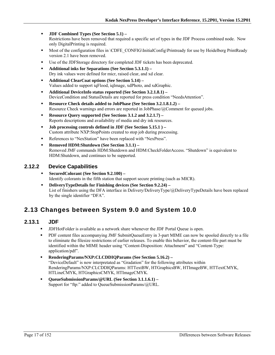- **JDF Combined Types (See Section 5.1)**  Restrictions have been removed that required a specific set of types in the JDF Process combined node. Now only DigitalPrinting is required.
- Most of the configuration files in \CDFE\_CONFIG\InitialConfig\Printready for use by Heidelberg PrintReady version 2.1 have been removed.
- Use of the JDFStorage directory for completed JDF tickets has been deprecated.
- **Additional inks for Separations (See Section 5.3.1.1)**  Dry ink values were defined for micr, raised clear, and xd clear.
- **Additional ClearCoat options (See Section 5.14)**  Values added to support iqFlood, iqImage, xdPhoto, and xdGraphic.
- **Additional DeviceInfo status reported (See Section 3.2.1.8.1)**  DeviceCondition and StatusDetails are reported for press condition "NeedsAttention".
- **Resource Check details added to JobPhase (See Section 3.2.1.8.1.2)** Resource Check warnings and errors are reported in JobPhase/@Comment for queued jobs.
- **Resource Query supported (See Sections 3.1.2 and 3.2.1.7)**  Reports descriptions and availability of media and dry ink resources.
- **Job processing controls defined in JDF (See Section 5.15.1 )**  Custom attribute NXP:StopPoints created to stop job during processing.
- References to "NexStation" have been replaced with "NexPress".
- **Removed HDM:Shutdown (See Section 3.1.1)** Removed JMF commands HDM:Shutdown and HDM:CheckFolderAccess. "Shutdown" is equivalent to HDM:Shutdown, and continues to be supported.

#### **2.12.2 Device Capabilities**

- **SecuredColorant (See Section 9.2.100)**  Identify colorants in the fifth station that support secure printing (such as MICR).
- **DeliveryTypeDetails for Finishing devices (See Section 9.2.24)**  List of finishers using the DFA interface in Delivery/DeliveryType/@DeliveryTypeDetails have been replaced by the single identifier "DFA".

### **2.13 Changes between System 9.0 and System 10.0**

#### **2.13.1 JDF**

- JDFHotFolder is available as a network share whenever the JDF Portal Queue is open.
- PDF content files accompanying JMF SubmitQueueEntry in 3-part MIME can now be spooled directly to a file to eliminate the filesize restrictions of earlier releases. To enable this behavior, the content-file part must be identified within the MIME header using "Content-Disposition: Attachment" and "Content-Type: application/pdf".
- **RenderingParams/NXP:CLCDDIQParams (See Section 5.16.2)**  "DeviceDefault" is now interpretated as "Gradation" for the following attributes within RenderingParams/NXP:CLCDDIQParams: HTTextBW, HTGraphicsBW, HTImageBW, HTTextCMYK, HTLineCMYK, HTGraphicsCMYK, HTImageCMYK.
- **QueueSubmissionParams/@URL (See Section 3.1.1.6.1)**  Support for "ftp:" added to QueueSubmissionParams/@URL.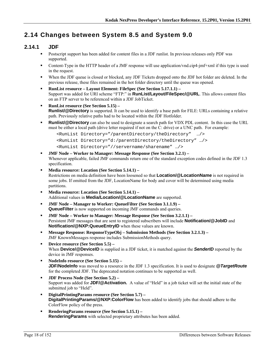### **2.14 Changes between System 8.5 and System 9.0**

#### **2.14.1 JDF**

- Postscript support has been added for content files in a JDF runlist. In previous releases only PDF was supported.
- Content-Type in the HTTP header of a JMF response will use application/vnd.cip4-jmf+xml if this type is used in the request.
- When the JDF queue is closed or blocked, any JDF Tickets dropped onto the JDF hot folder are deleted. In the previous release, these files remained in the hot folder directory until the queue was opened.
- **RunList resource Layout Element: FileSpec (See Section 5.17.1.1)**  Support was added for URI scheme "FTP:" in **RunList/Layout/FileSpec/@URL**. This allows content files on an FTP server to be referenced within a JDF JobTicket.
- **RunList resource (See Section 5.15) Runlist/@Directory** is supported. It can be used to identify a base path for FILE: URLs containing a relative path. Previously relative paths had to be located within the JDF Hotfolder.
- **Runlist/@Directory** can also be used to designate a search path for VDX PDL content. In this case the URL must be either a local path (drive letter required if not on the C: drive) or a UNC path. For example:

```
<RunList Directory="/parentDirectory/theDirectory" …/> 
<RunList Directory="d:/parentDirectory/theDirectory" …/> 
<RunList Directory="//servername/sharename" …/>
```
- **JMF Node Worker to Manager: Message Response (See Section 3.2.1)**  Whenever applicable, failed JMF commands return one of the standard exception codes defined in the JDF 1.3 specification.
- **Media resource: Location (See Section 5.14.1)**  Restrictions on media definition have been loosened so that **Location/@LocationName** is not required in some jobs. If omitted from the JDF, LocationName for body and cover will be determined using media partitions.
- **Media resource: Location (See Section 5.14.1)**  Additional values in **Media/Location/@LocationName** are supported.
- **JMF Node Manager to Worker: QueueFilter (See Section 3.1.1.9) QueueFilter** is now supported on incoming JMF commands and queries.
- **JMF Node Worker to Manager: Message Response (See Section 3.2.1.1)**  Persistent JMF messages that are sent to registered subscribers will include **Notification/@JobID** and **Notification/@NXP:QueueEntryID** when these values are known.
- **Message Response: ResponseTypeObj Submission Methods (See Section 3.2.1.3)**  JMF KnownMessages response includes SubmissionMethods query.
- **Device resource (See Section 5.5)**  When **Device/@DeviceID** is supplied in a JDF ticket, it is matched against the **SenderID** reported by the device in JMF responses.
- **NodeInfo resource (See Section 5.15) JDF/NodeInfo** was moved to a resource in the JDF 1.3 specification. It is used to designate **@TargetRoute** for the completed JDF. The deprecated notation continues to be supported as well.
- **JDF Process Node (See Section 5.2)**  Support was added for **JDF/@Activation.** A value of "Held" in a job ticket will set the initial state of the submitted job to "Held".
- **DigitalPrintingParams resource (See Section 5.7) DigitalPrintingParams/@NXP:ColorFlow** has been added to identify jobs that should adhere to the ColorFlow policy of the press.
- **RenderingParams resource (See Section 5.15.1) RenderingParams** with selected proprietary attributes has been added.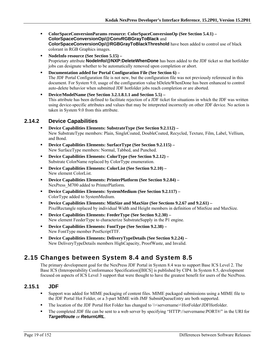- **ColorSpaceConversionParams resource: ColorSpaceConversionOp (See Section 5.4.1) ColorSpaceConversionOp/@ConvRGBGrayToBlack** and **ColorSpaceConversionOp/@RGBGrayToBlackThreshold** have been added to control use of black colorant in RGB Graphics images.
- **NodeInfo resource (See Section 5.15)**  Proprietary attribute **NodeInfo/@NXP:DeleteWhenDone** has been added to the JDF ticket so that hotfolder jobs can designate whether to be automatically removed upon completion or abort.
- **Documentation added for Portal Configuration File (See Section 6)** The JDF Portal Configuration file is not new, but the configuration file was not previously referenced in this document. For System 9.0, usage of the configuration value bDeleteWhenDone has been enhanced to control auto-delete behavior when submitted JDF hotfolder jobs reach completion or are aborted.
- **Device/ModelName (See Section 3.2.1.8.1.1 and Section 5.5)**  This attribute has been defined to facilitate rejection of a JDF ticket for situations in which the JDF was written using device-specific attributes and values that may be interpreted incorrectly on other JDF device. No action is taken in System 9.0 from this attribute.

#### **2.14.2 Device Capabilities**

- **Device Capabilities Elements: SubstrateType (See Section 9.2.112)**  New SubstrateType members: Plain, SingleCoated, DoubleCoated, Recycled, Texture, Film, Label, Vellium, and Bond.
- **Device Capabilities Elements: SurfaceType (See Section 9.2.115)**  New SurfaceType members: Normal, Tabbed, and Punched.
- **Device Capabilities Elements: ColorType (See Section 9.2.12)**  Substrate ColorName replaced by ColorType enumeration.
- **Device Capabilities Elements: ColorList (See Section 9.2.10)**  New element ColorList.
- **Device Capabilities Elements: PrinterPlatform (See Section 9.2.84)**  NexPress\_M700 added to PrinterPlatform.
- **Device Capabilities Elements: SystemMedium (See Section 9.2.117)**  ColorType added to SystemMedium.
- **Device Capabilities Elements: MinSize and MaxSize (See Sections 9.2.67 and 9.2.61)** PixelRectangle replaced by individual Width and Height members in definition of MinSize and MaxSize.
- **Device Capabilities Elements: FeederType (See Section 9.2.30)**  New element FeederType to characterize SubstrateSupply in the P1 engine.
- **Device Capabilities Elements: FontType (See Section 9.2.38)**  New FontType member PostScriptTTF.
- **Device Capabilities Elements: DeliveryTypeDetails (See Section 9.2.24)**  New DeliveryTypeDetails members HighCapacity, ProofWaste, and Invalid.

### **2.15 Changes between System 8.4 and System 8.5**

The primary development goal for the NexPress JDF Portal in System 8.4 was to support Base ICS Level 2. The Base ICS (Interoperability Conformance Specification)[BICS] is published by CIP4. In System 8.5, development focused on aspects of ICS Level 3 support that were thought to have the greatest benefit for users of the NexPress.

#### **2.15.1 JDF**

- Support was added for MIME packaging of content files. MIME packaged submissions using a MIME file to the JDF Portal Hot Folder, or a 3-part MIME with JMF SubmitQueueEntry are both supported.
- The location of the JDF Portal Hot Folder has changed to \\ \ servername > \ HotFolder\JDFHotfolder.
- The completed JDF file can be sent to a web server by specifying "HTTP://servername:PORT#/" in the URI for *TargetRoute* or *ReturnURL*.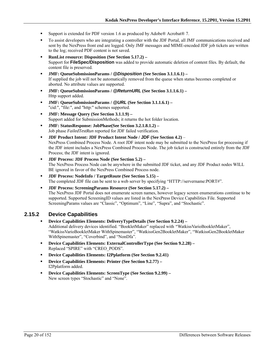- Support is extended for PDF version 1.6 as produced by Adobe® Acrobat® 7.
- To assist developers who are integrating a controller with the JDF Portal, all JMF communications received and sent by the NexPress front end are logged. Only JMF messages and MIME-encoded JDF job tickets are written to the log; received PDF content is not saved.
- **RunList resource: Disposition (See Section 5.17.2)**  Support for **FileSpec/Disposition** was added to provide automatic deletion of content files. By default, the content file is preserved.
- **JMF: QueueSubmissionParams /** *@Disposition* **(See Section 3.1.1.6.1)**  If supplied the job will not be automatically removed from the queue when status becomes completed or aborted. No attribute values are supported.
- **JMF: QueueSubmissionParams /** *@ReturnURL* **(See Section 3.1.1.6.1)**  Http support added.
- **JMF: QueueSubmissionParams /** *@URL* **(See Section 3.1.1.6.1)**  "cid:", "file:", and "http:" schemes supported.
- **JMF: Message Query (See Section 3.1.1.9)**  Support added for SubmissionMethods; it returns the hot folder location.
- **JMF: StatusResponse: JobPhase(See Section 3.2.1.8.1.2)**  Job phase *FailedTestRun* reported for JDF failed verification.
- **JDF Product Intent: JDF Product Intent Node / JDF (See Section 4.2)** NexPress Combined Process Node. A root JDF intent node may be submitted to the NexPress for processing if the JDF intent includes a NexPress Combined Process Node. The job ticket is constructed entirely from the JDF Process; the JDF intent is ignored.
- **JDF Process: JDF Process Node (See Section 5.2)**  The NexPress Process Node can be anywhere in the submitted JDF ticket, and any JDF Product nodes WILL BE ignored in favor of the NexPress Combined Process node.
- **JDF Process: NodeInfo / TargetRoute (See Section 5.15) –** The completed JDF file can be sent to a web server by specifying "HTTP://servername:PORT#".
- **JDF Process: ScreeningParams Resource (See Section 5.17.2)**  The NexPress JDF Portal does not enumerate screen names, however legacy screen enumerations continue to be supported. Supported ScreeningID values are listed in the NexPress Device Capabilities File. Supported ScreeningParams values are "Classic", "Optimum", "Line", "Supra", and "Stochastic".

#### **2.15.2 Device Capabilities**

- **Device Capabilities Elements: DeliveryTypeDetails (See Section 9.2.24)**  Additional delivery devices identified. "BookletMaker" replaced with *"*WatkissVarioBookletMaker", "WatkissVarioBookletMaker WithSpinemaster", "WatkissGen2BookletMaker", "WatkissGen2BookletMaker WithSpinemaster", "Coverbind", and "NonDfa".
- **Device Capabilities Elements: ExternalControllerType (See Section 9.2.28)**  Replaced "SPIRE" with "CREO\_PODS".
- **Device Capabilities Elements: I2Pplatform (See Section 9.2.41)**
- **Device Capabilities Elements: Printer (See Section 9.2.77)**  I2Pplatform added.
- **Device Capabilities Elements: ScreenType (See Section 9.2.99)**  New screen types "Stochastic" and "None".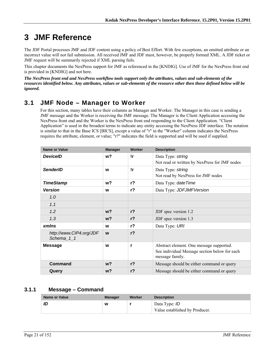## **3 JMF Reference**

The JDF Portal processes JMF and JDF content using a policy of Best Effort. With few exceptions, an omitted attribute or an incorrect value will not fail submission. All received JMF and JDF must, however, be properly formed XML. A JDF ticket or JMF request will be summarily rejected if XML parsing fails.

This chapter documents the NexPress support for JMF as referenced in the [KNDIG]. Use of JMF for the NexPress front end is provided in [KNDIG] and not here.

*The NexPress front end and NexPress workflow tools support only the attributes, values and sub-elements of the resources identified below. Any attributes, values or sub-elements of the resource other then those defined below will be ignored.* 

### **3.1 JMF Node – Manager to Worker**

For this section, many tables have their columns as Manager and Worker. The Manager in this case is sending a JMF message and the Worker is receiving the JMF message. The Manager is the Client Application accessing the NexPress front end and the Worker is the NexPress front end responding to the Client Application. "Client Application" is used in the broadest terms to indicate any entity accessing the NexPress JDF interface. The notation is similar to that in the Base ICS [BICS], except a value of "r" in the "Worker" column indicates the NexPress requires the attribute, element, or value; "r?" indicates the field is supported and will be used if supplied.

| <b>Name or Value</b>                  | <b>Manager</b> | Worker         | <b>Description</b>                                               |
|---------------------------------------|----------------|----------------|------------------------------------------------------------------|
| <b>DeviceID</b>                       | w <sub>2</sub> | !r             | Data Type: string                                                |
|                                       |                |                | Not read or written by NexPress for JMF nodes                    |
| <b>SenderID</b>                       | W              | !r             | Data Type: string                                                |
|                                       |                |                | Not read by NexPress for JMF nodes                               |
| <b>TimeStamp</b>                      | w?             | $r$ ?          | Data Type: date Time                                             |
| <b>Version</b>                        | W              | $r$ ?          | Data Type: JDFJMFVersion                                         |
| 1.0                                   |                |                |                                                                  |
| 1.1                                   |                |                |                                                                  |
| 1.2                                   | $w$ ?          | r <sub>2</sub> | JDF spec version 1.2                                             |
| 1.3                                   | w?             | $r$ ?          | JDF spec version 1.3                                             |
| <b>xmlns</b>                          | W              | $r$ ?          | Data Type: URI                                                   |
| http://www.CIP4.org/JDF<br>Schema 1 1 | W              | r <sub>2</sub> |                                                                  |
| <b>Message</b>                        | W              | r              | Abstract element. One message supported.                         |
|                                       |                |                | See individual Message section below for each<br>message family. |
| <b>Command</b>                        | $w$ ?          | r <sub>2</sub> | Message should be either command or query                        |
| Query                                 | w?             | $r$ ?          | Message should be either command or query                        |

#### **3.1.1 Message – Command**

| <b>Name or Value</b> | Manager | Worker | <b>Description</b>                                     |
|----------------------|---------|--------|--------------------------------------------------------|
| ID                   | W       |        | Data Type: <i>ID</i><br>Value established by Producer. |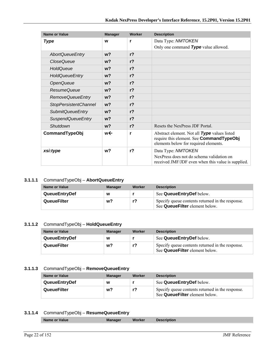| <b>Name or Value</b>         | <b>Manager</b> | Worker         | <b>Description</b>                                                                                                                |
|------------------------------|----------------|----------------|-----------------------------------------------------------------------------------------------------------------------------------|
| <b>Type</b>                  | W              | r              | Data Type: NMTOKEN                                                                                                                |
|                              |                |                | Only one command Type value allowed.                                                                                              |
| <b>AbortQueueEntry</b>       | w <sub>2</sub> | r <sub>2</sub> |                                                                                                                                   |
| <b>CloseQueue</b>            | w <sub>2</sub> | $r$ ?          |                                                                                                                                   |
| HoldQueue                    | $w$ ?          | r <sub>2</sub> |                                                                                                                                   |
| <b>HoldQueueEntry</b>        | w <sub>2</sub> | $r$ ?          |                                                                                                                                   |
| <b>OpenQueue</b>             | w <sub>2</sub> | $r$ ?          |                                                                                                                                   |
| ResumeQueue                  | w <sub>2</sub> | $r$ ?          |                                                                                                                                   |
| <b>RemoveQueueEntry</b>      | $w$ ?          | r <sub>2</sub> |                                                                                                                                   |
| <b>StopPersistentChannel</b> | w <sub>2</sub> | r <sub>2</sub> |                                                                                                                                   |
| <b>SubmitQueueEntry</b>      | w <sub>2</sub> | $r$ ?          |                                                                                                                                   |
| <b>SuspendQueueEntry</b>     | w <sub>2</sub> | $r$ ?          |                                                                                                                                   |
| Shutdown                     | w <sub>2</sub> | r <sub>2</sub> | Resets the NexPress JDF Portal                                                                                                    |
| CommandTypeObj               | w←             | r              | Abstract element. Not all Type values listed<br>require this element. See CommandTypeObj<br>elements below for required elements. |
| xsi:type                     | w <sub>2</sub> | $r$ ?          | Data Type: NMTOKEN<br>NexPress does not do schema validation on<br>received JMF/JDF even when this value is supplied.             |

#### **3.1.1.1** CommandTypeObj – **AbortQueueEntry**

| <b>Name or Value</b> | <b>Manager</b> | Worker | <b>Description</b>                                                                 |
|----------------------|----------------|--------|------------------------------------------------------------------------------------|
| <b>QueueEntryDef</b> | w              |        | See QueueEntryDef below.                                                           |
| <b>QueueFilter</b>   | w?             |        | Specify queue contents returned in the response.<br>See QueueFilter element below. |

#### **3.1.1.2** CommandTypeObj – **HoldQueueEntry**

| Name or Value        | <b>Manager</b> | Worker | <b>Description</b>                                                                 |
|----------------------|----------------|--------|------------------------------------------------------------------------------------|
| <b>QueueEntryDef</b> | w              |        | See QueueEntryDef below.                                                           |
| QueueFilter          | w?             |        | Specify queue contents returned in the response.<br>See QueueFilter element below. |

#### **3.1.1.3** CommandTypeObj – **RemoveQueueEntry**

| Name or Value        | <b>Manager</b> | Worker | <b>Description</b>                                                                 |
|----------------------|----------------|--------|------------------------------------------------------------------------------------|
| <b>QueueEntryDef</b> | W              |        | See QueueEntryDef below.                                                           |
| QueueFilter          | w?             |        | Specify queue contents returned in the response.<br>See QueueFilter element below. |

#### **3.1.1.4** CommandTypeObj – **ResumeQueueEntry**

| Worker<br><b>Description</b><br><b>Manager</b> |
|------------------------------------------------|
|------------------------------------------------|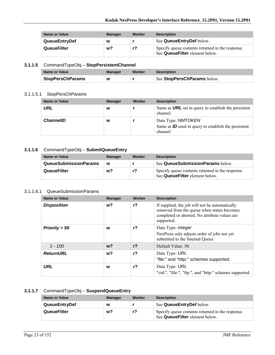| Name or Value        | <b>Manager</b> | Worker | <b>Description</b>                                                                 |
|----------------------|----------------|--------|------------------------------------------------------------------------------------|
| <b>QueueEntryDef</b> | w              |        | See Queue Entry Def below.                                                         |
| QueueFilter          | w?             |        | Specify queue contents returned in the response.<br>See QueueFilter element below. |

#### **3.1.1.5** CommandTypeObj – **StopPersistentChannel**

| Name or Value           | Manager | Worker | <b>Description</b>          |
|-------------------------|---------|--------|-----------------------------|
| <b>StopPersChParams</b> | w       |        | See StopPersChParams below. |

#### 3.1.1.5.1 StopPersChParams

| <b>Name or Value</b> | <b>Manager</b> | Worker | <b>Description</b>                                                                      |
|----------------------|----------------|--------|-----------------------------------------------------------------------------------------|
| URL                  | w              |        | Same as <b>URL</b> set in query to establish the persistent<br>channel.                 |
| <b>ChannellD</b>     | W              |        | Data Type: NMTOKEN<br>Same as $ID$ used in query to establish the persistent<br>channel |

#### **3.1.1.6** CommandTypeObj – **SubmitQueueEntry**

| Name or Value                | <b>Manager</b> | Worker | <b>Description</b>                                                                 |
|------------------------------|----------------|--------|------------------------------------------------------------------------------------|
| <b>QueueSubmissionParams</b> | W              |        | See QueueSubmissionParams below.                                                   |
| QueueFilter                  | w?             | r?     | Specify queue contents returned in the response.<br>See QueueFilter element below. |

#### 3.1.1.6.1 QueueSubmissionParams

| <b>Name or Value</b> | <b>Manager</b> | Worker         | <b>Description</b>                                                                                                                                          |
|----------------------|----------------|----------------|-------------------------------------------------------------------------------------------------------------------------------------------------------------|
| <b>Disposition</b>   | w?             | $r$ ?          | If supplied, the job will not be automatically<br>removed from the queue when status becomes<br>completed or aborted. No attribute values are<br>supported. |
| Priority = $50$      | W              | $r$ ?          | Data Type: <i>integer</i><br>NexPress only adjusts order of jobs not yet<br>submitted to the Internal Queue                                                 |
| $1 - 100$            | $w$ ?          | r <sub>2</sub> | Default Value: 50.                                                                                                                                          |
| <b>ReturnURL</b>     | w?             | $r$ ?          | Data Type: URL<br>"file:" and "http:" schemes supported.                                                                                                    |
| <b>URL</b>           | W              | r <sub>2</sub> | Data Type: URL<br>"cid:", "file:", "ftp:", and "http:" schemes supported.                                                                                   |

#### **3.1.1.7** CommandTypeObj – **SuspendQueueEntry**

| Name or Value        | <b>Manager</b> | Worker | <b>Description</b>                                                                 |
|----------------------|----------------|--------|------------------------------------------------------------------------------------|
| <b>QueueEntryDef</b> | W              |        | See QueueEntryDef below.                                                           |
| <b>QueueFilter</b>   | w?             | r?     | Specify queue contents returned in the response.<br>See QueueFilter element below. |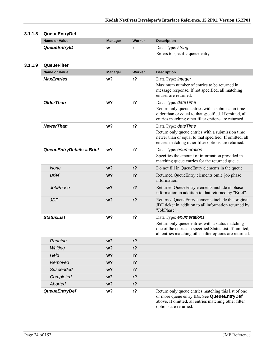#### **3.1.1.8 QueueEntryDef**

| Name or Value | <b>Manager</b> | Worker | <b>Description</b>                                  |
|---------------|----------------|--------|-----------------------------------------------------|
| QueueEntryID  | W              |        | Data Type: string<br>Refers to specific queue entry |

#### **3.1.1.9 QueueFilter**

| <b>Name or Value</b>      | <b>Manager</b> | Worker         | <b>Description</b>                                                                                                                                                                                |
|---------------------------|----------------|----------------|---------------------------------------------------------------------------------------------------------------------------------------------------------------------------------------------------|
| <b>MaxEntries</b>         | w <sub>2</sub> | r <sub>2</sub> | Data Type: integer<br>Maximum number of entries to be returned in<br>message response. If not specified, all matching<br>entries are returned.                                                    |
| <b>OlderThan</b>          | w <sub>2</sub> | $r$ ?          | Data Type: date Time<br>Return only queue entries with a submission time<br>older than or equal to that specified. If omitted, all<br>entries matching other filter options are returned.         |
| <b>NewerThan</b>          | w <sub>2</sub> | $r$ ?          | Data Type: dateTime<br>Return only queue entries with a submission time<br>newer than or equal to that specified. If omitted, all<br>entries matching other filter options are returned.          |
| QueueEntryDetails = Brief | w <sub>2</sub> | r <sub>2</sub> | Data Type: enumeration<br>Specifies the amount of information provided in<br>matching queue entries for the returned queue.                                                                       |
| None                      | w <sub>2</sub> | r <sub>2</sub> | Do not fill in QueueEntry elements in the queue.                                                                                                                                                  |
| <b>Brief</b>              | $w$ ?          | r <sub>2</sub> | Returned QueueEntry elements omit job phase<br>information.                                                                                                                                       |
| JobPhase                  | w?             | $r$ ?          | Returned QueueEntry elements include in phase<br>information in addition to that returned by "Brief".                                                                                             |
| <b>JDF</b>                | w <sub>2</sub> | r <sub>2</sub> | Returned QueueEntry elements include the original<br>JDF ticket in addition to all information returned by<br>"JobPhase".                                                                         |
| <b>StatusList</b>         | w <sub>2</sub> | $r$ ?          | Data Type: enumerations<br>Return only queue entries with a status matching<br>one of the entries in specified StatusList. If omitted,<br>all entries matching other filter options are returned. |
| Running                   | $w$ ?          | r <sub>2</sub> |                                                                                                                                                                                                   |
| Waiting                   | $w$ ?          | r <sub>2</sub> |                                                                                                                                                                                                   |
| Held                      | w?             | r <sub>2</sub> |                                                                                                                                                                                                   |
| Removed                   | w?             | $r$ ?          |                                                                                                                                                                                                   |
| Suspended                 | w?             | $r$ ?          |                                                                                                                                                                                                   |
| Completed                 | $w$ ?          | r <sub>2</sub> |                                                                                                                                                                                                   |
| <b>Aborted</b>            | W <sup>2</sup> | $r$ ?          |                                                                                                                                                                                                   |
| <b>QueueEntryDef</b>      | w?             | $r$ ?          | Return only queue entries matching this list of one<br>or more queue entry IDs. See QueueEntryDef<br>above. If omitted, all entries matching other filter<br>options are returned.                |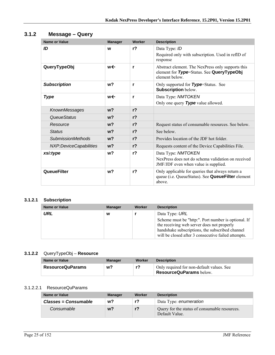| <b>Name or Value</b>     | <b>Manager</b> | Worker         | <b>Description</b>                                                                                               |
|--------------------------|----------------|----------------|------------------------------------------------------------------------------------------------------------------|
| ID                       | W              | r <sub>2</sub> | Data Type: ID<br>Required only with subscription. Used in refID of<br>response                                   |
| QueryTypeObj             | w←             | r              | Abstract element. The NexPress only supports this<br>element for Type=Status. See QueryTypeObj<br>element below. |
| <b>Subscription</b>      | w <sub>2</sub> | r              | Only supported for <b>Type</b> =Status. See<br><b>Subscription below.</b>                                        |
| <b>Type</b>              | w←             | r              | Data Type: NMTOKEN<br>Only one query Type value allowed.                                                         |
| KnownMessages            | w <sub>2</sub> | r <sub>2</sub> |                                                                                                                  |
| QueueStatus              | w <sub>2</sub> | r <sub>2</sub> |                                                                                                                  |
| Resource                 | $w$ ?          | r <sub>2</sub> | Request status of consumable resources. See below.                                                               |
| <b>Status</b>            | w <sub>2</sub> | r <sub>2</sub> | See below.                                                                                                       |
| <b>SubmissionMethods</b> | w <sub>2</sub> | r <sub>2</sub> | Provides location of the JDF hot folder.                                                                         |
| NXP:DeviceCapabilities   | $w$ ?          | r <sub>2</sub> | Requests content of the Device Capabilities File.                                                                |
| xsi:type                 | w <sub>2</sub> | r <sub>2</sub> | Data Type: NMTOKEN                                                                                               |
|                          |                |                | NexPress does not do schema validation on received<br>JMF/JDF even when value is supplied.                       |
| <b>QueueFilter</b>       | w <sub>2</sub> | r <sub>2</sub> | Only applicable for queries that always return a<br>queue (i.e. QueueStatus). See QueueFilter element<br>above.  |

#### **3.1.2 Message – Query**

#### **3.1.2.1 Subscription**

| <b>Name or Value</b> | <b>Manager</b> | Worker | <b>Description</b>                                                                                                                                                     |
|----------------------|----------------|--------|------------------------------------------------------------------------------------------------------------------------------------------------------------------------|
| URL                  | w              |        | Data Type: URL<br>Scheme must be "http:". Port number is optional. If<br>the receiving web server does not properly<br>handshake subscriptions, the subscribed channel |
|                      |                |        | will be closed after 3 consecutive failed attempts.                                                                                                                    |

#### **3.1.2.2** QueryTypeObj – **Resource**

| Name or Value           | Manager | Worker | <b>Description</b>                                                   |
|-------------------------|---------|--------|----------------------------------------------------------------------|
| <b>ResourceQuParams</b> | w?      | r?     | Only required for non-default values. See<br>ResourceQuParams below. |

#### 3.1.2.2.1 ResourceQuParams

| Name or Value        | <b>Manager</b> | Worker | <b>Description</b>                                              |
|----------------------|----------------|--------|-----------------------------------------------------------------|
| Classes = Consumable | w?             | r?     | Data Type: enumeration                                          |
| Consumable           | w?             | $r$ ?  | Query for the status of consumable resources.<br>Default Value. |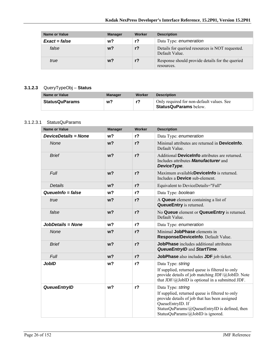| <b>Name or Value</b> | <b>Manager</b> | Worker | <b>Description</b>                                                |
|----------------------|----------------|--------|-------------------------------------------------------------------|
| $Exact = false$      | w?             | r?     | Data Type: enumeration                                            |
| false                | w?             | $r$ ?  | Details for queried resources is NOT requested.<br>Default Value. |
| true                 | w?             | $r$ ?  | Response should provide details for the queried<br>resources.     |

#### **3.1.2.3** QueryTypeObj – **Status**

| Name or Value         | <b>Manager</b> | Worker | <b>Description</b>                                                        |
|-----------------------|----------------|--------|---------------------------------------------------------------------------|
| <b>StatusQuParams</b> | w?             | r?     | Only required for non-default values. See<br><b>StatusQuParams</b> below. |

#### 3.1.2.3.1 StatusQuParams

| <b>Name or Value</b>        | <b>Manager</b> | Worker         | <b>Description</b>                                                                                                                                                                                                              |
|-----------------------------|----------------|----------------|---------------------------------------------------------------------------------------------------------------------------------------------------------------------------------------------------------------------------------|
| <b>DeviceDetails = None</b> | w <sub>2</sub> | $r$ ?          | Data Type: enumeration                                                                                                                                                                                                          |
| <b>None</b>                 | w <sub>2</sub> | r <sub>2</sub> | Minimal attributes are returned in <b>Devicelnfo</b> .<br>Default Value.                                                                                                                                                        |
| <b>Brief</b>                | w <sub>2</sub> | $r$ ?          | Additional DeviceInfo attributes are returned.<br>Includes attributes <b>Manufacturer</b> and<br>DeviceType.                                                                                                                    |
| Full                        | w <sub>2</sub> | $r$ ?          | Maximum available <b>Devicelnfo</b> is returned.<br>Includes a <b>Device</b> sub-element.                                                                                                                                       |
| <b>Details</b>              | w <sub>2</sub> | r <sub>2</sub> | Equivalent to DeviceDetails="Full"                                                                                                                                                                                              |
| Queuelnfo $=$ false         | w <sub>2</sub> | r <sub>2</sub> | Data Type: boolean                                                                                                                                                                                                              |
| true                        | w <sub>2</sub> | r <sub>2</sub> | A Queue element containing a list of<br><b>QueueEntry</b> is returned.                                                                                                                                                          |
| false                       | w <sub>2</sub> | r <sub>2</sub> | No Queue element or QueueEntry is returned.<br>Default Value.                                                                                                                                                                   |
| JobDetails = None           | w <sub>2</sub> | r <sub>2</sub> | Data Type: enumeration                                                                                                                                                                                                          |
| None                        | w <sub>2</sub> | $r$ ?          | Minimal JobPhase elements in<br>Response/DeviceInfo. Default Value.                                                                                                                                                             |
| <b>Brief</b>                | w <sub>2</sub> | r <sub>2</sub> | <b>JobPhase</b> includes additional attributes<br><b>QueueEntryID and StartTime.</b>                                                                                                                                            |
| Full                        | w <sub>2</sub> | r <sub>2</sub> | JobPhase also includes JDF job ticket.                                                                                                                                                                                          |
| <b>JobID</b>                | w <sub>2</sub> | r <sub>2</sub> | Data Type: string<br>If supplied, returned queue is filtered to only<br>provide details of job matching JDF/@JobID. Note<br>that $JDF/\omega$ JobID is optional in a submitted JDF.                                             |
| <b>QueueEntryID</b>         | w <sub>2</sub> | r <sub>2</sub> | Data Type: string<br>If supplied, returned queue is filtered to only<br>provide details of job that has been assigned<br>QueueEntryID. If<br>StatusQuParams/@QueueEntryID is defined, then<br>StatusQuParams/@JobID is ignored. |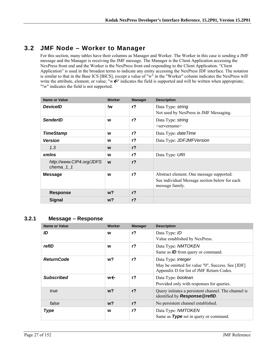### **3.2 JMF Node – Worker to Manager**

For this section, many tables have their columns as Manager and Worker. The Worker in this case is sending a JMF message and the Manager is receiving the JMF message. The Manager is the Client Application accessing the NexPress front end and the Worker is the NexPress front end responding to the Client Application. "Client Application" is used in the broadest terms to indicate any entity accessing the NexPress JDF interface. The notation is similar to that in the Base ICS [BICS], except a value of "w" in the "Worker" column indicates the NexPress will write the attribute, element, or value; "w $\epsilon$ " indicates the field is supported and will be written when appropriate; "!w" indicates the field is not supported.

| <b>Name or Value</b>                  | Worker | <b>Manager</b> | <b>Description</b>                                                                        |
|---------------------------------------|--------|----------------|-------------------------------------------------------------------------------------------|
| <b>DeviceID</b>                       | !w     | $r$ ?          | Data Type: string<br>Not used by NexPress in JMF Messaging.                               |
| <b>SenderID</b>                       | W      | $r$ ?          | Data Type: string<br>$\leq$ servername $\geq$                                             |
| <b>TimeStamp</b>                      | W      | $r$ ?          | Data Type: <i>date Time</i>                                                               |
| <b>Version</b>                        | W      | $r$ ?          | Data Type: JDFJMFVersion                                                                  |
| 1.3                                   | W      | r <sub>2</sub> |                                                                                           |
| <b>xmlns</b>                          | W      | $r$ ?          | Data Type: URI                                                                            |
| http://www.CIP4.org/JDFS<br>chema 1 1 | W      | r <sub>2</sub> |                                                                                           |
| <b>Message</b>                        | W      | $r$ ?          | Abstract element. One message supported.<br>See individual Message section below for each |
|                                       |        |                | message family.                                                                           |
| <b>Response</b>                       | $w$ ?  | r <sub>2</sub> |                                                                                           |
| <b>Signal</b>                         | $w$ ?  | $r$ ?          |                                                                                           |

#### **3.2.1 Message – Response**

| <b>Name or Value</b> | Worker | <b>Manager</b> | <b>Description</b>                                                                           |
|----------------------|--------|----------------|----------------------------------------------------------------------------------------------|
| ID                   | W      | r <sub>2</sub> | Data Type: ID                                                                                |
|                      |        |                | Value established by NexPress.                                                               |
| refID                | W      | $r$ ?          | Data Type: NMTOKEN                                                                           |
|                      |        |                | Same as <b>ID</b> from query or command.                                                     |
| <b>ReturnCode</b>    | w?     | $r$ ?          | Data Type: integer                                                                           |
|                      |        |                | May be omitted for value "0", Success. See [JDF]<br>Appendix D for list of JMF Return Codes. |
| <b>Subscribed</b>    | w←     | r <sub>2</sub> | Data Type: boolean                                                                           |
|                      |        |                | Provided only with responses for queries.                                                    |
| true                 | $w$ ?  | r <sub>2</sub> | Query initiates a persistent channel. The channel is<br>identified by Response@refID.        |
| false                | $w$ ?  | r <sub>2</sub> | No persistent channel established.                                                           |
| <b>Type</b>          | W      | $r$ ?          | Data Type: NMTOKEN                                                                           |
|                      |        |                | Same as Type set in query or command.                                                        |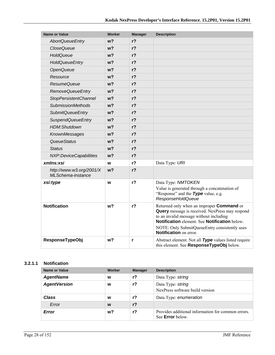| <b>Name or Value</b>                                 | <b>Worker</b>  | <b>Manager</b> | <b>Description</b>                                                                                                                                                                                                                                                                       |
|------------------------------------------------------|----------------|----------------|------------------------------------------------------------------------------------------------------------------------------------------------------------------------------------------------------------------------------------------------------------------------------------------|
| <b>AbortQueueEntry</b>                               | w?             | r <sub>2</sub> |                                                                                                                                                                                                                                                                                          |
| <i><b>CloseQueue</b></i>                             | w?             | r <sub>2</sub> |                                                                                                                                                                                                                                                                                          |
| HoldQueue                                            | w?             | $r$ ?          |                                                                                                                                                                                                                                                                                          |
| <b>HoldQueueEntry</b>                                | w?             | $r$ ?          |                                                                                                                                                                                                                                                                                          |
| OpenQueue                                            | w?             | $r$ ?          |                                                                                                                                                                                                                                                                                          |
| Resource                                             | w?             | $r$ ?          |                                                                                                                                                                                                                                                                                          |
| <b>ResumeQueue</b>                                   | w?             | $r$ ?          |                                                                                                                                                                                                                                                                                          |
| <b>RemoveQueueEntry</b>                              | w?             | $r$ ?          |                                                                                                                                                                                                                                                                                          |
| <b>StopPersistentChannel</b>                         | w?             | r <sub>2</sub> |                                                                                                                                                                                                                                                                                          |
| <b>SubmissionMethods</b>                             | w <sub>2</sub> | $r$ ?          |                                                                                                                                                                                                                                                                                          |
| <b>SubmitQueueEntry</b>                              | w?             | $r$ ?          |                                                                                                                                                                                                                                                                                          |
| <b>SuspendQueueEntry</b>                             | w <sub>2</sub> | $r$ ?          |                                                                                                                                                                                                                                                                                          |
| HDM:Shutdown                                         | w?             | r <sub>2</sub> |                                                                                                                                                                                                                                                                                          |
| KnownMessages                                        | w?             | $r$ ?          |                                                                                                                                                                                                                                                                                          |
| QueueStatus                                          | w?             | r <sub>2</sub> |                                                                                                                                                                                                                                                                                          |
| <b>Status</b>                                        | w?             | $r$ ?          |                                                                                                                                                                                                                                                                                          |
| NXP:DeviceCapabilities                               | w <sub>2</sub> | r <sub>2</sub> |                                                                                                                                                                                                                                                                                          |
| xmlns:xsi                                            | W              | $r$ ?          | Data Type: URI                                                                                                                                                                                                                                                                           |
| http://www.w3.org/2001/X<br><b>MLSchema-instance</b> | w <sub>2</sub> | $r$ ?          |                                                                                                                                                                                                                                                                                          |
| xsi:type                                             | W              | $r$ ?          | Data Type: NMTOKEN<br>Value is generated through a concatenation of<br>"Response" and the Type value, e.g.<br>ResponseHoldQueue                                                                                                                                                          |
| <b>Notification</b>                                  | w?             | $r$ ?          | Returned only when an improper <b>Command</b> or<br><b>Query</b> message is received. NexPress may respond<br>to an invalid message without including<br>Notification element. See Notification below.<br>NOTE: Only SubmitQueueEntry consistently uses<br><b>Notification</b> on error. |
| <b>ResponseTypeObj</b>                               | w?             | r              | Abstract element. Not all Type values listed require<br>this element. See ResponseTypeObj below.                                                                                                                                                                                         |

#### **3.2.1.1 Notification**

| Name or Value       | Worker | <b>Manager</b> | <b>Description</b>                                                            |
|---------------------|--------|----------------|-------------------------------------------------------------------------------|
| <b>AgentName</b>    | W      | r <sub>2</sub> | Data Type: string                                                             |
| <b>AgentVersion</b> | w      | $r$ ?          | Data Type: string<br>NexPress software build version                          |
| Class               | W      | $r$ ?          | Data Type: enumeration                                                        |
| Error               | W      | $r$ ?          |                                                                               |
| Error               | w?     | r?             | Provides additional information for common errors.<br>See <b>Error</b> below. |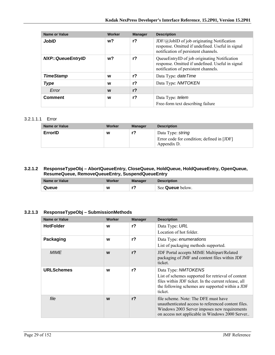| <b>Name or Value</b>     | Worker | <b>Manager</b> | <b>Description</b>                                                                                                                              |
|--------------------------|--------|----------------|-------------------------------------------------------------------------------------------------------------------------------------------------|
| JobID                    | w?     | r <sub>2</sub> | $JDF(\omega JobID)$ of job originating Notification<br>response. Omitted if undefined. Useful in signal<br>notification of persistent channels. |
| <b>NXP::QueueEntryID</b> | w?     | r <sub>2</sub> | QueueEntryID of job originating Notification<br>response. Omitted if undefined. Useful in signal<br>notification of persistent channels.        |
| <b>TimeStamp</b>         | W      | r <sub>2</sub> | Data Type: date Time                                                                                                                            |
| <b>Type</b>              | W      | r <sub>2</sub> | Data Type: NMTOKEN                                                                                                                              |
| Error                    | W      | r <sub>2</sub> |                                                                                                                                                 |
| <b>Comment</b>           | W      | $r$ ?          | Data Type: telem<br>Free-form text describing failure                                                                                           |

#### 3.2.1.1.1 Error

| Name or Value | Worker | <b>Manager</b> | <b>Description</b>                                                             |
|---------------|--------|----------------|--------------------------------------------------------------------------------|
| ErrorID       | W      | r?             | Data Type: string<br>Error code for condition; defined in [JDF]<br>Appendix D. |

#### **3.2.1.2 ResponseTypeObj – AbortQueueEntry, CloseQueue, HoldQueue, HoldQueueEntry, OpenQueue, ResumeQueue, RemoveQueueEntry, SuspendQueueEntry**

| Name or Value | Worker | <b>Manager</b> | <b>Description</b> |
|---------------|--------|----------------|--------------------|
| Queue         | W      |                | See Queue below.   |

#### **3.2.1.3 ResponseTypeObj – SubmissionMethods**

| <b>Name or Value</b> | <b>Worker</b> | <b>Manager</b> | <b>Description</b>                                                                                                                                                                               |
|----------------------|---------------|----------------|--------------------------------------------------------------------------------------------------------------------------------------------------------------------------------------------------|
| <b>HotFolder</b>     | W             | r <sub>2</sub> | Data Type: URL<br>Location of hot folder.                                                                                                                                                        |
| Packaging            | W             | $r$ ?          | Data Type: enumerations<br>List of packaging methods supported.                                                                                                                                  |
| <b>MIME</b>          | W             | r <sub>2</sub> | JDF Portal accepts MIME Multipart/Related<br>packaging of JMF and content files within JDF<br>ticket.                                                                                            |
| <b>URLSchemes</b>    | W             | r?             | Data Type: NMTOKENS<br>List of schemes supported for retrieval of content<br>files within JDF ticket. In the current release, all<br>the following schemes are supported within a JDF<br>ticket. |
| file                 | W             | r <sub>2</sub> | file scheme. Note: The DFE must have<br>unauthenticated access to referenced content files.<br>Windows 2003 Server imposes new requirements<br>on access not applicable in Windows 2000 Server   |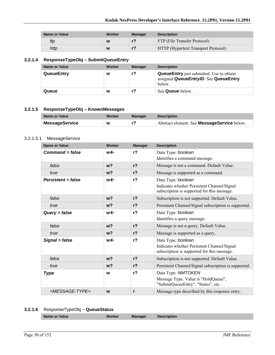| Name or Value | Worker | Manager | <b>Description</b>                         |
|---------------|--------|---------|--------------------------------------------|
| ftp           | W      |         | FTP (File Transfer Protocol)               |
| http          | W      |         | <b>HTTP</b> (Hypertext Transport Protocol) |

#### **3.2.1.4 ResponseTypeObj – SubmitQueueEntry**

| Name or Value     | Worker | <b>Manager</b> | <b>Description</b>                                                                                 |
|-------------------|--------|----------------|----------------------------------------------------------------------------------------------------|
| <b>QueueEntry</b> | W      | r?             | <b>QueueEntry</b> just submitted. Use to obtain<br>assigned QueueEntryID. See QueueEntry<br>below. |
| Queue             | W      |                | See <b>Queue</b> below.                                                                            |

#### **3.2.1.5 ResponseTypeObj – KnownMessages**

| Name or Value  | Worker | <b>Manager</b> | <b>Description</b>                                 |
|----------------|--------|----------------|----------------------------------------------------|
| MessageService | W      |                | Abstract element. See <b>MessageService</b> below. |

#### 3.2.1.5.1 MessageService

| <b>Name or Value</b>          | Worker         | <b>Manager</b> | <b>Description</b>                                                                         |
|-------------------------------|----------------|----------------|--------------------------------------------------------------------------------------------|
| $Command = false$             | w←             | r <sub>2</sub> | Data Type: boolean                                                                         |
|                               |                |                | Identifies a command message.                                                              |
| false                         | w <sub>2</sub> | r <sub>2</sub> | Message is not a command. Default Value.                                                   |
| true                          | w <sub>2</sub> | r <sub>2</sub> | Message is supported as a command.                                                         |
| $Persistent = false$          | w←             | r <sub>2</sub> | Data Type: boolean                                                                         |
|                               |                |                | Indicates whether Persistent Channel/Signal<br>subscription is supported for this message. |
| false                         | w <sub>2</sub> | r <sub>2</sub> | Subscription is not supported. Default Value.                                              |
| true                          | w <sub>2</sub> | r <sub>2</sub> | Persistent Channel/Signal subscription is supported.                                       |
| $Query = false$               | w←             | r <sub>2</sub> | Data Type: boolean                                                                         |
|                               |                |                | Identifies a query message.                                                                |
| false                         | w <sub>2</sub> | r <sub>2</sub> | Message is not a query. Default Value.                                                     |
| true                          | w <sub>2</sub> | r <sub>2</sub> | Message is supported as a query.                                                           |
| Signal = false                | w←             | r <sub>2</sub> | Data Type: boolean                                                                         |
|                               |                |                | Indicates whether Persistent Channel/Signal<br>subscription is supported for this message. |
| false                         | w <sub>2</sub> | r <sub>2</sub> | Subscription is not supported. Default Value.                                              |
| true                          | w <sub>2</sub> | r <sub>2</sub> | Persistent Channel/Signal subscription is supported.                                       |
| <b>Type</b>                   | W              | $r$ ?          | Data Type: NMTOKEN                                                                         |
|                               |                |                | Message Type. Value is "HoldQueue",<br>"SubmitQueueEntry", "Status", etc.                  |
| <message-type></message-type> | W              | r              | Message type described by this response entry.                                             |

#### **3.2.1.6** ResponseTypeObj – **QueueStatus**

|--|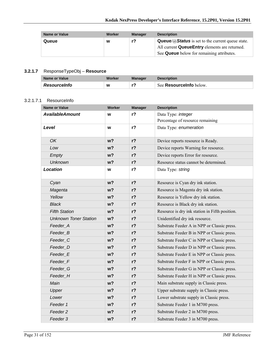| <b>Name or Value</b> | Worker | <b>Manager</b> | <b>Description</b>                                                                                                                                                                |
|----------------------|--------|----------------|-----------------------------------------------------------------------------------------------------------------------------------------------------------------------------------|
| Queue                | W      | r?             | <b>Queue/</b> $\mathcal{D}$ <b>Status</b> is set to the current queue state.<br>All current <b>QueueEntry</b> elements are returned.<br>See Queue below for remaining attributes. |

#### **3.2.1.7** ResponseTypeObj – **Resource**

| Name or Value       | Worker | Manager | <b>Description</b>             |
|---------------------|--------|---------|--------------------------------|
| <b>Resourceinfo</b> | W      |         | See <b>Resourcelnfo</b> below. |

#### 3.2.1.7.1 ResourceInfo

| <b>Name or Value</b>         | <b>Worker</b>  | <b>Manager</b> | <b>Description</b>                             |
|------------------------------|----------------|----------------|------------------------------------------------|
| <b>AvailableAmount</b>       | W              | $r$ ?          | Data Type: integer                             |
|                              |                |                | Percentage of resource remaining               |
| Level                        | W              | $r$ ?          | Data Type: enumeration                         |
| <b>OK</b>                    | $w$ ?          | $r$ ?          | Device reports resource is Ready.              |
| Low                          | w <sub>2</sub> | $r$ ?          | Device reports Warning for resource.           |
| Empty                        | w <sub>2</sub> | $r$ ?          | Device reports Error for resource.             |
| <b>Unknown</b>               | w <sub>2</sub> | $r$ ?          | Resource status cannot be determined.          |
| <b>Location</b>              | W              | $r$ ?          | Data Type: string                              |
| Cyan                         | w <sub>2</sub> | $r$ ?          | Resource is Cyan dry ink station.              |
| Magenta                      | $w$ ?          | $r$ ?          | Resource is Magenta dry ink station.           |
| Yellow                       | w <sub>2</sub> | $r$ ?          | Resource is Yellow dry ink station.            |
| <b>Black</b>                 | $w$ ?          | $r$ ?          | Resource is Black dry ink station.             |
| <b>Fifth Station</b>         | w <sub>2</sub> | $r$ ?          | Resource is dry ink station in Fifth position. |
| <b>Unknown Toner Station</b> | w?             | r <sub>2</sub> | Unidentified dry ink resource.                 |
| Feeder_A                     | w <sub>2</sub> | $r$ ?          | Substrate Feeder A in NPP or Classic press.    |
| Feeder_B                     | $w$ ?          | $r$ ?          | Substrate Feeder B in NPP or Classic press.    |
| Feeder <sub>_C</sub>         | w <sub>2</sub> | $r$ ?          | Substrate Feeder C in NPP or Classic press.    |
| Feeder D                     | w?             | $r$ ?          | Substrate Feeder D in NPP or Classic press.    |
| Feeder_E                     | w <sub>2</sub> | $r$ ?          | Substrate Feeder E in NPP or Classic press.    |
| Feeder_F                     | $w$ ?          | $r$ ?          | Substrate Feeder F in NPP or Classic press.    |
| Feeder G                     | w <sub>2</sub> | $r$ ?          | Substrate Feeder G in NPP or Classic press.    |
| Feeder H                     | w <sub>2</sub> | $r$ ?          | Substrate Feeder H in NPP or Classic press.    |
| Main                         | $w$ ?          | r <sub>2</sub> | Main substrate supply in Classic press.        |
| Upper                        | w <sub>2</sub> | $r$ ?          | Upper substrate supply in Classic press.       |
| Lower                        | $w$ ?          | r <sub>2</sub> | Lower substrate supply in Classic press.       |
| Feeder 1                     | $w$ ?          | $r$ ?          | Substrate Feeder 1 in M700 press.              |
| Feeder 2                     | w <sub>2</sub> | $r$ ?          | Substrate Feeder 2 in M700 press.              |
| Feeder 3                     | w <sub>2</sub> | $r$ ?          | Substrate Feeder 3 in M700 press.              |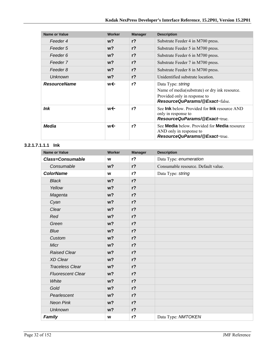| <b>Name or Value</b> | Worker | <b>Manager</b> | <b>Description</b>                                                                                                                          |
|----------------------|--------|----------------|---------------------------------------------------------------------------------------------------------------------------------------------|
| Feeder 4             | $w$ ?  | r <sub>2</sub> | Substrate Feeder 4 in M700 press.                                                                                                           |
| Feeder 5             | $w$ ?  | r <sub>2</sub> | Substrate Feeder 5 in M700 press.                                                                                                           |
| Feeder 6             | $w$ ?  | $r$ ?          | Substrate Feeder 6 in M700 press.                                                                                                           |
| Feeder 7             | $w$ ?  | r <sub>2</sub> | Substrate Feeder 7 in M700 press.                                                                                                           |
| Feeder 8             | $w$ ?  | r <sub>2</sub> | Substrate Feeder 8 in M700 press.                                                                                                           |
| <b>Unknown</b>       | $w$ ?  | r <sup>2</sup> | Unidentified substrate location.                                                                                                            |
| <b>ResourceName</b>  | w←     | r <sub>2</sub> | Data Type: string<br>Name of media(substrate) or dry ink resource.<br>Provided only in response to<br><b>ResourceQuParams/@Exact=false.</b> |
| ln <sub>k</sub>      | w←     | r <sub>2</sub> | See <b>Ink</b> below. Provided for <b>Ink</b> resource AND<br>only in response to<br><b>ResourceQuParams/@Exact=true.</b>                   |
| Media                | w←     | r <sub>2</sub> | See Media below. Provided for Media resource<br>AND only in response to<br>ResourceQuParams/@Exact=true                                     |

#### **3.2.1.7.1.1.1 Ink**

| <b>Name or Value</b>     | Worker         | <b>Manager</b> | <b>Description</b>                  |
|--------------------------|----------------|----------------|-------------------------------------|
| <b>Class=Consumable</b>  | W              | r <sub>2</sub> | Data Type: enumeration              |
| Consumable               | w <sub>2</sub> | r <sub>2</sub> | Consumable resource. Default value. |
| <b>ColorName</b>         | W              | r <sub>2</sub> | Data Type: string                   |
| <b>Black</b>             | w <sub>2</sub> | $r$ ?          |                                     |
| Yellow                   | w <sub>2</sub> | $r$ ?          |                                     |
| Magenta                  | w <sub>2</sub> | $r$ ?          |                                     |
| Cyan                     | w <sub>2</sub> | $r$ ?          |                                     |
| Clear                    | w <sub>2</sub> | $r$ ?          |                                     |
| Red                      | w <sub>2</sub> | $r$ ?          |                                     |
| Green                    | w <sub>2</sub> | $r$ ?          |                                     |
| <b>Blue</b>              | w <sub>2</sub> | $r$ ?          |                                     |
| Custom                   | w <sub>2</sub> | $r$ ?          |                                     |
| Micr                     | w <sub>2</sub> | $r$ ?          |                                     |
| <b>Raised Clear</b>      | w <sub>2</sub> | $r$ ?          |                                     |
| XD Clear                 | w <sub>2</sub> | $r$ ?          |                                     |
| <b>Traceless Clear</b>   | w <sub>2</sub> | $r$ ?          |                                     |
| <b>Fluorescent Clear</b> | w <sub>2</sub> | $r$ ?          |                                     |
| White                    | w <sub>2</sub> | $r$ ?          |                                     |
| Gold                     | w <sub>2</sub> | $r$ ?          |                                     |
| Pearlescent              | w <sub>2</sub> | $r$ ?          |                                     |
| <b>Neon Pink</b>         | w <sub>2</sub> | $r$ ?          |                                     |
| <b>Unknown</b>           | w <sub>2</sub> | $r$ ?          |                                     |
| Family                   | W              | $r$ ?          | Data Type: NMTOKEN                  |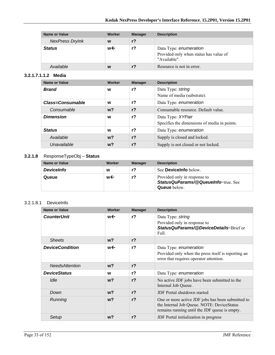| <b>Name or Value</b>   | Worker | <b>Manager</b> | <b>Description</b>                                                               |
|------------------------|--------|----------------|----------------------------------------------------------------------------------|
| <b>NexPress DryInk</b> | W      | r <sub>2</sub> |                                                                                  |
| <b>Status</b>          | w←     | r?             | Data Type: enumeration<br>Provided only when status has value of<br>"Available". |
| Available              | W      |                | Resource is not in error.                                                        |

#### **3.2.1.7.1.1.2 Media**

| <b>Name or Value</b>    | Worker | <b>Manager</b> | <b>Description</b>                                                |
|-------------------------|--------|----------------|-------------------------------------------------------------------|
| <b>Brand</b>            | W      | r <sub>2</sub> | Data Type: string<br>Name of media (substrate).                   |
| <b>Class=Consumable</b> | W      | r <sub>2</sub> | Data Type: enumeration                                            |
| Consumable              | $w$ ?  | $r$ ?          | Consumable resource. Default value.                               |
| <b>Dimension</b>        | W      | r <sub>2</sub> | Data Type: XYPair<br>Specifies the dimensions of media in points. |
| <b>Status</b>           | W      | $r$ ?          | Data Type: enumeration                                            |
| Available               | $w$ ?  | r <sub>2</sub> | Supply is closed and locked.                                      |
| Unavailable             | $w$ ?  | $r$ ?          | Supply is not closed or not locked.                               |

#### **3.2.1.8** ResponseTypeObj – **Status**

| Name or Value     | Worker | <b>Manager</b> | <b>Description</b>                                                                         |
|-------------------|--------|----------------|--------------------------------------------------------------------------------------------|
| <b>DeviceInfo</b> | w      | r?             | See <b>Devicelnfo</b> below.                                                               |
| Queue             | w←     | r?             | Provided only in response to<br>StatusQuParams/@QueueInfo=true. See<br><b>Queue</b> below. |

#### 3.2.1.8.1 DeviceInfo

| Name or Value          | Worker         | <b>Manager</b> | <b>Description</b>                                                                                                                               |
|------------------------|----------------|----------------|--------------------------------------------------------------------------------------------------------------------------------------------------|
| <b>CounterUnit</b>     | w←             | r <sub>2</sub> | Data Type: string<br>Provided only in response to<br>StatusQuParams/@DeviceDetails=Brief or<br>Full.                                             |
| <b>Sheets</b>          | w <sub>2</sub> | r <sup>2</sup> |                                                                                                                                                  |
| <b>DeviceCondition</b> | w←             | r <sub>2</sub> | Data Type: enumeration<br>Provided only when the press itself is reporting an<br>error that requires operator attention.                         |
| <b>NeedsAttention</b>  | $w$ ?          | $r$ ?          |                                                                                                                                                  |
| <b>DeviceStatus</b>    | W              | r <sup>2</sup> | Data Type: enumeration                                                                                                                           |
| Idle                   | $w$ ?          | r <sub>2</sub> | No active JDF jobs have been submitted to the<br>Internal Job Queue.                                                                             |
| Down                   | $w$ ?          | $r$ ?          | <b>JDF</b> Portal shutdown started                                                                                                               |
| Running                | $w$ ?          | r <sub>2</sub> | One or more active JDF jobs has been submitted to<br>the Internal Job Queue. NOTE: DeviceStatus<br>remains running until the JDF queue is empty. |
| Setup                  | $w$ ?          | r <sub>2</sub> | JDF Portal initialization in progress                                                                                                            |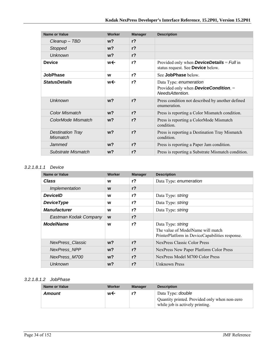| Name or Value                              | Worker         | <b>Manager</b> | <b>Description</b>                                                                                 |
|--------------------------------------------|----------------|----------------|----------------------------------------------------------------------------------------------------|
| $C$ leanup $-$ TBD                         | w?             | r <sub>2</sub> |                                                                                                    |
| Stopped                                    | $w$ ?          | $r$ ?          |                                                                                                    |
| <b>Unknown</b>                             | $w$ ?          | r <sub>2</sub> |                                                                                                    |
| <b>Device</b>                              | w←             | $r$ ?          | Provided only when <b>DeviceDetails</b> = $Full$ in<br>status request. See Device below.           |
| <b>JobPhase</b>                            | W              | r <sub>2</sub> | See JobPhase below.                                                                                |
| <b>StatusDetails</b>                       | w←             | r <sub>2</sub> | Data Type: enumeration<br>Provided only when <b>DeviceCondition</b> . $=$<br><b>NeedsAttention</b> |
| <b>Unknown</b>                             | w <sub>2</sub> | r <sub>2</sub> | Press condition not described by another defined<br>enumeration.                                   |
| Color Mismatch                             | $w$ ?          | r <sub>2</sub> | Press is reporting a Color Mismatch condition.                                                     |
| ColorMode Mismatch                         | $w$ ?          | r <sub>2</sub> | Press is reporting a ColorMode Mismatch<br>condition.                                              |
| <b>Destination Tray</b><br><b>Mismatch</b> | w <sub>2</sub> | r <sub>2</sub> | Press is reporting a Destination Tray Mismatch<br>condition.                                       |
| Jammed                                     | w?             | r <sub>2</sub> | Press is reporting a Paper Jam condition.                                                          |
| Substrate Mismatch                         | w?             | r <sub>2</sub> | Press is reporting a Substrate Mismatch condition.                                                 |

#### *3.2.1.8.1.1 Device*

| <b>Name or Value</b>    | Worker         | <b>Manager</b> | <b>Description</b>                                                                                        |
|-------------------------|----------------|----------------|-----------------------------------------------------------------------------------------------------------|
| Class                   | W              | r <sub>2</sub> | Data Type: enumeration                                                                                    |
| Implementation          | W              | r <sub>2</sub> |                                                                                                           |
| <b>DeviceID</b>         | W              | $r$ ?          | Data Type: string                                                                                         |
| <b>DeviceType</b>       | W              | $r$ ?          | Data Type: string                                                                                         |
| <b>Manufacturer</b>     | W              | $r$ ?          | Data Type: string                                                                                         |
| Eastman Kodak Company   | W              | $r$ ?          |                                                                                                           |
| <b>ModelName</b>        | W              | $r$ ?          | Data Type: string<br>The value of ModelName will match<br>PrinterPlatform in DeviceCapabilities response. |
| <b>NexPress Classic</b> | $w$ ?          | r <sub>2</sub> | NexPress Classic Color Press                                                                              |
| <b>NexPress NPP</b>     | $w$ ?          | r <sub>2</sub> | NexPress New Paper Platform Color Press                                                                   |
| NexPress_M700           | w <sub>2</sub> | r <sub>2</sub> | NexPress Model M700 Color Press                                                                           |
| Unknown                 | $w$ ?          | r <sub>2</sub> | Unknown Press                                                                                             |

#### *3.2.1.8.1.2 JobPhase*

| <b>Name or Value</b> | Worker | <b>Manager</b> | <b>Description</b>                                                                                           |
|----------------------|--------|----------------|--------------------------------------------------------------------------------------------------------------|
| Amount               | w←     | r?             | Data Type: <i>double</i><br>Quantity printed. Provided only when non-zero<br>while job is actively printing. |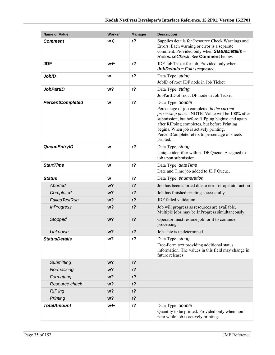| <b>Name or Value</b>    | Worker         | <b>Manager</b> | <b>Description</b>                                                                                                                                                                                                                                                                                                              |
|-------------------------|----------------|----------------|---------------------------------------------------------------------------------------------------------------------------------------------------------------------------------------------------------------------------------------------------------------------------------------------------------------------------------|
| <b>Comment</b>          | w←             | $r$ ?          | Supplies details for Resource Check Warnings and<br>Errors. Each warning or error is a separate<br>comment. Provided only when StatusDetails =<br>ResourceCheck. See Comment below.                                                                                                                                             |
| <b>JDF</b>              | w←             | r <sup>2</sup> | JDF Job Ticket for job. Provided only when<br><b>JobDetails</b> = $Full$ is requested.                                                                                                                                                                                                                                          |
| <b>JobID</b>            | W              | r <sub>2</sub> | Data Type: string<br>JobID of root JDF node in Job Ticket                                                                                                                                                                                                                                                                       |
| <b>JobPartID</b>        | w <sub>2</sub> | $r$ ?          | Data Type: string<br>JobPartID of root JDF node in Job Ticket                                                                                                                                                                                                                                                                   |
| <b>PercentCompleted</b> | W              | r <sub>2</sub> | Data Type: double<br>Percentage of job completed in the current<br>processing phase. NOTE: Value will be 100% after<br>submission, but before RIPping begins; and again<br>after RIPping completes, but before Printing<br>begins. When job is actively printing,<br>PercentComplete refers to percentage of sheets<br>printed. |
| <b>QueueEntryID</b>     | W              | $r$ ?          | Data Type: string<br>Unique identifier within JDF Queue. Assigned to<br>job upon submission.                                                                                                                                                                                                                                    |
| <b>StartTime</b>        | W              | $r$ ?          | Data Type: date Time<br>Date and Time job added to JDF Queue.                                                                                                                                                                                                                                                                   |
| <b>Status</b>           | W              | $r$ ?          | Data Type: enumeration                                                                                                                                                                                                                                                                                                          |
| Aborted                 | w?             | $r$ ?          | Job has been aborted due to error or operator action                                                                                                                                                                                                                                                                            |
| Completed               | $w$ ?          | $r$ ?          | Job has finished printing successfully                                                                                                                                                                                                                                                                                          |
| FailedTestRun           | w?             | $r$ ?          | JDF failed validation                                                                                                                                                                                                                                                                                                           |
| <b>InProgress</b>       | w?             | $r$ ?          | Job will progress as resources are available.<br>Multiple jobs may be InProgress simultaneously                                                                                                                                                                                                                                 |
| Stopped                 | w <sub>2</sub> | $r$ ?          | Operator must resume job for it to continue<br>processing.                                                                                                                                                                                                                                                                      |
| <b>Unknown</b>          | w <sub>2</sub> | $r$ ?          | Job state is undetermined                                                                                                                                                                                                                                                                                                       |
| <b>StatusDetails</b>    | w?             | $r$ ?          | Data Type: string<br>Free-Form text providing additional status<br>information. The values in this field may change in<br>future releases.                                                                                                                                                                                      |
| Submitting              | w <sub>2</sub> | $r$ ?          |                                                                                                                                                                                                                                                                                                                                 |
| Normalizing             | w?             | $r$ ?          |                                                                                                                                                                                                                                                                                                                                 |
| Formatting              | w?             | $r$ ?          |                                                                                                                                                                                                                                                                                                                                 |
| Resource check          | w?             | $r$ ?          |                                                                                                                                                                                                                                                                                                                                 |
| <b>RIP'ing</b>          | w?             | $r$ ?          |                                                                                                                                                                                                                                                                                                                                 |
| Printing                | w?             | $r$ ?          |                                                                                                                                                                                                                                                                                                                                 |
| <b>TotalAmount</b>      | w←             | $r$ ?          | Data Type: double<br>Quantity to be printed. Provided only when non-<br>zero while job is actively printing.                                                                                                                                                                                                                    |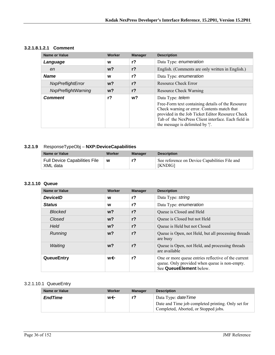#### **3.2.1.8.1.2.1 Comment**

| <b>Name or Value</b>       | Worker | <b>Manager</b> | <b>Description</b>                                                                                                                                                                                                                                                             |
|----------------------------|--------|----------------|--------------------------------------------------------------------------------------------------------------------------------------------------------------------------------------------------------------------------------------------------------------------------------|
| Language                   | W      | $r$ ?          | Data Type: enumeration                                                                                                                                                                                                                                                         |
| en                         | $w$ ?  | $r$ ?          | English. (Comments are only written in English.)                                                                                                                                                                                                                               |
| <b>Name</b>                | W      | $r$ ?          | Data Type: enumeration                                                                                                                                                                                                                                                         |
| NxpPreflightError          | $w$ ?  | $r$ ?          | Resource Check Error                                                                                                                                                                                                                                                           |
| <b>NxpPreflightWarning</b> | $w$ ?  | $r$ ?          | Resource Check Warning                                                                                                                                                                                                                                                         |
| <b>Comment</b>             | $r$ ?  | w <sup>2</sup> | Data Type: telem<br>Free-Form text containing details of the Resource<br>Check warning or error. Contents match that<br>provided in the Job Ticket Editor Resource Check<br>Tab of the NexPress Client interface. Each field in<br>the message is delimited by $\mathcal{C}$ . |

#### **3.2.1.9** ResponseTypeObj – **NXP:DeviceCapabilities**

| Name or Value                                    | Worker | Manager | <b>Description</b>                                              |
|--------------------------------------------------|--------|---------|-----------------------------------------------------------------|
| <b>Full Device Capabilities File</b><br>XML data | W      |         | See reference on Device Capabilities File and<br><b>[KNDIG]</b> |

#### **3.2.1.10 Queue**

| <b>Name or Value</b> | Worker         | <b>Manager</b> | <b>Description</b>                                                                                                              |
|----------------------|----------------|----------------|---------------------------------------------------------------------------------------------------------------------------------|
| <b>DeviceID</b>      | w              | r <sub>2</sub> | Data Type: string                                                                                                               |
| <b>Status</b>        | W              | r <sub>2</sub> | Data Type: enumeration                                                                                                          |
| <b>Blocked</b>       | $w$ ?          | r <sub>2</sub> | Queue is Closed and Held                                                                                                        |
| Closed               | w <sub>2</sub> | r <sub>2</sub> | Queue is Closed but not Held                                                                                                    |
| Held                 | $w$ ?          | r <sub>2</sub> | Queue is Held but not Closed                                                                                                    |
| Running              | w <sub>2</sub> | r <sub>2</sub> | Queue is Open, not Held, but all processing threads<br>are busy                                                                 |
| Waiting              | w <sub>2</sub> | r <sub>2</sub> | Queue is Open, not Held, and processing threads<br>are available                                                                |
| QueueEntry           | w←             | r <sub>2</sub> | One or more queue entries reflective of the current<br>queue. Only provided when queue is non-empty.<br>See QueueElement below. |

#### 3.2.1.10.1 QueueEntry

| Name or Value  | Worker | <b>Manager</b> | <b>Description</b>                                                                                                       |
|----------------|--------|----------------|--------------------------------------------------------------------------------------------------------------------------|
| <b>EndTime</b> | w←     | r?             | Data Type: <i>dateTime</i><br>Date and Time job completed printing. Only set for<br>Completed, Aborted, or Stopped jobs. |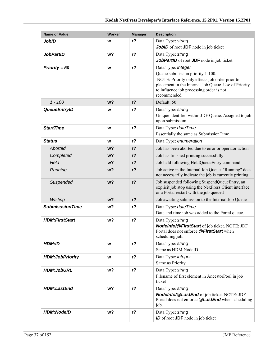| <b>Name or Value</b>   | <b>Worker</b>  | <b>Manager</b> | <b>Description</b>                                                                                                                                                                                                           |
|------------------------|----------------|----------------|------------------------------------------------------------------------------------------------------------------------------------------------------------------------------------------------------------------------------|
| <b>JobID</b>           | w              | $r$ ?          | Data Type: string<br><b>JobID</b> of root <b>JDF</b> node in job ticket                                                                                                                                                      |
| <b>JobPartID</b>       | w?             | $r$ ?          | Data Type: string<br>JobPartID of root JDF node in job ticket                                                                                                                                                                |
| Priority = $50$        | W              | $r$ ?          | Data Type: integer<br>Queue submission priority 1-100.<br>NOTE: Priority only effects job order prior to<br>placement in the Internal Job Queue. Use of Priority<br>to influence job processing order is not<br>recommended. |
| $1 - 100$              | w <sub>2</sub> | $r$ ?          | Default: 50                                                                                                                                                                                                                  |
| <b>QueueEntryID</b>    | w              | $r$ ?          | Data Type: string<br>Unique identifier within JDF Queue. Assigned to job<br>upon submission.                                                                                                                                 |
| <b>StartTime</b>       | W              | $r$ ?          | Data Type: date Time<br>Essentially the same as SubmissionTime                                                                                                                                                               |
| <b>Status</b>          | W              | r <sub>2</sub> | Data Type: enumeration                                                                                                                                                                                                       |
| Aborted                | w <sub>2</sub> | $r$ ?          | Job has been aborted due to error or operator action                                                                                                                                                                         |
| Completed              | w?             | $r$ ?          | Job has finished printing successfully                                                                                                                                                                                       |
| Held                   | w <sub>2</sub> | $r$ ?          | Job held following HoldQueueEntry command                                                                                                                                                                                    |
| Running                | w <sub>2</sub> | $r$ ?          | Job active in the Internal Job Queue. "Running" does<br>not necessarily indicate the job is currently printing.                                                                                                              |
| Suspended              | w <sub>2</sub> | $r$ ?          | Job suspended following SuspendQueueEntry, an<br>explicit job stop using the NexPress Client interface,<br>or a Portal restart with the job queued                                                                           |
| Waiting                | w <sub>2</sub> | $r$ ?          | Job awaiting submission to the Internal Job Queue                                                                                                                                                                            |
| <b>SubmisssionTime</b> | w?             | r <sub>2</sub> | Data Type: date Time<br>Date and time job was added to the Portal queue.                                                                                                                                                     |
| <b>HDM:FirstStart</b>  | w?             | $r$ ?          | Data Type: string<br>NodeInfo/@FirstStart of job ticket. NOTE: JDF<br>Portal does not enforce @FirstStart when<br>scheduling job.                                                                                            |
| <b>HDM:ID</b>          | W              | $r$ ?          | Data Type: string<br>Same as HDM:NodeID                                                                                                                                                                                      |
| <b>HDM:JobPriority</b> | W              | $r$ ?          | Data Type: integer<br>Same as Priority                                                                                                                                                                                       |
| <b>HDM:JobURL</b>      | w?             | $r$ ?          | Data Type: string<br>Filename of first element in AncestorPool in job<br>ticket                                                                                                                                              |
| <b>HDM:LastEnd</b>     | w <sub>2</sub> | $r$ ?          | Data Type: string<br>Nodelnfo/@LastEnd of job ticket. NOTE: JDF<br>Portal does not enforce @LastEnd when scheduling<br>job.                                                                                                  |
| <b>HDM:NodelD</b>      | w?             | $r$ ?          | Data Type: string<br><b>ID</b> of root <b>JDF</b> node in job ticket                                                                                                                                                         |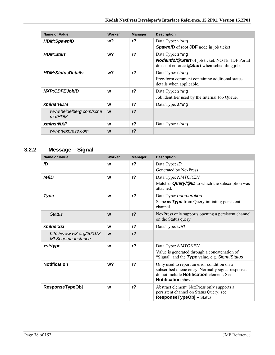| <b>Name or Value</b>              | Worker | <b>Manager</b> | <b>Description</b>                                                                                                                 |
|-----------------------------------|--------|----------------|------------------------------------------------------------------------------------------------------------------------------------|
| <b>HDM:SpawnID</b>                | w?     | r <sub>2</sub> | Data Type: string<br><b>SpawnID</b> of root <b>JDF</b> node in job ticket                                                          |
| <b>HDM:Start</b>                  | w?     | r <sub>2</sub> | Data Type: string<br><b>Nodelnfo/@Start</b> of job ticket. NOTE: JDF Portal<br>does not enforce <b>@Start</b> when scheduling job. |
| <b>HDM:StatusDetails</b>          | w?     | r <sub>2</sub> | Data Type: string<br>Free-form comment containing additional status<br>details when applicable.                                    |
| <b>NXP:CDFEJobID</b>              | W      | $r$ ?          | Data Type: string<br>Job identifier used by the Internal Job Queue.                                                                |
| xmlns:HDM                         | W      | r <sub>2</sub> | Data Type: string                                                                                                                  |
| www.heidelberg.com/sche<br>ma/HDM | W      | r <sub>2</sub> |                                                                                                                                    |
| xmlns:NXP                         | W      | r?             | Data Type: string                                                                                                                  |
| www.nexpress.com                  | W      | r <sub>2</sub> |                                                                                                                                    |

# **3.2.2 Message – Signal**

| <b>Name or Value</b>                          | Worker | <b>Manager</b> | <b>Description</b>                                                                                                                                                         |
|-----------------------------------------------|--------|----------------|----------------------------------------------------------------------------------------------------------------------------------------------------------------------------|
| ID                                            | W      | r <sub>2</sub> | Data Type: ID<br>Generated by NexPress                                                                                                                                     |
| refID                                         | W      | r <sub>2</sub> | Data Type: NMTOKEN<br>Matches Query/@ID to which the subscription was<br>attached.                                                                                         |
| <b>Type</b>                                   | W      | r <sub>2</sub> | Data Type: enumeration<br>Same as Type from Query initiating persistent<br>channel                                                                                         |
| <b>Status</b>                                 | W      | r <sub>2</sub> | NexPress only supports opening a persistent channel<br>on the Status query                                                                                                 |
| xmlns:xsi                                     | W      | r <sub>2</sub> | Data Type: URI                                                                                                                                                             |
| http://www.w3.org/2001/X<br>MLSchema-instance | W      | r <sub>2</sub> |                                                                                                                                                                            |
| xsi:type                                      | W      | $r$ ?          | Data Type: NMTOKEN<br>Value is generated through a concatenation of<br>"Signal" and the Type value, e.g. Signal Status                                                     |
| <b>Notification</b>                           | $w$ ?  | r <sub>2</sub> | Only used to report an error condition on a<br>subscribed queue entry. Normally signal responses<br>do not include <b>Notification</b> element. See<br>Notification above. |
| <b>ResponseTypeObj</b>                        | W      | r <sub>2</sub> | Abstract element. NexPress only supports a<br>persistent channel on Status Query; see<br>ResponseTypeObj-Status.                                                           |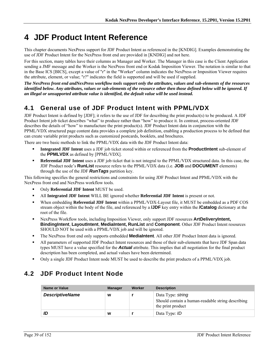# **4 JDF Product Intent Reference**

This chapter documents NexPress support for JDF Product Intent as referenced in the [KNDIG]. Examples demonstrating the use of JDF Product Intent for the NexPress front end are provided in [KNDIG] and not here.

For this section, many tables have their columns as Manager and Worker. The Manager in this case is the Client Application sending a JMF message and the Worker is the NexPress front end or Kodak Imposition Viewer. The notation is similar to that in the Base ICS [BICS], except a value of "r" in the "Worker" column indicates the NexPress or Imposition Viewer requires the attribute, element, or value; "r?" indicates the field is supported and will be used if supplied.

*The NexPress front end andNexPress workflow tools support only the attributes, values and sub-elements of the resources identified below. Any attributes, values or sub-elements of the resource other then those defined below will be ignored. If an illegal or unsupported attribute value is identified, the default value will be used instead.* 

# **4.1 General use of JDF Product Intent with PPML/VDX**

JDF Product Intent is defined by [JDF]; it refers to the use of JDF for describing the print product(s) to be produced. A JDF Product Intent job ticket describes "what" to produce rather than "how" to produce it. In contrast, process-oriented JDF describes the details of "how" to manufacture the print product(s). JDF Product Intent data in conjunction with the PPML/VDX structured page content data provides a complete job definition, enabling a production process to be defined that can create variable print products such as customized postcards, booklets, and brochures.

There are two basic methods to link the PPML/VDX data with the JDF Product Intent data:

- **Integrated JDF Intent** uses a JDF job ticket stored within or referenced from the **ProductIntent** sub-element of the **PPMLVDX** as defined by [PPML/VDX].
- **Referential JDF Intent** uses a JDF job ticket that is not integral to the PPML/VDX structured data. In this case, the JDF Product node's **RunList** resource refers to the PPML/VDX data (i.e. **JOB** and **DOCUMENT** elements) through the use of the JDF *RunTags* partition key.

This following specifies the general restrictions and constraints for using JDF Product Intent and PPML/VDX with the NexPress front end and NexPress workflow tools.

- Only **Referential JDF Intent** MUST be used.
- All **Integrated JDF Intent** WILL BE ignored whether **Referential JDF Intent** is present or not.
- When embedding **Referential JDF Intent** within a PPML/VDX-Layout file, it MUST be embedded as a PDF COS stream object within the body of the file, and referenced by a **/JDF** key entry within the **/Catalog** dictionary at the root of the file.
- NexPress Workflow tools, including Imposition Viewer, only support JDF resources **ArtDeliveryIntent, BindingIntent**, **LayoutIntent**, **MediaIntent, RunList** and **Component**. Other JDF Product Intent resources SHOULD NOT be used with a PPML/VDX job and will be ignored.
- The NexPress front end only supports embedded **MediaIntent**. All other JDF Product Intent data is ignored.
- All parameters of supported JDF Product Intent resources and those of their sub-elements that have JDF Span data types MUST have a value specified for the *Actual* attribute. This implies that all negotiation for the final product description has been completed, and actual values have been determined.
- Only a single JDF Product Intent node MUST be used to describe the print products of a PPML/VDX job.

# **4.2 JDF Product Intent Node**

| Name or Value          | <b>Manager</b> | Worker | <b>Description</b>                                                                          |
|------------------------|----------------|--------|---------------------------------------------------------------------------------------------|
| <b>DescriptiveName</b> | W              |        | Data Type: string<br>Should contain a human-readable string describing<br>the print product |
| ID                     | W              |        | Data Type: <i>ID</i>                                                                        |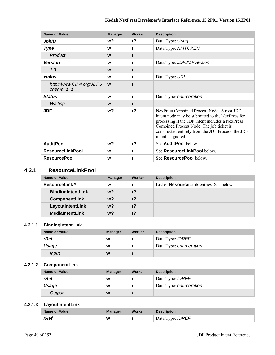| Name or Value                           | <b>Manager</b> | Worker         | <b>Description</b>                                                                                                                                                                                                                                                         |
|-----------------------------------------|----------------|----------------|----------------------------------------------------------------------------------------------------------------------------------------------------------------------------------------------------------------------------------------------------------------------------|
| JobID                                   | w?             | $r$ ?          | Data Type: string                                                                                                                                                                                                                                                          |
| <b>Type</b>                             | W              | r              | Data Type: NMTOKEN                                                                                                                                                                                                                                                         |
| Product                                 | W              | r              |                                                                                                                                                                                                                                                                            |
| <b>Version</b>                          | W              | r              | Data Type: JDFJMFVersion                                                                                                                                                                                                                                                   |
| 1.3                                     | W              | r              |                                                                                                                                                                                                                                                                            |
| <b>xmlns</b>                            | W              | r              | Data Type: URI                                                                                                                                                                                                                                                             |
| http://www.CIP4.org/JDFS<br>chema $1$ 1 | W              | r              |                                                                                                                                                                                                                                                                            |
| <b>Status</b>                           | W              | r              | Data Type: enumeration                                                                                                                                                                                                                                                     |
| Waiting                                 | W              | r              |                                                                                                                                                                                                                                                                            |
| <b>JDF</b>                              | w?             | r <sub>2</sub> | NexPress Combined Process Node. A root JDF<br>intent node may be submitted to the NexPress for<br>processing if the JDF intent includes a NexPress<br>Combined Process Node. The job ticket is<br>constructed entirely from the JDF Process; the JDF<br>intent is ignored. |
| <b>AuditPool</b>                        | w?             | r <sub>2</sub> | See AuditPool below.                                                                                                                                                                                                                                                       |
| <b>ResourceLinkPool</b>                 | W              | r              | See ResourceLinkPool below.                                                                                                                                                                                                                                                |
| <b>ResourcePool</b>                     | W              | r              | See <b>ResourcePool</b> below.                                                                                                                                                                                                                                             |

### **4.2.1 ResourceLinkPool**

| Name or Value            | <b>Manager</b> | Worker         | <b>Description</b>                              |
|--------------------------|----------------|----------------|-------------------------------------------------|
| <b>ResourceLink</b> *    | W              |                | List of <b>ResourceLink</b> entries. See below. |
| <b>BindingIntentLink</b> | w?             | r <sub>2</sub> |                                                 |
| <b>ComponentLink</b>     | w?             | $r$ ?          |                                                 |
| LayoutIntentLink         | $w$ ?          | r <sub>2</sub> |                                                 |
| <b>MediaIntentLink</b>   | $w$ ?          | r <sub>2</sub> |                                                 |

#### **4.2.1.1 BindingIntentLink**

| <b>Name or Value</b> | <b>Manager</b> | Worker | <b>Description</b>      |
|----------------------|----------------|--------|-------------------------|
| rRef                 | W              |        | Data Type: <b>IDREF</b> |
| Usage                | W              |        | Data Type: enumeration  |
| Input                | W              |        |                         |

## **4.2.1.2 ComponentLink**

| Name or Value | <b>Manager</b> | Worker | <b>Description</b>      |
|---------------|----------------|--------|-------------------------|
| rRef          | W              |        | Data Type: <i>IDREF</i> |
| Usage         | W              |        | Data Type: enumeration  |
| Output        | W              |        |                         |

#### **4.2.1.3 LayoutIntentLink**

| <b>Name or Value</b> | <b>Manager</b> | Worker | <b>Description</b>      |
|----------------------|----------------|--------|-------------------------|
| rRef                 | W              |        | Data Type: <b>IDREF</b> |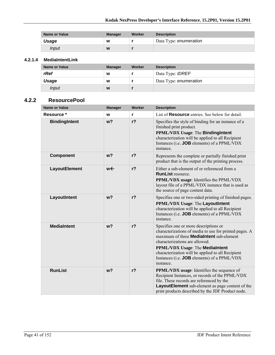| <b>Name or Value</b> | <b>Manager</b> | Worker | <b>Description</b>     |
|----------------------|----------------|--------|------------------------|
| Usage                | W              |        | Data Type: enumeration |
| Input                | W              |        |                        |

#### **4.2.1.4 MediaIntentLink**

| <b>Name or Value</b> | <b>Manager</b> | <b>Worker</b> | <b>Description</b>      |
|----------------------|----------------|---------------|-------------------------|
| rRef                 | W              |               | Data Type: <b>IDREF</b> |
| Usage                | W              |               | Data Type: enumeration  |
| <i>Input</i>         | W              |               |                         |

#### **4.2.2 ResourcePool**

| <b>Name or Value</b> | <b>Manager</b> | Worker         | <b>Description</b>                                                                                                                                                                                                                                                                                                                                     |
|----------------------|----------------|----------------|--------------------------------------------------------------------------------------------------------------------------------------------------------------------------------------------------------------------------------------------------------------------------------------------------------------------------------------------------------|
| Resource *           | W              | r              | List of <b>Resource</b> entries. See below for detail.                                                                                                                                                                                                                                                                                                 |
| <b>BindingIntent</b> | w <sub>2</sub> | $r$ ?          | Specifies the style of binding for an instance of a<br>finished print product.<br><b>PPML/VDX Usage: The BindingIntent</b><br>characterization will be applied to all Recipient<br>Instances (i.e. <b>JOB</b> elements) of a PPML/VDX<br>instance.                                                                                                     |
| <b>Component</b>     | w <sub>2</sub> | $r$ ?          | Represents the complete or partially finished print<br>product that is the output of the printing process.                                                                                                                                                                                                                                             |
| LayoutElement        | w←             | $r$ ?          | Either a sub-element of or referenced from a<br><b>RunList resource.</b><br>PPML/VDX usage: Identifies the PPML/VDX<br>layout file of a PPML/VDX instance that is used as<br>the source of page content data.                                                                                                                                          |
| LayoutIntent         | w <sub>2</sub> | $r$ ?          | Specifies one or two-sided printing of finished pages.<br>PPML/VDX Usage: The LayoutIntent<br>characterization will be applied to all Recipient<br>Instances (i.e. <b>JOB</b> elements) of a PPML/VDX<br>instance.                                                                                                                                     |
| <b>MediaIntent</b>   | w <sub>2</sub> | r <sub>2</sub> | Specifies one or more descriptions or<br>characterizations of media to use for printed pages. A<br>maximum of three <b>MediaIntent</b> sub-element<br>characterizations are allowed.<br><b>PPML/VDX Usage: The MediaIntent</b><br>characterization will be applied to all Recipient<br>Instances (i.e. <b>JOB</b> elements) of a PPML/VDX<br>instance. |
| <b>RunList</b>       | w <sub>2</sub> | $r$ ?          | PPML/VDX usage: Identifies the sequence of<br>Recipient Instances, or records of the PPML/VDX<br>file. These records are referenced by the<br>LayoutElement sub-element as page content of the<br>print products described by the JDF Product node.                                                                                                    |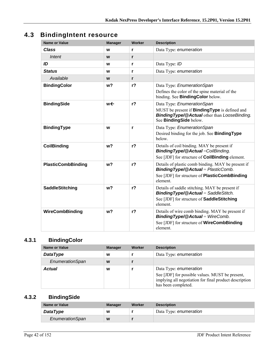# **4.3 BindingIntent resource**

| <b>Name or Value</b>      | <b>Manager</b> | <b>Worker</b>  | <b>Description</b>                                                                                                                                                   |
|---------------------------|----------------|----------------|----------------------------------------------------------------------------------------------------------------------------------------------------------------------|
| <b>Class</b>              | W              | r              | Data Type: enumeration                                                                                                                                               |
| Intent                    | W              | r              |                                                                                                                                                                      |
| ID                        | W              | r              | Data Type: ID                                                                                                                                                        |
| <b>Status</b>             | W              | r              | Data Type: enumeration                                                                                                                                               |
| Available                 | W              | r              |                                                                                                                                                                      |
| <b>BindingColor</b>       | w?             | r <sub>2</sub> | Data Type: EnumerationSpan<br>Defines the color of the spine material of the<br>binding. See <b>BindingColor</b> below.                                              |
| <b>BindingSide</b>        | w←             | r <sub>2</sub> | Data Type: EnumerationSpan<br>MUST be present if <b>BindingType</b> is defined and<br><b>Binding Type/@Actual other than LooseBinding.</b><br>See BindingSide below. |
| <b>BindingType</b>        | W              | r              | Data Type: EnumerationSpan<br>Desired binding for the job. See <b>BindingType</b><br>below.                                                                          |
| <b>CoilBinding</b>        | w <sub>2</sub> | $r$ ?          | Details of coil binding. MAY be present if<br><b>BindingType/@Actual=CoilBinding.</b><br>See [JDF] for structure of <b>CoilBinding</b> element.                      |
| <b>PlasticCombBinding</b> | w?             | r <sub>2</sub> | Details of plastic comb binding. MAY be present if<br><b>BindingType/@Actual</b> = PlasticComb.<br>See [JDF] for structure of <b>PlasticCombBinding</b><br>element.  |
| <b>SaddleStitching</b>    | w <sub>2</sub> | r <sub>2</sub> | Details of saddle stitching. MAY be present if<br><b>BindingType/@Actual</b> = SaddleStitch.<br>See [JDF] for structure of SaddleStitching<br>element                |
| WireCombBinding           | w <sup>2</sup> | r <sub>2</sub> | Details of wire comb binding. MAY be present if<br><b>BindingType/@Actual</b> = WireComb.<br>See [JDF] for structure of <b>WireCombBinding</b><br>element.           |

# **4.3.1 BindingColor**

| Name or Value   | <b>Manager</b> | Worker | <b>Description</b>                                                                                                                                         |
|-----------------|----------------|--------|------------------------------------------------------------------------------------------------------------------------------------------------------------|
| <b>DataType</b> | W              |        | Data Type: enumeration                                                                                                                                     |
| EnumerationSpan | W              |        |                                                                                                                                                            |
| <b>Actual</b>   | W              |        | Data Type: enumeration<br>See [JDF] for possible values. MUST be present,<br>implying all negotiation for final product description<br>has been completed. |

# **4.3.2 BindingSide**

| Name or Value   | <b>Manager</b> | Worker | <b>Description</b>     |
|-----------------|----------------|--------|------------------------|
| <b>DataType</b> | W              |        | Data Type: enumeration |
| EnumerationSpan | W              |        |                        |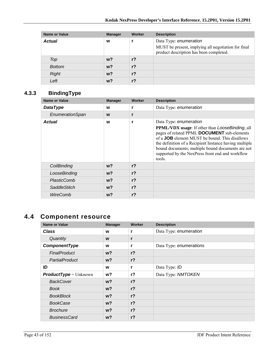| <b>Name or Value</b> | <b>Manager</b> | Worker         | <b>Description</b>                                                                                                       |
|----------------------|----------------|----------------|--------------------------------------------------------------------------------------------------------------------------|
| <b>Actual</b>        | W              |                | Data Type: enumeration<br>MUST be present, implying all negotiation for final<br>product description has been completed. |
| Top                  | $w$ ?          | r <sub>2</sub> |                                                                                                                          |
| <b>Bottom</b>        | $w$ ?          | r <sub>2</sub> |                                                                                                                          |
| <b>Right</b>         | $w$ ?          | r <sub>2</sub> |                                                                                                                          |
| Left                 | w?             | r <sub>2</sub> |                                                                                                                          |

# **4.3.3 BindingType**

| <b>Name or Value</b> | <b>Manager</b> | Worker         | <b>Description</b>                                                                                                                                                                                                                                                                                                                                                            |
|----------------------|----------------|----------------|-------------------------------------------------------------------------------------------------------------------------------------------------------------------------------------------------------------------------------------------------------------------------------------------------------------------------------------------------------------------------------|
| <b>DataType</b>      | W              |                | Data Type: enumeration                                                                                                                                                                                                                                                                                                                                                        |
| EnumerationSpan      | W              | r              |                                                                                                                                                                                                                                                                                                                                                                               |
| <b>Actual</b>        | W              | r              | Data Type: enumeration<br><b>PPML/VDX</b> usage: If other than <i>LooseBinding</i> , all<br>pages of related PPML DOCUMENT sub-elements<br>of a <b>JOB</b> element MUST be bound. This disallows<br>the definition of a Recipient Instance having multiple<br>bound documents; multiple bound documents are not<br>supported by the NexPress front end and workflow<br>tools. |
| CoilBinding          | w?             | r <sub>2</sub> |                                                                                                                                                                                                                                                                                                                                                                               |
| LooseBinding         | $w$ ?          | r <sub>2</sub> |                                                                                                                                                                                                                                                                                                                                                                               |
| PlasticComb          | $w$ ?          | r <sub>2</sub> |                                                                                                                                                                                                                                                                                                                                                                               |
| <b>SaddleStitch</b>  | w?             | $r$ ?          |                                                                                                                                                                                                                                                                                                                                                                               |
| WireComb             | w?             | r <sub>2</sub> |                                                                                                                                                                                                                                                                                                                                                                               |

# **4.4 Component resource**

| <b>Name or Value</b>           | <b>Manager</b> | Worker         | <b>Description</b>      |
|--------------------------------|----------------|----------------|-------------------------|
| <b>Class</b>                   | W              | r              | Data Type: enumeration  |
| Quantity                       | W              | r              |                         |
| ComponentType                  | W              | r              | Data Type: enumerations |
| <b>FinalProduct</b>            | $w$ ?          | $r$ ?          |                         |
| PartialProduct                 | $w$ ?          | $r$ ?          |                         |
| ID                             | W              | r              | Data Type: ID           |
| <b>ProductType</b> = $Unknown$ | w?             | $r$ ?          | Data Type: NMTOKEN      |
| <b>BackCover</b>               | $w$ ?          | r <sub>2</sub> |                         |
| <b>Book</b>                    | w?             | $r$ ?          |                         |
| <b>BookBlock</b>               | $w$ ?          | $r$ ?          |                         |
| <b>BookCase</b>                | $w$ ?          | $r$ ?          |                         |
| <b>Brochure</b>                | $w$ ?          | r <sub>2</sub> |                         |
| <b>BusinessCard</b>            | w?             | $r$ ?          |                         |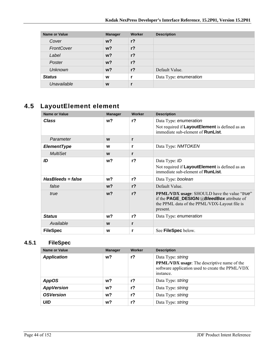| <b>Name or Value</b> | <b>Manager</b> | Worker         | <b>Description</b>     |
|----------------------|----------------|----------------|------------------------|
| Cover                | $w$ ?          | $r$ ?          |                        |
| FrontCover           | $w$ ?          | $r$ ?          |                        |
| Label                | $w$ ?          | $r$ ?          |                        |
| Poster               | $w$ ?          | $r$ ?          |                        |
| <b>Unknown</b>       | $w$ ?          | r <sub>2</sub> | Default Value.         |
| <b>Status</b>        | W              |                | Data Type: enumeration |
| Unavailable          | W              |                |                        |

# **4.5 LayoutElement element**

| <b>Name or Value</b> | <b>Manager</b> | Worker         | <b>Description</b>                                                                                                                                                  |
|----------------------|----------------|----------------|---------------------------------------------------------------------------------------------------------------------------------------------------------------------|
| <b>Class</b>         | w?             | $r$ ?          | Data Type: enumeration<br>Not required if LayoutElement is defined as an<br>immediate sub-element of <b>RunList</b> .                                               |
| Parameter            | W              | r              |                                                                                                                                                                     |
| <b>ElementType</b>   | W              | r              | Data Type: NMTOKEN                                                                                                                                                  |
| <b>MultiSet</b>      | W              | r              |                                                                                                                                                                     |
| ID                   | w?             | r <sub>2</sub> | Data Type: ID<br>Not required if LayoutElement is defined as an<br>immediate sub-element of <b>RunList</b> .                                                        |
| HasBleeds = false    | w?             | $r$ ?          | Data Type: boolean                                                                                                                                                  |
| false                | $w$ ?          | $r$ ?          | Default Value.                                                                                                                                                      |
| true                 | $w$ ?          | r <sub>2</sub> | <b>PPML/VDX</b> usage: SHOULD have the value "true"<br>if the <b>PAGE_DESIGN/@BleedBox</b> attribute of<br>the PPML data of the PPML/VDX-Layout file is<br>present. |
| <b>Status</b>        | w?             | $r$ ?          | Data Type: enumeration                                                                                                                                              |
| Available            | W              | r              |                                                                                                                                                                     |
| <b>FileSpec</b>      | W              | r              | See FileSpec below.                                                                                                                                                 |

## **4.5.1 FileSpec**

| Name or Value      | <b>Manager</b> | Worker | <b>Description</b>                                                                                                                       |
|--------------------|----------------|--------|------------------------------------------------------------------------------------------------------------------------------------------|
| <b>Application</b> | w?             | $r$ ?  | Data Type: string<br><b>PPML/VDX</b> usage: The descriptive name of the<br>software application used to create the PPML/VDX<br>instance. |
| <b>AppOS</b>       | w?             | $r$ ?  | Data Type: string                                                                                                                        |
| <b>AppVersion</b>  | w?             | $r$ ?  | Data Type: string                                                                                                                        |
| <b>OSVersion</b>   | w?             | r?     | Data Type: string                                                                                                                        |
| <b>UID</b>         | w?             | $r$ ?  | Data Type: string                                                                                                                        |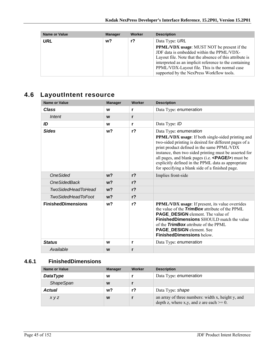| <b>Name or Value</b> | <b>Manager</b> | Worker | <b>Description</b>                                                                                                                                                                                                                                                                                                |
|----------------------|----------------|--------|-------------------------------------------------------------------------------------------------------------------------------------------------------------------------------------------------------------------------------------------------------------------------------------------------------------------|
| URL                  | w?             | r?     | Data Type: URL                                                                                                                                                                                                                                                                                                    |
|                      |                |        | <b>PPML/VDX</b> usage: MUST NOT be present if the<br>JDF data is embedded within the PPML/VDX-<br>Layout file. Note that the absence of this attribute is<br>interpreted as an implicit reference to the containing<br>PPML/VDX-Layout file. This is the normal case<br>supported by the NexPress Workflow tools. |

# **4.6 LayoutIntent resource**

| <b>Name or Value</b>      | <b>Manager</b> | Worker         | <b>Description</b>                                                                                                                                                                                                                                                                                                                                                                                                          |
|---------------------------|----------------|----------------|-----------------------------------------------------------------------------------------------------------------------------------------------------------------------------------------------------------------------------------------------------------------------------------------------------------------------------------------------------------------------------------------------------------------------------|
| <b>Class</b>              | W              | r              | Data Type: enumeration                                                                                                                                                                                                                                                                                                                                                                                                      |
| Intent                    | W              | r              |                                                                                                                                                                                                                                                                                                                                                                                                                             |
| ID                        | W              | r              | Data Type: ID                                                                                                                                                                                                                                                                                                                                                                                                               |
| <b>Sides</b>              | w <sub>2</sub> | r <sub>2</sub> | Data Type: enumeration<br><b>PPML/VDX</b> usage: If both single-sided printing and<br>two-sided printing is desired for different pages of a<br>print product defined in the same PPML/VDX<br>instance, then two sided printing must be asserted for<br>all pages, and blank pages (i.e. $\langle$ PAGE/s) must be<br>explicitly defined in the PPML data as appropriate<br>for specifying a blank side of a finished page. |
| <b>OneSided</b>           | w <sub>2</sub> | r <sub>2</sub> | Implies front-side                                                                                                                                                                                                                                                                                                                                                                                                          |
| <b>OneSidedBack</b>       | w <sub>2</sub> | r <sub>2</sub> |                                                                                                                                                                                                                                                                                                                                                                                                                             |
| <b>TwoSidedHeadToHead</b> | w <sub>2</sub> | r <sub>2</sub> |                                                                                                                                                                                                                                                                                                                                                                                                                             |
| <b>TwoSidedHeadToFoot</b> | w <sub>2</sub> | r <sub>2</sub> |                                                                                                                                                                                                                                                                                                                                                                                                                             |
| <b>FinishedDimensions</b> | w <sub>2</sub> | r <sub>2</sub> | <b>PPML/VDX</b> usage: If present, its value overrides<br>the value of the <b>TrimBox</b> attribute of the PPML<br><b>PAGE_DESIGN</b> element. The value of<br><b>FinishedDimensions</b> SHOULD match the value<br>of the <b>TrimBox</b> attribute of the PPML<br>PAGE_DESIGN element. See<br><b>FinishedDimensions below.</b>                                                                                              |
| <b>Status</b>             | W              | r              | Data Type: enumeration                                                                                                                                                                                                                                                                                                                                                                                                      |
| Available                 | W              | r              |                                                                                                                                                                                                                                                                                                                                                                                                                             |

## **4.6.1 FinishedDimensions**

| Name or Value    | <b>Manager</b> | Worker | <b>Description</b>                                                                               |
|------------------|----------------|--------|--------------------------------------------------------------------------------------------------|
| <b>DataType</b>  | W              |        | Data Type: enumeration                                                                           |
| <b>ShapeSpan</b> | W              |        |                                                                                                  |
| <b>Actual</b>    | w?             | r?     | Data Type: shape                                                                                 |
| x y z            | W              |        | an array of three numbers: width x, height y, and<br>depth z, where x,y, and z are each $>= 0$ . |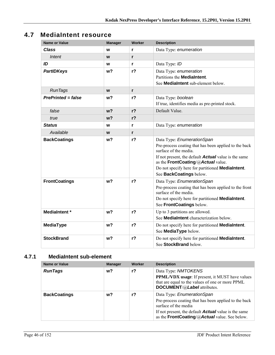# **4.7 MediaIntent resource**

| <b>Name or Value</b>      | <b>Manager</b> | <b>Worker</b>  | <b>Description</b>                                                                                                                                                                                                                                                                               |
|---------------------------|----------------|----------------|--------------------------------------------------------------------------------------------------------------------------------------------------------------------------------------------------------------------------------------------------------------------------------------------------|
| Class                     | W              | r              | Data Type: enumeration                                                                                                                                                                                                                                                                           |
| Intent                    | W              | r              |                                                                                                                                                                                                                                                                                                  |
| ID                        | W              | r              | Data Type: ID                                                                                                                                                                                                                                                                                    |
| <b>PartIDKeys</b>         | w?             | $r$ ?          | Data Type: enumeration<br>Partitions the <b>MediaIntent</b> .<br>See MediaIntent sub-element below.                                                                                                                                                                                              |
| <b>RunTags</b>            | W              | r              |                                                                                                                                                                                                                                                                                                  |
| <b>PrePrinted = false</b> | w?             | r <sub>2</sub> | Data Type: boolean<br>If true, identifies media as pre-printed stock.                                                                                                                                                                                                                            |
| false                     | w <sub>2</sub> | r <sub>2</sub> | Default Value.                                                                                                                                                                                                                                                                                   |
| true                      | w <sub>2</sub> | $r$ ?          |                                                                                                                                                                                                                                                                                                  |
| <b>Status</b>             | W              | r              | Data Type: enumeration                                                                                                                                                                                                                                                                           |
| Available                 | W              | r              |                                                                                                                                                                                                                                                                                                  |
| <b>BackCoatings</b>       | w <sub>2</sub> | r <sub>2</sub> | Data Type: EnumerationSpan<br>Pre-process coating that has been applied to the back<br>surface of the media.<br>If not present, the default <b>Actual</b> value is the same<br>as the FrontCoating/@Actual value.<br>Do not specify here for partitioned MediaIntent.<br>See BackCoatings below. |
| <b>FrontCoatings</b>      | w <sub>2</sub> | $r$ ?          | Data Type: EnumerationSpan<br>Pre-process coating that has been applied to the front<br>surface of the media.<br>Do not specify here for partitioned <b>MediaIntent</b> .<br>See FrontCoatings below.                                                                                            |
| <b>MediaIntent</b> *      | w <sub>2</sub> | r <sub>2</sub> | Up to 3 partitions are allowed.<br>See MediaIntent characterization below.                                                                                                                                                                                                                       |
| <b>MediaType</b>          | w <sub>2</sub> | r <sub>2</sub> | Do not specify here for partitioned MediaIntent.<br>See MediaType below.                                                                                                                                                                                                                         |
| <b>StockBrand</b>         | w <sub>2</sub> | r <sub>2</sub> | Do not specify here for partitioned MediaIntent.<br>See StockBrand below.                                                                                                                                                                                                                        |

## **4.7.1 MediaIntent sub-element**

| Name or Value       | <b>Manager</b> | Worker | <b>Description</b>                                                                                                                                                                                                          |
|---------------------|----------------|--------|-----------------------------------------------------------------------------------------------------------------------------------------------------------------------------------------------------------------------------|
| <b>RunTags</b>      | w?             | r?     | Data Type: NMTOKENS<br><b>PPML/VDX</b> usage: If present, it MUST have values<br>that are equal to the values of one or more PPML<br>DOCUMENT/@Label attributes.                                                            |
| <b>BackCoatings</b> | w?             | r?     | Data Type: EnumerationSpan<br>Pre-process coating that has been applied to the back<br>surface of the media<br>If not present, the default <b>Actual</b> value is the same<br>as the FrontCoating/@Actual value. See below. |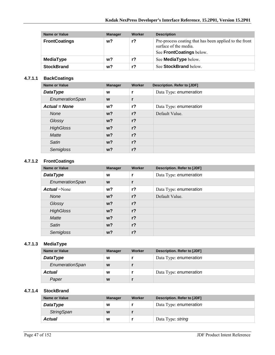| Name or Value        | <b>Manager</b> | Worker | <b>Description</b>                                                                                          |
|----------------------|----------------|--------|-------------------------------------------------------------------------------------------------------------|
| <b>FrontCoatings</b> | w?             | $r$ ?  | Pre-process coating that has been applied to the front<br>surface of the media.<br>See FrontCoatings below. |
| MediaType            | w?             | r?     | See <b>MediaType</b> below.                                                                                 |
| <b>StockBrand</b>    | w?             | r?     | See StockBrand below.                                                                                       |

#### **4.7.1.1 BackCoatings**

| Name or Value        | <b>Manager</b> | Worker         | <b>Description. Refer to [JDF]</b> |
|----------------------|----------------|----------------|------------------------------------|
| <b>DataType</b>      | W              |                | Data Type: enumeration             |
| EnumerationSpan      | W              |                |                                    |
| <b>Actual = None</b> | w?             | $r$ ?          | Data Type: enumeration             |
| <b>None</b>          | $w$ ?          | r <sub>2</sub> | Default Value.                     |
| Glossy               | $w$ ?          | $r$ ?          |                                    |
| <b>HighGloss</b>     | $w$ ?          | $r$ ?          |                                    |
| <b>Matte</b>         | $w$ ?          | $r$ ?          |                                    |
| Satin                | $w$ ?          | $r$ ?          |                                    |
| Semigloss            | $w$ ?          | $r$ ?          |                                    |

#### **4.7.1.2 FrontCoatings**

| <b>Name or Value</b> | <b>Manager</b> | Worker         | Description. Refer to [JDF] |
|----------------------|----------------|----------------|-----------------------------|
| <b>DataType</b>      | W              | r              | Data Type: enumeration      |
| EnumerationSpan      | W              | r              |                             |
| <b>Actual</b> =None  | $w$ ?          | r <sub>2</sub> | Data Type: enumeration      |
| None                 | $w$ ?          | r <sub>2</sub> | Default Value.              |
| Glossy               | $w$ ?          | r <sub>2</sub> |                             |
| <b>HighGloss</b>     | $w$ ?          | r <sub>2</sub> |                             |
| Matte                | $w$ ?          | r <sub>2</sub> |                             |
| Satin                | $w$ ?          | r <sub>2</sub> |                             |
| Semigloss            | $w$ ?          | r <sub>2</sub> |                             |

### **4.7.1.3 MediaType**

| Name or Value   | <b>Manager</b> | <b>Worker</b> | Description. Refer to [JDF] |
|-----------------|----------------|---------------|-----------------------------|
| <b>DataType</b> | W              |               | Data Type: enumeration      |
| EnumerationSpan | W              |               |                             |
| <b>Actual</b>   | W              |               | Data Type: enumeration      |
| Paper           | W              |               |                             |

#### **4.7.1.4 StockBrand**

| Name or Value     | <b>Manager</b> | Worker | Description. Refer to [JDF] |
|-------------------|----------------|--------|-----------------------------|
| <b>DataType</b>   | W              |        | Data Type: enumeration      |
| <b>StringSpan</b> | W              |        |                             |
| Actual            | W              |        | Data Type: string           |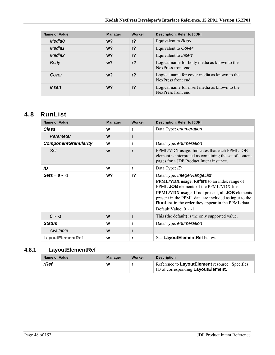| <b>Name or Value</b> | <b>Manager</b> | Worker         | Description. Refer to [JDF]                                          |
|----------------------|----------------|----------------|----------------------------------------------------------------------|
| Media0               | $w$ ?          | $r$ ?          | Equivalent to <b>Body</b>                                            |
| Media1               | $w$ ?          | r <sub>2</sub> | Equivalent to Cover                                                  |
| Media2               | $w$ ?          | r <sub>2</sub> | Equivalent to <i>Insert</i>                                          |
| Body                 | $w$ ?          | r <sub>2</sub> | Logical name for body media as known to the<br>NexPress front end.   |
| Cover                | $w$ ?          | $r$ ?          | Logical name for cover media as known to the<br>NexPress front end.  |
| <i>Insert</i>        | w?             | $r$ ?          | Logical name for insert media as known to the<br>NexPress front end. |

# **4.8 RunList**

| <b>Name or Value</b>        | <b>Manager</b> | Worker         | Description. Refer to [JDF]                                                                                                                                                                                                                                                                                                                               |
|-----------------------------|----------------|----------------|-----------------------------------------------------------------------------------------------------------------------------------------------------------------------------------------------------------------------------------------------------------------------------------------------------------------------------------------------------------|
| Class                       | W              | r              | Data Type: enumeration                                                                                                                                                                                                                                                                                                                                    |
| Parameter                   | W              | r              |                                                                                                                                                                                                                                                                                                                                                           |
| <b>ComponentGranularity</b> | W              | r              | Data Type: enumeration                                                                                                                                                                                                                                                                                                                                    |
| Set                         | W              | r              | PPML/VDX usage: Indicates that each PPML JOB<br>element is interpreted as containing the set of content<br>pages for a JDF Product Intent instance.                                                                                                                                                                                                       |
| ID                          | W              | r              | Data Type: ID                                                                                                                                                                                                                                                                                                                                             |
| $\text{Sets} = 0 \sim -1$   | w?             | r <sub>2</sub> | Data Type: IntegerRangeList<br><b>PPML/VDX</b> usage: Refers to an index range of<br>PPML <b>JOB</b> elements of the PPML/VDX file.<br><b>PPML/VDX</b> usage: If not present, all <b>JOB</b> elements<br>present in the PPML data are included as input to the<br><b>RunList</b> in the order they appear in the PPML data.<br>Default Value: $0 \sim -1$ |
| $0 - -1$                    | W              | r              | This (the default) is the only supported value.                                                                                                                                                                                                                                                                                                           |
| <b>Status</b>               | W              | r              | Data Type: enumeration                                                                                                                                                                                                                                                                                                                                    |
| Available                   | W              | r              |                                                                                                                                                                                                                                                                                                                                                           |
| <b>LayoutElementRef</b>     | W              | r              | See LayoutElementRef below.                                                                                                                                                                                                                                                                                                                               |

# **4.8.1 LayoutElementRef**

| Name or Value | <b>Manager</b> | Worker | <b>Description</b>                                                                    |
|---------------|----------------|--------|---------------------------------------------------------------------------------------|
| rRef          | W              |        | Reference to LayoutElement resource. Specifies<br>ID of corresponding Layout Element. |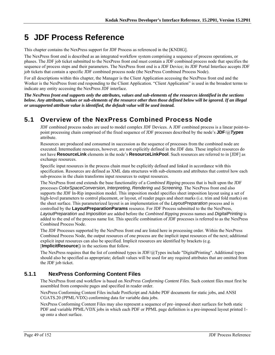# **5 JDF Process Reference**

This chapter contains the NexPress support for JDF Process as referenced in the [KNDIG].

The NexPress front end is described as an integrated workflow system comprising a sequence of process operations, or phases. The JDF job ticket submitted to the NexPress front end must contain a JDF combined process node that specifies the sequence of process steps and their parameters. The NexPress front end is a JDF Device; its JDF Portal Interface accepts JDF job tickets that contain a specific JDF combined process node (the NexPress Combined Process Node).

For all descriptions within this chapter, the Manager is the Client Application accessing the NexPress front end and the Worker is the NexPress front end responding to the Client Application. "Client Application" is used in the broadest terms to indicate any entity accessing the NexPress JDF interface.

*The NexPress front end supports only the attributes, values and sub-elements of the resources identified in the sections below. Any attributes, values or sub-elements of the resource other then those defined below will be ignored. If an illegal or unsupported attribute value is identified, the default value will be used instead.* 

# **5.1 Overview of the NexPress Combined Process Node**

JDF combined process nodes are used to model complex JDF Devices. A JDF combined process is a linear point-topoint processing chain comprised of the fixed sequence of JDF processes described by the node's **JDF**/@*Types* attribute.

Resources are produced and consumed in succession as the sequence of processes from the combined node are executed. Intermediate resources, however, are not explicitly defined in the JDF data. These implicit resources do not have **ResourceLink** elements in the node's **ResourceLinkPool**. Such resources are referred to in [JDF] as exchange resources.

Specific input resources in the process chain must be explicitly defined and linked in accordance with this specification. Resources are defined as XML data structures with sub-elements and attributes that control how each sub-process in the chain transforms input resources to output resources.

The NexPress front end extends the base functionality of a *Combined Ripping* process that is built upon the JDF processes *ColorSpaceConversion*, *Interpreting*, *Rendering* and *Screening*. The NexPress front end also supports the JDF In-Rip imposition model. This imposition model specifies sheet imposition layout using a set of high-level parameters to control placement, or layout, of reader pages and sheet marks (i.e. trim and fold marks) on the sheet surface. This parameterized layout is an implementation of the *LayoutPreparation* process and is controlled by the **LayoutPreparationParams** resource. For JDF Process submitted to the the NexPress, *LayoutPreparation* and *Imposition* are added before the *Combined Ripping* process names and *DigitalPrinting* is added to the end of the process name list. This specific combination of JDF processes is referred to as the NexPress Combined Process Node.

The JDF Processes supported by the NexPress front end are listed here in processing order. Within the NexPress Combined Process Node, the output resources of one process are the implicit input resources of the next; additional explicit input resources can also be specified. Implicit resources are identified by brackets (e.g. [**ImplicitResource**]) in the sections that follow.

The NexPress requires that the list of combined types in JDF/ $@$ Types include "DigitalPrinting". Additional types should also be specified as appropriate; default values will be used for any required attributes that are omitted from the JDF job ticket.

## **5.1.1 NexPress Conforming Content Files**

The NexPress front end workflow is based on *NexPress Conforming Content Files*. Such content files must first be assembled from composite pages and specified in reader order.

NexPress Conforming Content Files include PostScript and Adobe PDF documents for static jobs, and ANSI CGATS.20 (PPML/VDX) conforming data for variable data jobs.

NexPress Conforming Content Files may also represent a sequence of pre–imposed sheet surfaces for both static PDF and variable PPML/VDX jobs in which each PDF or PPML page definition is a pre-imposed layout printed 1 up onto a sheet surface.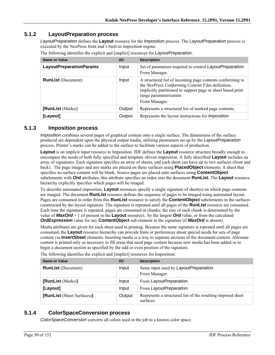### **5.1.2 LayoutPreparation process**

*LayoutPreparation* defines the **Layout** resource for the *Imposition* process. The *LayoutPreparation* process is executed by the NexPress front end's built-in imposition engine.

| Name or Value                  | $UO$   | <b>Description</b>                                                                                                                                                                                                       |
|--------------------------------|--------|--------------------------------------------------------------------------------------------------------------------------------------------------------------------------------------------------------------------------|
| <b>LayoutPreparationParams</b> | Input  | Set of parameters required to control LayoutPreparation.<br>From Manager.                                                                                                                                                |
| <b>RunList</b> (Document)      | Input  | A structured list of incoming page contents conforming to<br>the NexPress Conforming Content Files definition,<br>implicitly partitioned to support page or sheet based print<br>range parameterization<br>From Manager. |
| [RunList (Marks)]              | Output | Represents a structured list of marked page contents.                                                                                                                                                                    |
| [Layout]                       | Output | Represents the layout instructions for <i>Imposition</i>                                                                                                                                                                 |

The following identifies the explicit and [implict] resources for *LayoutPreparation*:

#### **5.1.3 Imposition process**

*Imposition* combines several pages of graphical content onto a single surface. The dimensions of the surface produced are dependent upon the physical output media, utilizing parameters set up by the *LayoutPreparation* process. Printer's marks can be added to the surface to facilitate various aspects of production.

**Layout** is an implicit input resource to Imposition. JDF defines the **Layout** resource structure broadly enough to encompass the needs of both fully specified and template–driven imposition. A fully described **Layout** includes an array of signatures. Each signature specifies an array of sheets, and each sheet can have up to two surfaces (front and back). The page images and any marks are placed on these surfaces using **PlacedObject** elements. A sheet that specifies no surface content will be blank. Source pages are placed onto surfaces using **ContentObject** subelements with *Ord* attributes; this attribute specifies an index into the document **RunList**. The **Layout** resource hierarchy explicitly specifies which pages will be imaged.

To describe automated imposition, **Layout** resources specify a single signature of sheet(s) on which page contents are imaged. The document **RunList** resource defines the sequence of pages to be imaged using automated layout. Pages are consumed in order from this **RunList** resource to satisfy the **ContentObject** subelements in the surfaces constructed by the layout signature. The signature is repeated until all pages of the **RunList** resource are consumed. Each time the signature is repeated, pages are consumed in chunks; the size of each chunk is determined by the value of *MaxOrd* + 1 (if present in the **Layout** resource), by the largest *Ord* value, or from the calculated *OrdExpression* value for any **ContentObject** sub-element in the signature (if *MaxOrd* is absent).

Media attributes are given for each sheet used in printing. Because the same signature is repeated until all pages are consumed, the **Layout** resource hierarchy can provide hints or preferences about special needs for sets of page content via **InsertSheet** elements. Inserting media is a way to separate sections of the document content. Alternate content is printed only as necessary to fill areas that need page content because new media has been added or to begin a document section as specified by the odd or even position of the signature.

| Name or Value              | <b>VO</b> | <b>Description</b>                                                      |
|----------------------------|-----------|-------------------------------------------------------------------------|
| <b>RunList</b> (Document)  | Input     | Same input used by LayoutPreparation.<br>From Manager.                  |
| [RunList (Marks)]          | Input     | From LayoutPreparation.                                                 |
| [Layout]                   | Input     | From LayoutPreparation.                                                 |
| [RunList (Sheet Surfaces)] | Output    | Represents a structured list of the resulting imposed sheet<br>surfaces |

The following identifies the explicit and [implict] resources for Imposition:

### **5.1.4 ColorSpaceConversion process**

*ColorSpaceConversion* converts all colors used in the job to a known color space.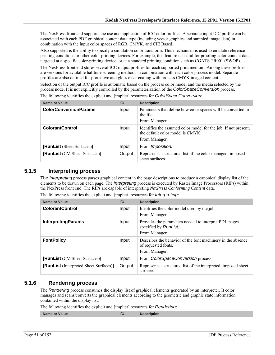The NexPress front end supports the use and application of ICC color profiles. A separate input ICC profile can be associated with each PDF graphical content data type (including vector graphics and sampled image data) in combination with the input color spaces of RGB, CMYK, and CIE Based.

Also supported is the ability to specify a simulation color transform. This mechanism is used to emulate reference printing conditions or other color printing devices. For example, this feature is useful for proofing color content data targeted at a specific color-printing device, or at a standard printing condition such as CGATS TR001 (SWOP).

The NexPress front end stores several ICC output profiles for each supported print medium. Among these profiles are versions for available halftone screening methods in combination with each color process model. Separate profiles are also defined for protective and gloss clear coating with process CMYK imaged content.

Selection of the output ICC profile is automatic based on the process color model and the media selected by the process node. It is not explicitly controlled by the parameterization of the *ColorSpaceConversion* process.

| Name or Value                        | <b>I/O</b> | <b>Description</b>                                                                                                   |
|--------------------------------------|------------|----------------------------------------------------------------------------------------------------------------------|
| <b>ColorConversionParams</b>         | Input      | Parameters that define how color spaces will be converted in<br>the file.<br>From Manager.                           |
| <b>ColorantControl</b>               | Input      | Identifies the assumed color model for the job. If not present,<br>the default color model is CMYK.<br>From Manager. |
| [RunList (Sheet Surfaces)]           | Input      | From <i>Imposition</i> .                                                                                             |
| <b>[RunList</b> (CM Sheet Surfaces)] | Output     | Represents a structured list of the color managed, imposed<br>sheet surfaces                                         |

The following identifies the explicit and [implict] resources for *ColorSpaceConversion*:

#### **5.1.5 Interpreting process**

The *Interpreting* process parses graphical content in the page descriptions to produce a canonical display list of the elements to be drawn on each page. The *Interpreting* process is executed by Raster Image Processors (RIPs) within the NexPress front end. The RIPs are capable of interpreting *NexPress Conforming Content* data.

| <b>Name or Value</b>                   | $UO$   | <b>Description</b>                                                                                  |
|----------------------------------------|--------|-----------------------------------------------------------------------------------------------------|
| <b>ColorantControl</b>                 | Input  | Identifies the color model used by the job.<br>From Manager.                                        |
| <b>InterpretingParams</b>              | Input  | Provides the parameters needed to interpret PDL pages<br>specified by RunList.<br>From Manager.     |
| <b>FontPolicy</b>                      | Input  | Describes the behavior of the font machinery in the absence<br>of requested fonts.<br>From Manager. |
| [RunList (CM Sheet Surfaces)]          | Input  | From ColorSpaceConversion process.                                                                  |
| [RunList (Interpreted Sheet Surfaces)] | Output | Represents a structured list of the interpreted, imposed sheet<br>surfaces.                         |

The following identifies the explicit and [implict] resources for *Interpreting*:

#### **5.1.6 Rendering process**

The *Rendering* process consumes the display list of graphical elements generated by an interpreter. It color manages and scans/converts the graphical elements according to the geometric and graphic state information contained within the display list.

The following identifies the explicit and [implict] resources for *Rendering*:

**Name or Value III CONSUMPTED AT A RESPONSIVE CONSUMPTED AT A RESPONSIVE CONSUMPTED AT A RESPONSIVE CONSUMPTED AT A RESPONSIVE CONSUMPTED AT A RESPONSIVE CONSUMPTED AT A RESPONSIVE CONSUMPTED AT A RESPONSIVE CONSUMPTED AT**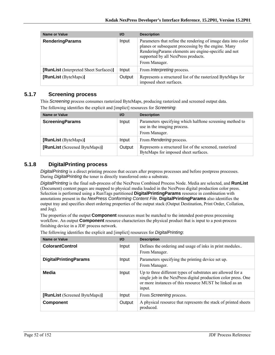| Name or Value                          | $U$    | <b>Description</b>                                                                                                                                                                                                                   |
|----------------------------------------|--------|--------------------------------------------------------------------------------------------------------------------------------------------------------------------------------------------------------------------------------------|
| <b>RenderingParams</b>                 | Input  | Parameters that refine the rendering of image data into color<br>planes or subsequent processing by the engine. Many<br>RenderingParams elements are engine-specific and not<br>supported by all NexPress products.<br>From Manager. |
| [RunList (Interpreted Sheet Surfaces)] | Input  | From <i>Interpreting</i> process.                                                                                                                                                                                                    |
| [RunList (ByteMaps)]                   | Output | Represents a structured list of the rasterized ByteMaps for<br>imposed sheet surfaces.                                                                                                                                               |

### **5.1.7 Screening process**

This *Screening* process consumes rasterized ByteMaps, producing rasterized and screened output data. The following identifies the explicit and [implict] resources for *Screening*:

| <b>Name or Value</b>          | <b>VO</b> | <b>Description</b>                                                                                       |
|-------------------------------|-----------|----------------------------------------------------------------------------------------------------------|
| <b>ScreeningParams</b>        | Input     | Parameters specifying which halftone screening method to<br>use in the imaging process.<br>From Manager. |
| [RunList (ByteMaps)]          | Input     | From Rendering process.                                                                                  |
| [RunList (Screened ByteMaps)] | Output    | Represents a structured list of the screened, rasterized<br>ByteMaps for imposed sheet surfaces.         |

## **5.1.8 DigitalPrinting process**

*DigitalPrinting* is a direct printing process that occurs after prepress processes and before postpress processes. During *DigitalPrinting* the toner is directly transferred onto a substrate.

*DigitalPrinting* is the final sub-process of the NexPress Combined Process Node. Media are selected, and **RunList** (Document) content pages are mapped to physical media loaded in the NexPress digital production color press. Selection is performed using a RunTags partitioned **DigitalPrintingParams** resource in combination with annotations present in the *NexPress Conforming Content File*. **DigitalPrintingParams** also identifies the output tray and specifies sheet ordering properties of the output stack (Output Destination, Print Order, Collation, and Jog).

The properties of the output **Component** resources must be matched to the intended post-press processing workflow. An output **Component** resource characterizes the physical product that is input to a post-process finishing device in a JDF process network.

| <b>Name or Value</b>          | $UO$   | <b>Description</b>                                                                                                                                                                                 |
|-------------------------------|--------|----------------------------------------------------------------------------------------------------------------------------------------------------------------------------------------------------|
| <b>ColorantControl</b>        | Input  | Defines the ordering and usage of inks in print modules<br>From Manager.                                                                                                                           |
| <b>DigitalPrintingParams</b>  | Input  | Parameters specifying the printing device set up.<br>From Manager.                                                                                                                                 |
| Media                         | Input  | Up to three different types of substrates are allowed for a<br>single job in the NexPress digital production color press. One<br>or more instances of this resource MUST be linked as an<br>input. |
| [RunList (Screened ByteMaps)] | Input  | From Screening process.                                                                                                                                                                            |
| <b>Component</b>              | Output | A physical resource that represents the stack of printed sheets<br>produced.                                                                                                                       |

The following identifies the explicit and [implict] resources for *DigitalPrinting*: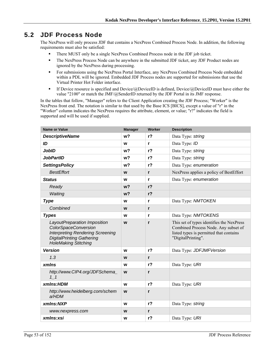# **5.2 JDF Process Node**

The NexPress will only process JDF that contains a NexPress Combined Process Node. In addition, the following requirements must also be satisfied:

- There MUST only be a single NexPress Combined Process node in the JDF job ticket.
- The NexPress Process Node can be anywhere in the submitted JDF ticket, any JDF Product nodes are ignored by the NexPress during processing.
- For submissions using the NexPress Portal Interface, any NexPress Combined Process Node embedded within a PDL will be ignored. Embedded JDF Process nodes are supported for submissions that use the Virtual Printer Hot Folder interface.
- If Device resource is specified and Device/ $@$ DeviceID is defined, Device/ $@$ DeviceID must have either the value "2100" or match the JMF/@SenderID returned by the JDF Portal in its JMF response.

In the tables that follow, "Manager" refers to the Client Application creating the JDF Process; "Worker" is the NexPress front end. The notation is similar to that used by the Base ICS [BICS], except a value of "r" in the "Worker" column indicates the NexPress requires the attribute, element, or value; "r?" indicates the field is supported and will be used if supplied.

| <b>Name or Value</b>                                                                                                                                                      | <b>Manager</b> | Worker         | <b>Description</b>                                                                                                                                 |
|---------------------------------------------------------------------------------------------------------------------------------------------------------------------------|----------------|----------------|----------------------------------------------------------------------------------------------------------------------------------------------------|
| <b>DescriptiveName</b>                                                                                                                                                    | w <sub>2</sub> | r <sub>2</sub> | Data Type: string                                                                                                                                  |
| ID                                                                                                                                                                        | W              | r              | Data Type: ID                                                                                                                                      |
| <b>JobID</b>                                                                                                                                                              | w?             | r?             | Data Type: string                                                                                                                                  |
| <b>JobPartID</b>                                                                                                                                                          | w?             | r <sub>2</sub> | Data Type: string                                                                                                                                  |
| <b>SettingsPolicy</b>                                                                                                                                                     | w <sub>2</sub> | r <sub>2</sub> | Data Type: enumeration                                                                                                                             |
| <b>BestEffort</b>                                                                                                                                                         | W              | $\mathbf{r}$   | NexPress applies a policy of BestEffort                                                                                                            |
| <b>Status</b>                                                                                                                                                             | W              | $\mathbf{r}$   | Data Type: enumeration                                                                                                                             |
| Ready                                                                                                                                                                     | w <sub>2</sub> | r <sub>2</sub> |                                                                                                                                                    |
| Waiting                                                                                                                                                                   | w <sub>2</sub> | r <sub>2</sub> |                                                                                                                                                    |
| <b>Type</b>                                                                                                                                                               | W              | r              | Data Type: NMTOKEN                                                                                                                                 |
| Combined                                                                                                                                                                  | W              | $\mathbf{r}$   |                                                                                                                                                    |
| <b>Types</b>                                                                                                                                                              | W              | r              | Data Type: NMTOKENS                                                                                                                                |
| LayoutPreparation Imposition<br><b>ColorSpaceConversion</b><br><b>Interpreting Rendering Screening</b><br><b>DigitalPrinting Gathering</b><br><b>HoleMaking Stitching</b> | W              | $\mathbf{r}$   | This set of types identifies the NexPress<br>Combined Process Node. Any subset of<br>listed types is permitted that contains<br>"DigitalPrinting". |
| <b>Version</b>                                                                                                                                                            | W              | $r$ ?          | Data Type: JDFJMFVersion                                                                                                                           |
| 1.3                                                                                                                                                                       | W              | $\mathsf{r}$   |                                                                                                                                                    |
| xmlns                                                                                                                                                                     | W              | r <sub>2</sub> | Data Type: URI                                                                                                                                     |
| http://www.CIP4.org/JDFSchema<br>11                                                                                                                                       | W              | $\mathbf{r}$   |                                                                                                                                                    |
| xmlns:HDM                                                                                                                                                                 | W              | r <sub>2</sub> | Data Type: URI                                                                                                                                     |
| http://www.heidelberg.com/schem<br>a/HDM                                                                                                                                  | W              | $\mathbf{r}$   |                                                                                                                                                    |
| xmlns:NXP                                                                                                                                                                 | W              | r <sub>2</sub> | Data Type: string                                                                                                                                  |
| www.nexpress.com                                                                                                                                                          | W              | $\mathbf{r}$   |                                                                                                                                                    |
| xmlns:xsi                                                                                                                                                                 | W              | $r$ ?          | Data Type: URI                                                                                                                                     |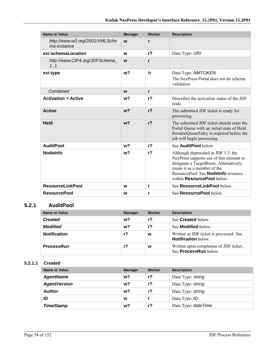| <b>Name or Value</b>                          | <b>Manager</b> | Worker         | <b>Description</b>                                                                                                                                                                                                                     |
|-----------------------------------------------|----------------|----------------|----------------------------------------------------------------------------------------------------------------------------------------------------------------------------------------------------------------------------------------|
| http://www.w3.org/2001/XMLSche<br>ma-instance | W              | $\mathbf{r}$   |                                                                                                                                                                                                                                        |
| xsi:schemaLocation                            | W              | $r$ ?          | Data Type: URI                                                                                                                                                                                                                         |
| http://www.CIP4.org/JDFSchema<br>$1\quad1$    | W              | r              |                                                                                                                                                                                                                                        |
| xsi:type                                      | w <sub>2</sub> | !r             | Data Type: NMTOKEN<br>The NexPress Portal does not do schema<br>validation                                                                                                                                                             |
| Combined                                      | W              | r              |                                                                                                                                                                                                                                        |
| <b>Activation = Active</b>                    | w?             | r <sub>2</sub> | Describes the activation status of the JDF<br>node.                                                                                                                                                                                    |
| <b>Active</b>                                 | w <sub>2</sub> | r <sub>2</sub> | The submitted JDF ticket is ready for<br>processing.                                                                                                                                                                                   |
| <b>Held</b>                                   | w <sub>2</sub> | r <sub>2</sub> | The submitted JDF ticket should enter the<br>Portal Queue with an initial state of Held.<br>ResumeQueueEntry is required before the<br>job will begin processing.                                                                      |
| <b>AuditPool</b>                              | w?             | r <sub>2</sub> | See <b>AuditPool</b> below                                                                                                                                                                                                             |
| <b>Nodelnfo</b>                               | w <sub>2</sub> | r <sub>2</sub> | Although deprecated in JDF 1.3, the<br>NexPress supports use of this element to<br>designate a TargetRoute. Alternatively,<br>create it as a member of the<br>ResourcePool. See <b>Nodelnfo</b> resource<br>within ResourcePool below. |
| <b>ResourceLinkPool</b>                       | W              | r              | See ResourceLinkPool below.                                                                                                                                                                                                            |
| <b>ResourcePool</b>                           | w              | r              | See <b>ResourcePool</b> below.                                                                                                                                                                                                         |

## **5.2.1 AuditPool**

| Name or Value       | <b>Manager</b> | Worker         | <b>Description</b>                                                     |
|---------------------|----------------|----------------|------------------------------------------------------------------------|
| <b>Created</b>      | w?             | r <sub>2</sub> | See <b>Created</b> below.                                              |
| <b>Modified</b>     | w?             | r?             | See <b>Modified</b> below.                                             |
| <b>Notification</b> | r?             | W              | Written as JDF ticket is processed. See<br><b>Notification</b> below.  |
| <b>ProcessRun</b>   | r?             | W              | Written upon completion of JDF ticket.<br>See <b>ProcessRun</b> below. |

#### **5.2.1.1 Created**

| <b>Name or Value</b> | <b>Manager</b> | Worker | <b>Description</b>   |
|----------------------|----------------|--------|----------------------|
| <b>AgentName</b>     | w?             | $r$ ?  | Data Type: string    |
| <b>AgentVersion</b>  | w?             | $r$ ?  | Data Type: string    |
| <b>Author</b>        | w?             | $r$ ?  | Data Type: string    |
| ID                   | W              |        | Data Type: ID        |
| <b>TimeStamp</b>     | w?             | r?     | Data Type: date Time |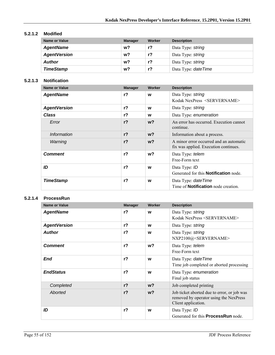#### **5.2.1.2 Modified**

| <b>Name or Value</b> | <b>Manager</b> | Worker         | <b>Description</b>   |
|----------------------|----------------|----------------|----------------------|
| <b>AgentName</b>     | w?             | $r$ ?          | Data Type: string    |
| <b>AgentVersion</b>  | w?             | r <sub>2</sub> | Data Type: string    |
| <b>Author</b>        | w?             | r?             | Data Type: string    |
| <b>TimeStamp</b>     | w?             | r?             | Data Type: date Time |

#### **5.2.1.3 Notification**

| <b>Name or Value</b> | <b>Manager</b> | Worker         | <b>Description</b>                                                               |
|----------------------|----------------|----------------|----------------------------------------------------------------------------------|
| <b>AgentName</b>     | r <sub>2</sub> | w              | Data Type: string<br>Kodak NexPress <servername></servername>                    |
| <b>AgentVersion</b>  | r <sub>2</sub> | w              | Data Type: string                                                                |
| Class                | $r$ ?          | W              | Data Type: enumeration                                                           |
| Error                | r <sub>2</sub> | w <sub>2</sub> | An error has occurred. Execution cannot<br>continue.                             |
| <i>Information</i>   | $r$ ?          | $w$ ?          | Information about a process.                                                     |
| Warning              | r <sub>2</sub> | w <sub>2</sub> | A minor error occurred and an automatic<br>fix was applied. Execution continues. |
| <b>Comment</b>       | r <sub>2</sub> | w?             | Data Type: telem<br>Free-Form text                                               |
| ID                   | $r$ ?          | W              | Data Type: ID<br>Generated for this <b>Notification</b> node.                    |
| <b>TimeStamp</b>     | $r$ ?          | W              | Data Type: <i>dateTime</i><br>Time of <b>Notification</b> node creation.         |

#### **5.2.1.4 ProcessRun**

| <b>Name or Value</b> | <b>Manager</b> | Worker         | <b>Description</b>                                                                                           |
|----------------------|----------------|----------------|--------------------------------------------------------------------------------------------------------------|
| <b>AgentName</b>     | $r$ ?          | W              | Data Type: string<br>Kodak NexPress <servername></servername>                                                |
| <b>AgentVersion</b>  | r <sub>2</sub> | w              | Data Type: string                                                                                            |
| <b>Author</b>        | $r$ ?          | W              | Data Type: string<br>NXP2100@ <servername></servername>                                                      |
| <b>Comment</b>       | $r$ ?          | w?             | Data Type: telem<br>Free-Form text                                                                           |
| End                  | $r$ ?          | W              | Data Type: date Time<br>Time job completed or aborted processing                                             |
| <b>EndStatus</b>     | $r$ ?          | W              | Data Type: enumeration<br>Final job status                                                                   |
| Completed            | r <sub>2</sub> | $w$ ?          | Job completed printing                                                                                       |
| Aborted              | r <sub>2</sub> | w <sub>2</sub> | Job ticket aborted due to error, or job was<br>removed by operator using the NexPress<br>Client application. |
| ID                   | $r$ ?          | W              | Data Type: ID<br>Generated for this <b>ProcessRun</b> node.                                                  |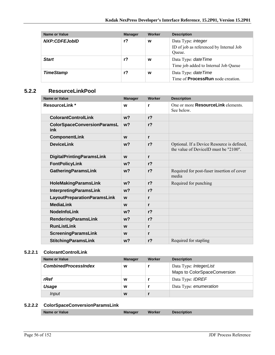| Name or Value    | <b>Manager</b> | Worker | <b>Description</b>                                                             |
|------------------|----------------|--------|--------------------------------------------------------------------------------|
| NXP:CDFEJobID    | r?             | w      | Data Type: <i>integer</i><br>ID of job as referenced by Internal Job<br>Oueue. |
| <b>Start</b>     | $r$ ?          | W      | Data Type: date Time<br>Time job added to Internal Job Queue                   |
| <b>TimeStamp</b> | r?             | W      | Data Type: date Time<br>Time of <b>ProcessRun</b> node creation.               |

### **5.2.2 ResourceLinkPool**

| <b>Name or Value</b>                      | <b>Manager</b> | Worker         | <b>Description</b>                                                                  |
|-------------------------------------------|----------------|----------------|-------------------------------------------------------------------------------------|
| <b>ResourceLink*</b>                      | W              | r              | One or more <b>ResourceLink</b> elements.<br>See below.                             |
| <b>ColorantControlLink</b>                | w <sub>2</sub> | r <sub>2</sub> |                                                                                     |
| <b>ColorSpaceConversionParamsL</b><br>ink | w <sub>2</sub> | r <sub>2</sub> |                                                                                     |
| <b>ComponentLink</b>                      | W              | r              |                                                                                     |
| <b>DeviceLink</b>                         | w <sub>2</sub> | r <sub>2</sub> | Optional. If a Device Resource is defined,<br>the value of DeviceID must be "2100". |
| <b>DigitalPrintingParamsLink</b>          | W              | r              |                                                                                     |
| <b>FontPolicyLink</b>                     | w <sub>2</sub> | r <sub>2</sub> |                                                                                     |
| <b>GatheringParamsLink</b>                | w <sub>2</sub> | r <sub>2</sub> | Required for post-fuser insertion of cover<br>media                                 |
| HoleMakingParamsLink                      | w <sub>2</sub> | r <sub>2</sub> | Required for punching                                                               |
| <b>InterpretingParamsLink</b>             | w <sub>2</sub> | r <sub>2</sub> |                                                                                     |
| <b>LayoutPreparationParamsLink</b>        | W              | r              |                                                                                     |
| <b>MediaLink</b>                          | W              | r              |                                                                                     |
| <b>NodeInfoLink</b>                       | $w$ ?          | r <sub>2</sub> |                                                                                     |
| <b>RenderingParamsLink</b>                | w <sub>2</sub> | r <sub>2</sub> |                                                                                     |
| <b>RunListLink</b>                        | W              | r              |                                                                                     |
| <b>ScreeningParamsLink</b>                | W              | r              |                                                                                     |
| <b>StitchingParamsLink</b>                | $w$ ?          | r <sub>2</sub> | Required for stapling                                                               |

#### **5.2.2.1 ColorantControlLink**

| Name or Value               | <b>Manager</b> | Worker | <b>Description</b>                                     |
|-----------------------------|----------------|--------|--------------------------------------------------------|
| <b>CombinedProcessIndex</b> | W              |        | Data Type: IntegerList<br>Maps to ColorSpaceConversion |
| rRef                        | W              |        | Data Type: <b>IDREF</b>                                |
| Usage                       | W              |        | Data Type: enumeration                                 |
| Input                       | W              |        |                                                        |

## **5.2.2.2 ColorSpaceConversionParamsLink**

| <b>Description</b> |
|--------------------|
|--------------------|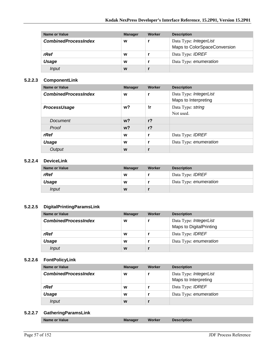| Name or Value               | <b>Manager</b> | Worker | <b>Description</b>                                     |
|-----------------------------|----------------|--------|--------------------------------------------------------|
| <b>CombinedProcessIndex</b> | W              |        | Data Type: IntegerList<br>Maps to ColorSpaceConversion |
| rRef                        | W              |        | Data Type: <b>IDREF</b>                                |
| Usage                       | W              |        | Data Type: enumeration                                 |
| Input                       | W              |        |                                                        |

#### **5.2.2.3 ComponentLink**

| <b>Name or Value</b>        | <b>Manager</b> | Worker         | <b>Description</b>                             |
|-----------------------------|----------------|----------------|------------------------------------------------|
| <b>CombinedProcessIndex</b> | W              | r              | Data Type: IntegerList<br>Maps to Interpreting |
| <b>ProcessUsage</b>         | w?             | !r             | Data Type: string<br>Not used.                 |
| Document                    | $w$ ?          | r <sub>2</sub> |                                                |
| Proof                       | $w$ ?          | r <sub>2</sub> |                                                |
| rRef                        | W              | r              | Data Type: <b>IDREF</b>                        |
| <b>Usage</b>                | W              | r              | Data Type: enumeration                         |
| Output                      | W              |                |                                                |

#### **5.2.2.4 DeviceLink**

| <b>Name or Value</b> | <b>Manager</b> | Worker | <b>Description</b>      |
|----------------------|----------------|--------|-------------------------|
| rRef                 | W              |        | Data Type: <i>IDREF</i> |
| Usage                | W              |        | Data Type: enumeration  |
| <i>Input</i>         | W              |        |                         |

#### **5.2.2.5 DigitalPrintingParamsLink**

| Name or Value               | <b>Manager</b> | Worker | <b>Description</b>                                       |
|-----------------------------|----------------|--------|----------------------------------------------------------|
| <b>CombinedProcessIndex</b> | W              |        | Data Type: IntegerList<br><b>Maps to DigitalPrinting</b> |
| rRef                        | W              |        | Data Type: <b>IDREF</b>                                  |
| Usage                       | W              |        | Data Type: enumeration                                   |
| Input                       | W              |        |                                                          |

#### **5.2.2.6 FontPolicyLink**

| Name or Value               | <b>Manager</b> | Worker | <b>Description</b>                             |
|-----------------------------|----------------|--------|------------------------------------------------|
| <b>CombinedProcessIndex</b> | W              |        | Data Type: IntegerList<br>Maps to Interpreting |
| rRef                        | W              |        | Data Type: <b>IDREF</b>                        |
| Usage                       | W              |        | Data Type: enumeration                         |
| Input                       | W              |        |                                                |

#### **5.2.2.7 GatheringParamsLink**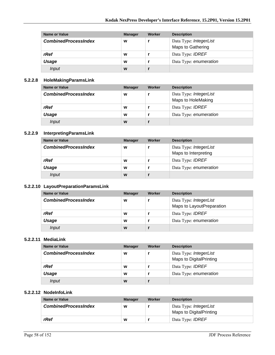| Name or Value               | <b>Manager</b> | Worker | <b>Description</b>                          |
|-----------------------------|----------------|--------|---------------------------------------------|
| <b>CombinedProcessIndex</b> | W              |        | Data Type: IntegerList<br>Maps to Gathering |
| rRef                        | W              |        | Data Type: <b>IDREF</b>                     |
| Usage                       | W              |        | Data Type: enumeration                      |
| Input                       | W              |        |                                             |

#### **5.2.2.8 HoleMakingParamsLink**

| Name or Value               | <b>Manager</b> | Worker | <b>Description</b>                           |
|-----------------------------|----------------|--------|----------------------------------------------|
| <b>CombinedProcessIndex</b> | W              |        | Data Type: IntegerList<br>Maps to HoleMaking |
| rRef                        | W              |        | Data Type: <b>IDREF</b>                      |
| Usage                       | W              |        | Data Type: enumeration                       |
| Input                       | W              |        |                                              |

#### **5.2.2.9 InterpretingParamsLink**

| <b>Name or Value</b>        | <b>Manager</b> | Worker | <b>Description</b>                             |
|-----------------------------|----------------|--------|------------------------------------------------|
| <b>CombinedProcessIndex</b> | W              |        | Data Type: IntegerList<br>Maps to Interpreting |
| rRef                        | W              |        | Data Type: <b>IDREF</b>                        |
| Usage                       | W              |        | Data Type: enumeration                         |
| Input                       | W              |        |                                                |

#### **5.2.2.10 LayoutPreparationParamsLink**

| Name or Value               | <b>Manager</b> | Worker | <b>Description</b>        |
|-----------------------------|----------------|--------|---------------------------|
| <b>CombinedProcessIndex</b> | W              |        | Data Type: IntegerList    |
|                             |                |        | Maps to LayoutPreparation |
| rRef                        | W              |        | Data Type: <b>IDREF</b>   |
| Usage                       | W              |        | Data Type: enumeration    |
| Input                       | W              |        |                           |

#### **5.2.2.11 MediaLink**

| Name or Value               | <b>Manager</b> | Worker | <b>Description</b>      |
|-----------------------------|----------------|--------|-------------------------|
| <b>CombinedProcessIndex</b> | W              |        | Data Type: IntegerList  |
|                             |                |        | Maps to DigitalPrinting |
| rRef                        | W              |        | Data Type: <b>IDREF</b> |
| Usage                       | W              |        | Data Type: enumeration  |
| Input                       | W              |        |                         |

#### **5.2.2.12 NodeInfoLink**

| Name or Value               | <b>Manager</b> | Worker | <b>Description</b>                                       |
|-----------------------------|----------------|--------|----------------------------------------------------------|
| <b>CombinedProcessIndex</b> | w              |        | Data Type: <i>IntegerList</i><br>Maps to DigitalPrinting |
| rRef                        | w              |        | Data Type: <i>IDREF</i>                                  |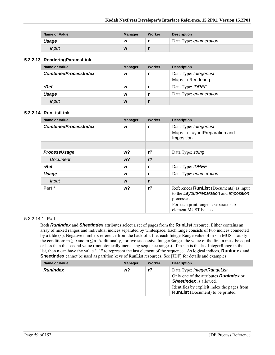| <b>Name or Value</b> | <b>Manager</b> | Worker | <b>Description</b>     |
|----------------------|----------------|--------|------------------------|
| Usage                | W              |        | Data Type: enumeration |
| Input                | W              |        |                        |

#### **5.2.2.13 RenderingParamsLink**

| Name or Value               | <b>Manager</b> | Worker | <b>Description</b>                          |
|-----------------------------|----------------|--------|---------------------------------------------|
| <b>CombinedProcessIndex</b> | W              |        | Data Type: IntegerList<br>Maps to Rendering |
| rRef                        | W              |        | Data Type: <b>IDREF</b>                     |
| Usage                       | W              |        | Data Type: enumeration                      |
| Input                       | W              |        |                                             |

#### **5.2.2.14 RunListLink**

| <b>Name or Value</b>        | <b>Manager</b> | Worker         | <b>Description</b>                                                                                                                                                        |
|-----------------------------|----------------|----------------|---------------------------------------------------------------------------------------------------------------------------------------------------------------------------|
| <b>CombinedProcessIndex</b> | W              | r              | Data Type: IntegerList<br>Maps to LayoutPreparation and<br>Imposition                                                                                                     |
|                             |                |                |                                                                                                                                                                           |
| ProcessUsage                | w?             | r <sub>2</sub> | Data Type: string                                                                                                                                                         |
| Document                    | $w$ ?          | r <sub>2</sub> |                                                                                                                                                                           |
| rRef                        | W              | r              | Data Type: <b>IDREF</b>                                                                                                                                                   |
| Usage                       | W              | r              | Data Type: enumeration                                                                                                                                                    |
| <b>Input</b>                | W              | r              |                                                                                                                                                                           |
| Part *                      | w?             | $r$ ?          | References <b>RunList</b> (Documents) as input<br>to the LayoutPreparation and Imposition<br>processes.<br>For each print range, a separate sub-<br>element MUST be used. |

#### 5.2.2.14.1 Part

Both *RunIndex* and *SheetIndex* attributes select a set of pages from the **RunList** resource. Either contains an array of mixed ranges and individual indices separated by whitespace. Each range consists of two indices connected by a tilde ( $\sim$ ). Negative numbers reference from the back of a file; each IntegerRange value of m  $\sim$  n MUST satisfy the condition:  $m \ge 0$  and  $m \le n$ . Additionally, for two successive IntegerRanges the value of the first n must be equal or less than the second value (monotonically increasing sequence ranges). If  $m \sim n$  is the last IntegerRange in the list, then n can have the value "-1" to represent the last element of the sequence. As logical indices, **RunIndex** and **SheetIndex** cannot be used as partition keys of RunList resources. See [JDF] for details and examples.

| <b>Name or Value</b> | <b>Manager</b> | Worker | <b>Description</b>                                                                                            |
|----------------------|----------------|--------|---------------------------------------------------------------------------------------------------------------|
| <b>RunIndex</b>      | w?             | r?     | Data Type: IntegerRangeList<br>Only one of the attributes <b>Runlndex</b> or<br><b>SheetIndex</b> is allowed. |
|                      |                |        | Identifies by explicit index the pages from<br><b>RunList</b> (Document) to be printed.                       |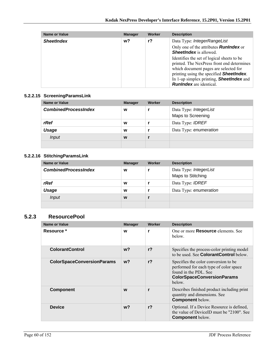| <b>Name or Value</b> | <b>Manager</b> | Worker | <b>Description</b>                                                                                                                                                                                                                                                         |
|----------------------|----------------|--------|----------------------------------------------------------------------------------------------------------------------------------------------------------------------------------------------------------------------------------------------------------------------------|
| <b>SheetIndex</b>    | w?             | r?     | Data Type: IntegerRangeList                                                                                                                                                                                                                                                |
|                      |                |        | Only one of the attributes <b>Runlndex</b> or<br><b>SheetIndex</b> is allowed.                                                                                                                                                                                             |
|                      |                |        | Identifies the set of logical sheets to be<br>printed. The NexPress front end determines<br>which document pages are selected for<br>printing using the specified <b>SheetIndex</b> .<br>In 1-up simplex printing, <b>SheetIndex</b> and<br><b>RunIndex</b> are identical. |

#### **5.2.2.15 ScreeningParamsLink**

| Name or Value               | <b>Manager</b> | Worker | <b>Description</b>                          |
|-----------------------------|----------------|--------|---------------------------------------------|
| <b>CombinedProcessIndex</b> | W              |        | Data Type: IntegerList<br>Maps to Screening |
| rRef                        | W              |        | Data Type: <b>IDREF</b>                     |
| Usage                       | W              |        | Data Type: enumeration                      |
| <i>Input</i>                | W              |        |                                             |
|                             |                |        |                                             |

# **5.2.2.16 StitchingParamsLink**

| <b>Name or Value</b>        | <b>Manager</b> | Worker | <b>Description</b>                          |
|-----------------------------|----------------|--------|---------------------------------------------|
| <b>CombinedProcessIndex</b> | W              |        | Data Type: IntegerList<br>Maps to Stitching |
| rRef                        | W              |        | Data Type: <b>IDREF</b>                     |
| Usage                       | W              |        | Data Type: enumeration                      |
| Input                       | W              |        |                                             |
|                             |                |        |                                             |

## **5.2.3 ResourcePool**

| <b>Name or Value</b>              | <b>Manager</b> | Worker         | <b>Description</b>                                                                                                                                     |
|-----------------------------------|----------------|----------------|--------------------------------------------------------------------------------------------------------------------------------------------------------|
| Resource *                        | W              | r              | One or more <b>Resource</b> elements. See<br>below.                                                                                                    |
| <b>ColorantControl</b>            | $w$ ?          | r <sub>2</sub> | Specifies the process-color printing model<br>to be used. See ColorantControl below.                                                                   |
| <b>ColorSpaceConversionParams</b> | w <sub>2</sub> | r <sub>2</sub> | Specifies the color conversion to be<br>performed for each type of color space<br>found in the PDL. See<br><b>ColorSpaceConversionParams</b><br>below. |
| <b>Component</b>                  | W              | r              | Describes finished product including print<br>quantity and dimensions. See<br><b>Component below.</b>                                                  |
| <b>Device</b>                     | $w$ ?          | r <sub>2</sub> | Optional. If a Device Resource is defined,<br>the value of DeviceID must be "2100". See<br><b>Component below.</b>                                     |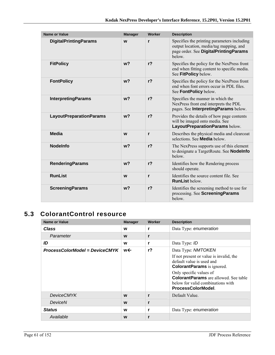| <b>Name or Value</b>           | <b>Manager</b> | Worker         | <b>Description</b>                                                                                                                        |
|--------------------------------|----------------|----------------|-------------------------------------------------------------------------------------------------------------------------------------------|
| <b>DigitalPrintingParams</b>   | W              | r              | Specifies the printing parameters including<br>output location, media/tag mapping, and<br>page order. See DigitalPrintingParams<br>below. |
| <b>FitPolicy</b>               | w <sub>2</sub> | r <sub>2</sub> | Specifies the policy for the NexPress front<br>end when fitting content to specific media.<br>See FitPolicy below.                        |
| <b>FontPolicy</b>              | w <sub>2</sub> | r <sub>2</sub> | Specifies the policy for the NexPress front<br>end when font errors occur in PDL files.<br>See FontPolicy below.                          |
| <b>InterpretingParams</b>      | w <sub>2</sub> | r <sub>2</sub> | Specifies the manner in which the<br>NexPress front end interprets the PDL<br>pages. See Interpreting Params below.                       |
| <b>LayoutPreparationParams</b> | w <sub>2</sub> | r <sub>2</sub> | Provides the details of how page contents<br>will be imaged onto media. See<br>LayoutPreparationParams below.                             |
| Media                          | W              | r              | Describes the physical media and clearcoat<br>selections. See <b>Media</b> below.                                                         |
| <b>Nodelnfo</b>                | w <sub>2</sub> | r <sub>2</sub> | The NexPress supports use of this element<br>to designate a TargetRoute. See <b>Nodelnfo</b><br>helow                                     |
| <b>RenderingParams</b>         | w <sub>2</sub> | r <sub>2</sub> | Identifies how the Rendering process<br>should operate.                                                                                   |
| <b>RunList</b>                 | W              | r              | Identifies the source content file. See<br><b>RunList below.</b>                                                                          |
| <b>ScreeningParams</b>         | w <sub>2</sub> | r <sub>2</sub> | Identifies the screening method to use for<br>processing. See ScreeningParams<br>helow                                                    |

# **5.3 ColorantControl resource**

| <b>Name or Value</b>           | <b>Manager</b> | Worker         | <b>Description</b>                                                                                                                                                                                                                                                   |
|--------------------------------|----------------|----------------|----------------------------------------------------------------------------------------------------------------------------------------------------------------------------------------------------------------------------------------------------------------------|
| Class                          | w              | r              | Data Type: enumeration                                                                                                                                                                                                                                               |
| Parameter                      | W              | r              |                                                                                                                                                                                                                                                                      |
| ID                             | W              | r              | Data Type: ID                                                                                                                                                                                                                                                        |
| ProcessColorModel = DeviceCMYK | w←             | r <sub>2</sub> | Data Type: NMTOKEN<br>If not present or value is invalid, the<br>default value is used and<br><b>ColorantParams</b> is ignored.<br>Only specific values of<br><b>ColorantParams</b> are allowed. See table<br>below for valid combinations with<br>ProcessColorModel |
| <b>DeviceCMYK</b>              | W              | r              | Default Value.                                                                                                                                                                                                                                                       |
| DeviceN                        | W              | r              |                                                                                                                                                                                                                                                                      |
| <b>Status</b>                  | W              | r              | Data Type: enumeration                                                                                                                                                                                                                                               |
| Available                      | W              | r              |                                                                                                                                                                                                                                                                      |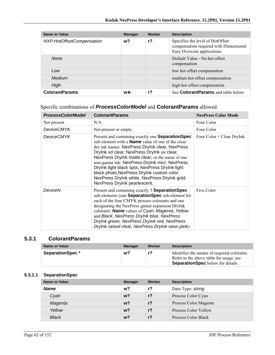| Name or Value             | <b>Manager</b> | Worker | <b>Description</b>                                                                                        |
|---------------------------|----------------|--------|-----------------------------------------------------------------------------------------------------------|
| NXP:HotOffsetCompensation | w?             | r?     | Specifies the level of HotOffset<br>compensation required with Dimensional<br>Easy Overcoat applications. |
| <b>None</b>               |                |        | Default Value - No hot offset<br>compensation                                                             |
| Low                       |                |        | low hot offset compensation                                                                               |
| Medium                    |                |        | medium hot offset compensation                                                                            |
| High                      |                |        | high hot offset compensation                                                                              |
| <b>ColorantParams</b>     | w←             | r?     | See <b>ColorantParams</b> and table below.                                                                |

## Specific combinations of *ProcessColorModel* and **ColorantParams** allowed.

| <b>ProcessColorModel</b> | <b>ColorantParams</b>                                                                                                                                                                                                                                                                                                                                                                                                                                                                                     | <b>NexPress Color Mode</b>  |
|--------------------------|-----------------------------------------------------------------------------------------------------------------------------------------------------------------------------------------------------------------------------------------------------------------------------------------------------------------------------------------------------------------------------------------------------------------------------------------------------------------------------------------------------------|-----------------------------|
| Not present              | N/A                                                                                                                                                                                                                                                                                                                                                                                                                                                                                                       | Four Color                  |
| <b>DeviceCMYK</b>        | Not present or empty                                                                                                                                                                                                                                                                                                                                                                                                                                                                                      | Four Color                  |
| <b>DeviceCMYK</b>        | Present and containing exactly one <b>Separation Spec</b><br>sub-element with a <b>Name</b> value of one of the clear<br>dry ink names: NexPress DryInk clear, NexPress<br>Drylnk xd clear, NexPress Drylnk uv clear,<br>NexPress Drylnk matte clear; or the name of one<br>non-gamut ink: NexPress DryInk micr, NexPress<br>DryInk light black spot, NexPress DryInk light<br>black photo, NexPress DryInk custom color,<br>NexPress DryInk white, NexPress DryInk gold,<br>NexPress DryInk pearlescent. | Four $Color + Clear DryInk$ |
| DeviceN                  | Present and containing exactly 5 <b>Separation Spec</b><br>sub-elements (one Separation Spec sub-element for<br>each of the four CMYK process colorants and one<br>designating the NexPress gamut expansion DryInk<br>colorant). Name values of Cyan, Magenta, Yellow<br>and Black, NexPress DryInk blue, NexPress<br>DryInk green, NexPress DryInk red, NexPress<br>Drylnk raised clear, NexPress Drylnk neon pink).                                                                                     | Five Color                  |

### **5.3.1 ColorantParams**

| <b>Name or Value</b>   | <b>Manager</b> | Worker | <b>Description</b>                                                                                                                 |
|------------------------|----------------|--------|------------------------------------------------------------------------------------------------------------------------------------|
| <b>SeparationSpec*</b> | w?             | r?     | Identifies the names of required colorants.<br>Refer to the above table for usage; see<br><b>SeparationSpec</b> below for details. |

## **5.3.1.1 SeparationSpec**

| Name or Value | <b>Manager</b> | Worker | <b>Description</b>    |
|---------------|----------------|--------|-----------------------|
| <b>Name</b>   | w <sub>2</sub> | r?     | Data Type: string     |
| Cvan          | w <sub>2</sub> | $r$ ?  | Process Color Cyan    |
| Magenta       | w <sub>2</sub> | $r$ ?  | Process Color Magenta |
| Yellow        | w <sub>2</sub> | $r$ ?  | Process Color Yellow  |
| <b>Black</b>  | w?             | r?     | Process Color Black   |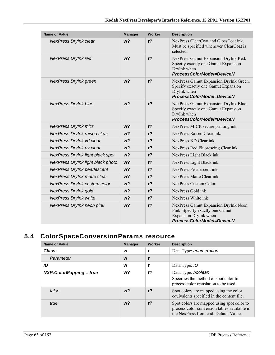| Name or Value                      | <b>Manager</b> | <b>Worker</b>  | <b>Description</b>                                                                                                            |
|------------------------------------|----------------|----------------|-------------------------------------------------------------------------------------------------------------------------------|
| NexPress DryInk clear              | w <sub>2</sub> | $r$ ?          | NexPress ClearCoat and GlossCoat ink.<br>Must be specified whenever ClearCoat is<br>selected                                  |
| NexPress DryInk red                | w <sub>2</sub> | $r$ ?          | NexPress Gamut Expansion DryInk Red.<br>Specify exactly one Gamut Expansion<br>DryInk when<br>ProcessColorModel=DeviceN       |
| NexPress DryInk green              | w <sub>2</sub> | r <sub>2</sub> | NexPress Gamut Expansion DryInk Green.<br>Specify exactly one Gamut Expansion<br>DryInk when<br>ProcessColorModel=DeviceN     |
| <b>NexPress DryInk blue</b>        | w <sub>2</sub> | r <sub>2</sub> | NexPress Gamut Expansion DryInk Blue.<br>Specify exactly one Gamut Expansion<br>DryInk when<br>ProcessColorModel=DeviceN      |
| <b>NexPress DryInk micr</b>        | w <sub>2</sub> | r <sub>2</sub> | NexPress MICR secure printing ink.                                                                                            |
| NexPress DryInk raised clear       | w <sub>2</sub> | r <sub>2</sub> | NexPress Raised Clear ink.                                                                                                    |
| NexPress DryInk xd clear           | w <sub>2</sub> | $r$ ?          | NexPress XD Clear ink.                                                                                                        |
| NexPress DryInk uv clear           | $w$ ?          | r <sub>2</sub> | NexPress Red Fluorescing Clear ink                                                                                            |
| NexPress DryInk light black spot   | w <sub>2</sub> | $r$ ?          | NexPress Light Black ink                                                                                                      |
| NexPress DryInk light black photo  | w <sub>2</sub> | $r$ ?          | NexPress Light Black ink                                                                                                      |
| <b>NexPress DryInk pearlescent</b> | w <sub>2</sub> | r <sub>2</sub> | NexPress Pearlescent ink                                                                                                      |
| NexPress DryInk matte clear        | w <sub>2</sub> | $r$ ?          | NexPress Matte Clear ink                                                                                                      |
| NexPress DryInk custom color       | $w$ ?          | $r$ ?          | <b>NexPress Custom Color</b>                                                                                                  |
| NexPress DryInk gold               | $w$ ?          | r <sub>2</sub> | NexPress Gold ink                                                                                                             |
| <b>NexPress DryInk white</b>       | w <sub>2</sub> | r <sub>2</sub> | NexPress White ink                                                                                                            |
| NexPress DryInk neon pink          | w <sub>2</sub> | $r$ ?          | NexPress Gamut Expansion DryInk Neon<br>Pink. Specify exactly one Gamut<br>Expansion DryInk when<br>ProcessColorModel=DeviceN |

# **5.4 ColorSpaceConversionParams resource**

| <b>Name or Value</b>      | <b>Manager</b> | Worker         | <b>Description</b>                                                                                                                 |
|---------------------------|----------------|----------------|------------------------------------------------------------------------------------------------------------------------------------|
| Class                     | W              |                | Data Type: enumeration                                                                                                             |
| Parameter                 | W              |                |                                                                                                                                    |
| ID                        | W              |                | Data Type: ID                                                                                                                      |
| $NXP:ColorMapping = true$ | w?             | $r$ ?          | Data Type: boolean<br>Specifies the method of spot color to<br>process color translation to be used.                               |
| false                     | w <sub>2</sub> | r <sub>2</sub> | Spot colors are mapped using the color<br>equivalents specified in the content file.                                               |
| true                      | w <sub>2</sub> | r <sub>2</sub> | Spot colors are mapped using spot color to<br>process color conversion tables available in<br>the NexPress front end Default Value |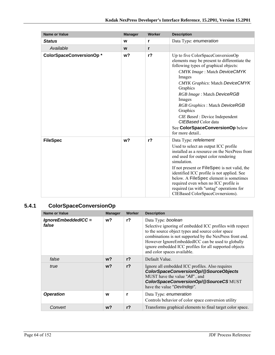| <b>Name or Value</b>    | <b>Manager</b> | Worker | <b>Description</b>                                                                                                                                                                                                                                                                                                                                                                                                                             |
|-------------------------|----------------|--------|------------------------------------------------------------------------------------------------------------------------------------------------------------------------------------------------------------------------------------------------------------------------------------------------------------------------------------------------------------------------------------------------------------------------------------------------|
| <b>Status</b>           | W              | r      | Data Type: enumeration                                                                                                                                                                                                                                                                                                                                                                                                                         |
| Available               | W              | r      |                                                                                                                                                                                                                                                                                                                                                                                                                                                |
| ColorSpaceConversionOp* | w?             | $r$ ?  | Up to five ColorSpaceConversionOp<br>elements may be present to differentiate the<br>following types of graphical objects:<br><b>CMYK Image: Match DeviceCMYK</b><br>Images<br><b>CMYK Graphics: Match DeviceCMYK</b><br>Graphics<br>RGB Image: Match DeviceRGB<br>Images<br>RGB Graphics: Match DeviceRGB<br>Graphics<br><i>CIE Based</i> : Device Independent<br>CIEBased Color data<br>See ColorSpaceConversionOp below<br>for more detail. |
| <b>FileSpec</b>         | w <sub>2</sub> | $r$ ?  | Data Type: refelement<br>Used to select an output ICC profile<br>installed as a resource on the NexPress front<br>end used for output color rendering<br>simulation.<br>If not present or <b>FileSpec</b> is not valid, the<br>identified ICC profile is not applied. See<br>below. A FileSpec element is sometimes<br>required even when no ICC profile is<br>required (as with "untag" operations for<br>CIEBased ColorSpaceCovnersions).    |

# **5.4.1 ColorSpaceConversionOp**

| <b>Name or Value</b>         | <b>Manager</b> | Worker         | <b>Description</b>                                                                                                                                                                                                                                                                                                                            |
|------------------------------|----------------|----------------|-----------------------------------------------------------------------------------------------------------------------------------------------------------------------------------------------------------------------------------------------------------------------------------------------------------------------------------------------|
| IgnoreEmbeddedICC =<br>false | w?             | r <sub>2</sub> | Data Type: boolean<br>Selective ignoring of embedded ICC profiles with respect<br>to the source object types and source color space<br>combinations is not supported by the NexPress front end.<br>However IgnoreEmbeddedICC can be used to globally<br>ignore embedded ICC profiles for all supported objects<br>and color spaces available. |
| false                        | w?             | r <sub>2</sub> | Default Value.                                                                                                                                                                                                                                                                                                                                |
| true                         | $w$ ?          | r <sub>2</sub> | Ignore all embedded ICC profiles. Also requires<br>ColorSpaceConversionOp/@SourceObjects<br>MUST have the value "All", and<br>ColorSpaceConversionOp/@SourceCS MUST<br>have the value "DevIndep".                                                                                                                                             |
| <b>Operation</b>             | W              | r              | Data Type: enumeration<br>Controls behavior of color space conversion utility                                                                                                                                                                                                                                                                 |
| Convert                      | w?             | $r$ ?          | Transforms graphical elements to final target color space.                                                                                                                                                                                                                                                                                    |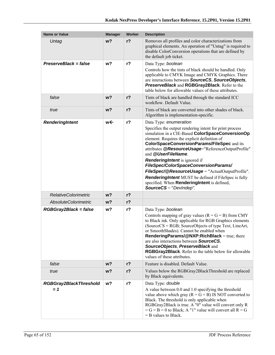| <b>Name or Value</b>                   | <b>Manager</b> | Worker         | <b>Description</b>                                                                                                                                                                                                                                                                                                                                                                                                                                                                                                                                                                                             |
|----------------------------------------|----------------|----------------|----------------------------------------------------------------------------------------------------------------------------------------------------------------------------------------------------------------------------------------------------------------------------------------------------------------------------------------------------------------------------------------------------------------------------------------------------------------------------------------------------------------------------------------------------------------------------------------------------------------|
| Untag                                  | w <sub>2</sub> | r <sub>2</sub> | Removes all profiles and color characterizations from<br>graphical elements. An operation of "Untag" is required to<br>disable ColorConversion operations that are defined by<br>the default job ticket.                                                                                                                                                                                                                                                                                                                                                                                                       |
| PreserveBlack = false                  | w?             | r <sub>2</sub> | Data Type: boolean<br>Controls how the tints of black should be handled. Only<br>applicable to CMYK Image and CMYK Graphics. There<br>are interactions between SourceCS, SourceObjects,<br>PreserveBlack and RGBGray2Black. Refer to the<br>table below for allowable values of these attributes.                                                                                                                                                                                                                                                                                                              |
| false                                  | w <sub>2</sub> | $r$ ?          | Tints of black are handled through the standard ICC<br>workflow. Default Value.                                                                                                                                                                                                                                                                                                                                                                                                                                                                                                                                |
| true                                   | w <sub>2</sub> | r <sub>2</sub> | Tints of black are converted into other shades of black.<br>Algorithm is implementation-specific.                                                                                                                                                                                                                                                                                                                                                                                                                                                                                                              |
| RenderingIntent                        | w←             | $r$ ?          | Data Type: enumeration<br>Specifies the output rendering intent for print process<br>simulation in a CIE-Based ColorSpaceConversionOp<br>element. Requires the explicit definition of<br><b>ColorSpaceConversionParams/FileSpec and its</b><br>attributes @ResourceUsage="ReferenceOutputProfile"<br>and @UserFileName.<br><b>RenderingIntent</b> is ignored if<br>FileSpec/ColorSpaceConversionParams/<br>FileSpec/@ResourceUsage = "ActualOutputProfile".<br><b>RenderingIntent</b> MUST be defined if FileSpec is fully<br>specified. When RenderingIntent is defined,<br><b>SourceCS</b> = " $DevIndep$ ". |
| <b>RelativeColorimetric</b>            | w <sub>2</sub> | $r$ ?          |                                                                                                                                                                                                                                                                                                                                                                                                                                                                                                                                                                                                                |
| <b>AbsoluteColorimetric</b>            | w?             | $r$ ?          |                                                                                                                                                                                                                                                                                                                                                                                                                                                                                                                                                                                                                |
| RGBGray2Black = false                  | w?             | $r$ ?          | Data Type: boolean<br>Controls mapping of gray values $(R = G = B)$ from CMY<br>to Black ink. Only applicable for RGB Graphics elements<br>(SourceCS = RGB; SourceObjects of type Text, LineArt,<br>or SmoothShades). Cannot be enabled when<br>RenderingParams/@NXP:RichBlack = true; there<br>are also interactions between SourceCS,<br>SourceObjects, PreserveBlack and<br>RGBGray2Black. Refer to the table below for allowable<br>values of these attributes.                                                                                                                                            |
| false                                  | w?             | $r$ ?          | Feature is disabled. Default Value.                                                                                                                                                                                                                                                                                                                                                                                                                                                                                                                                                                            |
| true                                   | w?             | $r$ ?          | Values below the RGBGray2BlackThreshold are replaced<br>by Black equivalents.                                                                                                                                                                                                                                                                                                                                                                                                                                                                                                                                  |
| <b>RGBGray2BlackThreshold</b><br>$= 1$ | w?             | $r$ ?          | Data Type: double<br>A value between 0.0 and 1.0 specifying the threshold<br>value above which gray ( $R = G = B$ ) IS NOT converted to<br>Black. The threshold is only applicable when<br>RGBGray2Black is true. A "0" value will convert only R<br>$=G = B = 0$ to Black; A "1" value will convert all $R = G$<br>$=$ B values to Black.                                                                                                                                                                                                                                                                     |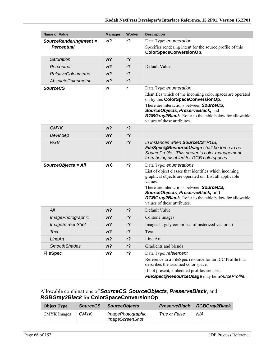| <b>Name or Value</b>        | <b>Manager</b> | Worker         | <b>Description</b>                                                                                                                                                                                                                                                                                                                            |
|-----------------------------|----------------|----------------|-----------------------------------------------------------------------------------------------------------------------------------------------------------------------------------------------------------------------------------------------------------------------------------------------------------------------------------------------|
| SourceRenderingIntent =     | w?             | $r$ ?          | Data Type: enumeration                                                                                                                                                                                                                                                                                                                        |
| <b>Perceptual</b>           |                |                | Specifies rendering intent for the source profile of this<br>ColorSpaceConversionOp.                                                                                                                                                                                                                                                          |
| Saturation                  | w <sub>2</sub> | $r$ ?          |                                                                                                                                                                                                                                                                                                                                               |
| Perceptual                  | w?             | r <sub>2</sub> | Default Value.                                                                                                                                                                                                                                                                                                                                |
| <b>RelativeColorimetric</b> | w?             | $r$ ?          |                                                                                                                                                                                                                                                                                                                                               |
| <b>AbsoluteColorimetric</b> | w <sub>2</sub> | r <sub>2</sub> |                                                                                                                                                                                                                                                                                                                                               |
| <b>SourceCS</b>             | W              | r              | Data Type: enumeration<br>Identifies which of the incoming color spaces are operated<br>on by this ColorSpaceConversionOp.<br>There are interactions between <b>SourceCS</b> ,<br>SourceObjects, PreserveBlack, and<br>RGBGray2Black. Refer to the table below for allowable<br>values of these attributes.                                   |
| <b>CMYK</b>                 | w?             | r <sub>2</sub> |                                                                                                                                                                                                                                                                                                                                               |
| DevIndep                    | w <sub>2</sub> | $r$ ?          |                                                                                                                                                                                                                                                                                                                                               |
| <b>RGB</b>                  | w <sub>2</sub> | $r$ ?          | In instances when SourceCS=RGB,<br>FileSpec@ResourceUsage shall be force to be<br>SourceProfile. This prevents color management<br>from being disabled for RGB colorspaces.                                                                                                                                                                   |
| SourceObjects = All         | w←             | $r$ ?          | Data Type: enumerations<br>List of object classes that identifies which incoming<br>graphical objects are operated on. List all applicable<br>values.<br>There are interactions between <b>SourceCS</b> ,<br>SourceObjects, PreserveBlack, and<br><b>RGBGray2Black.</b> Refer to the table below for allowable<br>values of these attributes. |
| All                         | w <sub>2</sub> | r <sub>2</sub> | Default Value.                                                                                                                                                                                                                                                                                                                                |
| ImagePhotographic           | w?             | $r$ ?          | Contone images                                                                                                                                                                                                                                                                                                                                |
| <b>ImageScreenShot</b>      | w?             | $r$ ?          | Images largely comprised of rasterized vector art                                                                                                                                                                                                                                                                                             |
| Text                        | w?             | $r$ ?          | Text                                                                                                                                                                                                                                                                                                                                          |
| LineArt                     | w?             | $r$ ?          | Line Art                                                                                                                                                                                                                                                                                                                                      |
| <b>SmoothShades</b>         | w?             | $r$ ?          | Gradients and blends                                                                                                                                                                                                                                                                                                                          |
| <b>FileSpec</b>             | w?             | $r$ ?          | Data Type: refelement<br>Reference to a FileSpec resource for an ICC Profile that<br>describes the assumed color space.<br>If not present, embedded profiles are used.<br>FileSpec@ResourceUsage may be SourceProfile.                                                                                                                        |

## Allowable combinations of *SourceCS*, *SourceObjects*, *PreserveBlack*, and *RGBGray2Black* for **ColorSpaceConversionOp**.

| <b>Object Type</b> | <b>SourceCS</b> | <b>SourceObiects</b>                        | <b>PreserveBlack</b> | <b>RGBGray2Black</b> |
|--------------------|-----------------|---------------------------------------------|----------------------|----------------------|
| CMYK Images        | <b>CMYK</b>     | ImagePhotographic<br><b>ImageScreenShot</b> | True or False        | N/A                  |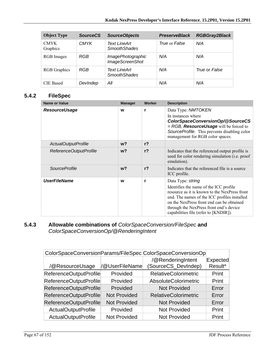| <b>Object Type</b>      | <b>SourceCS</b> | <b>SourceObjects</b>                        | <b>PreserveBlack</b> | <b>RGBGray2Black</b> |
|-------------------------|-----------------|---------------------------------------------|----------------------|----------------------|
| <b>CMYK</b><br>Graphics | <b>CMYK</b>     | <b>Text LineArt</b><br><b>SmoothShades</b>  | True or False        | N/A                  |
| RGB Images              | RGB             | ImagePhotographic<br><b>ImageScreenShot</b> | N/A                  | N/A                  |
| <b>RGB</b> Graphics     | RGB             | Text LineArt<br><b>SmoothShades</b>         | N/A                  | True or False        |
| <b>CIE Based</b>        | DevIndep        | All                                         | N/A                  | N/A                  |

## **5.4.2 FileSpec**

| Name or Value          | <b>Manager</b> | Worker         | <b>Description</b>                                                                                                                                                                                                                                                                            |
|------------------------|----------------|----------------|-----------------------------------------------------------------------------------------------------------------------------------------------------------------------------------------------------------------------------------------------------------------------------------------------|
| <b>ResourceUsage</b>   | W              | r              | Data Type: NMTOKEN<br>In instances where<br>ColorSpaceConversionOp/@SourceCS<br>= RGB, <b>ResourceUsage</b> will be forced to<br>SourceProfile. This prevents disabling color<br>management for RGB color spaces.                                                                             |
| ActualOutputProfile    | w <sub>2</sub> | r <sub>2</sub> |                                                                                                                                                                                                                                                                                               |
| ReferenceOutputProfile | w <sub>2</sub> | r <sub>2</sub> | Indicates that the referenced output profile is<br>used for color rendering simulation (i.e. proof<br>emulation).                                                                                                                                                                             |
| <i>SourceProfile</i>   | w <sub>2</sub> | r <sub>2</sub> | Indicates that the referenced file is a source<br>ICC profile.                                                                                                                                                                                                                                |
| <b>UserFileName</b>    | W              | r              | Data Type: string<br>Identifies the name of the ICC profile<br>resource as it is known to the NexPress front<br>end. The names of the ICC profiles installed<br>on the NexPress front end can be obtained<br>through the NexPress front end's device<br>capabilities file (refer to [KNDIR]). |

## **5.4.3 Allowable combinations of** *ColorSpaceConversion/FileSpec* **and**  *ColorSpaceConversionOp/@RenderingIntent*

|                            |                     | ColorSpaceConversionParams/FileSpec ColorSpaceConversionOp |                 |
|----------------------------|---------------------|------------------------------------------------------------|-----------------|
|                            |                     | /@RenderingIntent                                          | <b>Expected</b> |
| /@ResourceUsage            | /@UserFileName      | SourceCS_DevIndep)                                         | Result*         |
| ReferenceOutputProfile     | Provided            | <b>RelativeColorimetric</b>                                | Print           |
| ReferenceOutputProfile     | Provided            | AbsoluteColorimetric                                       | Print           |
| ReferenceOutputProfile     | Provided            | <b>Not Provided</b>                                        | Error           |
| ReferenceOutputProfile     | <b>Not Provided</b> | <b>RelativeColorimetric</b>                                | Error           |
| ReferenceOutputProfile     | <b>Not Provided</b> | <b>Not Provided</b>                                        | Error           |
| ActualOutputProfile        | Provided            | <b>Not Provided</b>                                        | Print           |
| <b>ActualOutputProfile</b> | <b>Not Provided</b> | <b>Not Provided</b>                                        | Print           |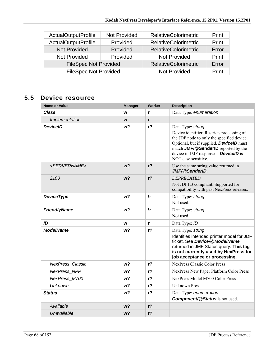| <b>ActualOutputProfile</b>   | <b>Not Provided</b> | <b>RelativeColorimetric</b> | Print |
|------------------------------|---------------------|-----------------------------|-------|
| <b>ActualOutputProfile</b>   | Provided            | <b>RelativeColorimetric</b> | Print |
| <b>Not Provided</b>          | Provided            | <b>RelativeColorimetric</b> | Error |
| <b>Not Provided</b>          | Provided            | Not Provided                | Print |
| <b>FileSpec Not Provided</b> |                     | <b>RelativeColorimetric</b> | Error |
| <b>FileSpec Not Provided</b> |                     | <b>Not Provided</b>         | Print |

# **5.5 Device resource**

| Name or Value             | <b>Manager</b> | Worker         | <b>Description</b>                                                                                                                                                                                                                                                            |
|---------------------------|----------------|----------------|-------------------------------------------------------------------------------------------------------------------------------------------------------------------------------------------------------------------------------------------------------------------------------|
| <b>Class</b>              | W              | r              | Data Type: enumeration                                                                                                                                                                                                                                                        |
| Implementation            | W              | r              |                                                                                                                                                                                                                                                                               |
| <b>DeviceID</b>           | w?             | r <sub>2</sub> | Data Type: string<br>Device identifier. Restricts processing of<br>the JDF node to only the specified device.<br>Optional, but if supplied, <b>DevicelD</b> must<br>match JMF/@SenderID reported by the<br>device in JMF responses. <b>DevicelD</b> is<br>NOT case sensitive. |
| <servername></servername> | w <sub>2</sub> | $r$ ?          | Use the same string value returned in<br>JMF/@SenderID                                                                                                                                                                                                                        |
| 2100                      | w?             | r <sub>2</sub> | <b>DEPRECATED</b><br>Not JDF1.3 compliant. Supported for<br>compatibility with past NexPress releases.                                                                                                                                                                        |
| <b>DeviceType</b>         | w?             | !r             | Data Type: string<br>Not used.                                                                                                                                                                                                                                                |
| <b>FriendlyName</b>       | w?             | !r             | Data Type: string<br>Not used.                                                                                                                                                                                                                                                |
| ID                        | W              | r              | Data Type: ID                                                                                                                                                                                                                                                                 |
| <b>ModelName</b>          | w?             | r <sub>2</sub> | Data Type: string<br>Identifies intended printer model for JDF<br>ticket. See Device/@ModelName<br>returned in JMF Status query. This tag<br>is not currently used by NexPress for<br>job acceptance or processing.                                                           |
| <b>NexPress Classic</b>   | w?             | r <sub>2</sub> | <b>NexPress Classic Color Press</b>                                                                                                                                                                                                                                           |
| <b>NexPress NPP</b>       | w <sub>2</sub> | $r$ ?          | NexPress New Paper Platform Color Press                                                                                                                                                                                                                                       |
| NexPress M700             | w?             | $r$ ?          | NexPress Model M700 Color Press                                                                                                                                                                                                                                               |
| <b>Unknown</b>            | w <sub>2</sub> | r <sub>2</sub> | <b>Unknown Press</b>                                                                                                                                                                                                                                                          |
| <b>Status</b>             | w?             | r <sub>2</sub> | Data Type: enumeration<br><b>Component/@Status</b> is not used.                                                                                                                                                                                                               |
| Available                 | w?             | $r$ ?          |                                                                                                                                                                                                                                                                               |
| Unavailable               | w?             | r <sub>2</sub> |                                                                                                                                                                                                                                                                               |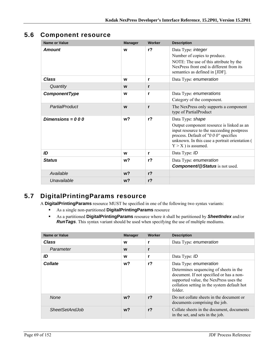# **5.6 Component resource**

| <b>Name or Value</b> | <b>Manager</b> | Worker         | <b>Description</b>                                                                                                                                                                                                                    |
|----------------------|----------------|----------------|---------------------------------------------------------------------------------------------------------------------------------------------------------------------------------------------------------------------------------------|
| <b>Amount</b>        | W              | r <sub>2</sub> | Data Type: integer<br>Number of copies to produce.<br>NOTE: The use of this attribute by the<br>NexPress front end is different from its<br>semantics as defined in [JDF].                                                            |
| Class                | W              | r              | Data Type: enumeration                                                                                                                                                                                                                |
| Quantity             | W              | r              |                                                                                                                                                                                                                                       |
| ComponentType        | W              | r              | Data Type: enumerations<br>Category of the component.                                                                                                                                                                                 |
| PartialProduct       | W              | r              | The NexPress only supports a component<br>type of PartialProduct                                                                                                                                                                      |
| Dimensions = $000$   | w <sub>2</sub> | $r$ ?          | Data Type: shape<br>Output component resource is linked as an<br>input resource to the succeeding postpress<br>process. Default of " $0\,0\,0$ " specifies<br>unknown. In this case a portrait orientation (<br>$Y > X$ ) is assumed. |
| ID                   | W              | r              | Data Type: ID                                                                                                                                                                                                                         |
| <b>Status</b>        | w <sub>2</sub> | $r$ ?          | Data Type: enumeration<br><b>Component/@Status</b> is not used.                                                                                                                                                                       |
| Available            | $w$ ?          | $r$ ?          |                                                                                                                                                                                                                                       |
| Unavailable          | w <sub>2</sub> | $r$ ?          |                                                                                                                                                                                                                                       |

# **5.7 DigitalPrintingParams resource**

A **DigitalPrintingParams** resource MUST be specified in one of the following two syntax variants:

- As a single non-partitioned **DigitalPrintingParams** resource
- As a partitioned **DigitalPrintingParams** resource where it shall be partitioned by *SheetIndex* and/or *RunTags*. This syntax variant should be used when specifying the use of multiple mediums.

| <b>Name or Value</b>  | <b>Manager</b> | <b>Worker</b>  | <b>Description</b>                                                                                                                                                                                               |
|-----------------------|----------------|----------------|------------------------------------------------------------------------------------------------------------------------------------------------------------------------------------------------------------------|
| <b>Class</b>          | W              | r              | Data Type: enumeration                                                                                                                                                                                           |
| Parameter             | W              | r              |                                                                                                                                                                                                                  |
| ID                    | W              | r              | Data Type: ID                                                                                                                                                                                                    |
| <b>Collate</b>        | w?             | r?             | Data Type: enumeration<br>Determines sequencing of sheets in the<br>document. If not specified or has a non-<br>supported value, the NexPress uses the<br>collation setting in the system default hot<br>folder. |
| <b>None</b>           | $w$ ?          | r <sub>2</sub> | Do not collate sheets in the document or<br>documents comprising the job.                                                                                                                                        |
| <b>SheetSetAndJob</b> | w?             | r <sub>2</sub> | Collate sheets in the document, documents<br>in the set, and sets in the job.                                                                                                                                    |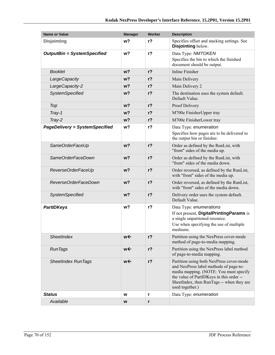| <b>Name or Value</b>                  | <b>Manager</b> | <b>Worker</b>  | <b>Description</b>                                                                                                                                                                                                                       |
|---------------------------------------|----------------|----------------|------------------------------------------------------------------------------------------------------------------------------------------------------------------------------------------------------------------------------------------|
| <b>Disjointing</b>                    | w <sub>2</sub> | r <sub>2</sub> | Specifies offset and stacking settings. See<br>Disjointing below.                                                                                                                                                                        |
| <b>OutputBin = SystemSpecified</b>    | w?             | $r$ ?          | Data Type: NMTOKEN                                                                                                                                                                                                                       |
|                                       |                |                | Specifies the bin to which the finished<br>document should be output.                                                                                                                                                                    |
| <b>Booklet</b>                        | w <sub>2</sub> | r <sub>2</sub> | Inline Finisher                                                                                                                                                                                                                          |
| LargeCapacity                         | w <sub>2</sub> | $r$ ?          | Main Delivery                                                                                                                                                                                                                            |
| LargeCapacity-2                       | $w$ ?          | $r$ ?          | Main Delivery 2                                                                                                                                                                                                                          |
| <b>SystemSpecified</b>                | $w$ ?          | $r$ ?          | The destination uses the system default.<br>Default Value.                                                                                                                                                                               |
| Top                                   | w <sub>2</sub> | r <sub>2</sub> | Proof Delivery                                                                                                                                                                                                                           |
| Tray-1                                | w <sub>2</sub> | $r$ ?          | M700e FinisherUpper tray                                                                                                                                                                                                                 |
| Tray-2                                | $w$ ?          | $r$ ?          | M700e FinisherLower tray                                                                                                                                                                                                                 |
| <b>PageDelivery = SystemSpecified</b> | w?             | $r$ ?          | Data Type: enumeration                                                                                                                                                                                                                   |
|                                       |                |                | Specifies how pages are to be delivered to<br>the output bin or finisher.                                                                                                                                                                |
| SameOrderFaceUp                       | w <sub>2</sub> | r <sub>2</sub> | Order as defined by the RunList, with<br>"front" sides of the media up.                                                                                                                                                                  |
| SameOrderFaceDown                     | $w$ ?          | $r$ ?          | Order as defined by the RunList, with<br>"front" sides of the media down.                                                                                                                                                                |
| ReverseOrderFaceUp                    | w <sub>2</sub> | $r$ ?          | Order reversed, as defined by the RunList,<br>with "front" sides of the media up.                                                                                                                                                        |
| ReverseOrderFaceDown                  | $w$ ?          | $r$ ?          | Order reversed, as defined by the RunList,<br>with "front" sides of the media down.                                                                                                                                                      |
| <b>SystemSpecified</b>                | w <sub>2</sub> | r <sub>2</sub> | Delivery order uses the system default.<br>Default Value.                                                                                                                                                                                |
| <b>PartIDKeys</b>                     | w <sub>2</sub> | $r$ ?          | Data Type: enumerations<br>If not present, DigitalPrintingParams is<br>a single unpartioned resource.<br>Use when specifying the use of multiple<br>mediums.                                                                             |
| <b>SheetIndex</b>                     | we             | $r$ ?          | Partition using the NexPress cover-mode<br>method of page-to-media mapping.                                                                                                                                                              |
| <b>RunTags</b>                        | w←             | $r$ ?          | Partition using the NexPress label method<br>of page-to-media mapping.                                                                                                                                                                   |
| <b>SheetIndex RunTags</b>             | w←             | $r$ ?          | Partition using both NexPress cover-mode<br>and NexPress label methods of page-to-<br>media mapping. (NOTE: You must specify<br>the value of PartIDKeys in this order --<br>SheetIndex, then RunTags -- when they are<br>used together.) |
| <b>Status</b>                         | W              | r              | Data Type: enumeration                                                                                                                                                                                                                   |
| Available                             | W              | r              |                                                                                                                                                                                                                                          |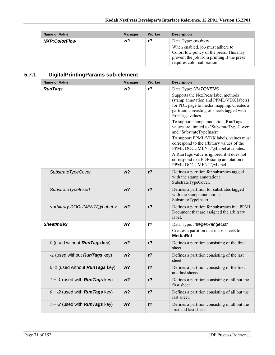| <b>Name or Value</b> | <b>Manager</b> | Worker | <b>Description</b>                                                                                                                              |
|----------------------|----------------|--------|-------------------------------------------------------------------------------------------------------------------------------------------------|
| <b>NXP:ColorFlow</b> | w?             | $r$ ?  | Data Type: boolean<br>When enabled, job must adhere to<br>ColorFlow policy of the press. This may<br>prevent the job from printing if the press |
|                      |                |        | requires color calibration.                                                                                                                     |

# **5.7.1 DigitalPrintingParams sub-element**

| <b>Name or Value</b>                          | <b>Manager</b> | <b>Worker</b>  | <b>Description</b>                                                                                                                                                                                                                                                                                                                                                                                                                                                                                                                                                                 |
|-----------------------------------------------|----------------|----------------|------------------------------------------------------------------------------------------------------------------------------------------------------------------------------------------------------------------------------------------------------------------------------------------------------------------------------------------------------------------------------------------------------------------------------------------------------------------------------------------------------------------------------------------------------------------------------------|
| <b>RunTags</b>                                | w?             | r?             | Data Type: NMTOKENS<br>Supports the NexPress label methods<br>(stamp annotation and PPML/VDX labels)<br>for PDL page to media mapping. Creates a<br>partition consisting of sheets tagged with<br>RunTags values.<br>To support stamp annotation, RunTags<br>values are limited to "SubstrateTypeCover"<br>and "SubstrateTypeInsert".<br>To support PPML/VDX labels, values must<br>correspond to the arbitrary values of the<br>PPML DOCUMENT/@Label attributes.<br>A RunTags value is ignored if it does not<br>correspond to a PDF stamp annotation or<br>PPML DOCUMENT/@Label. |
| SubstrateTypeCover                            | w <sub>2</sub> | r <sub>2</sub> | Defines a partition for substrates tagged<br>with the stamp annotation:<br>SubstrateTypeCover.                                                                                                                                                                                                                                                                                                                                                                                                                                                                                     |
| Substrate TypeInsert                          | w <sub>2</sub> | $r$ ?          | Defines a partition for substrates tagged<br>with the stamp annotation:<br>SubstrateTypeInsert.                                                                                                                                                                                                                                                                                                                                                                                                                                                                                    |
| <arbitrary @label="" document=""></arbitrary> | w <sub>2</sub> | r <sub>2</sub> | Defines a partition for substrates in a PPML<br>Document that are assigned the arbitrary<br>label.                                                                                                                                                                                                                                                                                                                                                                                                                                                                                 |
| <b>SheetIndex</b>                             | w?             | $r$ ?          | Data Type: IntegerRangeList<br>Creates a partition that maps sheets to<br><b>MediaRef</b>                                                                                                                                                                                                                                                                                                                                                                                                                                                                                          |
| 0 (used without <b>RunTags</b> key)           | $w$ ?          | $r$ ?          | Defines a partition consisting of the first<br>sheet.                                                                                                                                                                                                                                                                                                                                                                                                                                                                                                                              |
| -1 (used without <b>RunTags</b> key)          | w?             | r?             | Defines a partition consisting of the last<br>sheet.                                                                                                                                                                                                                                                                                                                                                                                                                                                                                                                               |
| $0 - 1$ (used without <b>RunTags</b> key)     | w?             | $r$ ?          | Defines a partition consisting of the first<br>and last sheets.                                                                                                                                                                                                                                                                                                                                                                                                                                                                                                                    |
| $1 - 1$ (used with <b>RunTags</b> key)        | w <sub>2</sub> | $r$ ?          | Defines a partition consisting of all but the<br>first sheet.                                                                                                                                                                                                                                                                                                                                                                                                                                                                                                                      |
| $0 \sim -2$ (used with <b>RunTags</b> key)    | $w$ ?          | r?             | Defines a partition consisting of all but the<br>last sheet.                                                                                                                                                                                                                                                                                                                                                                                                                                                                                                                       |
| $1 \sim -2$ (used with <b>RunTags</b> key)    | w?             | $r$ ?          | Defines a partition consisting of all but the<br>first and last sheets.                                                                                                                                                                                                                                                                                                                                                                                                                                                                                                            |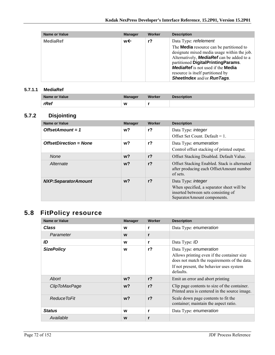| <b>Name or Value</b> | <b>Manager</b> | Worker | <b>Description</b>                                                                                                                                                                                                                                                                                                                      |
|----------------------|----------------|--------|-----------------------------------------------------------------------------------------------------------------------------------------------------------------------------------------------------------------------------------------------------------------------------------------------------------------------------------------|
| <b>MediaRef</b>      | w←             | $r$ ?  | Data Type: refelement<br>The <b>Media</b> resource can be partitioned to<br>designate mixed media usage within the job.<br>Alternatively, <b>MediaRef</b> can be added to a<br>partitioned DigitalPrintingParams.<br><b>MediaRef</b> is not used if the <b>Media</b><br>resource is itself partitioned by<br>SheetIndex and/or RunTags. |

#### **5.7.1.1 MediaRef**

| Name or Value | <b>Manager</b> | Worker | <b>Description</b> |
|---------------|----------------|--------|--------------------|
| rRef          | W              |        |                    |

## **5.7.2 Disjointing**

| Name or Value                 | <b>Manager</b> | Worker         | <b>Description</b>                                                                                                                           |
|-------------------------------|----------------|----------------|----------------------------------------------------------------------------------------------------------------------------------------------|
| OffsetAmount = $1$            | w?             | r <sub>2</sub> | Data Type: <i>integer</i><br>Offset Set Count. Default = $1$ .                                                                               |
| <b>OffsetDirection = None</b> | w?             | r <sub>2</sub> | Data Type: enumeration<br>Control offset stacking of printed output.                                                                         |
| <b>None</b>                   | w?             | r <sub>2</sub> | Offset Stacking Disabled. Default Value.                                                                                                     |
| Alternate                     | $w$ ?          | r <sub>2</sub> | Offset Stacking Enabled. Stack is alternated<br>after producing each OffsetAmount number<br>of sets.                                         |
| <b>NXP:SeparatorAmount</b>    | w?             | r <sub>2</sub> | Data Type: <i>integer</i><br>When specified, a separator sheet will be<br>inserted between sets consisting of<br>SeparatorAmount components. |

# **5.8 FitPolicy resource**

| <b>Name or Value</b> | <b>Manager</b> | Worker         | <b>Description</b>                                                                                                                                                            |
|----------------------|----------------|----------------|-------------------------------------------------------------------------------------------------------------------------------------------------------------------------------|
| <b>Class</b>         | W              | r              | Data Type: enumeration                                                                                                                                                        |
| Parameter            | W              | r              |                                                                                                                                                                               |
| ID                   | W              | r              | Data Type: ID                                                                                                                                                                 |
| <b>SizePolicy</b>    | W              | $r$ ?          | Data Type: enumeration<br>Allows printing even if the container size<br>does not match the requirements of the data.<br>If not present, the behavior uses system<br>defaults. |
| Abort                | $w$ ?          | r <sub>2</sub> | Emit an error and abort printing                                                                                                                                              |
| ClipToMaxPage        | $w$ ?          | r <sub>2</sub> | Clip page contents to size of the container.<br>Printed area is centered in the source image.                                                                                 |
| Reduce ToFit         | $w$ ?          | r <sub>2</sub> | Scale down page contents to fit the<br>container; maintain the aspect ratio.                                                                                                  |
| <b>Status</b>        | W              | r              | Data Type: enumeration                                                                                                                                                        |
| Available            | W              | r              |                                                                                                                                                                               |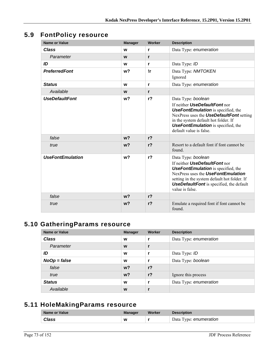# **5.9 FontPolicy resource**

| <b>Name or Value</b>    | <b>Manager</b> | Worker         | <b>Description</b>                                                                                                                                                                                                                                                  |
|-------------------------|----------------|----------------|---------------------------------------------------------------------------------------------------------------------------------------------------------------------------------------------------------------------------------------------------------------------|
| <b>Class</b>            | W              | r              | Data Type: enumeration                                                                                                                                                                                                                                              |
| Parameter               | W              | r              |                                                                                                                                                                                                                                                                     |
| ID                      | W              | r              | Data Type: ID                                                                                                                                                                                                                                                       |
| <b>PreferredFont</b>    | w <sub>2</sub> | !r             | Data Type: NMTOKEN<br>Ignored                                                                                                                                                                                                                                       |
| <b>Status</b>           | W              | r              | Data Type: enumeration                                                                                                                                                                                                                                              |
| Available               | W              | r              |                                                                                                                                                                                                                                                                     |
| <b>UseDefaultFont</b>   | w <sub>2</sub> | r <sub>2</sub> | Data Type: boolean<br>If neither UseDefaultFont nor<br><b>UseFontEmulation</b> is specified, the<br>NexPress uses the <b>UseDefaultFont</b> setting<br>in the system default hot folder. If<br><b>UseFontEmulation</b> is specified, the<br>default value is false. |
| false                   | w <sub>2</sub> | r <sub>2</sub> |                                                                                                                                                                                                                                                                     |
| true                    | w <sub>2</sub> | r <sub>2</sub> | Resort to a default font if font cannot be<br>found.                                                                                                                                                                                                                |
| <b>UseFontEmulation</b> | w <sub>2</sub> | $r$ ?          | Data Type: boolean<br>If neither UseDefaultFont nor<br><b>UseFontEmulation</b> is specified, the<br>NexPress uses the UseFontEmulation<br>setting in the system default hot folder. If<br><b>UseDefaultFont</b> is specified, the default<br>value is false.        |
| false                   | $w$ ?          | $r$ ?          |                                                                                                                                                                                                                                                                     |
| true                    | w <sub>2</sub> | r <sub>2</sub> | Emulate a required font if font cannot be<br>found.                                                                                                                                                                                                                 |

# **5.10 GatheringParams resource**

| Name or Value  | <b>Manager</b> | Worker         | <b>Description</b>     |
|----------------|----------------|----------------|------------------------|
| <b>Class</b>   | W              |                | Data Type: enumeration |
| Parameter      | W              | $\mathbf{r}$   |                        |
| ID             | W              |                | Data Type: ID          |
| $NoOp = false$ | W              |                | Data Type: boolean     |
| false          | w <sub>2</sub> | r <sub>2</sub> |                        |
| true           | w <sub>2</sub> | r <sub>2</sub> | Ignore this process    |
| <b>Status</b>  | W              |                | Data Type: enumeration |
| Available      | W              |                |                        |

### **5.11 HoleMakingParams resource**

| Name or Value | <b>Manager</b> | Worker | <b>Description</b>     |
|---------------|----------------|--------|------------------------|
| <b>Class</b>  | W              |        | Data Type: enumeration |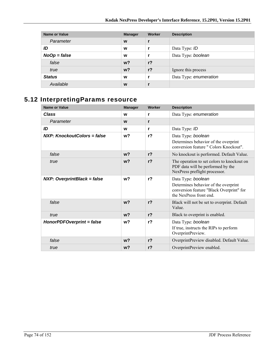| <b>Name or Value</b> | <b>Manager</b> | Worker         | <b>Description</b>     |
|----------------------|----------------|----------------|------------------------|
| Parameter            | W              |                |                        |
| ID                   | W              |                | Data Type: ID          |
| $NoOp = false$       | W              |                | Data Type: boolean     |
| false                | w <sup>2</sup> | r <sub>2</sub> |                        |
| true                 | $w$ ?          | $r$ ?          | Ignore this process    |
| <b>Status</b>        | W              |                | Data Type: enumeration |
| Available            | W              |                |                        |

# **5.12 InterpretingParams resource**

| <b>Name or Value</b>               | <b>Manager</b> | Worker         | <b>Description</b>                                                                                               |
|------------------------------------|----------------|----------------|------------------------------------------------------------------------------------------------------------------|
| <b>Class</b>                       | W              | r              | Data Type: enumeration                                                                                           |
| Parameter                          | W              | r              |                                                                                                                  |
| ID                                 | W              | r              | Data Type: ID                                                                                                    |
| NXP: KnockoutColors = false        | w <sub>2</sub> | r <sub>2</sub> | Data Type: boolean                                                                                               |
|                                    |                |                | Determines behavior of the overprint<br>conversion feature " Colors Knockout".                                   |
| false                              | $w$ ?          | r <sub>2</sub> | No knockout is performed. Default Value.                                                                         |
| true                               | $w$ ?          | r <sub>2</sub> | The operation to set colors to knockout on<br>PDF data will be performed by the<br>NexPress preflight processor. |
| <b>NXP: OverprintBlack = false</b> | w <sub>2</sub> | r <sub>2</sub> | Data Type: boolean                                                                                               |
|                                    |                |                | Determines behavior of the overprint<br>conversion feature "Black Overprint" for<br>the NexPress front end       |
| false                              | w <sub>2</sub> | r <sub>2</sub> | Black will not be set to overprint. Default<br>Value.                                                            |
| true                               | w <sub>2</sub> | $r$ ?          | Black to overprint is enabled.                                                                                   |
| HonorPDFOverprint = false          | w <sub>2</sub> | r <sub>2</sub> | Data Type: boolean                                                                                               |
|                                    |                |                | If true, instructs the RIPs to perform<br>OverprintPreview.                                                      |
| false                              | w <sub>2</sub> | $r$ ?          | OverprintPreview disabled. Default Value.                                                                        |
| true                               | w <sub>2</sub> | $r$ ?          | OverprintPreview enabled.                                                                                        |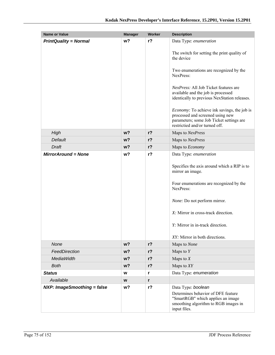| <b>Name or Value</b>         | <b>Manager</b> | Worker         | <b>Description</b>                                                                                                                                                                                                                                                   |
|------------------------------|----------------|----------------|----------------------------------------------------------------------------------------------------------------------------------------------------------------------------------------------------------------------------------------------------------------------|
| <b>PrintQuality = Normal</b> | w?             | $r$ ?          | Data Type: enumeration                                                                                                                                                                                                                                               |
|                              |                |                | The switch for setting the print quality of<br>the device                                                                                                                                                                                                            |
|                              |                |                | Two enumerations are recognized by the<br>NexPress:                                                                                                                                                                                                                  |
|                              |                |                | NexPress: All Job Ticket features are<br>available and the job is processed<br>identically to previous NexStation releases.                                                                                                                                          |
|                              |                |                | <i>Economy:</i> To achieve ink savings, the job is<br>processed and screened using new<br>parameters; some Job Ticket settings are<br>restrictied and/or turned off.                                                                                                 |
| High                         | w <sub>2</sub> | r <sub>2</sub> | Maps to NexPress                                                                                                                                                                                                                                                     |
| Default                      | $w$ ?          | $r$ ?          | Maps to NexPress                                                                                                                                                                                                                                                     |
| Draft                        | $w$ ?          | $r$ ?          | Maps to Economy                                                                                                                                                                                                                                                      |
| <b>MirrorAround = None</b>   | w?             | $r$ ?          | Data Type: enumeration                                                                                                                                                                                                                                               |
|                              |                |                | Specifies the axis around which a RIP is to<br>mirror an image.<br>Four enumerations are recognized by the<br>NexPress:<br>None: Do not perform mirror.<br>X: Mirror in cross-track direction.<br>Y: Mirror in in-track direction.<br>XY: Mirror in both directions. |
| None                         | $w$ ?          | $r$ ?          | Maps to None                                                                                                                                                                                                                                                         |
| FeedDirection                | $w$ ?          | $r$ ?          | Maps to $Y$                                                                                                                                                                                                                                                          |
| <b>MediaWidth</b>            | $w$ ?          | $r$ ?          | Maps to $X$                                                                                                                                                                                                                                                          |
| <b>Both</b>                  | $w$ ?          | $r$ ?          | Maps to $XY$                                                                                                                                                                                                                                                         |
| <b>Status</b>                | W              | r              | Data Type: enumeration                                                                                                                                                                                                                                               |
| Available                    | W              | r              |                                                                                                                                                                                                                                                                      |
| NXP: ImageSmoothing = false  | w?             | $r$ ?          | Data Type: boolean<br>Determines behavior of DFE feature<br>"SmartRGB" which applies an image<br>smoothing algorithm to RGB images in<br>input files.                                                                                                                |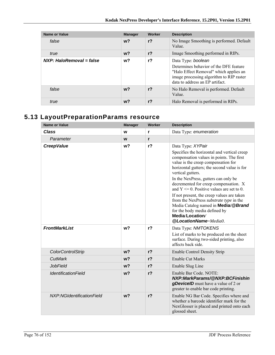| <b>Name or Value</b>       | <b>Manager</b> | Worker         | <b>Description</b>                                                                                                                                                                    |
|----------------------------|----------------|----------------|---------------------------------------------------------------------------------------------------------------------------------------------------------------------------------------|
| false                      | $w$ ?          | $r$ ?          | No Image Smoothing is performed. Default<br>Value.                                                                                                                                    |
| true                       | $w$ ?          | $r$ ?          | Image Smoothing performed in RIPs.                                                                                                                                                    |
| $NXP: HaloRemoval = false$ | w?             | $r$ ?          | Data Type: boolean<br>Determines behavior of the DFE feature<br>"Halo Effect Removal" which applies an<br>image processing algorithm to RIP raster<br>data to address an EP artifact. |
| false                      | $w$ ?          | r <sub>2</sub> | No Halo Removal is performed. Default<br>Value.                                                                                                                                       |
| true                       | w?             | $r$ ?          | Halo Removal is performed in RIPs.                                                                                                                                                    |

# **5.13 LayoutPreparationParams resource**

| <b>Name or Value</b>       | <b>Manager</b> | <b>Worker</b>  | <b>Description</b>                                                                                                                                                                                                                                                                                                                                                                                                                                                                                                                                                            |
|----------------------------|----------------|----------------|-------------------------------------------------------------------------------------------------------------------------------------------------------------------------------------------------------------------------------------------------------------------------------------------------------------------------------------------------------------------------------------------------------------------------------------------------------------------------------------------------------------------------------------------------------------------------------|
| <b>Class</b>               | W              | r              | Data Type: enumeration                                                                                                                                                                                                                                                                                                                                                                                                                                                                                                                                                        |
| Parameter                  | W              | r              |                                                                                                                                                                                                                                                                                                                                                                                                                                                                                                                                                                               |
| <b>CreepValue</b>          | w?             | $r$ ?          | Data Type: XYPair<br>Specifies the horizontal and vertical creep<br>compensation values in points. The first<br>value is the creep compensation for<br>horizontal gutters; the second value is for<br>vertical gutters.<br>In the NexPress, gutters can only be<br>decremented for creep compensation. X<br>and $Y \le 0$ . Positive values are set to 0.<br>If not present, the creep values are taken<br>from the NexPress substrate type in the<br>Media Catalog named in <b>Media/@Brand</b><br>for the body media defined by<br>Media/Location/<br>@LocationName=Media0. |
| <b>FrontMarkList</b>       | w <sub>2</sub> | r <sub>2</sub> | Data Type: NMTOKENS<br>List of marks to be produced on the sheet<br>surface. During two-sided printing, also<br>affects back side.                                                                                                                                                                                                                                                                                                                                                                                                                                            |
| <b>ColorControlStrip</b>   | w <sub>2</sub> | $r$ ?          | <b>Enable Control Density Strip</b>                                                                                                                                                                                                                                                                                                                                                                                                                                                                                                                                           |
| CutMark                    | w <sub>2</sub> | $r$ ?          | <b>Enable Cut Marks</b>                                                                                                                                                                                                                                                                                                                                                                                                                                                                                                                                                       |
| <b>JobField</b>            | w <sub>2</sub> | $r$ ?          | Enable Slug Line                                                                                                                                                                                                                                                                                                                                                                                                                                                                                                                                                              |
| <b>IdentificationField</b> | w <sub>2</sub> | $r$ ?          | Enable Bar Code, NOTE:<br>NXP:MarkParams/@NXP:BCFinishin<br>gDevicelD must have a value of 2 or<br>greater to enable bar code printing.                                                                                                                                                                                                                                                                                                                                                                                                                                       |
| NXP:NGIdentificationField  | w <sub>2</sub> | $r$ ?          | Enable NG Bar Code. Specifies where and<br>whether a barcode identifier mark for the<br>NexGlosser is placed and printed onto each<br>glossed sheet.                                                                                                                                                                                                                                                                                                                                                                                                                          |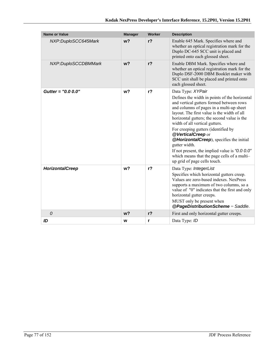| <b>Name or Value</b>   | <b>Manager</b> | Worker         | <b>Description</b>                                                                                                                                                                                                                                                                                                                                                                                                                                                                                                                                    |
|------------------------|----------------|----------------|-------------------------------------------------------------------------------------------------------------------------------------------------------------------------------------------------------------------------------------------------------------------------------------------------------------------------------------------------------------------------------------------------------------------------------------------------------------------------------------------------------------------------------------------------------|
| NXP:DuploSCC645Mark    | w <sub>2</sub> | $r$ ?          | Enable 645 Mark. Specifies where and<br>whether an optical registration mark for the<br>Duplo DC-645 SCC unit is placed and<br>printed onto each glossed sheet.                                                                                                                                                                                                                                                                                                                                                                                       |
| NXP:DuploSCCDBMMark    | w <sub>2</sub> | $r$ ?          | Enable DBM Mark. Specifies where and<br>whether an optical registration mark for the<br>Duplo DSF-2000 DBM Booklet maker with<br>SCC unit shall be placed and printed onto<br>each glossed sheet.                                                                                                                                                                                                                                                                                                                                                     |
| Gutter = $"0.0 0.0"$   | w <sub>2</sub> | $r$ ?          | Data Type: XYPair<br>Defines the width in points of the horizontal<br>and vertical gutters formed between rows<br>and columns of pages in a multi-up sheet<br>layout. The first value is the width of all<br>horizontal gutters; the second value is the<br>width of all vertical gutters.<br>For creeping gutters (identified by<br>@VerticalCreep or<br>@HorizontalCreep), specifies the initial<br>gutter width.<br>If not present, the implied value is " $0.00$ "<br>which means that the page cells of a multi-<br>up grid of page cells touch. |
| <b>HorizontalCreep</b> | w <sub>2</sub> | $r$ ?          | Data Type: IntegerList<br>Specifies which horizontal gutters creep.<br>Values are zero-based indexes. NexPress<br>supports a maximum of two columns, so a<br>value of "0" indicates that the first and only<br>horizontal gutter creeps.<br>MUST only be present when<br>@PageDistributionScheme = Saddle.                                                                                                                                                                                                                                            |
| 0                      | w <sub>2</sub> | r <sub>2</sub> | First and only horizontal gutter creeps.                                                                                                                                                                                                                                                                                                                                                                                                                                                                                                              |
| ID                     | W              | r              | Data Type: ID                                                                                                                                                                                                                                                                                                                                                                                                                                                                                                                                         |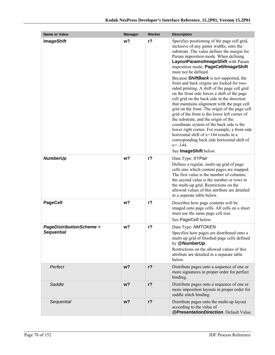| <b>Name or Value</b>                                 | <b>Manager</b> | Worker         | <b>Description</b>                                                                                                                                                                                                                                                                                                                                                                                                                                                                                                                                                                                                                                                                                                                                                                                                                                                                                                                                              |
|------------------------------------------------------|----------------|----------------|-----------------------------------------------------------------------------------------------------------------------------------------------------------------------------------------------------------------------------------------------------------------------------------------------------------------------------------------------------------------------------------------------------------------------------------------------------------------------------------------------------------------------------------------------------------------------------------------------------------------------------------------------------------------------------------------------------------------------------------------------------------------------------------------------------------------------------------------------------------------------------------------------------------------------------------------------------------------|
| <b>ImageShift</b>                                    | w?             | r <sub>2</sub> | Specifies positioning of the page cell grid,<br>inclusive of any gutter widths, onto the<br>substrate. The value defines the margin for<br>Param imposition mode. When defining<br>LayoutParams/ImageShift with Param<br>imposition mode, PageCell/ImageShift<br>must not be defined.<br>Because <b>ShiftBack</b> is not supported, the<br>front and back origins are locked for two-<br>sided printing. A shift of the page cell grid<br>on the front side forces a shift of the page<br>cell grid on the back side in the direction<br>that maintains alignment with the page cell<br>grid on the front. The origin of the page cell<br>grid of the front is the lower left corner of<br>the substrate, and the origin of the<br>coordinate system of the back side is the<br>lower right corner. For example, a front side<br>horizontal shift of x=144 results in a<br>corresponding back side horizontal shift of<br>$x = -144$ .<br>See ImageShift below. |
| <b>NumberUp</b>                                      | w?             | $r$ ?          | Data Type: XYPair<br>Defines a regular, multi-up grid of page<br>cells into which content pages are mapped.<br>The first value is the number of columns,<br>the second value is the number or rows in<br>the multi-up grid. Restrictions on the<br>allowed values of this attribute are detailed<br>in a separate table below.                                                                                                                                                                                                                                                                                                                                                                                                                                                                                                                                                                                                                                  |
| <b>PageCell</b>                                      | w <sub>2</sub> | $r$ ?          | Describes how page contents will be<br>imaged onto page cells. All cells on a sheet<br>must use the same page cell size.<br>See PageCell below.                                                                                                                                                                                                                                                                                                                                                                                                                                                                                                                                                                                                                                                                                                                                                                                                                 |
| <b>PageDistributionScheme =</b><br><b>Sequential</b> | w <sub>2</sub> | $r$ ?          | Data Type: NMTOKEN<br>Specifies how pages are distributed onto a<br>multi-up grid of finished page cells defined<br>by @NumberUp.<br>Restrictions on the allowed values of this<br>attribute are detailed in a separate table<br>below.                                                                                                                                                                                                                                                                                                                                                                                                                                                                                                                                                                                                                                                                                                                         |
| Perfect                                              | w <sub>2</sub> | $r$ ?          | Distribute pages onto a sequence of one or<br>more signatures in proper order for perfect<br>binding.                                                                                                                                                                                                                                                                                                                                                                                                                                                                                                                                                                                                                                                                                                                                                                                                                                                           |
| Saddle                                               | w?             | $r$ ?          | Distribute pages onto a sequence of one or<br>more imposition layouts in proper order for<br>saddle stitch binding.                                                                                                                                                                                                                                                                                                                                                                                                                                                                                                                                                                                                                                                                                                                                                                                                                                             |
| Sequential                                           | $w$ ?          | $r$ ?          | Distribute pages onto the multi-up layout<br>according to the value of<br>@PresentationDirection. Default Value.                                                                                                                                                                                                                                                                                                                                                                                                                                                                                                                                                                                                                                                                                                                                                                                                                                                |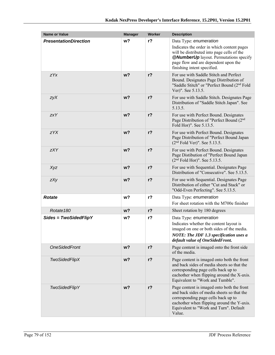| <b>Name or Value</b>         | <b>Manager</b> | Worker | <b>Description</b>                                                                                                                                                                                                                |
|------------------------------|----------------|--------|-----------------------------------------------------------------------------------------------------------------------------------------------------------------------------------------------------------------------------------|
| <b>PresentationDirection</b> | w <sub>2</sub> | $r$ ?  | Data Type: enumeration                                                                                                                                                                                                            |
|                              |                |        | Indicates the order in which content pages<br>will be distributed into page cells of the<br><b>@NumberUp</b> layout. Permutations specify<br>page flow and are dependent upon the<br>finishing intent specified.                  |
| ZYX                          | w <sub>2</sub> | $r$ ?  | For use with Saddle Stitch and Perfect<br>Bound. Designates Page Distribution of<br>"Saddle Stitch" or "Perfect Bound (2 <sup>nd</sup> Fold<br>Ver)". See 5.13.5.                                                                 |
| zyX                          | w <sub>2</sub> | $r$ ?  | For use with Saddle Stitch. Designates Page<br>Distribution of "Saddle Stitch Japan". See<br>5.13.5.                                                                                                                              |
| <b>zxY</b>                   | w <sub>2</sub> | $r$ ?  | For use with Perfect Bound. Designates<br>Page Distribution of "Perfect Bound (2 <sup>nd</sup><br>Fold Hor)". See 5.13.5.                                                                                                         |
| zYX                          | w <sub>2</sub> | $r$ ?  | For use with Perfect Bound. Designates<br>Page Distribution of "Perfect Bound Japan<br>$(2nd$ Fold Ver)". See 5.13.5.                                                                                                             |
| <b>zXY</b>                   | w <sub>2</sub> | $r$ ?  | For use with Perfect Bound. Designates<br>Page Distibution of "Perfect Bound Japan<br>$(2nd$ Fold Hor)". See 5.13.5.                                                                                                              |
| Xyz                          | w <sub>2</sub> | $r$ ?  | For use with Sequential. Designates Page<br>Distribution of "Consecutive". See 5.13.5.                                                                                                                                            |
| zXy                          | $w$ ?          | $r$ ?  | For use with Sequential. Designates Page<br>Distribution of either "Cut and Stack" or<br>"Odd-Even Perfecting". See 5.13.5.                                                                                                       |
| <b>Rotate</b>                | w?             | $r$ ?  | Data Type: enumeration<br>For sheet rotation with the M700e finisher                                                                                                                                                              |
| Rotate <sub>180</sub>        | w <sub>2</sub> | $r$ ?  | Sheet rotation by 180 degrees                                                                                                                                                                                                     |
| $Sides = TwoSidedFlipY$      | w?             | $r$ ?  | Data Type: enumeration<br>Indicates whether the content layout is<br>imaged on one or both sides of the media.<br><b>NOTE: The JDF 1.3 specification uses a</b><br>default value of OneSidedFront.                                |
| <b>OneSidedFront</b>         | $w$ ?          | $r$ ?  | Page content is imaged onto the front side<br>of the media.                                                                                                                                                                       |
| <b>TwoSidedFlipX</b>         | w <sub>2</sub> | $r$ ?  | Page content is imaged onto both the front<br>and back sides of media sheets so that the<br>corresponding page cells back up to<br>eachother when flipping around the X-axis.<br>Equivalent to "Work and Tumble".                 |
| <b>TwoSidedFlipY</b>         | $w$ ?          | $r$ ?  | Page content is imaged onto both the front<br>and back sides of media sheets so that the<br>corresponding page cells back up to<br>eachother when flipping around the Y-axis.<br>Equivalent to "Work and Turn". Default<br>Value. |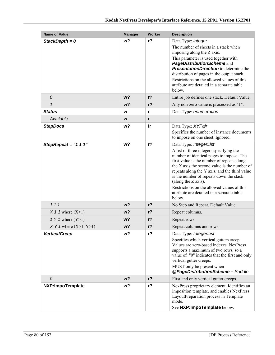| <b>Name or Value</b>       | <b>Manager</b> | <b>Worker</b> | <b>Description</b>                                                                                                                                                                                                                                                                                                                                                                                                                    |
|----------------------------|----------------|---------------|---------------------------------------------------------------------------------------------------------------------------------------------------------------------------------------------------------------------------------------------------------------------------------------------------------------------------------------------------------------------------------------------------------------------------------------|
| StackDepth = $0$           | w?             | $r$ ?         | Data Type: integer<br>The number of sheets in a stack when<br>imposing along the Z axis.<br>This parameter is used together with<br>PageDistributionScheme and<br><b>PresentationDirection</b> to determine the<br>distribution of pages in the output stack.<br>Restrictions on the allowed values of this<br>attribute are detailed in a separate table                                                                             |
|                            |                |               | below.                                                                                                                                                                                                                                                                                                                                                                                                                                |
| 0                          | w <sub>2</sub> | $r$ ?         | Entire job defines one stack. Default Value.                                                                                                                                                                                                                                                                                                                                                                                          |
| $\mathbf{1}$               | w <sub>2</sub> | $r$ ?         | Any non-zero value is processed as "1".                                                                                                                                                                                                                                                                                                                                                                                               |
| <b>Status</b>              | W              | r             | Data Type: enumeration                                                                                                                                                                                                                                                                                                                                                                                                                |
| Available                  | W              | r             |                                                                                                                                                                                                                                                                                                                                                                                                                                       |
| <b>StepDocs</b>            | w?             | !r            | Data Type: XYPair<br>Specifies the number of instance documents<br>to impose on one sheet. Ignored.                                                                                                                                                                                                                                                                                                                                   |
| StepRepeat = $"1 1 1"$     | w?             | $r$ ?         | Data Type: IntegerList<br>A list of three integers specifying the<br>number of identical pages to impose. The<br>first value is the number of repeats along<br>the X axis, the second value is the number of<br>repeats along the Y axis, and the third value<br>is the number of repeats down the stack<br>(along the Z axis).<br>Restrictions on the allowed values of this<br>attribute are detailed in a separate table<br>below. |
| 111                        | w?             | $r$ ?         | No Step and Repeat. Default Value.                                                                                                                                                                                                                                                                                                                                                                                                    |
| $X$ 1 1 where $(X>1)$      | w <sub>2</sub> | $r$ ?         | Repeat columns.                                                                                                                                                                                                                                                                                                                                                                                                                       |
| 1 Y 1 where $(Y>1)$        | w?             | $r$ ?         | Repeat rows.                                                                                                                                                                                                                                                                                                                                                                                                                          |
| $X Y 1$ where $(X>1, Y>1)$ | w <sub>2</sub> | $r$ ?         | Repeat columns and rows.                                                                                                                                                                                                                                                                                                                                                                                                              |
| <b>VerticalCreep</b>       | w?             | $r$ ?         | Data Type: IntegerList<br>Specifies which vertical gutters creep.<br>Values are zero-based indexes. NexPress<br>supports a maximum of two rows, so a<br>value of "0" indicates that the first and only<br>vertical gutter creeps.<br>MUST only be present when<br>@PageDistributionScheme = Saddle                                                                                                                                    |
| 0                          | w <sub>2</sub> | $r$ ?         | First and only vertical gutter creeps.                                                                                                                                                                                                                                                                                                                                                                                                |
| NXP:ImpoTemplate           | w?             | $r$ ?         | NexPress proprietary element. Identifies an<br>imposition template, and enables NexPress<br>LayoutPreparation process in Template<br>mode.<br>See NXP: ImpoTemplate below.                                                                                                                                                                                                                                                            |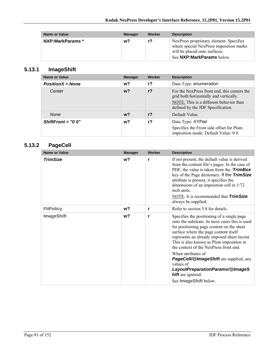| <b>Name or Value</b> | <b>Manager</b> | Worker | <b>Description</b>                                                                                                                                |
|----------------------|----------------|--------|---------------------------------------------------------------------------------------------------------------------------------------------------|
| NXP:MarkParams *     | w?             | r?     | NexPress proprietary element. Specifies<br>where special NexPress imposition marks<br>will be placed onto surfaces.<br>See NXP: MarkParams below. |

### **5.13.1 ImageShift**

| <b>Name or Value</b> | <b>Manager</b> | Worker | <b>Description</b>                                                                                                                                                     |  |
|----------------------|----------------|--------|------------------------------------------------------------------------------------------------------------------------------------------------------------------------|--|
| $PositionX = None$   | w?             | $r$ ?  | Data Type: enumeration                                                                                                                                                 |  |
| Center               | $w$ ?          | $r$ ?  | For the NexPress front end, this centers the<br>grid both horizontally and vertically.<br>NOTE: This is a different behavior than<br>defined by the JDF Specification. |  |
| <b>None</b>          | $w$ ?          | $r$ ?  | Default Value.                                                                                                                                                         |  |
| ShiftFront = $"0 0"$ | w?             | r?     | Data Type: XYPair<br>Specifies the Front side offset for Plain<br>imposition mode. Default Value: 00.                                                                  |  |

### **5.13.2 PageCell**

| Name or Value     | <b>Manager</b> | <b>Worker</b> | <b>Description</b>                                                                                                                                                                                                                                                                                                                                                                                                                                                          |
|-------------------|----------------|---------------|-----------------------------------------------------------------------------------------------------------------------------------------------------------------------------------------------------------------------------------------------------------------------------------------------------------------------------------------------------------------------------------------------------------------------------------------------------------------------------|
| <b>TrimSize</b>   | w?             | r             | If not present, the default value is derived<br>from the content file's pages. In the case of<br>PDF, the value is taken from the / <b>TrimBox</b><br>key of the Page dictionary. If the TrimSize<br>attribute is present, it specifies the<br>dimensions of an imposition cell in 1/72<br>inch units<br>NOTE: It is recommended that <b>TrimSize</b><br>always be supplied.                                                                                                |
| <b>FitPolicy</b>  | w?             | r             | Refer to section 5.8 for details.                                                                                                                                                                                                                                                                                                                                                                                                                                           |
| <b>ImageShift</b> | w?             | r             | Specifies the positioning of a single page<br>onto the substrate. In most cases this is used<br>for positioning page content on the sheet<br>surface where the page content itself<br>represents an already imposed sheet layout.<br>This is also known as Plain imposition in<br>the context of the NexPress front end.<br>When attributes of<br><b>PageCell/@ImageShift</b> are supplied, any<br>values of<br>LayoutPreparationParams/@ImageS<br><b>hift</b> are ignored. |
|                   |                |               | See ImageShift below.                                                                                                                                                                                                                                                                                                                                                                                                                                                       |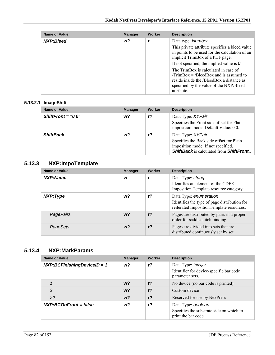| Name or Value | <b>Manager</b> | Worker | <b>Description</b>                                                                                                                                                                                                                                                                                                                                                                    |
|---------------|----------------|--------|---------------------------------------------------------------------------------------------------------------------------------------------------------------------------------------------------------------------------------------------------------------------------------------------------------------------------------------------------------------------------------------|
| NXP:Bleed     | w?             |        | Data type: Number<br>This private attribute specifies a bleed value<br>in points to be used for the calculation of an<br>implicit TrimBox of a PDF page.<br>If not specified, the implied value is $O$ .<br>The TrimBox is calculated in case of<br>$/TrimBox = /BleedBox$ and is assumed to<br>reside inside the /BleedBox a distance as<br>specified by the value of the NXP: Bleed |
|               |                |        | attribute.                                                                                                                                                                                                                                                                                                                                                                            |

### **5.13.2.1 ImageShift**

| <b>Name or Value</b> | <b>Manager</b> | Worker | <b>Description</b>                                                                                                                                             |
|----------------------|----------------|--------|----------------------------------------------------------------------------------------------------------------------------------------------------------------|
| ShiftFront = $"0 0"$ | w?             | $r$ ?  | Data Type: XYPair<br>Specifies the Front side offset for Plain<br>imposition mode. Default Value: 00.                                                          |
| <b>ShiftBack</b>     | $w$ ?          | r?     | Data Type: XYPair<br>Specifies the Back side offset for Plain<br>imposition mode. If not specified,<br><b>ShiftBack</b> is calculated from <b>ShiftFront</b> . |

### **5.13.3 NXP:ImpoTemplate**

| Name or Value    | <b>Manager</b> | Worker | <b>Description</b>                                                                                                 |
|------------------|----------------|--------|--------------------------------------------------------------------------------------------------------------------|
| NXP:Name         | W              |        | Data Type: string<br>Identifies an element of the CDFE<br>Imposition Template resource category.                   |
| NXP:Type         | w?             | $r$ ?  | Data Type: enumeration<br>Identifies the type of page distribution for<br>reiterated ImpositionTemplate resources. |
| <b>PagePairs</b> | $w$ ?          | $r$ ?  | Pages are distributed by pairs in a proper<br>order for saddle stitch binding.                                     |
| PageSets         | w?             | $r$ ?  | Pages are divided into sets that are<br>distributed continuously set by set.                                       |

### **5.13.4 NXP:MarkParams**

| <b>Name or Value</b>            | <b>Manager</b> | Worker | <b>Description</b>                                                                    |
|---------------------------------|----------------|--------|---------------------------------------------------------------------------------------|
| $NXP:BCF inishing DevicelD = 1$ | w?             | $r$ ?  | Data Type: integer<br>Identifier for device-specific bar code<br>parameter sets.      |
|                                 | $w$ ?          | $r$ ?  | No device (no bar code is printed)                                                    |
| $\mathcal{P}$                   | $w$ ?          | $r$ ?  | Custom device                                                                         |
| >2                              | $w$ ?          | $r$ ?  | Reserved for use by NexPress                                                          |
| $NXP:BCOnFront = false$         | w?             | $r$ ?  | Data Type: boolean<br>Specifies the substrate side on which to<br>print the bar code. |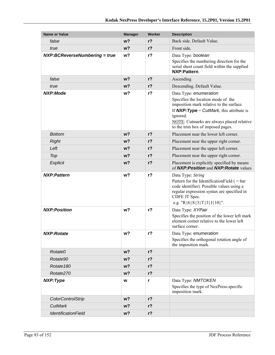| <b>Name or Value</b>          | <b>Manager</b>                                    | Worker         | <b>Description</b>                                                                                                                                                                                              |  |
|-------------------------------|---------------------------------------------------|----------------|-----------------------------------------------------------------------------------------------------------------------------------------------------------------------------------------------------------------|--|
| false                         | w <sub>2</sub>                                    | $r$ ?          | Back side. Default Value.                                                                                                                                                                                       |  |
| true                          | $w$ ?                                             | $r$ ?          | Front side.                                                                                                                                                                                                     |  |
| NXP:BCReverseNumbering = true | w <sub>2</sub>                                    | $r$ ?          | Data Type: boolean<br>Specifies the numbering direction for the<br>serial sheet count field within the supplied<br>NXP:Pattern.                                                                                 |  |
| false                         | w <sub>2</sub>                                    | $r$ ?          | Ascending                                                                                                                                                                                                       |  |
| true                          | w <sub>2</sub>                                    | r <sub>2</sub> | Descending. Default Value.                                                                                                                                                                                      |  |
| <b>NXP:Mode</b>               | $r$ ?<br>w?<br>Data Type: enumeration<br>ignored. |                | Specifies the location mode of the<br>imposition mark relative to the surface.<br>If $NXP:Type = CutMark$ , this attribute is<br>NOTE: Cutmarks are always placed relative<br>to the trim box of imposed pages. |  |
| <b>Bottom</b>                 | $w$ ?                                             | r <sub>2</sub> | Placement near the lower left corner.                                                                                                                                                                           |  |
| <b>Right</b>                  | w <sub>2</sub>                                    | r <sub>2</sub> | Placement near the upper right corner.                                                                                                                                                                          |  |
| Left                          | $w$ ?                                             | $r$ ?          | Placement near the upper left corner.                                                                                                                                                                           |  |
| Top                           | $w$ ?                                             | $r$ ?          | Placement near the upper right corner.                                                                                                                                                                          |  |
| Explicit                      | w <sub>2</sub>                                    | r <sub>2</sub> | Placement is explicitly specified by means<br>of NXP: Position and NXP: Rotate values                                                                                                                           |  |
| <b>NXP:Pattern</b>            | w?                                                | $r$ ?          | Data Type: String<br>Pattern for the Identification Field $($ = bar<br>code identifier). Possible values using a<br>regular expression syntax are specified in<br>CDFE JT Spec.<br>e.g. "R{6}S{3}T{3}J{10}".    |  |
| <b>NXP:Position</b>           | w?                                                | $r$ ?          | Data Type: XYPair<br>Specifies the position of the lower left mark<br>element corner relative to the lower left<br>surface corner.                                                                              |  |
| NXP:Rotate                    | w?                                                | r?             | Data Type: enumeration<br>Specifies the orthogonal rotation angle of<br>the imposition mark.                                                                                                                    |  |
| Rotate0                       | $w$ ?                                             | $r$ ?          |                                                                                                                                                                                                                 |  |
| Rotate90                      | $w$ ?                                             | $r$ ?          |                                                                                                                                                                                                                 |  |
| Rotate <sub>180</sub>         | $w$ ?                                             | $r$ ?          |                                                                                                                                                                                                                 |  |
| Rotate270                     | $w$ ?                                             | $r$ ?          |                                                                                                                                                                                                                 |  |
| NXP:Type                      | W                                                 | r              | Data Type: NMTOKEN<br>Specifies the type of NexPress-specific<br>imposition mark.                                                                                                                               |  |
| <b>ColorControlStrip</b>      | $w$ ?                                             | $r$ ?          |                                                                                                                                                                                                                 |  |
| <b>CutMark</b>                | $w$ ?                                             | $r$ ?          |                                                                                                                                                                                                                 |  |
| <b>IdentificationField</b>    | $w$ ?                                             | $r$ ?          |                                                                                                                                                                                                                 |  |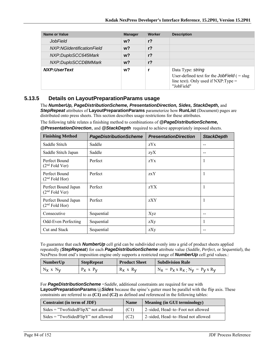| Name or Value             | <b>Manager</b> | Worker         | <b>Description</b>                                                                                                               |
|---------------------------|----------------|----------------|----------------------------------------------------------------------------------------------------------------------------------|
| <b>JobField</b>           | $w$ ?          | $r$ ?          |                                                                                                                                  |
| NXP:NGIdentificationField | $w$ ?          | $r$ ?          |                                                                                                                                  |
| NXP:DuploSCC645Mark       | $w$ ?          | r <sub>2</sub> |                                                                                                                                  |
| NXP:DuploSCCDBMMark       | w <sup>2</sup> | r <sub>2</sub> |                                                                                                                                  |
| NXP:UserText              | $w$ ?          |                | Data Type: string<br>User-defined text for the <b>JobField</b> $($ = slug<br>line text). Only used if $NXP:Type =$<br>"JobField" |

### **5.13.5 Details on LayoutPreparationParams usage**

The *NumberUp, PageDistributionScheme, PresentationDirection, Sides, StackDepth,* and *StepRepeat* attributes of **LayoutPreparationParams** parameterize how **RunList** (Document) pages are distributed onto press sheets. This section describes usage restrictions for these attributes.

The following table relates a finishing method to combinations of *@PageDistributionScheme,* 

*@PresentationDirection*, and *@StackDepth* required to achieve appropriately imposed sheets.

| <b>Finishing Method</b>                           | <b>PageDistributionScheme</b> | <b>PresentationDirection</b> | <b>StackDepth</b> |
|---------------------------------------------------|-------------------------------|------------------------------|-------------------|
| Saddle Stitch                                     | Saddle                        | zYx                          | --                |
| Saddle Stitch Japan                               | Saddle                        | zyX                          |                   |
| Perfect Bound<br>$(2nd$ Fold Ver)                 | Perfect                       | zYx                          |                   |
| Perfect Bound<br>$(2nd$ Fold Hor)                 | Perfect                       | zxY                          | J.                |
| Perfect Bound Japan<br>(2 <sup>nd</sup> Fold Ver) | Perfect                       | zYX                          | 1                 |
| Perfect Bound Japan<br>$(2nd$ Fold Hor)           | Perfect                       | zXY                          | 1                 |
| Consecutive                                       | Sequential                    | Xyz                          |                   |
| Odd-Even Perfecting                               | Sequential                    | zXy                          |                   |
| Cut and Stack                                     | Sequential                    | zXy                          |                   |

To guarantee that each *NumberUp* cell grid can be subdivided evenly into a grid of product sheets applied repeatedly *(StepRepeat)* for each *PageDistributionScheme* attribute value (*Saddle*, *Perfect*, or *Sequential*), the NexPress front end's imposition engine only supports a restricted range of *NumberUp* cell grid values.:

| NumberUp      | <b>StepRepeat</b> | <b>Product Sheet</b> | <b>Subdivision Rule</b>                         |
|---------------|-------------------|----------------------|-------------------------------------------------|
| $N_X$ x $N_V$ | $P_X \times P_V$  | $R_X \times R_V$     | $N_X = P_X \times R_X$ ; $N_V = P_V \times R_V$ |

For *PageDistributionScheme* =*Saddle*, additional constraints are required for use with **LayoutPreparationParams**/@*Sides* because the spine's gutter must be parallel with the flip axis. These constraints are referred to as **(C1)** and **(C2)** as defined and referenced in the following tables:

| Constraint (in term of JDF)           | <b>Name</b> | <b>Meaning (in GUI terminology)</b> |
|---------------------------------------|-------------|-------------------------------------|
| $Sides = "TwoSidedFlipX"$ not allowed | (C1)        | 2-sided, Head-to-Foot not allowed   |
| $Sides = "TwoSidedFlipY"$ not allowed | (C2)        | 2-sided, Head-to-Head not allowed   |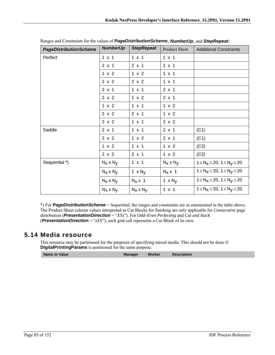| <b>PageDistributionScheme</b> | <b>NumberUp</b>  | <b>StepRepeat</b> | Product Sheet    | <b>Additional Constraints</b>               |
|-------------------------------|------------------|-------------------|------------------|---------------------------------------------|
| Perfect                       | $1 \times 1$     | $1 \times 1$      | $1 \times 1$     |                                             |
|                               | $2 \times 1$     | $2 \times 1$      | $1 \times 1$     |                                             |
|                               | 1 x 2            | 1 x 2             | $1 \times 1$     |                                             |
|                               | 2 x 2            | 2 x 2             | $1 \times 1$     |                                             |
|                               | $2 \times 1$     | $1 \times 1$      | $2 \times 1$     |                                             |
|                               | 2 x 2            | 1 x 2             | $2 \times 1$     |                                             |
|                               | 1 x 2            | $1 \times 1$      | 1 x 2            |                                             |
|                               | 2 x 2            | $2 \times 1$      | 1 x 2            |                                             |
|                               | 2 x 2            | $1 \times 1$      | 2 x 2            |                                             |
| Saddle                        | $2 \times 1$     | $1 \times 1$      | $2 \times 1$     | (C1)                                        |
|                               | 2 x 2            | 1 x 2             | $2 \times 1$     | (C1)                                        |
|                               | 1 x 2            | 1 x 1             | 1 x 2            | (C2)                                        |
|                               | 2 x 2            | $2 \times 1$      | 1 x 2            | (C2)                                        |
| Sequential *)                 | $N_X \times N_Y$ | $1 \times 1$      | $N_X \times N_V$ | $1 \leq N_X \leq 20$ , $1 \leq N_V \leq 20$ |
|                               | $N_X \times N_V$ | $1 \times N_V$    | $N_X \times 1$   | $1 \leq N_X \leq 20$ , $1 \leq N_V \leq 20$ |
|                               | $N_X \times N_V$ | $N_X \times 1$    | $1 \times N_V$   | $1 \leq N_X \leq 20$ , $1 \leq N_V \leq 20$ |
|                               | $N_X \times N_V$ | $N_X \times N_V$  | $1 \times 1$     | $1 \leq N_X \leq 20$ , $1 \leq N_V \leq 20$ |

|  |  | Ranges and Constraints for the values of <b>PageDistributionScheme</b> , <b>NumberUp</b> , and <b>StepRepeat:</b> |
|--|--|-------------------------------------------------------------------------------------------------------------------|
|--|--|-------------------------------------------------------------------------------------------------------------------|

\*) For *PageDistributionScheme* = *Sequential*, the ranges and constraints are as enumerated in the table above. The Product Sheet column values interpreted as Cut Blocks for finishing are only applicable for *Consecutive* page distribution (*PresentationDirection* = "*XYz*"). For *Odd–Even Perfecting* and *Cut and Stack* (*PresentationDirection* = "*zXY*"), each grid cell represents a Cut Block of its own.

# **5.14 Media resource**

This resource may be partitioned for the purposes of specifying mixed media. This should not be done if **DigitalPrintingParams** is partitioned for the same purpose.

| Name or Value | <b>Manager</b> | Worker | <b>Description</b> |
|---------------|----------------|--------|--------------------|
|---------------|----------------|--------|--------------------|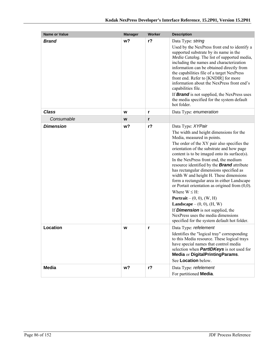| <b>Name or Value</b> | <b>Manager</b> | Worker | <b>Description</b>                                                                                                                                                                                                                                                                                                                                                                                                                                                                                                                                                                                                                                                                                                                                                       |
|----------------------|----------------|--------|--------------------------------------------------------------------------------------------------------------------------------------------------------------------------------------------------------------------------------------------------------------------------------------------------------------------------------------------------------------------------------------------------------------------------------------------------------------------------------------------------------------------------------------------------------------------------------------------------------------------------------------------------------------------------------------------------------------------------------------------------------------------------|
| <b>Brand</b>         | w?             | $r$ ?  | Data Type: string<br>Used by the NexPress front end to identify a<br>supported substrate by its name in the<br>Media Catalog. The list of supported media,<br>including the names and characterization<br>information can be obtained directly from<br>the capabilities file of a target NexPress<br>front end. Refer to [KNDIR] for more<br>information about the NexPress front end's<br>capabilities file.<br>If <b>Brand</b> is not supplied, the NexPress uses<br>the media specified for the system default<br>hot folder.                                                                                                                                                                                                                                         |
| <b>Class</b>         | W              | r      | Data Type: enumeration                                                                                                                                                                                                                                                                                                                                                                                                                                                                                                                                                                                                                                                                                                                                                   |
| Consumable           | W              | r      |                                                                                                                                                                                                                                                                                                                                                                                                                                                                                                                                                                                                                                                                                                                                                                          |
| <b>Dimension</b>     | w?             | $r$ ?  | Data Type: XYPair<br>The width and height dimensions for the<br>Media, measured in points.<br>The order of the XY pair also specifies the<br>orientation of the substrate and how page<br>content is to be imaged onto its surface(s).<br>In the NexPress front end, the medium<br>resource identified by the <b>Brand</b> attribute<br>has rectangular dimensions specified as<br>width W and height H. These dimensions<br>form a rectangular area in either Landscape<br>or Portait orientation as origined from $(0,0)$ .<br>Where $W \leq H$ :<br><b>Portrait</b> – $(0, 0)$ , $(W, H)$<br><b>Landscape</b> – $(0, 0)$ , $(H, W)$<br>If <b>Dimension</b> is not supplied, the<br>NexPress uses the media dimensions<br>specified for the system default hot folder. |
| Location             | w              | r      | Data Type: refelement<br>Identifies the "logical tray" corresponding<br>to this Media resource. These logical trays<br>have special names that control media<br>selection when <b>PartIDKeys</b> is not used for<br>Media or DigitalPrintingParams.<br>See Location below.                                                                                                                                                                                                                                                                                                                                                                                                                                                                                               |
| Media                | w <sub>2</sub> | $r$ ?  | Data Type: refelement<br>For partitioned Media.                                                                                                                                                                                                                                                                                                                                                                                                                                                                                                                                                                                                                                                                                                                          |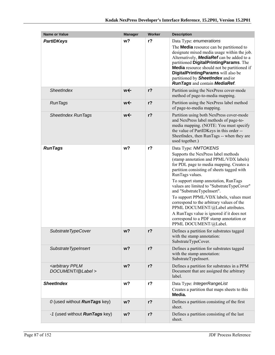| <b>Name or Value</b>                                   | <b>Manager</b> | Worker         | <b>Description</b>                                                                                                                                                                                                                                                                                                                                                                                                                                                                                                                                                                 |
|--------------------------------------------------------|----------------|----------------|------------------------------------------------------------------------------------------------------------------------------------------------------------------------------------------------------------------------------------------------------------------------------------------------------------------------------------------------------------------------------------------------------------------------------------------------------------------------------------------------------------------------------------------------------------------------------------|
| <b>PartIDKeys</b>                                      | w?             | $r$ ?          | Data Type: enumerations<br>The <b>Media</b> resource can be partitioned to<br>designate mixed media usage within the job.<br>Alternatively, <b>MediaRef</b> can be added to a<br>partitioned DigitalPrintingParams. The<br><b>Media</b> resource should not be partitioned if<br>DigitalPrintingParams will also be<br>partitioned by <b>SheetIndex</b> and/or<br><b>RunTags</b> and contain <b>MediaRef</b> .                                                                                                                                                                     |
| <b>SheetIndex</b>                                      | w←             | $r$ ?          | Partition using the NexPress cover-mode<br>method of page-to-media mapping.                                                                                                                                                                                                                                                                                                                                                                                                                                                                                                        |
| <b>RunTags</b>                                         | w←             | $r$ ?          | Partition using the NexPress label method<br>of page-to-media mapping.                                                                                                                                                                                                                                                                                                                                                                                                                                                                                                             |
| <b>SheetIndex RunTags</b>                              | w←             | r <sub>2</sub> | Partition using both NexPress cover-mode<br>and NexPress label methods of page-to-<br>media mapping. (NOTE: You must specify<br>the value of PartIDKeys in this order --<br>SheetIndex, then RunTags -- when they are<br>used together.)                                                                                                                                                                                                                                                                                                                                           |
| <b>RunTags</b>                                         | w?             | $r$ ?          | Data Type: NMTOKENS<br>Supports the NexPress label methods<br>(stamp annotation and PPML/VDX labels)<br>for PDL page to media mapping. Creates a<br>partition consisting of sheets tagged with<br>RunTags values.<br>To support stamp annotation, RunTags<br>values are limited to "SubstrateTypeCover"<br>and "SubstrateTypeInsert".<br>To support PPML/VDX labels, values must<br>correspond to the arbitrary values of the<br>PPML DOCUMENT/@Label attributes.<br>A RunTags value is ignored if it does not<br>correspond to a PDF stamp annotation or<br>PPML DOCUMENT/@Label. |
| SubstrateTypeCover                                     | w?             | $r$ ?          | Defines a partition for substrates tagged<br>with the stamp annotation:<br>SubstrateTypeCover.                                                                                                                                                                                                                                                                                                                                                                                                                                                                                     |
| SubstrateTypeInsert                                    | w?             | $r$ ?          | Defines a partition for substrates tagged<br>with the stamp annotation:<br>SubstrateTypeInsert.                                                                                                                                                                                                                                                                                                                                                                                                                                                                                    |
| <arbitrary pplm<br="">DOCUMENT/@Label &gt;</arbitrary> | w?             | r <sub>2</sub> | Defines a partition for substrates in a PPM<br>Document that are assigned the arbitrary<br>label.                                                                                                                                                                                                                                                                                                                                                                                                                                                                                  |
| <b>SheetIndex</b>                                      | w <sub>2</sub> | $r$ ?          | Data Type: IntegerRangeList<br>Creates a partition that maps sheets to this<br>Media.                                                                                                                                                                                                                                                                                                                                                                                                                                                                                              |
| 0 (used without RunTags key)                           | w <sub>2</sub> | r <sub>2</sub> | Defines a partition consisting of the first<br>sheet.                                                                                                                                                                                                                                                                                                                                                                                                                                                                                                                              |
| -1 (used without <b>RunTags</b> key)                   | $w$ ?          | $r$ ?          | Defines a partition consisting of the last<br>sheet.                                                                                                                                                                                                                                                                                                                                                                                                                                                                                                                               |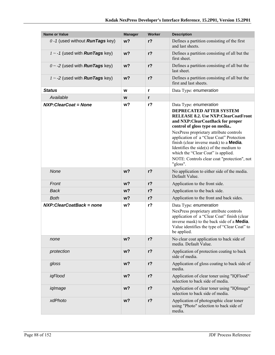| <b>Name or Value</b>                       | <b>Manager</b> | <b>Worker</b> | <b>Description</b>                                                                                                                                                                                                                                                                                                                                                                                                                                             |
|--------------------------------------------|----------------|---------------|----------------------------------------------------------------------------------------------------------------------------------------------------------------------------------------------------------------------------------------------------------------------------------------------------------------------------------------------------------------------------------------------------------------------------------------------------------------|
| $0 - 1$ (used without <b>RunTags</b> key)  | w <sub>2</sub> | $r$ ?         | Defines a partition consisting of the first<br>and last sheets.                                                                                                                                                                                                                                                                                                                                                                                                |
| $1 \sim 1$ (used with <b>RunTags</b> key)  | w <sub>2</sub> | $r$ ?         | Defines a partition consisting of all but the<br>first sheet                                                                                                                                                                                                                                                                                                                                                                                                   |
| $0 \sim -2$ (used with <b>RunTags</b> key) | $w$ ?          | $r$ ?         | Defines a partition consisting of all but the<br>last sheet.                                                                                                                                                                                                                                                                                                                                                                                                   |
| $1 \sim -2$ (used with <b>RunTags</b> key) | $w$ ?          | $r$ ?         | Defines a partition consisting of all but the<br>first and last sheets.                                                                                                                                                                                                                                                                                                                                                                                        |
| <b>Status</b>                              | W              | r             | Data Type: enumeration                                                                                                                                                                                                                                                                                                                                                                                                                                         |
| Available                                  | W              | r             |                                                                                                                                                                                                                                                                                                                                                                                                                                                                |
| <b>NXP:ClearCoat = None</b>                | w?             | $r$ ?         | Data Type: enumeration<br>DEPRECATED AFTER SYSTEM<br><b>RELEASE 8.2. Use NXP:ClearCoatFront</b><br>and NXP:ClearCoatBack for proper<br>control of gloss type on media<br>NexPress proprietary attribute controls<br>application of a "Clear Coat" Protection<br>finish (clear inverse mask) to a <b>Media</b> .<br>Identifies the side $(s)$ of the medium to<br>which the "Clear Coat" is applied.<br>NOTE: Controls clear coat "protection", not<br>"gloss". |
| None                                       | w <sub>2</sub> | $r$ ?         | No application to either side of the media.<br>Default Value.                                                                                                                                                                                                                                                                                                                                                                                                  |
| Front                                      | w <sub>2</sub> | $r$ ?         | Application to the front side.                                                                                                                                                                                                                                                                                                                                                                                                                                 |
| <b>Back</b>                                | w <sub>2</sub> | $r$ ?         | Application to the back side.                                                                                                                                                                                                                                                                                                                                                                                                                                  |
| <b>Both</b>                                | w?             | $r$ ?         | Application to the front and back sides.                                                                                                                                                                                                                                                                                                                                                                                                                       |
| NXP: Clear Coat Back = none                | w?             | $r$ ?         | Data Type: enumeration<br>NexPress proprietary attribute controls<br>application of a "Clear Coat" finish (clear<br>inverse mask) to the back side of a <b>Media</b> .<br>Value identifies the type of "Clear Coat" to<br>be applied.                                                                                                                                                                                                                          |
| none                                       | w <sub>2</sub> | $r$ ?         | No clear coat application to back side of<br>media. Default Value.                                                                                                                                                                                                                                                                                                                                                                                             |
| protection                                 | $w$ ?          | $r$ ?         | Application of protection coating to back<br>side of media.                                                                                                                                                                                                                                                                                                                                                                                                    |
| gloss                                      | $w$ ?          | $r$ ?         | Application of gloss coating to back side of<br>media.                                                                                                                                                                                                                                                                                                                                                                                                         |
| iqFlood                                    | $w$ ?          | $r$ ?         | Application of clear toner using "IQFlood"<br>selection to back side of media.                                                                                                                                                                                                                                                                                                                                                                                 |
| iqImage                                    | $w$ ?          | $r$ ?         | Application of clear toner using "IQImage"<br>selection to back side of media.                                                                                                                                                                                                                                                                                                                                                                                 |
| xdPhoto                                    | w?             | $r$ ?         | Application of photographic clear toner<br>using "Photo" selection to back side of<br>media.                                                                                                                                                                                                                                                                                                                                                                   |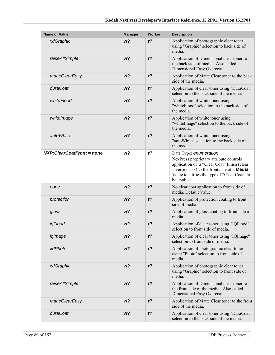| <b>Name or Value</b>             | <b>Manager</b> | Worker         | <b>Description</b>                                                                                                                                                                                                                     |
|----------------------------------|----------------|----------------|----------------------------------------------------------------------------------------------------------------------------------------------------------------------------------------------------------------------------------------|
| xdGraphic                        | w <sub>2</sub> | $r$ ?          | Application of photographic clear toner<br>using "Graphic" selection to back side of<br>media.                                                                                                                                         |
| raiseAllSimple                   | w <sub>2</sub> | $r$ ?          | Application of Dimensional clear toner to<br>the back side of media. Also called<br>Dimensional Easy Overcoat.                                                                                                                         |
| matteClearEasy                   | w <sub>2</sub> | $r$ ?          | Application of Matte Clear toner to the back<br>side of the media.                                                                                                                                                                     |
| duraCoat                         | w <sub>2</sub> | $r$ ?          | Application of clear toner using "DuraCoat"<br>selection to the back side of the media.                                                                                                                                                |
| whiteFlood                       | w <sub>2</sub> | $r$ ?          | Application of white toner using<br>"whiteFlood" selection to the back side of<br>the media.                                                                                                                                           |
| whitelmage                       | w?             | $r$ ?          | Application of white toner using<br>"whiteImage" selection to the back side of<br>the media.                                                                                                                                           |
| autoWhite                        | w <sub>2</sub> | $r$ ?          | Application of white toner using<br>"autoWhite" selection to the back side of<br>the media.                                                                                                                                            |
| <b>NXP:ClearCoatFront = none</b> | w?             | $r$ ?          | Data Type: enumeration<br>NexPress proprietary attribute controls<br>application of a "Clear Coat" finish (clear<br>inverse mask) to the front side of a <b>Media</b> .<br>Value identifies the type of "Clear Coat" to<br>be applied. |
| none                             | w <sub>2</sub> | r <sub>2</sub> | No clear coat application to front side of<br>media. Default Value.                                                                                                                                                                    |
| protection                       | w?             | $r$ ?          | Application of protection coating to front<br>side of media.                                                                                                                                                                           |
| gloss                            | $w$ ?          | $r$ ?          | Application of gloss coating to front side of<br>media.                                                                                                                                                                                |
| igFlood                          | w?             | $r$ ?          | Application of clear toner using "IQFlood"<br>selection to front side of media.                                                                                                                                                        |
| iqlmage                          | w?             | $r$ ?          | Application of clear toner using "IQImage"<br>selection to front side of media.                                                                                                                                                        |
| xdPhoto                          | w?             | r <sub>2</sub> | Application of photographic clear toner<br>using "Photo" selection to front side of<br>media.                                                                                                                                          |
| xdGraphic                        | w?             | $r$ ?          | Application of photographic clear toner<br>using "Graphic" selection to front side of<br>media.                                                                                                                                        |
| raiseAllSimple                   | w?             | $r$ ?          | Application of Dimensional clear toner to<br>the front side of the media. Also called<br>Dimensional Easy Overcoat.                                                                                                                    |
| matteClearEasy                   | w?             | $r$ ?          | Application of Matte Clear toner to the front<br>side of the media.                                                                                                                                                                    |
| duraCoat                         | w <sub>2</sub> | $r$ ?          | Application of clear toner using "DuraCoat"<br>selection to the back side of the media.                                                                                                                                                |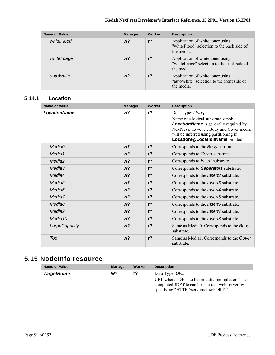| Name or Value | <b>Manager</b> | Worker | <b>Description</b>                                                                            |
|---------------|----------------|--------|-----------------------------------------------------------------------------------------------|
| whiteFlood    | $w$ ?          | $r$ ?  | Application of white toner using<br>"white Flood" selection to the back side of<br>the media. |
| whitelmage    | $w$ ?          | $r$ ?  | Application of white toner using<br>"whiteImage" selection to the back side of<br>the media.  |
| autoWhite     | w?             | $r$ ?  | Application of white toner using<br>"autoWhite" selection to the front side of<br>the media.  |

### **5.14.1 Location**

| Name or Value       | <b>Manager</b> | Worker         | <b>Description</b>                                                                                                                                                                                                               |
|---------------------|----------------|----------------|----------------------------------------------------------------------------------------------------------------------------------------------------------------------------------------------------------------------------------|
| <b>LocationName</b> | w <sup>2</sup> | r <sub>2</sub> | Data Type: string<br>Name of a logical substrate supply.<br><b>LocationName</b> is generally required by<br>NexPress; however, Body and Cover media<br>will be inferred using partitioning if<br>Location/@LocationName omitted. |
| Media0              | $w$ ?          | r <sub>2</sub> | Corresponds to the Body substrate.                                                                                                                                                                                               |
| Media1              | w <sub>2</sub> | r <sub>2</sub> | Corresponds to Cover substrate.                                                                                                                                                                                                  |
| Media <sub>2</sub>  | w <sub>2</sub> | r <sub>2</sub> | Corresponds to Insert substrate.                                                                                                                                                                                                 |
| Media3              | w <sub>2</sub> | r <sub>2</sub> | Corresponds to Separators substrate.                                                                                                                                                                                             |
| Media4              | w <sub>2</sub> | r <sub>2</sub> | Corresponds to the <i>Insert2</i> substrate.                                                                                                                                                                                     |
| Media <sub>5</sub>  | w <sub>2</sub> | r <sub>2</sub> | Corresponds to the <i>Insert3</i> substrate.                                                                                                                                                                                     |
| Media <sub>6</sub>  | w <sub>2</sub> | r <sub>2</sub> | Corresponds to the <i>Insert4</i> substrate.                                                                                                                                                                                     |
| Media7              | $w$ ?          | r <sub>2</sub> | Corresponds to the <i>Insert5</i> substrate.                                                                                                                                                                                     |
| Media <sub>8</sub>  | w <sub>2</sub> | r <sub>2</sub> | Corresponds to the <i>Insert6</i> substrate.                                                                                                                                                                                     |
| Media9              | w <sub>2</sub> | r <sub>2</sub> | Corresponds to the <i>Insert7</i> substrate.                                                                                                                                                                                     |
| Media <sub>10</sub> | w <sub>2</sub> | r <sub>2</sub> | Corresponds to the <i>Insert8</i> substrate.                                                                                                                                                                                     |
| LargeCapacity       | w <sup>2</sup> | r <sub>2</sub> | Same as Media0. Corresponds to the Body<br>substrate.                                                                                                                                                                            |
| Top                 | w <sub>2</sub> | $r$ ?          | Same as Media1. Corresponds to the Cover<br>substrate.                                                                                                                                                                           |

# **5.15 NodeInfo resource**

| <b>Name or Value</b> | <b>Manager</b> | Worker | <b>Description</b>                                                                                                                                               |
|----------------------|----------------|--------|------------------------------------------------------------------------------------------------------------------------------------------------------------------|
| <b>TargetRoute</b>   | w?             | r?     | Data Type: URL<br>URL where JDF is to be sent after completion. The<br>completed JDF file can be sent to a web server by<br>specifying "HTTP://servername:PORT#" |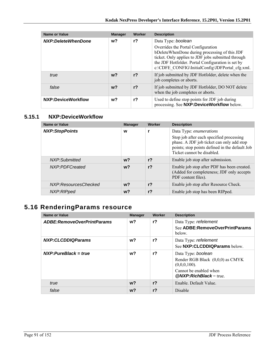| <b>Name or Value</b> | <b>Manager</b> | Worker         | <b>Description</b>                                                                                                                                                                                                                                                      |
|----------------------|----------------|----------------|-------------------------------------------------------------------------------------------------------------------------------------------------------------------------------------------------------------------------------------------------------------------------|
| NXP:DeleteWhenDone   | w?             | $r$ ?          | Data Type: boolean<br>Overrides the Portal Configuration<br>bDeleteWhenDone during processing of this JDF<br>ticket. Only applies to JDF jobs submitted through<br>the JDF Hotfolder. Portal Configuration is set by<br>c:\CDFE_CONFIG\InitialConfig\JDFPortal_cfg.xml. |
| true                 | $w$ ?          | r <sub>2</sub> | If job submitted by JDF Hotfolder, delete when the<br>job completes or aborts.                                                                                                                                                                                          |
| false                | $w$ ?          | r <sub>2</sub> | If job submitted by JDF Hotfolder, DO NOT delete<br>when the job completes or aborts.                                                                                                                                                                                   |
| NXP:DeviceWorkflow   | w?             | r?             | Used to define stop points for JDF job during<br>processing. See NXP:DeviceWorkflow below.                                                                                                                                                                              |

### **5.15.1 NXP:DeviceWorkflow**

| <b>Name or Value</b>  | <b>Manager</b> | Worker         | <b>Description</b>                                                                                                                                                                               |
|-----------------------|----------------|----------------|--------------------------------------------------------------------------------------------------------------------------------------------------------------------------------------------------|
| <b>NXP:StopPoints</b> | W              | r              | Data Type: enumerations<br>Stop job after each specified processing<br>phase. A JDF job ticket can only add stop<br>points; stop points defined in the default Job<br>Ticket cannot be disabled. |
| NXP:Submitted         | $w$ ?          | r <sub>2</sub> | Enable job stop after submission.                                                                                                                                                                |
| NXP:PDFCreated        | $w$ ?          | r <sub>2</sub> | Enable job stop after PDF has been created.<br>(Added for completeness; JDF only accepts<br>PDF content files).                                                                                  |
| NXP:ResourcesChecked  | $w$ ?          | r <sub>2</sub> | Enable job stop after Resource Check.                                                                                                                                                            |
| NXP:RIPped            | $w$ ?          | $r$ ?          | Enable job stop has been RIPped.                                                                                                                                                                 |

# **5.16 RenderingParams resource**

| <b>Name or Value</b>       | <b>Manager</b> | <b>Worker</b>  | <b>Description</b>                                                                                                             |
|----------------------------|----------------|----------------|--------------------------------------------------------------------------------------------------------------------------------|
| ADBE:RemoveOverPrintParams | $w$ ?          | r <sup>2</sup> | Data Type: refelement<br>See ADBE: RemoveOverPrintParams<br>below.                                                             |
| NXP:CLCDDIQParams          | $w$ ?          | $r$ ?          | Data Type: refelement<br>See NXP:CLCDDIQParams below.                                                                          |
| $NXP: PureBlack = true$    | w?             | $r$ ?          | Data Type: boolean<br>Render RGB Black (0,0,0) as CMYK<br>$(0,0,0,100)$ .<br>Cannot be enabled when<br>$@NXP:RichBlack = true$ |
| true                       | $w$ ?          | r <sub>2</sub> | Enable. Default Value.                                                                                                         |
| false                      | w?             | r <sub>2</sub> | <b>Disable</b>                                                                                                                 |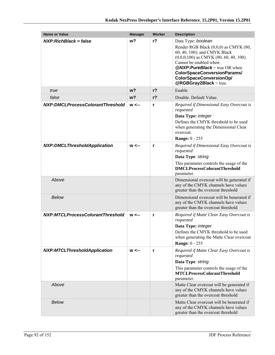| <b>Name or Value</b>                         | <b>Manager</b> | Worker         | <b>Description</b>                                                                                                                                                                                                                                                                              |
|----------------------------------------------|----------------|----------------|-------------------------------------------------------------------------------------------------------------------------------------------------------------------------------------------------------------------------------------------------------------------------------------------------|
| $NXP: RichBlack = false$                     | w <sub>2</sub> | $r$ ?          | Data Type: boolean<br>Render RGB Black (0,0,0) as CMYK (80,<br>60, 40, 100); and CMYK Black<br>$(0,0,0,100)$ as CMYK $(80, 60, 40, 100)$ .<br>Cannot be enabled when<br>$@NXP: Pure Black = true OR when$<br>ColorSpaceConversionParams/<br>ColorSpaceConversionOp/<br>$@RGBGray2Black = true.$ |
| true                                         | w <sub>2</sub> | r <sub>2</sub> | Enable                                                                                                                                                                                                                                                                                          |
| false                                        | w <sub>2</sub> | r <sub>2</sub> | Disable. Default Value.                                                                                                                                                                                                                                                                         |
| NXP:DMCLProcessColorantThreshold             | $w \leftarrow$ | r              | Required if Dimensional Easy Overcoat is<br>requested<br>Data Type: integer<br>Defines the CMYK threshold to be used<br>when generating the Dimensional Clear<br>overcoat.<br><b>Range: 0 - 255</b>                                                                                             |
| <b>NXP:DMCLThresholdApplication</b>          | $w \leftarrow$ | r              | Required if Dimensional Easy Overcoat is<br>requested<br>Data Type: string<br>This parameter controls the usage of the<br><b>DMCLProcessColorantThreshold</b><br>parameter.                                                                                                                     |
| Above                                        |                |                | Dimensional overcoat will be generated if<br>any of the CMYK channels have values<br>greater than the overcoat threshold                                                                                                                                                                        |
| <b>Below</b>                                 |                |                | Dimensional overcoat will be benerated if<br>any of the CMYK channels have values<br>greater than the overcoat threshold                                                                                                                                                                        |
| NXP:MTCLProcessColorantThreshold             | $w \leftarrow$ | r              | Required if Matte Clear Easy Overcoat is<br>requested<br>Data Type: integer<br>Defines the CMYK threshold to be used<br>when generating the Matte Clear overcoat.<br><b>Range: 0 - 255</b>                                                                                                      |
| <b>NXP:MTCLThresholdApplication</b><br>Above | $w \leftarrow$ | r              | Required if Matte Clear Easy Overcoat is<br>requested<br>Data Type: string<br>This parameter controls the usage of the<br><b>MTCLProcessColorantThreshold</b><br>parameter.<br>Matte Clear overcoat will be generated if                                                                        |
|                                              |                |                | any of the CMYK channels have values<br>greater than the overcoat threshold                                                                                                                                                                                                                     |
| <b>Below</b>                                 |                |                | Matte Clear overcoat will be benerated if<br>any of the CMYK channels have values<br>greater than the overcoat threshold                                                                                                                                                                        |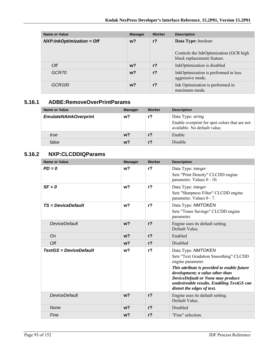| Name or Value                | <b>Manager</b> | Worker         | <b>Description</b>                                                    |
|------------------------------|----------------|----------------|-----------------------------------------------------------------------|
| $NXP: InkOptimization = Off$ | $w$ ?          | $r$ ?          | Data Type: boolean                                                    |
|                              |                |                | Controls the InkOptimization (GCR high<br>black replacement) feature. |
| Off                          | $w$ ?          | r <sub>2</sub> | InkOptimization is disabled                                           |
| GCR70                        | $w$ ?          | r <sub>2</sub> | InkOptimization is performed in less<br>aggressive mode.              |
| GCR <sub>100</sub>           | $w$ ?          | r <sub>2</sub> | Ink Optimization is performed in<br>maximum mode.                     |

### **5.16.1 ADBE:RemoveOverPrintParams**

| Name or Value                | <b>Manager</b> | Worker         | <b>Description</b>                                                                                        |
|------------------------------|----------------|----------------|-----------------------------------------------------------------------------------------------------------|
| <b>EmulateNAInkOverprint</b> | w?             | r?             | Data Type: <i>string</i><br>Enable overprint for spot colors that are not<br>available. No default value. |
| true                         | $w$ ?          | r <sub>2</sub> | Enable                                                                                                    |
| false                        | w?             | r?             | <b>Disable</b>                                                                                            |

### **5.16.2 NXP:CLCDDIQParams**

| <b>Name or Value</b>   | <b>Manager</b> | Worker         | <b>Description</b>                                                                                                                                                                                                                                                                 |
|------------------------|----------------|----------------|------------------------------------------------------------------------------------------------------------------------------------------------------------------------------------------------------------------------------------------------------------------------------------|
| $PD = 0$               | w <sub>2</sub> | $r$ ?          | Data Type: integer<br>Sets "Print Density" CLCDD engine<br>parameter. Values 0 - 10.                                                                                                                                                                                               |
| $SF = 0$               | w?             | $r$ ?          | Data Type: integer<br>Sets "Sharpness Filter" CLCDD engine<br>parameter. Values 0 - 7.                                                                                                                                                                                             |
| TS = DeviceDefault     | w <sub>2</sub> | r <sub>2</sub> | Data Type: NMTOKEN<br>Sets "Toner Savings" CLCDD engine<br>parameter.                                                                                                                                                                                                              |
| <b>DeviceDefault</b>   | w <sub>2</sub> | r <sub>2</sub> | Engine uses its default setting.<br>Default Value.                                                                                                                                                                                                                                 |
| On                     | $w$ ?          | r <sub>2</sub> | Enabled                                                                                                                                                                                                                                                                            |
| Off                    | w <sub>2</sub> | r <sub>2</sub> | Disabled                                                                                                                                                                                                                                                                           |
| TextGS = DeviceDefault | w <sub>2</sub> | r <sub>2</sub> | Data Type: NMTOKEN<br>Sets "Text Gradation Smoothing" CLCDD<br>engine parameter.<br>This attribute is provided to enable future<br>development; a value other than<br>DeviceDefault or None may produce<br>undesireable results. Enabling TextGS can<br>distort the edges of text. |
| <b>DeviceDefault</b>   | w <sub>2</sub> | r <sub>2</sub> | Engine uses its default setting.<br>Default Value.                                                                                                                                                                                                                                 |
| <b>None</b>            | w <sub>2</sub> | r <sub>2</sub> | Disabled                                                                                                                                                                                                                                                                           |
| Fine                   | w <sub>2</sub> | r <sub>2</sub> | "Fine" selection.                                                                                                                                                                                                                                                                  |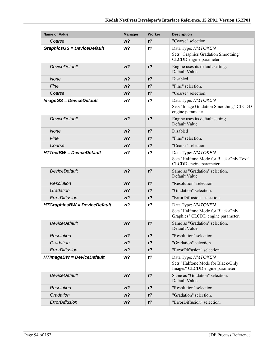| <b>Name or Value</b>                | <b>Manager</b> | <b>Worker</b>  | <b>Description</b>                                                                            |
|-------------------------------------|----------------|----------------|-----------------------------------------------------------------------------------------------|
| Coarse                              | $w$ ?          | $r$ ?          | "Coarse" selection.                                                                           |
| <b>GraphicsGS = DeviceDefault</b>   | w?             | $r$ ?          | Data Type: NMTOKEN<br>Sets "Graphics Gradation Smoothing"<br>CLCDD engine parameter.          |
| <b>DeviceDefault</b>                | w <sub>2</sub> | $r$ ?          | Engine uses its default setting.<br>Default Value.                                            |
| None                                | $w$ ?          | $r$ ?          | Disabled                                                                                      |
| Fine                                | w <sub>2</sub> | $r$ ?          | "Fine" selection.                                                                             |
| Coarse                              | $w$ ?          | $r$ ?          | "Coarse" selection.                                                                           |
| <b>ImageGS = DeviceDefault</b>      | w <sup>2</sup> | r <sub>2</sub> | Data Type: NMTOKEN<br>Sets "Image Gradation Smoothing" CLCDD<br>engine parameter.             |
| <b>DeviceDefault</b>                | W <sup>2</sup> | $r$ ?          | Engine uses its default setting.<br>Default Value.                                            |
| None                                | $w$ ?          | r <sub>2</sub> | Disabled                                                                                      |
| Fine                                | $w$ ?          | r <sub>2</sub> | "Fine" selection.                                                                             |
| Coarse                              | w?             | $r$ ?          | "Coarse" selection.                                                                           |
| <b>HTTextBW</b> = DeviceDefault     | w?             | $r$ ?          | Data Type: NMTOKEN<br>Sets "Halftone Mode for Black-Only Text"<br>CLCDD engine parameter.     |
| <b>DeviceDefault</b>                | $w$ ?          | $r$ ?          | Same as "Gradation" selection.<br>Default Value.                                              |
| Resolution                          | w?             | $r$ ?          | "Resolution" selection.                                                                       |
| Gradation                           | $w$ ?          | r <sub>2</sub> | "Gradation" selection.                                                                        |
| ErrorDiffusion                      | $w$ ?          | $r$ ?          | "ErrorDiffusion" selection.                                                                   |
| <b>HTGraphicsBW = DeviceDefault</b> | w?             | $r$ ?          | Data Type: NMTOKEN<br>Sets "Halftone Mode for Black-Only<br>Graphics" CLCDD engine parameter. |
| <b>DeviceDefault</b>                | w <sub>2</sub> | r <sub>2</sub> | Same as "Gradation" selection.<br>Default Value.                                              |
| <b>Resolution</b>                   | w?             | $r$ ?          | "Resolution" selection.                                                                       |
| Gradation                           | $w$ ?          | $r$ ?          | "Gradation" selection.                                                                        |
| ErrorDiffusion                      | $w$ ?          | $r$ ?          | "ErrorDiffusion" selection.                                                                   |
| <b>HTImageBW = DeviceDefault</b>    | w?             | r <sub>2</sub> | Data Type: NMTOKEN<br>Sets "Halftone Mode for Black-Only<br>Images" CLCDD engine parameter.   |
| <b>DeviceDefault</b>                | $w$ ?          | $r$ ?          | Same as "Gradation" selection.<br>Default Value.                                              |
| <b>Resolution</b>                   | $w$ ?          | $r$ ?          | "Resolution" selection.                                                                       |
| Gradation                           | $w$ ?          | $r$ ?          | "Gradation" selection.                                                                        |
| ErrorDiffusion                      | $w$ ?          | $r$ ?          | "ErrorDiffusion" selection.                                                                   |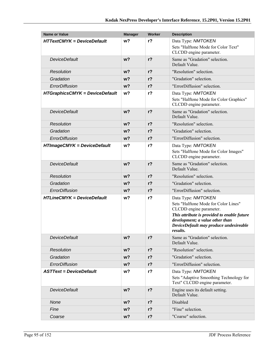| <b>Name or Value</b>                  | <b>Manager</b> | Worker         | <b>Description</b>                                                                                                                                                                                                            |
|---------------------------------------|----------------|----------------|-------------------------------------------------------------------------------------------------------------------------------------------------------------------------------------------------------------------------------|
| <b>HTTextCMYK = DeviceDefault</b>     | w <sub>2</sub> | $r$ ?          | Data Type: NMTOKEN                                                                                                                                                                                                            |
|                                       |                |                | Sets "Halftone Mode for Color Text"<br>CLCDD engine parameter.                                                                                                                                                                |
| <b>DeviceDefault</b>                  | w <sub>2</sub> | $r$ ?          | Same as "Gradation" selection.<br>Default Value.                                                                                                                                                                              |
| <b>Resolution</b>                     | $w$ ?          | r <sub>2</sub> | "Resolution" selection.                                                                                                                                                                                                       |
| Gradation                             | w <sub>2</sub> | r <sub>2</sub> | "Gradation" selection.                                                                                                                                                                                                        |
| ErrorDiffusion                        | w <sub>2</sub> | $r$ ?          | "ErrorDiffusion" selection.                                                                                                                                                                                                   |
| <b>HTGraphicsCMYK = DeviceDefault</b> | w?             | $r$ ?          | Data Type: NMTOKEN<br>Sets "Halftone Mode for Color Graphics"<br>CLCDD engine parameter.                                                                                                                                      |
| <b>DeviceDefault</b>                  | w <sub>2</sub> | $r$ ?          | Same as "Gradation" selection.<br>Default Value.                                                                                                                                                                              |
| <b>Resolution</b>                     | w <sub>2</sub> | r <sub>2</sub> | "Resolution" selection.                                                                                                                                                                                                       |
| Gradation                             | w <sub>2</sub> | r <sub>2</sub> | "Gradation" selection.                                                                                                                                                                                                        |
| ErrorDiffusion                        | $w$ ?          | r <sub>2</sub> | "ErrorDiffusion" selection.                                                                                                                                                                                                   |
| <b>HTImageCMYK = DeviceDefault</b>    | w <sub>2</sub> | $r$ ?          | Data Type: NMTOKEN<br>Sets "Halftone Mode for Color Images"<br>CLCDD engine parameter.                                                                                                                                        |
| <b>DeviceDefault</b>                  | w <sub>2</sub> | r <sub>2</sub> | Same as "Gradation" selection.<br>Default Value.                                                                                                                                                                              |
| <b>Resolution</b>                     | w <sub>2</sub> | r <sub>2</sub> | "Resolution" selection.                                                                                                                                                                                                       |
| Gradation                             | w?             | r <sub>2</sub> | "Gradation" selection.                                                                                                                                                                                                        |
| ErrorDiffusion                        | w <sub>2</sub> | r <sub>2</sub> | "ErrorDiffusion" selection.                                                                                                                                                                                                   |
| <b>HTLineCMYK = DeviceDefault</b>     | w?             | $r$ ?          | Data Type: NMTOKEN<br>Sets "Halftone Mode for Color Lines"<br>CLCDD engine parameter.<br>This attribute is provided to enable future<br>development; a value other than<br>DeviceDefault may produce undesireable<br>results. |
| <b>DeviceDefault</b>                  | $w$ ?          | $r$ ?          | Same as "Gradation" selection.<br>Default Value.                                                                                                                                                                              |
| <b>Resolution</b>                     | $w$ ?          | r <sub>2</sub> | "Resolution" selection.                                                                                                                                                                                                       |
| Gradation                             | $w$ ?          | $r$ ?          | "Gradation" selection.                                                                                                                                                                                                        |
| ErrorDiffusion                        | $w$ ?          | $r$ ?          | "ErrorDiffusion" selection.                                                                                                                                                                                                   |
| <b>ASTText = DeviceDefault</b>        | w?             | $r$ ?          | Data Type: NMTOKEN                                                                                                                                                                                                            |
|                                       |                |                | Sets "Adaptive Smoothing Technology for<br>Text" CLCDD engine parameter.                                                                                                                                                      |
| <b>DeviceDefault</b>                  | w <sub>2</sub> | $r$ ?          | Engine uses its default setting.<br>Default Value.                                                                                                                                                                            |
| None                                  | w <sub>2</sub> | r <sub>2</sub> | Disabled                                                                                                                                                                                                                      |
| Fine                                  | $w$ ?          | $r$ ?          | "Fine" selection.                                                                                                                                                                                                             |
| Coarse                                | $w$ ?          | $r$ ?          | "Coarse" selection.                                                                                                                                                                                                           |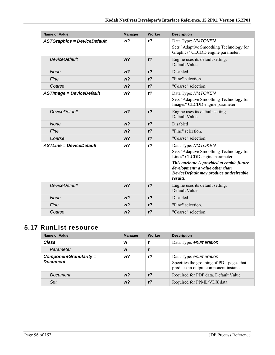| <b>Name or Value</b>               | <b>Manager</b> | Worker         | <b>Description</b>                                                                                                                   |
|------------------------------------|----------------|----------------|--------------------------------------------------------------------------------------------------------------------------------------|
| <b>ASTGraphics = DeviceDefault</b> | w <sub>2</sub> | $r$ ?          | Data Type: NMTOKEN                                                                                                                   |
|                                    |                |                | Sets "Adaptive Smoothing Technology for<br>Graphics" CLCDD engine parameter.                                                         |
| <b>DeviceDefault</b>               | w <sub>2</sub> | $r$ ?          | Engine uses its default setting.<br>Default Value                                                                                    |
| <b>None</b>                        | w <sub>2</sub> | r <sub>2</sub> | Disabled                                                                                                                             |
| Fine                               | w <sub>2</sub> | r <sub>2</sub> | "Fine" selection.                                                                                                                    |
| Coarse                             | w <sub>2</sub> | $r$ ?          | "Coarse" selection.                                                                                                                  |
| <b>ASTImage = DeviceDefault</b>    | w?             | $r$ ?          | Data Type: NMTOKEN                                                                                                                   |
|                                    |                |                | Sets "Adaptive Smoothing Technology for<br>Images" CLCDD engine parameter.                                                           |
| <b>DeviceDefault</b>               | w <sub>2</sub> | $r$ ?          | Engine uses its default setting.<br>Default Value.                                                                                   |
| <b>None</b>                        | w <sub>2</sub> | r <sub>2</sub> | Disabled                                                                                                                             |
| Fine                               | w <sub>2</sub> | r <sub>2</sub> | "Fine" selection.                                                                                                                    |
| Coarse                             | w <sub>2</sub> | r <sub>2</sub> | "Coarse" selection.                                                                                                                  |
| <b>ASTLine = DeviceDefault</b>     | w?             | $r$ ?          | Data Type: NMTOKEN                                                                                                                   |
|                                    |                |                | Sets "Adaptive Smoothing Technology for<br>Lines" CLCDD engine parameter.                                                            |
|                                    |                |                | This attribute is provided to enable future<br>development; a value other than<br>DeviceDefault may produce undesireable<br>results. |
| <b>DeviceDefault</b>               | w <sub>2</sub> | $r$ ?          | Engine uses its default setting.<br>Default Value                                                                                    |
| None                               | w <sub>2</sub> | $r$ ?          | Disabled                                                                                                                             |
| Fine                               | $w$ ?          | r <sub>2</sub> | "Fine" selection                                                                                                                     |
| Coarse                             | w <sub>2</sub> | $r$ ?          | "Coarse" selection.                                                                                                                  |

# **5.17 RunList resource**

| <b>Name or Value</b>                        | <b>Manager</b> | Worker | <b>Description</b>                                                                                          |
|---------------------------------------------|----------------|--------|-------------------------------------------------------------------------------------------------------------|
| Class                                       | W              |        | Data Type: enumeration                                                                                      |
| Parameter                                   | W              |        |                                                                                                             |
| $ComponentGranularity =$<br><b>Document</b> | w?             | r?     | Data Type: enumeration<br>Specifies the grouping of PDL pages that<br>produce an output component instance. |
| Document                                    | $w$ ?          | $r$ ?  | Required for PDF data. Default Value.                                                                       |
| Set                                         | $w$ ?          | $r$ ?  | Required for PPML/VDX data.                                                                                 |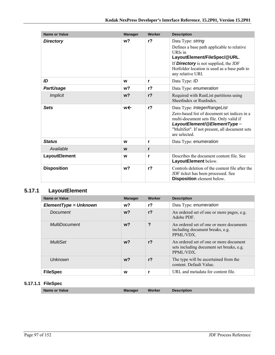| <b>Name or Value</b> | <b>Manager</b> | Worker         | <b>Description</b>                                                                                                                                                                                                              |
|----------------------|----------------|----------------|---------------------------------------------------------------------------------------------------------------------------------------------------------------------------------------------------------------------------------|
| <b>Directory</b>     | w?             | $r$ ?          | Data Type: string<br>Defines a base path applicable to relative<br>URIs in<br>LayoutElement/FileSpec/@URL.<br>If <b>Directory</b> is not supplied, the JDF<br>Hotfolder location is used as a base path to<br>any relative URI. |
| ID                   | W              | r              | Data Type: ID                                                                                                                                                                                                                   |
| <b>PartUsage</b>     | w?             | r <sub>2</sub> | Data Type: enumeration                                                                                                                                                                                                          |
| <b>Implicit</b>      | w <sub>2</sub> | r <sub>2</sub> | Required with RunList partitions using<br>SheetIndex or RunIndex.                                                                                                                                                               |
| <b>Sets</b>          | w←             | r <sub>2</sub> | Data Type: IntegerRangeList<br>Zero-based list of document set indices in a<br>multi-document sets file. Only valid if<br>LayoutElement/@ElementType =<br>"MultiSet". If not present, all document sets<br>are selected.        |
| <b>Status</b>        | W              | r              | Data Type: enumeration                                                                                                                                                                                                          |
| Available            | W              | r              |                                                                                                                                                                                                                                 |
| <b>LayoutElement</b> | W              | r              | Describes the document content file. See<br>LayoutElement below.                                                                                                                                                                |
| <b>Disposition</b>   | w <sub>2</sub> | r <sub>2</sub> | Controls deletion of the content file after the<br>JDF ticket has been processed. See<br>Disposition element below.                                                                                                             |

### **5.17.1 LayoutElement**

| <b>Name or Value</b>    | <b>Manager</b> | Worker         | <b>Description</b>                                                                              |
|-------------------------|----------------|----------------|-------------------------------------------------------------------------------------------------|
| $ElementType = Unknown$ | w?             | $r$ ?          | Data Type: enumeration                                                                          |
| Document                | $w$ ?          | r <sub>2</sub> | An ordered set of one or more pages, e.g.<br>Adobe PDF.                                         |
| <b>MultiDocument</b>    | w <sub>2</sub> | ?              | An ordered set of one or more documents<br>including document breaks, e.g.<br>PPML/VDX.         |
| MultiSet                | w <sub>2</sub> | r <sub>2</sub> | An ordered set of one or more document<br>sets including document set breaks, e.g.<br>PPML/VDX. |
| Unknown                 | w?             | r <sub>2</sub> | The type will be ascertained from the<br>content. Default Value.                                |
| <b>FileSpec</b>         | W              |                | URL and metadata for content file.                                                              |

#### **5.17.1.1 FileSpec**

| <b>Name or Value</b> | <b>Manager</b> | <b>Worker</b> | <b>Description</b> |
|----------------------|----------------|---------------|--------------------|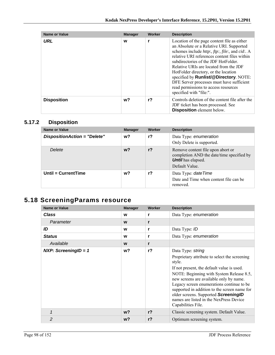| <b>Name or Value</b> | <b>Manager</b> | <b>Worker</b> | <b>Description</b>                                                                                                                                                                                                                                                                                                                                                                                                                                                                            |
|----------------------|----------------|---------------|-----------------------------------------------------------------------------------------------------------------------------------------------------------------------------------------------------------------------------------------------------------------------------------------------------------------------------------------------------------------------------------------------------------------------------------------------------------------------------------------------|
| URL                  | W              |               | Location of the page content file as either<br>an Absolute or a Relative URI. Supported<br>schemes include <i>http:, ftp:, file:, and cid:. A</i><br>relative URI references content files within<br>subdirectories of the JDF HotFolder.<br>Relative URIs are located from the JDF<br>HotFolder directory, or the location<br>specified by <b>Runlist/@Directory</b> . NOTE:<br>DFE Server processes must have sufficient<br>read permissions to access resources<br>specified with "file:". |
| <b>Disposition</b>   | w?             | $r$ ?         | Controls deletion of the content file after the<br>JDF ticket has been processed. See<br><b>Disposition</b> element below.                                                                                                                                                                                                                                                                                                                                                                    |

### **5.17.2 Disposition**

| <b>Name or Value</b>                | <b>Manager</b> | Worker | <b>Description</b>                                                                                                            |
|-------------------------------------|----------------|--------|-------------------------------------------------------------------------------------------------------------------------------|
| <b>DispositionAction = "Delete"</b> | w <sup>2</sup> | r?     | Data Type: enumeration<br>Only Delete is supported.                                                                           |
| Delete                              | w?             | $r$ ?  | Remove content file upon abort or<br>completion AND the date/time specified by<br><b>Until</b> has elapsed.<br>Default Value. |
| Until = CurrentTime                 | w?             | r?     | Data Type: date Time<br>Date and Time when content file can be<br>removed.                                                    |

# **5.18 ScreeningParams resource**

| <b>Name or Value</b>   | <b>Manager</b> | Worker         | <b>Description</b>                                                                                                                                                                                                                                                                                                                                                                                |
|------------------------|----------------|----------------|---------------------------------------------------------------------------------------------------------------------------------------------------------------------------------------------------------------------------------------------------------------------------------------------------------------------------------------------------------------------------------------------------|
| <b>Class</b>           | W              | r              | Data Type: enumeration                                                                                                                                                                                                                                                                                                                                                                            |
| Parameter              | W              | r              |                                                                                                                                                                                                                                                                                                                                                                                                   |
| ID                     | W              | r              | Data Type: ID                                                                                                                                                                                                                                                                                                                                                                                     |
| <b>Status</b>          | w              | r              | Data Type: enumeration                                                                                                                                                                                                                                                                                                                                                                            |
| Available              | W              | r              |                                                                                                                                                                                                                                                                                                                                                                                                   |
| $NXP: ScreeningID = 1$ | w?             | r <sub>2</sub> | Data Type: string<br>Proprietary attribute to select the screening<br>style.<br>If not present, the default value is used.<br>NOTE: Beginning with System Release 8.5,<br>new screens are available only by name.<br>Legacy screen enumerations continue to be<br>supported in addition to the screen name for<br>older screens. Supported ScreeningID<br>names are listed in the NexPress Device |
|                        |                |                | Capabilities File.                                                                                                                                                                                                                                                                                                                                                                                |
| $\mathbf 1$            | $w$ ?          | r <sub>2</sub> | Classic screening system. Default Value.                                                                                                                                                                                                                                                                                                                                                          |
| $\overline{2}$         | w?             | $r$ ?          | Optimum screening system.                                                                                                                                                                                                                                                                                                                                                                         |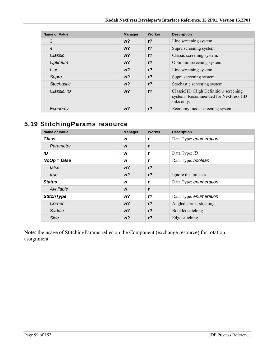| Name or Value     | <b>Manager</b> | Worker         | <b>Description</b>                                                                         |
|-------------------|----------------|----------------|--------------------------------------------------------------------------------------------|
| 3                 | $w$ ?          | r <sub>2</sub> | Line screening system.                                                                     |
| $\overline{4}$    | $w$ ?          | r <sub>2</sub> | Supra screening system.                                                                    |
| Classic           | $w$ ?          | $r$ ?          | Classic screening system.                                                                  |
| Optimum           | $w$ ?          | r <sub>2</sub> | Optimum screening system.                                                                  |
| Line              | $w$ ?          | r <sub>2</sub> | Line screening system.                                                                     |
| Supra             | w <sup>2</sup> | r <sub>2</sub> | Supra screening system.                                                                    |
| <b>Stochastic</b> | w <sup>2</sup> | r <sub>2</sub> | Stochastic screening system.                                                               |
| ClassicHD         | $w$ ?          | r <sub>2</sub> | ClassicHD (High Definition) screening<br>system. Recommended for NexPress HD<br>Inks only. |
| Economy           | w?             | r <sub>2</sub> | Economy mode screening system.                                                             |

# **5.19 StitchingParams resource**

| <b>Name or Value</b> | <b>Manager</b> | Worker         | <b>Description</b>      |
|----------------------|----------------|----------------|-------------------------|
| <b>Class</b>         | W              |                | Data Type: enumeration  |
| Parameter            | W              | r              |                         |
| ID                   | W              |                | Data Type: ID           |
| $NoOp = false$       | W              | r              | Data Type: boolean      |
| false                | $w$ ?          | r <sub>2</sub> |                         |
| true                 | $w$ ?          | $r$ ?          | Ignore this process     |
| <b>Status</b>        | W              |                | Data Type: enumeration  |
| Available            | W              | r              |                         |
| <b>StitchType</b>    | w?             | $r$ ?          | Data Type: enumeration  |
| Corner               | $w$ ?          | $r$ ?          | Angled corner stitching |
| Saddle               | $w$ ?          | r <sub>2</sub> | Booklet stitching       |
| Side                 | w?             | $r$ ?          | Edge stitching          |

Note: the usage of StitchingParams relies on the Component (exchange resource) for rotation assignment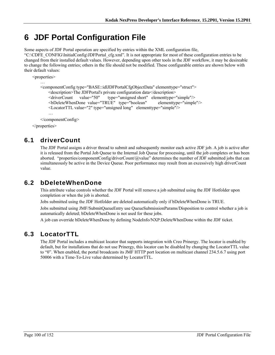# **6 JDF Portal Configuration File**

Some aspects of JDF Portal operation are specified by entries within the XML configuration file,

"C:\CDFE\_CONFIG\InitialConfig\JDFPortal\_cfg.xml". It is not appropriate for most of these configuration entries to be changed from their installed default values. However, depending upon other tools in the JDF workflow, it may be desireable to change the following entries; others in the file should not be modified. These configurable entries are shown below with their default values:

```
<properties> 
… 
    <componentConfig type="BASE::idlJDFPortalCfgObjectData" elementtype="struct"> 
       <description>The JDFPortal's private configuration data</description> 
       <driverCount value="50" type="unsigned short" elementtype="simple"/> 
      <bDeleteWhenDone value="TRUE" type="boolean" elementtype="simple"/> 
      <LocatorTTL value="2" type="unsigned long" elementtype="simple"/> 
       … 
   </componentConfig>
```
</properties>

# **6.1 driverCount**

The JDF Portal assigns a driver thread to submit and subsequently monitor each active JDF job. A job is active after it is released from the Portal Job Queue to the Internal Job Queue for processing, until the job completes or has been aborted. "properties/componentConfig/driverCount/@value" determines the number of JDF submitted jobs that can simultaneously be active in the Device Queue. Poor performance may result from an excessively high driverCount value.

# **6.2 bDeleteWhenDone**

This attribute value controls whether the JDF Portal will remove a job submitted using the JDF Hotfolder upon completion or when the job is aborted.

Jobs submitted using the JDF Hotfolder are deleted automatically only if bDeleteWhenDone is TRUE.

Jobs submitted using JMF/SubmitQueueEntry use QueueSubmissionParams/Disposition to control whether a job is automatically deleted; bDeleteWhenDone is not used for these jobs.

A job can override bDeleteWhenDone by defining NodeInfo/NXP:DeleteWhenDone within the JDF ticket.

# **6.3 LocatorTTL**

The JDF Portal includes a multicast locator that supports integration with Creo Prinergy. The locator is enabled by default, but for installations that do not use Prinergy, this locator can be disabled by changing the LocatorTTL value to "0". When enabled, the portal broadcasts its JMF HTTP port location on multicast channel 234.5.6.7 using port 50006 with a Time-To-Live value determined by LocatorTTL.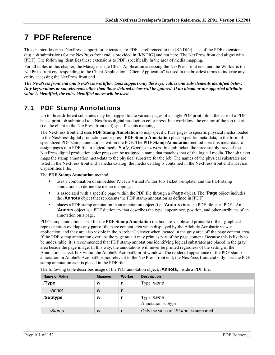# **7 PDF Reference**

This chapter describes NexPress support for extensions to PDF as referenced in the [KNDIG]. Use of the PDF extensions (e.g. job submission) for the NexPress front end is provided in [KNDIG] and not here. The NexPress front end aligns with [PDF]. The following identifies these extensions to PDF, specifically in the area of media mapping.

For all tables in this chapter, the Manager is the Client Application accessing the NexPress front end, and the Worker is the NexPress front end responding to the Client Application. "Client Application" is used in the broadest terms to indicate any entity accessing the NexPress front end.

*The NexPress front end and NexPress workflow tools support only the keys, values and sub-elements identified below. Any keys, values or sub-elements other then those defined below will be ignored. If an illegal or unsupported attribute value is identified, the rules identified above will be used.* 

# **7.1 PDF Stamp Annotations**

Up to three different substrates may be mapped to the various pages of a single PDF print job in the case of a PDFbased print job submitted to a NexPress digital production color press. In a workflow, the creator of the job ticket (i.e. the client to the NexPress front end) specifies this mapping.

The NexPress front end uses **PDF Stamp Annotation** to map specific PDF pages to specific physical media loaded in the NexPress digital production color press. **PDF Stamp Annotation** places specific meta-data, in the form of specialized PDF stamp annotations, within the PDF. The **PDF Stamp Annotation** method uses this meta-data to assign pages of a PDF file to logical media *Body*, *Cover*, or *Insert*. In a job ticket, the three supply trays of the NexPress digital production color press can be assigned a name that matches that of the logical media. The job ticket maps the stamp annotation meta-data to the physical substrate for the job. The names of the physical substrates are listed in the NexPress front end's media catalog; the media catalog is contained in the NexPress front end's Device Capabilities File.

The **PDF Stamp Annotation** method

- uses a combination of embedded PJTF, a Virtual Printer Job Ticket Template, and the PDF stamp annotations to define the media mapping.
- is associated with a specific page within the PDF file through a /**Page** object. The /**Page** object includes the /**Annots** object that represents the PDF stamp annotation as defined in [PDF].
- places a PDF stamp annotation in an annotation object (i.e. /**Annots**) inside a PDF file, per [PDF]. An /**Annots** object is a PDF dictionary that describes the type, appearance, position, and other attributes of an annotation on a page.

PDF stamp annotations used for the **PDF Stamp Annotation** method are visible and printable if their graphical representation overlaps any part of the page content area when displayed by the Adobe® Acrobat® viewer application, and they are also visible in the Acrobat® viewer when located in the gray area off the page content area. If the PDF stamp annotation overlaps the page area it may print as part of the page content. Because this is likely to be undesirable, it is recommended that PDF stamp annotations identifying logical substrates are placed in the gray area beside the page image. In this way, the annotations will never be printed regardless of the setting of the Annotations check box within the Adobe® Acrobat® print window. The rendered appearance of the PDF stamp annotation in Adobe® Acrobat® is not relevant to the NexPress front end; the NexPress front end only uses the PDF stamp annotation as it is placed in the PDF file.

| <b>Name or Value</b> | <b>Manager</b> | Worker | <b>Description</b>                      |
|----------------------|----------------|--------|-----------------------------------------|
| Type                 | w              |        | Type: name                              |
| /Annot               | W              |        |                                         |
| /Subtype             | W              |        | Type: name<br>Annotation subtype.       |
| /Stamp               | W              |        | Only the value of "Stamp" is supported. |

The following table describes usage of the PDF annotation object, /**Annots,** inside a PDF file: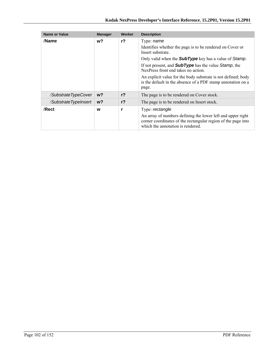| <b>Name or Value</b> | <b>Manager</b> | Worker         | <b>Description</b>                                                                                                                                                                                                                                                                                                                                                                                                  |
|----------------------|----------------|----------------|---------------------------------------------------------------------------------------------------------------------------------------------------------------------------------------------------------------------------------------------------------------------------------------------------------------------------------------------------------------------------------------------------------------------|
| /Name                | w?             | $r$ ?          | Type: <i>name</i><br>Identifies whether the page is to be rendered on Cover or<br>Insert substrate.<br>Only valid when the <b>SubType</b> key has a value of Stamp.<br>If not present, and <b>SubType</b> has the value Stamp, the<br>NexPress front end takes no action.<br>An explicit value for the body substrate is not defined; body<br>is the default in the absence of a PDF stamp annotation on a<br>page. |
| /SubstrateTypeCover  | $w$ ?          | r <sub>2</sub> | The page is to be rendered on Cover stock.                                                                                                                                                                                                                                                                                                                                                                          |
| /SubstrateTypeInsert | $w$ ?          | r <sub>2</sub> | The page is to be rendered on Insert stock.                                                                                                                                                                                                                                                                                                                                                                         |
| /Rect                | w              | r              | Type: rectangle<br>An array of numbers defining the lower left and upper right<br>corner coordinates of the rectangular region of the page into<br>which the annotation is rendered.                                                                                                                                                                                                                                |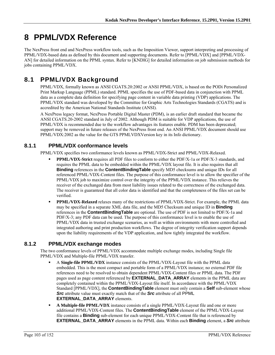# **8 PPML/VDX Reference**

The NexPress front end and NexPress workflow tools, such as the Imposition Viewer, support interpreting and processing of PPML/VDX-based data as defined by this document and supporting documents. Refer to [PPML/VDX] and [PPML/VDX-AN] for detailed information on the PPML syntax. Refer to [KNDIG] for detailed information on job submission methods for jobs containing PPML/VDX.

# **8.1 PPML/VDX Background**

PPML/VDX, formally known as ANSI CGATS.20:2002 or ANSI PPML/VDX, is based on the PODi Personalized Print Markup Language (PPML) standard. PPML specifies the use of PDF-based data in conjunction with PPML data as a complete data definition for specifying page content in variable data printing (VDP) applications. The PPML/VDX standard was developed by the Committee for Graphic Arts Technologies Standards (CGATS) and is accredited by the American National Standards Institute (ANSI).

A NexPress legacy format, NexPress Portable Digital Master (PDM), is an earlier draft standard that became the ANSI CGATS.20-2002 standard in July of 2002. Although PDM is suitable for VDP applications, the use of PPML/VDX is recommended due to the workflow advantages its features enable. PDM has been deprecated; support may be removed in future releases of the NexPress front end. An ANSI PPML/VDX document should use PPML/VDX:2002 as the value for the GTS PPMLVDXVersion key in its Info dictionary.

### **8.1.1 PPML/VDX conformance levels**

PPML/VDX specifies two conformance levels known as PPML/VDX-Strict and PPML/VDX-Relaxed.

- **PPML/VDX-Strict** requires all PDF files to conform to either the PDF/X-1a or PDF/X-3 standards, and requires the PPML data to be embedded within the PPML/VDX layout file. It is also requires that all **Binding** references in the **ContentBindingTable** specify MD5 checksums and unique IDs for all referenced PPML/VDX-Content files. The purpose of this conformance level is to allow the specifier of the PPML/VDX job to maximize control over the integrity of the PPML/VDX instance. This relieves the receiver of the exchanged data from most liability issues related to the correctness of the exchanged data. The receiver is guaranteed that all color data is identified and that the completeness of the files set can be verified.
- **PPML/VDX-Relaxed** relaxes many of the restrictions of PPML/VDX-Strict. For example, the PPML data may be specified in a separate XML data file, and the MD5 Checksum and unique ID in **Binding** references in the **ContentBindingTable** are optional. The use of PDF is not limited to PDF/X-1a and PDF/X-3; any PDF data can be used. The purpose of this conformance level is to enable the use of PPML/VDX data in trusted exchange scenarios, as well as within environments with more controlled and integrated authoring and print production workflows. The degree of integrity verification support depends upon the liability requirements of the VDP application, and how tightly integrated the workflow.

### **8.1.2 PPML/VDX exchange modes**

The two conformance levels of PPML/VDX accommodate multiple exchange modes, including Single file PPML/VDX and Multiple-file PPML/VDX transfer.

- A **Single-file PPML/VDX** instance consists of the PPML/VDX-Layout file with the PPML data embedded. This is the most compact and portable form of a PPML/VDX instance; no external PDF file references need to be resolved to obtain dependent PPML/VDX-Content files or PPML data. The PDF pages used as page content referenced by **EXTERNAL\_DATA\_ARRAY** elements in the PPML data are completely contained within the PPML/VDX-Layout file itself. In accordance with the PPML/VDX Standard [PPML/VDX], the **ContentBindingTable** element must only contain a **Self** sub-element whose *Src* attribute value must exactly match that of the *Src* attribute of all PPML **EXTERNAL\_DATA\_ARRAY** elements.
- **A Multiple-file PPML/VDX** instance consists of a single PPML/VDX-Layout file and one or more additional PPML/VDX-Content files. The **ContentBindingTable** element of the PPML/VDX-Layout file contains a **Binding** sub-element for each unique PPML/VDX-Content file that is referenced by **EXTERNAL\_DATA\_ARRAY** elements in the PPML data. Within each **Binding** element, a *Src* attribute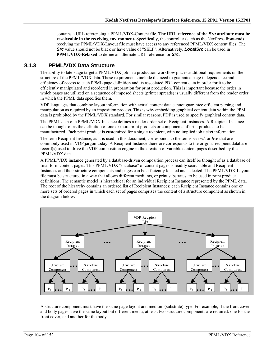contains a URL referencing a PPML/VDX-Content file. **The URL reference of the** *Src* **attribute must be resolveable in the receiving environment.** Specifically, the controller (such as the NexPress front-end) receiving the PPML/VDX-Layout file must have access to any referenced PPML/VDX content files. The *Src* value should not be black or have value of "SELF". Alternatively, *LocalSrc* can be used in **PPML/VDX-Relaxed** to define an alternate URL reference for *Src*.

#### **8.1.3 PPML/VDX Data Structure**

The ability to late-stage target a PPML/VDX job in a production workflow places additional requirements on the structure of the PPML/VDX data. These requirements include the need to guarantee page independence and efficiency of access to each PPML page definition and its associated PDL content data in order for it to be efficiently manipulated and reordered in preparation for print production. This is important because the order in which pages are utilized on a sequence of imposed sheets (printer spreads) is usually different from the reader order in which the PPML data specifies them.

VDP languages that combine layout information with actual content data cannot guarantee efficient parsing and manipulation as required by an imposition process. This is why embedding graphical content data within the PPML data is prohibited by the PPML/VDX standard. For similar reasons, PDF is used to specify graphical content data.

The PPML data of a PPML/VDX Instance defines a reader order set of Recipient Instances. A Recipient Instance can be thought of as the definition of one or more print products or components of print products to be manufactured. Each print product is customized for a single recipient, with no implied job ticket information

The term Recipient Instance, as it is used in this document, corresponds to the terms *record*, or *live* that are commonly used in VDP jargon today. A Recipient Instance therefore corresponds to the original recipient database record(s) used to drive the VDP composition engine in the creation of variable content pages described by the PPML/VDX data.

A PPML/VDX instance generated by a database-driven composition process can itself be thought of as a database of final form content pages. This PPML/VDX "database" of content pages is readily searchable and Recipient Instances and their structure components and pages can be efficiently located and selected. The PPML/VDX-Layout file must be structured in a way that allows different mediums, or print substrates, to be used in print product definitions. The semantic model is hierarchical for an individual Recipient Instance represented by the PPML data. The root of the hierarchy contains an ordered list of Recipient Instances; each Recipient Instance contains one or more sets of ordered pages in which each set of pages comprises the content of a structure component as shown in the diagram below:



A structure component must have the same page layout and medium (substrate) type. For example, if the front cover and body pages have the same layout but different media, at least two structure components are required: one for the front cover, and another for the body.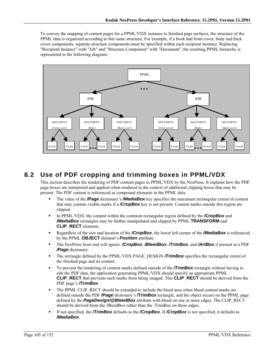To convey the mapping of content pages for a PPML/VDX instance to finished page surfaces, the structure of the PPML data is organized according to this same structure. For example, if a book had front cover, body and back cover components, separate structure components must be specified within each recipient instance. Replacing "Recipient Instance" with "Job" and "Structure Component" with "Document", the resulting PPML hierarchy is represented in the following diagram:



### **8.2 Use of PDF cropping and trimming boxes in PPML/VDX**

This section describes the rendering of PDF content pages in PPML/VDX by the NexPress. It explains how the PDF page boxes are interpreted and applied when rendered in the context of additional clipping boxes that may be present. The PDF content is referenced as compound elements in the PPML data.

- The value of the **/Page** dictionary's */MediaBox* key specifies the maximum rectangular extent of content that may contain visible marks if a */CropBox* key is not present. Content marks outside this region are clipped.
- In PPML/VDX, the content within the common rectangular region defined by the **/CropBox** and */MediaBox* rectangles may be further manipulated and clipped by PPML **TRANSFORM** and **CLIP\_RECT** elements.
- Regardless of the size and location of the */CropBox*, the lower left corner of the */MediaBox* is referenced by the PPML **OBJECT** element's *Position* attribute.
- The NexPress front end will ignore */CropBox*, */BleedBox*, */TrimBox*, and */ArtBox* if present in a PDF */Page* dictionary.
- The rectangle defined by the PPML/VDX PAGE\_DESIGN **/TrimBox** specifies the rectangular extent of the finished page and its content.
- To prevent the rendering of content marks defined outside of the **/TrimBox** rectangle without having to edit the PDF data, the application generating PPML/VDX should specify an appropriate PPML **CLIP\_RECT** that prevents such marks from being imaged. This **CLIP\_RECT** should be derived from the PDF page's */TrimBox*.
- The PPML CLIP\_RECT should be extended to include the bleed area when bleed content marks are defined outside the PDF **/Page** dictionary's **/TrimBox** rectangle, and the object occurs on the PPML page defined by the **PageDesign/@BleedBox** attribute with bleed on one or more edges. The CLIP\_RECT should be derived from the /BleedBox rather than the /TrimBox on those edges.
- If not specified, the */TrimBox* defaults to the */CropBox*. If */CropBox* is not specified, it defaults to */MediaBox*.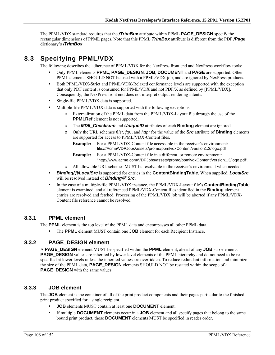The PPML/VDX standard requires that the */TrimBox* attribute within PPML **PAGE\_DESIGN** specify the rectangular dimensions of PPML pages. Note that this PPML *TrimBox* attribute is different from the PDF */Page* dictionary's */TrimBox*.

### **8.3 Specifying PPML/VDX**

The following describes the adherence of PPML/VDX for the NexPress front end and NexPress workflow tools:

- Only PPML elements **PPML**, **PAGE\_DESIGN**, **JOB**, **DOCUMENT** and **PAGE** are supported. Other PPML elements SHOULD NOT be used with a PPML/VDX job, and are ignored by NexPress products.
- Both PPML/VDX-Strict and PPML/VDX-Relaxed conformance levels are supported with the exception that only PDF content is consumed for PPML/VDX and not PDF/X as defined by [PPML/VDX]. Consequently, the NexPress front end does not interpret output rendering intents.
- **Single-file PPML/VDX data is supported.**
- Multiple-file PPML/VDX data is supported with the following exceptions:
	- o Externalization of the PPML data from the PPML/VDX-Layout file through the use of the **PPMLRef** element is not supported.
	- o The *MD5\_Checksum* and *UniqueID* attributes of each **Binding** element are ignored.
	- o Only the URL schemes *file:, ftp:,* and *http:* for the value of the *Src* attribute of **Binding** elements are supported for access to PPML/VDX-Content files.
		- **Example:** For a PPML/VDX-Content file accessable in the receiver's environment: file:///Acme/VDPJobs/assets/promo/ppmlvdxContent/version1.3/logo.pdf

**Example:** For a PPML/VDX-Content file in a different, or remote environment: "http://www.acme.com/VDPJobs/assets/promo/ppmlvdxContent/version1.3/logo.pdf".

- o All allowable URL schemes MUST be resolvable in the receiver's environment when needed.
- *Binding/@LocalSrc* is supported for entries in the **ContentBindingTable**. When supplied, *LocalSrc* will be resolved instead of *Binding/@Src*.
- In the case of a multiple-file PPML/VDX instance, the PPML/VDX-Layout file's **ContentBindingTable** element is examined, and all referenced PPML/VDX-Content files identified in the **Binding** element entries are resolved and fetched. Processing of the PPML/VDX job will be aborted if any PPML/VDX-Content file reference cannot be resolved.

#### **8.3.1 PPML element**

The **PPML** element is the top level of the PPML data and encompasses all other PPML data.

The **PPML** element MUST contain one **JOB** element for each Recipient Instance.

#### **8.3.2 PAGE\_DESIGN element**

A **PAGE\_DESIGN** element MUST be specified within the **PPML** element, ahead of any **JOB** sub-elements. **PAGE\_DESIGN** values are inherited by lower level elements of the PPML hierarchy and do not need to be respecified at lower levels unless the inherited values are overridden. To reduce redundant information and minimize the size of the PPML data, **PAGE\_DESIGN** elements SHOULD NOT be restated within the scope of a **PAGE\_DESIGN** with the same values.

#### **8.3.3 JOB element**

The **JOB** element is the container of all of the print product components and their pages particular to the finished print product specified for a single recipient.

- **JOB** elements MUST contain at least one **DOCUMENT** element.
- If multiple **DOCUMENT** elements occur in a **JOB** element and all specify pages that belong to the same bound print product, those **DOCUMENT** elements MUST be specified in reader order.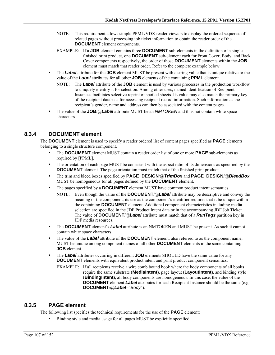- NOTE: This requirement allows simple PPML/VDX reader viewers to display the ordered sequence of related pages without processing job ticket information to obtain the reader order of the **DOCUMENT** element components.
- EXAMPLE: If a **JOB** element contains three **DOCUMENT** sub-elements in the definition of a single finished print product, one **DOCUMENT** sub-element each for Front Cover, Body, and Back Cover components respectively, the order of those **DOCUMENT** elements within the **JOB** element must match that reader order. Refer to the complete example below.
- The *Label* attribute for the **JOB** element MUST be present with a string value that is unique relative to the value of the *Label* attributes for all other **JOB** elements of the containing **PPML** element.
	- NOTE: The *Label* attribute of the **JOB** element is used by various processes in the production workflow to uniquely identify it for selection. Among other uses, named identification of Recipient Instances facilitates selective reprint of spoiled sheets. Its value may also match the primary key of the recipient database for accessing recipient record information. Such information as the recipient's gender, name and address can then be associated with the content pages.
- The value of the **JOB**/@*Label* attribute MUST be an *NMTOKEN* and thus not contain white space characters.

### **8.3.4 DOCUMENT element**

The **DOCUMENT** element is used to specify a reader ordered list of content pages specified as **PAGE** elements belonging to a single structure component.

- The **DOCUMENT** element MUST contain a reader order list of one or more **PAGE** sub-elements as required by [PPML].
- The orientation of each page MUST be consistent with the aspect ratio of its dimensions as specified by the **DOCUMENT** element. The page orientation must match that of the finished print product.
- The trim and bleed boxes specified by **PAGE\_DESIGN**/@*TrimBox* and **PAGE\_DESIGN**/@*BleedBox* MUST be homogeneous for all pages defined by the **DOCUMENT** element.
- The pages specified by a **DOCUMENT** element MUST have common product intent semantics.
	- NOTE: Even though the value of the **DOCUMENT**/@*Label* attribute may be descriptive and convey the meaning of the component, its use as the component's identifier requires that it be unique within the containing **DOCUMENT** element. Additional component characteristics including media selection are specified in the JDF Product Intent data or in the accompanying JDF Job Ticket. The value of **DOCUMENT**/@*Label* attribute must match that of a *RunTags* partition key in JDF media resources.
- The **DOCUMENT** element's *Label* attribute is an NMTOKEN and MUST be present. As such it cannot contain white space characters
- The value of the *Label* attribute of the **DOCUMENT** element, also referred to as the component name, MUST be unique among component names of all other **DOCUMENT** elements in the same containing **JOB** element.
- **The** *Label* attributes occurring in different **JOB** elements SHOULD have the same value for any **DOCUMENT** elements with equivalent product intent and print product component semantics.
	- EXAMPLE: If all recipients receive a wire comb bound book where the body components of all books require the same substrate (**MediaIntent**), page layout (**LayoutIntent**), and binding style (**BindingIntent**), all body components are homogeneous. In this case, the value of the **DOCUMENT** element **Label** attributes for each Recipient Instance should be the same (e.g. **DOCUMENT**/@*Label*="*Body*").

#### **8.3.5 PAGE element**

The following list specifies the technical requirements for the use of the **PAGE** element:

Binding style and media usage for all pages MUST be explicitly specified.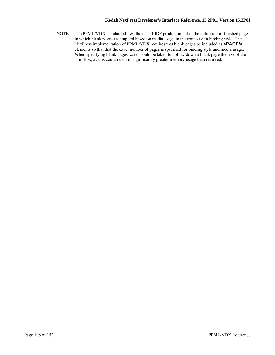NOTE: The PPML/VDX standard allows the use of JDF product intent in the definition of finished pages in which blank pages are implied based on media usage in the context of a binding style. The NexPress implementation of PPML/VDX requires that blank pages be included as **<PAGE/>** elements so that that the exact number of pages is specified for binding style and media usage. When specifying blank pages, care should be taken to not lay down a blank page the size of the TrimBox, as this could result in significantly greater memory usage than required.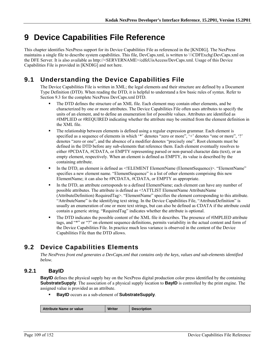# **9 Device Capabilities File Reference**

This chapter identifies NexPress support for its Device Capabilities File as referenced in the [KNDIG]. The NexPress maintains a single file to describe system capabilities. This file, DevCaps.xml, is written to \\\CDFExchg\DevCaps.xml on the DFE Server. It is also available as http://<SERVERNAME>/cdfeUisAccess/DevCaps.xml. Usage of this Device Capabilities File is provided in [KNDIG] and not here.

# **9.1 Understanding the Device Capabilities File**

The Device Capabilities File is written in XML; the legal elements and their structure are defined by a Document Type Definition (DTD). When reading the DTD, it is helpful to understand a few basic rules of syntax. Refer to Section 9.3 for the complete NexPress DevCaps.xml DTD.

- The DTD defines the structure of an XML file. Each element may contain other elements, and be characterized by one or more attributes. The Device Capabilities File often uses attributes to specify the units of an element, and to define an enumeration list of possible values. Attributes are identified as #IMPLIED or #REQUIRED indicating whether the attribute may be omitted from the element definition in the XML file.
- The relationship between elements is defined using a regular expression grammar. Each element is specified as a sequence of elements in which '\*' denotes "zero or more", '+' denotes "one or more", '?' denotes "zero or one", and the absence of a modifier denotes "precisely one". Root elements must be defined in the DTD before any sub-elements that reference them. Each element eventually resolves to either #PCDATA, #CDATA, or EMPTY representing parsed or non-parsed character data (text), or an empty element, respectively. When an element is defined as EMPTY, its value is described by the containing attribute.
- In the DTD, an element is defined as <!ELEMENT ElementName (ElementSequence)>. "ElementName" specifies a new element name. "ElementSequence" is a list of other elements comprising this new ElementName; it can also be #PCDATA, #CDATA, or EMPTY as appropriate.
- In the DTD, an attribute corresponds to a defined ElementName; each element can have any number of possible attributes. The attribute is defined as <!ATTLIST ElementName AttributeName (AttributeDefinition) RequiredTag>. "ElementName" specifies the element corresponding to this attribute. "AttributeName" is the identifying text string. In the Device Capabilities File, "AttributeDefinition" is usually an enumeration of one or more text strings, but can also be defined as CDATA if the attribute could contain a generic string. "RequiredTag" indicates whether the attribute is optional.
- The DTD indicates the possible content of the XML file it describes. The presence of #IMPLIED attribute tags, and "\*" or "?" on element sequence definitions, permits variability in the actual content and form of the Device Capabilities File. In practice much less variance is observed in the content of the Device Capabilities File than the DTD allows.

# **9.2 Device Capabilities Elements**

*The NexPress front end generates a DevCaps.xml that contains only the keys, values and sub-elements identified below.* 

# **9.2.1 BayID**

**BayID** defines the physical supply bay on the NexPress digital production color press identified by the containing **SubstrateSupply**. The association of a physical supply location to **BayID** is controlled by the print engine. The assigned value is provided as an attribute.

**BayID** occurs as a sub-element of **SubstrateSupply**.

|  | Attribute Name or value | <b>Writer</b> | <b>Description</b> |
|--|-------------------------|---------------|--------------------|
|--|-------------------------|---------------|--------------------|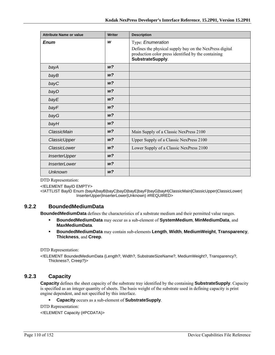| <b>Attribute Name or value</b> | <b>Writer</b>  | <b>Description</b>                                                                                                                 |
|--------------------------------|----------------|------------------------------------------------------------------------------------------------------------------------------------|
| <b>Enum</b>                    | W              | Type: Enumeration                                                                                                                  |
|                                |                | Defines the physical supply bay on the NexPress digital<br>production color press identified by the containing<br>SubstrateSupply. |
| bayA                           | W <sup>2</sup> |                                                                                                                                    |
| bayB                           | W <sup>2</sup> |                                                                                                                                    |
| bayC                           | W <sup>2</sup> |                                                                                                                                    |
| bayD                           | w?             |                                                                                                                                    |
| bayE                           | W <sup>2</sup> |                                                                                                                                    |
| bayF                           | W <sup>2</sup> |                                                                                                                                    |
| bayG                           | W <sup>2</sup> |                                                                                                                                    |
| bayH                           | W <sup>2</sup> |                                                                                                                                    |
| ClassicMain                    | W <sup>2</sup> | Main Supply of a Classic NexPress 2100                                                                                             |
| ClassicUpper                   | w?             | Upper Supply of a Classic NexPress 2100                                                                                            |
| ClassicLower                   | W <sup>2</sup> | Lower Supply of a Classic NexPress 2100                                                                                            |
| <b>InserterUpper</b>           | W <sup>2</sup> |                                                                                                                                    |
| <i><b>InserterLower</b></i>    | W <sup>2</sup> |                                                                                                                                    |
| Unknown                        | W <sup>2</sup> |                                                                                                                                    |

<!ELEMENT BayID EMPTY>

<!ATTLIST BayID Enum (bayA|bayB|bayC|bayD|bayE|bayF|bayG|bayH|ClassicMain|ClassicUpper|ClassicLower| InserterUpper|InserterLower|Unknown) #REQUIRED>

## **9.2.2 BoundedMediumData**

**BoundedMediumData** defines the characteristics of a substrate medium and their permitted value ranges.

- **BoundedMediumData** may occur as a sub-element of **SystemMedium**, **MinMediumData**, and **MaxMediumData**.
- **BoundedMediumData** may contain sub-elements **Length**, **Width**, **MediumWeight**, **Transparency**, **Thickness**, and **Creep**.

DTD Representation:

<!ELEMENT BoundedMediumData (Length?, Width?, SubstrateSizeName?, MediumWeight?, Transparency?, Thickness?, Creep?)>

## **9.2.3 Capacity**

**Capacity** defines the sheet capacity of the substrate tray identified by the containing **SubstrateSupply**. Capacity is specified as an integer quantity of sheets. The basis weight of the substrate used in defining capacity is print engine dependent, and not specified by this interface.

**Capacity** occurs as a sub-element of **SubstrateSupply**.

DTD Representation:

<!ELEMENT Capacity (#PCDATA)>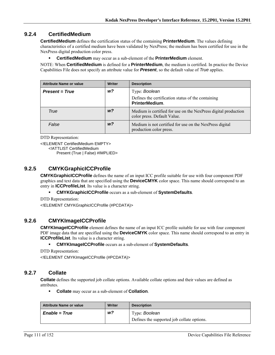## **9.2.4 CertifiedMedium**

**CertifiedMedium** defines the certification status of the containing **PrinterMedium**. The values defining characteristics of a certified medium have been validated by NexPress; the medium has been certified for use in the NexPress digital production color press.

**CertifiedMedium** may occur as a sub-element of the **PrinterMedium** element.

NOTE: When **CertifiedMedium** is defined for a **PrinterMedium**, the medium is certified. In practice the Device Capabilities File does not specify an attribute value for *Present*, so the default value of *True* applies.

| <b>Attribute Name or value</b> | <b>Writer</b>  | <b>Description</b>                                                                            |
|--------------------------------|----------------|-----------------------------------------------------------------------------------------------|
| <b>Present = True</b>          | w?             | Type: Boolean                                                                                 |
|                                |                | Defines the certification status of the containing<br><b>PrinterMedium.</b>                   |
| True                           | w?             | Medium is certified for use on the NexPress digital production<br>color press. Default Value. |
| False                          | W <sup>2</sup> | Medium is not certified for use on the NexPress digital<br>production color press.            |

DTD Representation:

<!ELEMENT CertifiedMedium EMPTY>

<!ATTLIST CertifiedMedium

Present (True | False) #IMPLIED>

## **9.2.5 CMYKGraphicICCProfile**

**CMYKGraphicICCProfile** defines the name of an input ICC profile suitable for use with four component PDF graphics and text data that are specified using the **DeviceCMYK** color space. This name should correspond to an entry in **ICCProfileList**. Its value is a character string.

**CMYKGraphicICCProfile** occurs as a sub-element of **SystemDefaults**.

DTD Representation:

<!ELEMENT CMYKGraphicICCProfile (#PCDATA)>

## **9.2.6 CMYKImageICCProfile**

**CMYKImageICCProfile** element defines the name of an input ICC profile suitable for use with four component PDF image data that are specified using the **DeviceCMYK** color space. This name should correspond to an entry in **ICCProfileList**. Its value is a character string.

**CMYKImageICCProfile** occurs as a sub-element of **SystemDefaults**.

DTD Representation:

<!ELEMENT CMYKImageICCProfile (#PCDATA)>

## **9.2.7 Collate**

**Collate** defines the supported job collate options. Available collate options and their values are defined as attributes.

**Collate** may occur as a sub-element of **Collation**.

| <b>Attribute Name or value</b> | <b>Writer</b> | <b>Description</b>                         |
|--------------------------------|---------------|--------------------------------------------|
| <i>Enable</i> = <i>True</i>    | w?            | Type: Boolean                              |
|                                |               | Defines the supported job collate options. |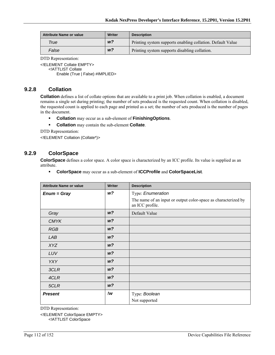| <b>Attribute Name or value</b> | Writer         | <b>Description</b>                                         |
|--------------------------------|----------------|------------------------------------------------------------|
| True                           | W <sup>2</sup> | Printing system supports enabling collation. Default Value |
| False                          | W <sup>2</sup> | Printing system supports disabling collation.              |

<!ELEMENT Collate EMPTY>

<!ATTLIST Collate

Enable (True | False) #IMPLIED>

## **9.2.8 Collation**

**Collation** defines a list of collate options that are available to a print job. When collation is enabled, a document remains a single set during printing; the number of sets produced is the requested count. When collation is disabled, the requested count is applied to each page and printed as a set; the number of sets produced is the number of pages in the document.

- **Collation** may occur as a sub-element of **FinishingOptions**.
- **Collation** may contain the sub-element **Collate**.

DTD Representation:

<!ELEMENT Collation (Collate\*)>

## **9.2.9 ColorSpace**

**ColorSpace** defines a color space. A color space is characterized by an ICC profile. Its value is supplied as an attribute.

**ColorSpace** may occur as a sub-element of **ICCProfile** and **ColorSpaceList**.

| <b>Attribute Name or value</b> | Writer         | <b>Description</b>                                                                |
|--------------------------------|----------------|-----------------------------------------------------------------------------------|
| $Enum = Gray$                  | w?             | Type: Enumeration                                                                 |
|                                |                | The name of an input or output color-space as characterized by<br>an ICC profile. |
| Gray                           | W <sup>2</sup> | Default Value                                                                     |
| <b>CMYK</b>                    | W <sup>2</sup> |                                                                                   |
| <b>RGB</b>                     | W <sup>2</sup> |                                                                                   |
| LAB                            | W <sup>2</sup> |                                                                                   |
| <b>XYZ</b>                     | W <sup>2</sup> |                                                                                   |
| LUV                            | W <sup>2</sup> |                                                                                   |
| <b>YXY</b>                     | W <sup>2</sup> |                                                                                   |
| 3CLR                           | W <sup>2</sup> |                                                                                   |
| 4CLR                           | W <sup>2</sup> |                                                                                   |
| 5CLR                           | W <sup>2</sup> |                                                                                   |
| <b>Present</b>                 | !w             | Type: Boolean                                                                     |
|                                |                | Not supported                                                                     |

DTD Representation:

<!ELEMENT ColorSpace EMPTY>

<!ATTLIST ColorSpace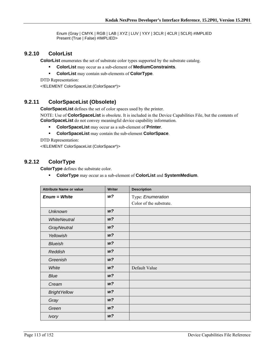Enum (Gray | CMYK | RGB | LAB | XYZ | LUV | YXY | 3CLR | 4CLR | 5CLR) #IMPLIED Present (True | False) #IMPLIED>

#### **9.2.10 ColorList**

**ColorList** enumerates the set of substrate color types supported by the substrate catalog.

- **ColorList** may occur as a sub-element of **MediumConstraints**.
- **ColorList** may contain sub-elements of **ColorType**.

DTD Representation: <!ELEMENT ColorSpaceList (ColorSpace\*)>

## **9.2.11 ColorSpaceList (Obsolete)**

**ColorSpaceList** defines the set of color spaces used by the printer.

NOTE: Use of **ColorSpaceList** is obsolete. It is included in the Device Capabilities File, but the contents of **ColorSpaceList** do not convey meaningful device capability information.

- **ColorSpaceList** may occur as a sub-element of **Printer**.
- **ColorSpaceList** may contain the sub-element **ColorSpace**.

DTD Representation:

<!ELEMENT ColorSpaceList (ColorSpace\*)>

## **9.2.12 ColorType**

**ColorType** defines the substrate color.

**ColorType** may occur as a sub-element of **ColorList** and **SystemMedium**.

| <b>Attribute Name or value</b> | <b>Writer</b>  | <b>Description</b>      |
|--------------------------------|----------------|-------------------------|
| $Enum = White$                 | W <sup>2</sup> | Type: Enumeration       |
|                                |                | Color of the substrate. |
| <b>Unknown</b>                 | W <sup>2</sup> |                         |
| <b>WhiteNeutral</b>            | W <sup>2</sup> |                         |
| GrayNeutral                    | W <sup>2</sup> |                         |
| Yellowish                      | W <sup>2</sup> |                         |
| <b>Blueish</b>                 | W <sup>2</sup> |                         |
| Reddish                        | W <sup>2</sup> |                         |
| Greenish                       | W <sup>2</sup> |                         |
| White                          | W <sup>2</sup> | Default Value           |
| Blue                           | W <sup>2</sup> |                         |
| Cream                          | W <sup>2</sup> |                         |
| <b>BrightYellow</b>            | W <sup>2</sup> |                         |
| Gray                           | W <sup>2</sup> |                         |
| Green                          | W <sup>2</sup> |                         |
| <b>Ivory</b>                   | W <sup>2</sup> |                         |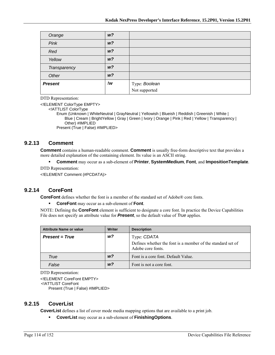| Orange         | W <sup>2</sup> |                                       |
|----------------|----------------|---------------------------------------|
| Pink           | W <sup>2</sup> |                                       |
| Red            | W <sup>2</sup> |                                       |
| Yellow         | W <sup>2</sup> |                                       |
| Transparency   | W <sup>2</sup> |                                       |
| Other          | W <sup>2</sup> |                                       |
| <b>Present</b> | !w             | Type: <b>Boolean</b><br>Not supported |
|                |                |                                       |

<!ELEMENT ColorType EMPTY>

<!ATTLIST ColorType

Enum (Unknown | WhiteNeutral | GrayNeutral | Yellowish | Blueish | Reddish | Greenish | White | Blue | Cream | BrightYellow | Gray | Green | Ivory | Orange | Pink | Red | Yellow | Transparency | Other) #IMPLIED Present (True | False) #IMPLIED>

#### **9.2.13 Comment**

**Comment** contains a human-readable comment. **Comment** is usually free-form descriptive text that provides a more detailed explanation of the containing element. Its value is an ASCII string.

**Comment** may occur as a sub-element of **Printer**, **SystemMedium**, **Font**, and **ImpositionTemplate**.

DTD Representation:

<!ELEMENT Comment (#PCDATA)>

## **9.2.14 CoreFont**

**CoreFont** defines whether the font is a member of the standard set of Adobe® core fonts.

**CoreFont** may occur as a sub-element of **Font**.

NOTE: Defining the **CoreFont** element is sufficient to designate a core font. In practice the Device Capabilities File does not specify an attribute value for *Present*, so the default value of *True* applies.

| <b>Attribute Name or value</b> | <b>Writer</b>  | <b>Description</b>                                                                              |
|--------------------------------|----------------|-------------------------------------------------------------------------------------------------|
| <b>Present = True</b>          | w?             | Type: CDATA<br>Defines whether the font is a member of the standard set of<br>Adobe core fonts. |
| True                           | w <sup>2</sup> | Font is a core font. Default Value.                                                             |
| False                          | w?             | Font is not a core font.                                                                        |

DTD Representation:

<!ELEMENT CoreFont EMPTY> <!ATTLIST CoreFont Present (True | False) #IMPLIED>

#### **9.2.15 CoverList**

**CoverList** defines a list of cover mode media mapping options that are available to a print job.

**CoverList** may occur as a sub-element of **FinishingOptions**.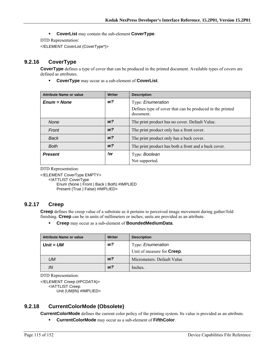**CoverList** may contain the sub-element **CoverType**.

DTD Representation:

<!ELEMENT CoverList (CoverType\*)>

## **9.2.16 CoverType**

**CoverType** defines a type of cover that can be produced in the printed document. Available types of covers are defined as attributes.

**CoverType** may occur as a sub-element of **CoverList**.

| <b>Attribute Name or value</b> | <b>Writer</b>  | <b>Description</b>                                                     |
|--------------------------------|----------------|------------------------------------------------------------------------|
| $Enum = None$                  | w?             | Type: Enumeration                                                      |
|                                |                | Defines type of cover that can be produced in the printed<br>document. |
| <b>None</b>                    | W <sup>2</sup> | The print product has no cover. Default Value.                         |
| Front                          | W <sup>2</sup> | The print product only has a front cover.                              |
| Back                           | W <sup>2</sup> | The print product only has a back cover.                               |
| <b>Both</b>                    | W <sup>2</sup> | The print product has both a front and a back cover.                   |
| <b>Present</b>                 | !w             | Type: Boolean                                                          |
|                                |                | Not supported.                                                         |

DTD Representation:

<!ELEMENT CoverType EMPTY>

<!ATTLIST CoverType

Enum (None | Front | Back | Both) #IMPLIED Present (True | False) #IMPLIED>

## **9.2.17 Creep**

**Creep** defines the creep value of a substrate as it pertains to perceived image movement during gather/fold finishing. **Creep** can be in units of millimeters or inches; units are provided as an attribute.

**Creep** may occur as a sub-element of **BoundedMediumData**.

| <b>Attribute Name or value</b> | Writer         | <b>Description</b>                 |
|--------------------------------|----------------|------------------------------------|
| $Unit = UM$                    | w <sub>2</sub> | Type: <i>Enumeration</i>           |
|                                |                | Unit of measure for <b>Creep</b> . |
| UM                             | W <sup>2</sup> | Micrometers. Default Value         |
| IN                             | W <sup>2</sup> | Inches.                            |

DTD Representation:

<!ELEMENT Creep (#PCDATA)> <!ATTLIST Creep Unit (UM|IN) #IMPLIED>

## **9.2.18 CurrentColorMode (Obsolete)**

**CurrentColorMode** defines the current color policy of the printing system. Its value is provided as an attribute.

**CurrentColorMode** may occur as a sub-element of **FifthColor**.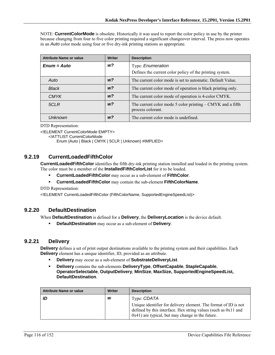NOTE: **CurrentColorMode** is obsolete. Historically it was used to report the color policy in use by the printer because changing from four to five color printing required a significant changeover interval. The press now operates in an *Auto* color mode using four or five dry-ink printing stations as appropriate.

| <b>Attribute Name or value</b> | Writer         | <b>Description</b>                                                                |
|--------------------------------|----------------|-----------------------------------------------------------------------------------|
| $Enum = Auto$                  | w?             | Type: Enumeration                                                                 |
|                                |                | Defines the current color policy of the printing system.                          |
| Auto                           | w <sub>2</sub> | The current color mode is set to automatic. Default Value.                        |
| <b>Black</b>                   | w <sub>2</sub> | The current color mode of operation is black printing only.                       |
| <b>CMYK</b>                    | W <sup>2</sup> | The current color mode of operation is 4-color CMYK.                              |
| 5CLR                           | W <sup>2</sup> | The current color mode 5 color printing $-$ CMYK and a fifth<br>process colorant. |
| Unknown                        | w <sub>2</sub> | The current color mode is undefined.                                              |

DTD Representation:

<!ELEMENT CurrentColorMode EMPTY>

<!ATTLIST CurrentColorMode

Enum (Auto | Black | CMYK | 5CLR | Unknown) #IMPLIED>

#### **9.2.19 CurrentLoadedFifthColor**

**CurrentLoadedFifthColor** identifies the fifth dry-ink printing station installed and loaded in the printing system. The color must be a member of the **InstalledFifthColorList** for it to be loaded.

- **CurrentLoadedFifthColor** may occur as a sub-element of **FifthColor**.
- **CurrentLoadedFifthColor** may contain the sub-element **FifthColorName**.

DTD Representation:

<!ELEMENT CurrentLoadedFifthColor (FifthColorName, SupportedEngineSpeedList)>

#### **9.2.20 DefaultDestination**

When **DefaultDestination** is defined for a **Delivery**, the **DeliveryLocation** is the device default.

**DefaultDestination** may occur as a sub-element of **Delivery**.

#### **9.2.21 Delivery**

**Delivery** defines a set of print output destinations available to the printing system and their capabilities. Each **Delivery** element has a unique identifier, ID, provided as an attribute.

- **Delivery** may occur as a sub-element of **SubstrateDeliveryList**.
- **Delivery** contains the sub-elements **DeliveryType**, **OffsetCapable**, **StapleCapable**, **OperatorSelectable**, **OutputDelivery**, **MinSize**, **MaxSize, SupportedEngineSpeedList, DefaultDestination**.

| <b>Attribute Name or value</b> | Writer | <b>Description</b>                                                                                                                                                                         |
|--------------------------------|--------|--------------------------------------------------------------------------------------------------------------------------------------------------------------------------------------------|
| ID                             | w      | Type: CDATA                                                                                                                                                                                |
|                                |        | Unique identifier for delivery element. The format of ID is not<br>defined by this interface. Hex string values (such as $0x11$ and<br>$0x41$ ) are typical, but may change in the future. |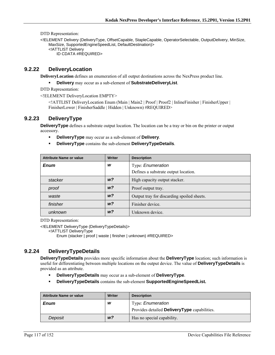<!ELEMENT Delivery (DeliveryType, OffsetCapable, StapleCapable, OperatorSelectable, OutputDelivery, MinSize, MaxSize, SupportedEngineSpeedList, DefaultDestination)> <!ATTLIST Delivery ID CDATA #REQUIRED>

#### **9.2.22 DeliveryLocation**

**DeliveryLocation** defines an enumeration of all output destinations across the NexPress product line.

**Delivery** may occur as a sub-element of **SubstrateDeliveryList**.

DTD Representation:

<!ELEMENT DeliveryLocation EMPTY>

<!ATTLIST DeliveryLocation Enum (Main | Main2 | Proof | Proof2 | InlineFinisher | FinisherUpper | FinisherLower | FinisherSaddle | Hidden | Unknown) #REQUIRED>

## **9.2.23 DeliveryType**

**DeliveryType** defines a substrate output location. The location can be a tray or bin on the printer or output accessory.

- **DeliveryType** may occur as a sub-element of **Delivery**.
- **DeliveryType** contains the sub-element **DeliveryTypeDetails**.

| <b>Attribute Name or value</b> | Writer         | <b>Description</b>                         |
|--------------------------------|----------------|--------------------------------------------|
| <b>Enum</b>                    | W              | Type: Enumeration                          |
|                                |                | Defines a substrate output location.       |
| stacker                        | W <sup>2</sup> | High capacity output stacker.              |
| proof                          | W <sup>2</sup> | Proof output tray.                         |
| waste                          | W <sup>2</sup> | Output tray for discarding spoiled sheets. |
| finisher                       | W <sup>2</sup> | Finisher device.                           |
| unknown                        | W <sup>2</sup> | Unknown device.                            |

DTD Representation:

<!ELEMENT DeliveryType (DeliveryTypeDetails)>

<!ATTLIST DeliveryType

Enum (stacker | proof | waste | finisher | unknown) #REQUIRED>

# **9.2.24 DeliveryTypeDetails**

**DeliveryTypeDetails** provides more specific information about the **DeliveryType** location; such information is useful for differentiating between multiple locations on the output device. The value of **DeliveryTypeDetails** is provided as an attribute.

- **DeliveryTypeDetails** may occur as a sub-element of **DeliveryType**.
- **DeliveryTypeDetails** contains the sub-element **SupportedEngineSpeedList.**

| <b>Attribute Name or value</b> | <b>Writer</b>  | <b>Description</b>                                  |
|--------------------------------|----------------|-----------------------------------------------------|
| <b>Enum</b>                    | W              | Type: <i>Enumeration</i>                            |
|                                |                | Provides detailed <b>DeliveryType</b> capabilities. |
| Deposit                        | W <sup>2</sup> | Has no special capability.                          |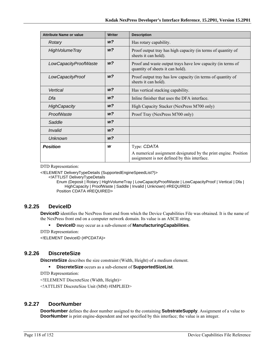| <b>Attribute Name or value</b> | <b>Writer</b>  | <b>Description</b>                                                                                              |
|--------------------------------|----------------|-----------------------------------------------------------------------------------------------------------------|
| Rotary                         | W <sup>2</sup> | Has rotary capability.                                                                                          |
| <b>High Volume Tray</b>        | W <sup>2</sup> | Proof output tray has high capacity (in terms of quantity of<br>sheets it can hold).                            |
| LowCapacityProofWaste          | W <sup>2</sup> | Proof and waste output trays have low capacity (in terms of<br>quantity of sheets it can hold).                 |
| LowCapacityProof               | W <sup>2</sup> | Proof output tray has low capacity (in terms of quantity of<br>sheets it can hold).                             |
| Vertical                       | w?             | Has vertical stacking capability.                                                                               |
| Dfa                            | W <sup>2</sup> | Inline finisher that uses the DFA interface.                                                                    |
| <b>HighCapacity</b>            | w?             | High Capacity Stacker (NexPress M700 only)                                                                      |
| ProofWaste                     | w?             | Proof Tray (NexPress M700 only)                                                                                 |
| Saddle                         | W <sup>2</sup> |                                                                                                                 |
| Invalid                        | w?             |                                                                                                                 |
| <b>Unknown</b>                 | w?             |                                                                                                                 |
| <b>Position</b>                | W              | Type: CDATA                                                                                                     |
|                                |                | A numerical assignment designated by the print engine. Position<br>assignment is not defined by this interface. |

<!ELEMENT DeliveryTypeDetails (SupportedEngineSpeedList?)>

<!ATTLIST DeliveryTypeDetails

Enum (Deposit | Rotary | HighVolumeTray | LowCapacityProofWaste | LowCapacityProof | Vertical | Dfa | HighCapacity | ProofWaste | Saddle | Invalid | Unknown) #REQUIRED Position CDATA #REQUIRED>

## **9.2.25 DeviceID**

**DeviceID** identifies the NexPress front end from which the Device Capabilities File was obtained. It is the name of the NexPress front end on a computer network domain. Its value is an ASCII string.

- **DeviceID** may occur as a sub-element of **ManufacturingCapabilities**.
- DTD Representation:

<!ELEMENT DeviceID (#PCDATA)>

## **9.2.26 DiscreteSize**

**DiscreteSize** describes the size constraint (Width, Height) of a medium element.

**DiscreteSize** occurs as a sub-element of **SupportedSizeList**.

DTD Representation:

<!ELEMENT DiscreteSize (Width, Height)>

<!ATTLIST DiscreteSize Unit (MM) #IMPLIED>

#### **9.2.27 DoorNumber**

**DoorNumber** defines the door number assigned to the containing **SubstrateSupply**. Assignment of a value to **DoorNumber** is print engine-dependent and not specified by this interface; the value is an integer.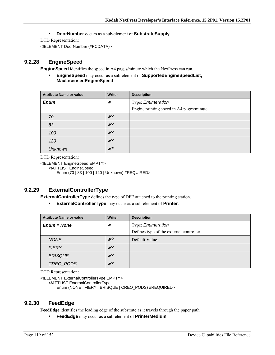**DoorNumber** occurs as a sub-element of **SubstrateSupply**.

DTD Representation:

<!ELEMENT DoorNumber (#PCDATA)>

#### **9.2.28 EngineSpeed**

**EngineSpeed** identifies the speed in A4 pages/minute which the NexPress can run.

 **EngineSpeed** may occur as a sub-element of **SupportedEngineSpeedList, MaxLicensedEngineSpeed**.

| <b>Attribute Name or value</b> | <b>Writer</b>  | <b>Description</b>                       |
|--------------------------------|----------------|------------------------------------------|
| <b>Enum</b>                    | W              | Type: Enumeration                        |
|                                |                | Engine printing speed in A4 pages/minute |
| 70                             | W <sup>2</sup> |                                          |
| 83                             | W <sup>2</sup> |                                          |
| 100                            | W <sup>2</sup> |                                          |
| 120                            | W <sup>2</sup> |                                          |
| <b>Unknown</b>                 | W <sup>2</sup> |                                          |

DTD Representation:

<!ELEMENT EngineSpeed EMPTY> <!ATTLIST EngineSpeed Enum (70 | 83 | 100 | 120 | Unknown) #REQUIRED>

## **9.2.29 ExternalControllerType**

**ExternalControllerType** defines the type of DFE attached to the printing station.

**ExternalControllerType** may occur as a sub-element of **Printer**.

| <b>Attribute Name or value</b> | <b>Writer</b>  | <b>Description</b>                                            |
|--------------------------------|----------------|---------------------------------------------------------------|
| $Enum = None$                  | W              | Type: Enumeration<br>Defines type of the external controller. |
| <b>NONE</b>                    | W <sup>2</sup> | Default Value.                                                |
| <b>FIERY</b>                   | W <sup>2</sup> |                                                               |
| <b>BRISQUE</b>                 | W <sup>2</sup> |                                                               |
| CREO PODS                      | W <sup>2</sup> |                                                               |

DTD Representation:

<!ELEMENT ExternalControllerType EMPTY>

<!ATTLIST ExternalControllerType

Enum (NONE | FIERY | BRISQUE | CREO\_PODS) #REQUIRED>

#### **9.2.30 FeedEdge**

**FeedEdge** identifies the leading edge of the substrate as it travels through the paper path.

**FeedEdge** may occur as a sub-element of **PrinterMedium**.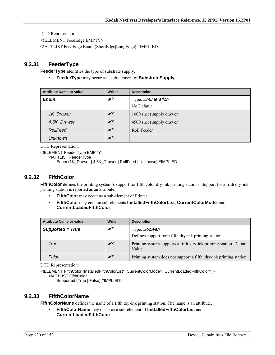<!ELEMENT FeedEdge EMPTY>

<!ATTLIST FeedEdge Enum (ShortEdge|LongEdge) #IMPLIED>

## **9.2.31 FeederType**

**FeederType** identifies the type of substrate supply.

**FeederType** may occur as a sub-element of **SubstrateSupply**.

| <b>Attribute Name or value</b> | <b>Writer</b>  | <b>Description</b>       |
|--------------------------------|----------------|--------------------------|
| <b>Enum</b>                    | w?             | Type: Enumeration        |
|                                |                | No Default               |
| 1K Drawer                      | W <sup>2</sup> | 1000 sheet supply drawer |
| 4.5K Drawer                    | w?             | 4500 sheet supply drawer |
| RollFeed                       | W <sup>2</sup> | Roll Feeder              |
| <b>Unknown</b>                 | w?             |                          |

DTD Representation:

<!ELEMENT FeederType EMPTY>

<!ATTLIST FeederType

Enum (1K\_Drawer | 4.5K\_Drawer | RollFeed | Unknown) #IMPLIED

#### **9.2.32 FifthColor**

**FifthColor** defines the printing system's support for fifth color dry-ink printing stations. Support for a fifth dry-ink printing station is reported as an attribute.

- **FifthColor** may occur as a sub-element of Printer.
- **FifthColor** may contain sub-elements **InstalledFifthColorList**, **CurrentColorMode**, and **CurrentLoadedFifthColor**.

| <b>Attribute Name or value</b> | <b>Writer</b>  | <b>Description</b>                                                            |
|--------------------------------|----------------|-------------------------------------------------------------------------------|
| Supported = True               | w?             | Type: Boolean                                                                 |
|                                |                | Defines support for a fifth dry-ink printing station.                         |
| True                           | W <sup>2</sup> | Printing system supports a fifth, dry-ink printing station. Default<br>Value. |
| False                          | w?             | Printing system does not support a fifth, dry-ink printing station.           |

DTD Representation:

<!ELEMENT FifthColor (InstalledFifthColorList\*, CurrentColorMode?, CurrentLoadedFifthColor?)> <!ATTLIST FifthColor

Supported (True | False) #IMPLIED>

## **9.2.33 FifthColorName**

**FifthColorName** defines the name of a fifth dry-ink printing station. The name is an attribute.

 **FifthColorName** may occur as a sub-element of **InstalledFifthColorList** and **CurrentLoadedFifthColor**.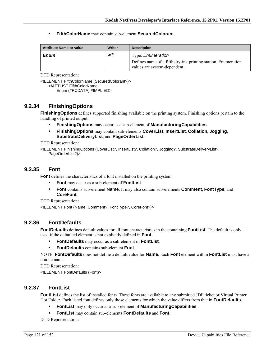**FifthColorName** may contain sub-element **SecuredColorant**.

| <b>Attribute Name or value</b> | Writer | <b>Description</b>                                                                                                        |
|--------------------------------|--------|---------------------------------------------------------------------------------------------------------------------------|
| <b>Enum</b>                    | w?     | Type: <i>Enumeration</i><br>Defines name of a fifth dry-ink printing station. Enumeration<br>values are system-dependent. |

DTD Representation:

<!ELEMENT FifthColorName (SecuredColorant?)> <!ATTLIST FifthColorName Enum (#PCDATA) #IMPLIED>

## **9.2.34 FinishingOptions**

**FinishingOptions** defines supported finishing available on the printing system. Finishing options pertain to the handling of printed output.

- **FinishingOptions** may occur as a sub-element of **ManufacturingCapabilities**.
- **FinishingOptions** may contain sub-elements **CoverList**, **InsertList**, **Collation**, **Jogging**, **SubstrateDeliveryList**, and **PageOrderList**.

DTD Representation:

<!ELEMENT FinishingOptions (CoverList?, InsertList?, Collation?, Jogging?, SubstrateDeliveryList?, PageOrderList?)>

#### **9.2.35 Font**

**Font** defines the characteristics of a font installed on the printing system.

- **Font** may occur as a sub-element of **FontList**.
- **Font** contains sub-element **Name**. It may also contain sub-elements **Comment**, **FontType**, and **CoreFont**.

DTD Representation:

<!ELEMENT Font (Name, Comment?, FontType?, CoreFont?)>

#### **9.2.36 FontDefaults**

**FontDefaults** defines default values for all font characteristics in the containing **FontList**. The default is only used if the defaulted element is not explicitly defined in **Font**.

- **FontDefaults** may occur as a sub-element of **FontList**.
- **FontDefaults** contains sub-element **Font**.

NOTE: **FontDefaults** does not define a default value for **Name**. Each **Font** element within **FontList** must have a unique name.

DTD Representation:

<!ELEMENT FontDefaults (Font)>

#### **9.2.37 FontList**

**FontList** defines the list of installed fonts. These fonts are available to any submitted JDF ticket or Virtual Printer Hot Folder. Each listed font defines only those elements for which the value differs from that in **FontDefaults**.

- **FontList** may only occur as a sub-element of **ManufacturingCapabilities**.
- **FontList** may contain sub-elements **FontDefaults** and **Font**.

DTD Representation: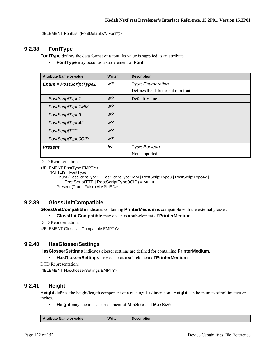<!ELEMENT FontList (FontDefaults?, Font\*)>

## **9.2.38 FontType**

**FontType** defines the data format of a font. Its value is supplied as an attribute.

**FontType** may occur as a sub-element of **Font**.

| <b>Attribute Name or value</b> | <b>Writer</b>  | <b>Description</b>                 |
|--------------------------------|----------------|------------------------------------|
| $Enum = PostScriptType1$       | w?             | Type: Enumeration                  |
|                                |                | Defines the data format of a font. |
| PostScriptType1                | W <sup>2</sup> | Default Value.                     |
| PostScriptType1MM              | W <sup>2</sup> |                                    |
| PostScriptType3                | W <sup>2</sup> |                                    |
| PostScriptType42               | W <sup>2</sup> |                                    |
| PostScriptTTF                  | W <sup>2</sup> |                                    |
| PostScriptType0CID             | W <sup>2</sup> |                                    |
| <b>Present</b>                 | !w             | Type: Boolean                      |
|                                |                | Not supported.                     |

DTD Representation:

<!ELEMENT FontType EMPTY>

<!ATTLIST FontType

Enum (PostScriptType1 | PostScriptType1MM | PostScriptType3 | PostScriptType42 | PostScriptTTF | PostScriptType0CID) #IMPLIED Present (True | False) #IMPLIED>

## **9.2.39 GlossUnitCompatible**

**GlossUnitCompatible** indicates containing **PrinterMedium** is compatible with the external glosser.

**GlossUnitCompatible** may occur as a sub-element of **PrinterMedium**.

DTD Representation:

<!ELEMENT GlossUnitCompatible EMPTY>

#### **9.2.40 HasGlosserSettings**

**HasGlosserSettings** indicates glosser settings are defined for containing **PrinterMedium**.

**HasGlosserSettings** may occur as a sub-element of **PrinterMedium**.

DTD Representation:

<!ELEMENT HasGlosserSettings EMPTY>

#### **9.2.41 Height**

**Height** defines the height/length component of a rectangular dimension. **Height** can be in units of millimeters or inches.

**Height** may occur as a sub-element of **MinSize** and **MaxSize**.

|  | <b>Attribute Name or value</b> | <b>Writer</b> | escription |
|--|--------------------------------|---------------|------------|
|--|--------------------------------|---------------|------------|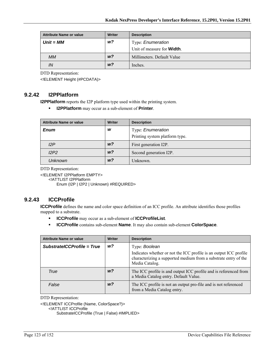| <b>Attribute Name or value</b> | <b>Writer</b>  | <b>Description</b>                 |
|--------------------------------|----------------|------------------------------------|
| $Unit = MM$                    | w?             | Type: <i>Enumeration</i>           |
|                                |                | Unit of measure for <b>Width</b> . |
| <b>MM</b>                      | W <sup>2</sup> | Millimeters. Default Value         |
| IN                             | W <sup>2</sup> | Inches.                            |

<!ELEMENT Height (#PCDATA)>

## **9.2.42 I2PPlatform**

**I2PPlatform** reports the I2P platform type used within the printing system.

**I2PPlatform** may occur as a sub-element of **Printer**.

| <b>Attribute Name or value</b> | <b>Writer</b>  | <b>Description</b>             |
|--------------------------------|----------------|--------------------------------|
| <b>Enum</b>                    | w              | Type: Enumeration              |
|                                |                | Printing system platform type. |
| 12P                            | w <sup>2</sup> | First generation I2P.          |
| I2P2                           | W <sup>2</sup> | Second generation I2P.         |
| <b>Unknown</b>                 | W <sup>2</sup> | Unknown.                       |

DTD Representation:

<!ELEMENT I2PPlatform EMPTY>

<!ATTLIST I2PPlatform

Enum (I2P | I2P2 | Unknown) #REQUIRED>

## **9.2.43 ICCProfile**

**ICCProfile** defines the name and color space definition of an ICC profile. An attribute identifies those profiles mapped to a substrate.

- **ICCProfile** may occur as a sub-element of **ICCProfileList**.
- **ICCProfile** contains sub-element **Name**. It may also contain sub-element **ColorSpace**.

| <b>Attribute Name or value</b> | Writer         | <b>Description</b>                                                                                                                                     |
|--------------------------------|----------------|--------------------------------------------------------------------------------------------------------------------------------------------------------|
| SubstratelCCProfile = True     | w <sub>2</sub> | Type: Boolean                                                                                                                                          |
|                                |                | Indicates whether or not the ICC profile is an output ICC profile<br>characterizing a supported medium from a substrate entry of the<br>Media Catalog. |
| True                           | w?             | The ICC profile is and output ICC profile and is referenced from<br>a Media Catalog entry. Default Value.                                              |
| False                          | w?             | The ICC profile is not an output pro-file and is not referenced<br>from a Media Catalog entry.                                                         |

DTD Representation:

<!ELEMENT ICCProfile (Name, ColorSpace?)>

<!ATTLIST ICCProfile

SubstrateICCProfile (True | False) #IMPLIED>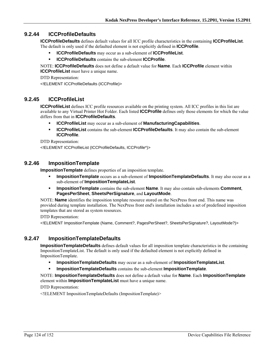## **9.2.44 ICCProfileDefaults**

**ICCProfileDefaults** defines default values for all ICC profile characteristics in the containing **ICCProfileList**. The default is only used if the defaulted element is not explicitly defined in **ICCProfile**.

- **ICCProfileDefaults** may occur as a sub-element of **ICCProfileList**.
- **ICCProfileDefaults** contains the sub-element **ICCProfile**.

NOTE: **ICCProfileDefaults** does not define a default value for **Name**. Each **ICCProfile** element within **ICCProfileList** must have a unique name.

DTD Representation: <!ELEMENT ICCProfileDefaults (ICCProfile)>

## **9.2.45 ICCProfileList**

**ICCProfileList** defines ICC profile resources available on the printing system. All ICC profiles in this list are available to any Virtual Printer Hot Folder. Each listed **ICCProfile** defines only those elements for which the value differs from that in **ICCProfileDefaults**.

- **ICCProfileList** may occur as a sub-element of **ManufacturingCapabilities**.
- **ICCProfileList** contains the sub-element **ICCProfileDefaults**. It may also contain the sub-element **ICCProfile**.

DTD Representation:

<!ELEMENT ICCProfileList (ICCProfileDefaults, ICCProfile\*)>

#### **9.2.46 ImpositionTemplate**

**ImpositionTemplate** defines properties of an imposition template.

- **ImpositionTemplate** occurs as a sub-element of **ImpositionTemplateDefaults**. It may also occur as a sub-element of **ImpositionTemplateList**.
- **ImpositionTemplate** contains the sub-element **Name**. It may also contain sub-elements **Comment**, **PagesPerSheet**, **SheetsPerSignature**, and **LayoutMode**.

NOTE: **Name** identifies the imposition template resource stored on the NexPress front end. This name was provided during template installation. The NexPress front end's installation includes a set of predefined imposition templates that are stored as system resources.

DTD Representation:

<!ELEMENT ImpositionTemplate (Name, Comment?, PagesPerSheet?, SheetsPerSignature?, LayoutMode?)>

## **9.2.47 ImpositionTemplateDefaults**

**ImpositionTemplateDefaults** defines default values for all imposition template characteristics in the containing ImpositionTemplateList. The default is only used if the defaulted element is not explicitly defined in ImpositionTemplate.

- **ImpositionTemplateDefaults** may occur as a sub-element of **ImpositionTemplateList**.
- **ImpositionTemplateDefaults** contains the sub-element **ImpositionTemplate**.

NOTE: **ImpositionTemplateDefaults** does not define a default value for **Name**. Each **ImpositionTemplate** element within **ImpositionTemplateList** must have a unique name.

DTD Representation:

<!ELEMENT ImpositionTemplateDefaults (ImpositionTemplate)>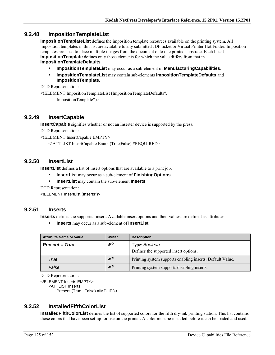## **9.2.48 ImpositionTemplateList**

**ImpositionTemplateList** defines the imposition template resources available on the printing system. All imposition templates in this list are available to any submitted JDF ticket or Virtual Printer Hot Folder. Imposition templates are used to place multiple images from the document onto one printed substrate. Each listed **ImpositionTemplate** defines only those elements for which the value differs from that in **ImpositionTemplateDefaults**.

- **ImpositionTemplateList** may occur as a sub-element of **ManufacturingCapabilities**.
- **ImpositionTemplateList** may contain sub-elements **ImpositionTemplateDefaults** and **ImpositionTemplate**.

DTD Representation:

<!ELEMENT ImpositionTemplateList (ImpositionTemplateDefaults?,

ImpositionTemplate\*)>

#### **9.2.49 InsertCapable**

**InsertCapable** signifies whether or not an Inserter device is supported by the press.

DTD Representation:

<!ELEMENT InsertCapable EMPTY>

<!ATTLIST InsertCapable Enum (True|False) #REQUIRED>

#### **9.2.50 InsertList**

**InsertList** defines a list of insert options that are available to a print job.

- **InsertList** may occur as a sub-element of **FinishingOptions**.
- **InsertList** may contain the sub-element **Inserts**.

DTD Representation:

<!ELEMENT InsertList (Inserts\*)>

#### **9.2.51 Inserts**

**Inserts** defines the supported insert. Available insert options and their values are defined as attributes.

**Inserts** may occur as a sub-element of **InsertList**.

| <b>Attribute Name or value</b> | Writer         | <b>Description</b>                                        |
|--------------------------------|----------------|-----------------------------------------------------------|
| <b>Present = True</b>          | w?             | Type: Boolean                                             |
|                                |                | Defines the supported insert options.                     |
| True                           | W <sup>2</sup> | Printing system supports enabling inserts. Default Value. |
| False                          | W <sup>2</sup> | Printing system supports disabling inserts.               |

DTD Representation:

<!ELEMENT Inserts EMPTY> <ATTLIST Inserts

Present (True | False) #IMPLIED>

## **9.2.52 InstalledFifthColorList**

**InstalledFifthColorList** defines the list of supported colors for the fifth dry-ink printing station. This list contains those colors that have been set-up for use on the printer. A color must be installed before it can be loaded and used.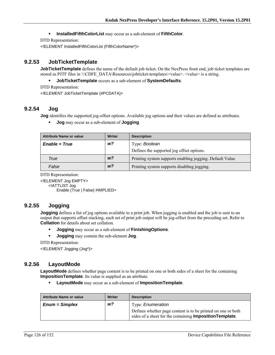#### **InstalledFifthColorList** may occur as a sub-element of **FifthColor**.

DTD Representation:

<!ELEMENT InstalledFifthColorList (FifthColorName\*)>

## **9.2.53 JobTicketTemplate**

**JobTicketTemplate** defines the name of the default job ticket. On the NexPress front end, job ticket templates are stored as PJTF files in \\\CDFE\_DATA\Resources\jobticket-templates\<value>. <value> is a string.

**JobTicketTemplate** occurs as a sub-element of **SystemDefaults**.

DTD Representation:

<!ELEMENT JobTicketTemplate (#PCDATA)>

## **9.2.54 Jog**

**Jog** identifies the supported jog-offset options. Available jog options and their values are defined as attributes.

**Jog** may occur as a sub-element of **Jogging**.

| Attribute Name or value | <b>Writer</b>  | <b>Description</b>                                       |
|-------------------------|----------------|----------------------------------------------------------|
| $Enable = True$         | w?             | Type: Boolean                                            |
|                         |                | Defines the supported jog offset options.                |
| True                    | W <sup>2</sup> | Printing system supports enabling jogging. Default Value |
| False                   | W <sup>2</sup> | Printing system supports disabling jogging.              |

DTD Representation:

<!ELEMENT Jog EMPTY> <!ATTLIST Jog Enable (True | False) #IMPLIED>

#### **9.2.55 Jogging**

**Jogging** defines a list of jog options available to a print job. When jogging is enabled and the job is sent to an output that supports offset stacking, each set of print job output will be jog-offset from the preceding set. Refer to **Collation** for details about set collation.

**Jogging** may occur as a sub-element of **FinishingOptions**.

**Jogging** may contain the sub-element **Jog**.

DTD Representation:

<!ELEMENT Jogging (Jog\*)>

#### **9.2.56 LayoutMode**

LayoutMode defines whether page content is to be printed on one or both sides of a sheet for the containing **ImpositionTemplate**. Its value is supplied as an attribute.

**LayoutMode** may occur as a sub-element of **ImpositionTemplate**.

| <b>Attribute Name or value</b> | Writer | <b>Description</b>                                                                                                               |
|--------------------------------|--------|----------------------------------------------------------------------------------------------------------------------------------|
| $Enum = Simplex$               | w?     | Type: <i>Enumeration</i>                                                                                                         |
|                                |        | Defines whether page content is to be printed on one or both<br>sides of a sheet for the containing <b>Imposition Template</b> . |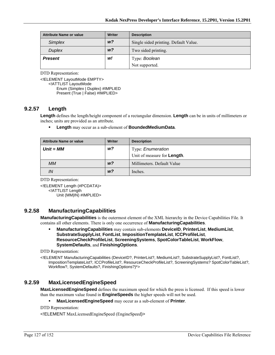| <b>Attribute Name or value</b> | Writer         | <b>Description</b>                    |
|--------------------------------|----------------|---------------------------------------|
| <b>Simplex</b>                 | W <sup>2</sup> | Single sided printing. Default Value. |
| <b>Duplex</b>                  | w <sup>2</sup> | Two sided printing.                   |
| <b>Present</b>                 | w!             | Type: Boolean                         |
|                                |                | Not supported.                        |

<!ELEMENT LayoutMode EMPTY> <!ATTLIST LayoutMode Enum (Simplex | Duplex) #IMPLIED Present (True | False) #IMPLIED>

#### **9.2.57 Length**

**Length** defines the length/height component of a rectangular dimension. **Length** can be in units of millimeters or inches; units are provided as an attribute.

**Length** may occur as a sub-element of **BoundedMediumData**.

| <b>Attribute Name or value</b> | Writer         | <b>Description</b>                  |
|--------------------------------|----------------|-------------------------------------|
| $Unit = MM$                    | w?             | Type: Enumeration                   |
|                                |                | Unit of measure for <b>Length</b> . |
| <b>MM</b>                      | W <sup>2</sup> | Millimeters. Default Value          |
| IN                             | W <sup>2</sup> | Inches.                             |

DTD Representation:

<!ELEMENT Length (#PCDATA)> <!ATTLIST Length Unit (MM|IN) #IMPLIED>

## **9.2.58 ManufacturingCapabilities**

**ManufacturingCapabilities** is the outermost element of the XML hierarchy in the Device Capabilities File. It contains all other elements. There is only one occurrence of **ManufacturingCapabilities**.

 **ManufacturingCapabilities** may contain sub-elements **DeviceID**, **PrinterList**, **MediumList**, **SubstrateSupplyList**, **FontList**, **ImpositionTemplateList**, **ICCProfileList**, **ResourceCheckProfileList**, **ScreeningSystems**, **SpotColorTableList**, **WorkFlow**, **SystemDefaults**, and **FinishingOptions**.

DTD Representation:

<!ELEMENT ManufacturingCapabilities (DeviceID?, PrinterList?, MediumList?, SubstrateSupplyList?, FontList?, ImpositionTemplateList?, ICCProfileList?, ResourceCheckProfileList?, ScreeningSystems? SpotColorTableList?, Workflow?, SystemDefaults?, FinishingOptions?)\*>

#### **9.2.59 MaxLicensedEngineSpeed**

**MaxLicensedEngineSpeed** defines the maximum speed for which the press is licensed. If this speed is lower than the maximum value found in **EngineSpeeds** the higher speeds will not be used.

**MaxLicensedEngineSpeed** may occur as a sub-element of **Printer**.

DTD Representation:

<!ELEMENT MaxLicensedEngineSpeed (EngineSpeed)>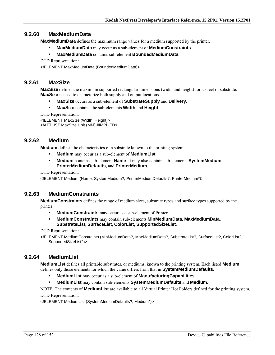## **9.2.60 MaxMediumData**

**MaxMediumData** defines the maximum range values for a medium supported by the printer.

- **MaxMediumData** may occur as a sub-element of **MediumConstraints**.
- **MaxMediumData** contains sub-element **BoundedMediumData**.

DTD Representation:

<!ELEMENT MaxMediumData (BoundedMediumData)>

## **9.2.61 MaxSize**

**MaxSize** defines the maximum supported rectangular dimensions (width and height) for a sheet of substrate. **MaxSize** is used to characterize both supply and output locations.

- **MaxSize** occurs as a sub-element of **SubstrateSupply** and **Delivery**.
- **MaxSize** contains the sub-elements **Width** and **Height**.

DTD Representation:

<!ELEMENT MaxSize (Width, Height)> <!ATTLIST MaxSize Unit (MM) #IMPLIED>

## **9.2.62 Medium**

**Medium** defines the characteristics of a substrate known to the printing system.

- **Medium** may occur as a sub-element of **MediumList**.
- **Medium** contains sub-element **Name**. It may also contain sub-elements **SystemMedium**, **PrinterMediumDefaults**, and **PrinterMedium**.

DTD Representation:

<!ELEMENT Medium (Name, SystemMedium?, PrinterMediumDefaults?, PrinterMedium\*)>

#### **9.2.63 MediumConstraints**

**MediumConstraints** defines the range of medium sizes, substrate types and surface types supported by the printer.

- **MediumConstraints** may occur as a sub-element of Printer.
- **MediumConstraints** may contain sub-elements **MinMediumData**, **MaxMediumData**, **SubstrateList**, **SurfaceList**, **ColorList, SupportedSizeList**.

DTD Representation:

<!ELEMENT MediumConstraints (MinMediumData?, MaxMediumData?, SubstrateList?, SurfaceList?, ColorList?, SupportedSizeList?)>

## **9.2.64 MediumList**

**MediumList** defines all printable substrates, or mediums, known to the printing system. Each listed **Medium** defines only those elements for which the value differs from that in **SystemMediumDefaults**.

- **MediumList** may occur as a sub-element of **ManufacturingCapabilities**.
- **MediumList** may contain sub-elements **SystemMediumDefaults** and **Medium**.

NOTE: The contents of **MediumList** are available to all Virtual Printer Hot Folders defined for the printing system. DTD Representation:

<!ELEMENT MediumList (SystemMediumDefaults?, Medium\*)>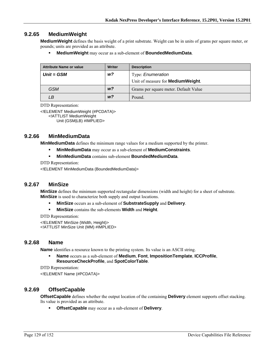## **9.2.65 MediumWeight**

**MediumWeight** defines the basis weight of a print substrate. Weight can be in units of grams per square meter, or pounds; units are provided as an attribute.

**MediumWeight** may occur as a sub-element of **BoundedMediumData**.

| <b>Attribute Name or value</b> | <b>Writer</b>  | <b>Description</b>                        |
|--------------------------------|----------------|-------------------------------------------|
| $Unit = GSM$                   | w?             | Type: <i>Enumeration</i>                  |
|                                |                | Unit of measure for <b>MediumWeight</b> . |
| <b>GSM</b>                     | w <sup>2</sup> | Grams per square meter. Default Value     |
| LВ                             | W <sup>2</sup> | Pound.                                    |

DTD Representation:

<!ELEMENT MediumWeight (#PCDATA)> <!ATTLIST MediumWeight

Unit (GSM|LB) #IMPLIED>

## **9.2.66 MinMediumData**

**MinMediumData** defines the minimum range values for a medium supported by the printer.

- **MinMediumData** may occur as a sub-element of **MediumConstraints**.
- **MinMediumData** contains sub-element **BoundedMediumData**.

DTD Representation:

<!ELEMENT MinMediumData (BoundedMediumData)>

#### **9.2.67 MinSize**

**MinSize** defines the minimum supported rectangular dimensions (width and height) for a sheet of substrate. **MinSize** is used to characterize both supply and output locations.

- **MinSize** occurs as a sub-element of **SubstrateSupply** and **Delivery**.
- **MinSize** contains the sub-elements **Width** and **Height**.

DTD Representation:

<!ELEMENT MinSize (Width, Height)> <!ATTLIST MinSize Unit (MM) #IMPLIED>

#### **9.2.68 Name**

**Name** identifies a resource known to the printing system. Its value is an ASCII string.

 **Name** occurs as a sub-element of **Medium**, **Font**, **ImpositionTemplate**, **ICCProfile**, **ResourceCheckProfile**, and **SpotColorTable**.

DTD Representation:

<!ELEMENT Name (#PCDATA)>

#### **9.2.69 OffsetCapable**

**OffsetCapable** defines whether the output location of the containing **Delivery** element supports offset stacking. Its value is provided as an attribute.

**OffsetCapable** may occur as a sub-element of **Delivery**.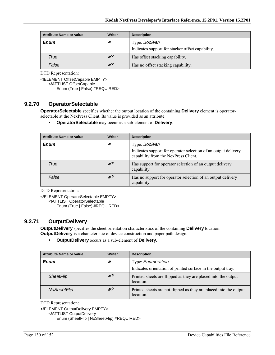| <b>Attribute Name or value</b> | Writer         | <b>Description</b>                               |
|--------------------------------|----------------|--------------------------------------------------|
| <b>Enum</b>                    | w              | Type: Boolean                                    |
|                                |                | Indicates support for stacker offset capability. |
| <b>True</b>                    | w <sup>2</sup> | Has offset stacking capability.                  |
| False                          | w <sup>2</sup> | Has no offset stacking capability.               |

<!ELEMENT OffsetCapable EMPTY>

<!ATTLIST OffsetCapable

Enum (True | False) #REQUIRED>

## **9.2.70 OperatorSelectable**

**OperatorSelectable** specifies whether the output location of the containing **Delivery** element is operatorselectable at the NexPress Client. Its value is provided as an attribute.

**OperatorSelectable** may occur as a sub-element of **Delivery**.

| <b>Attribute Name or value</b> | <b>Writer</b>  | <b>Description</b>                                                                                     |
|--------------------------------|----------------|--------------------------------------------------------------------------------------------------------|
| <b>Enum</b>                    | W              | Type: Boolean                                                                                          |
|                                |                | Indicates support for operator selection of an output delivery<br>capability from the NexPress Client. |
| True                           | W <sup>2</sup> | Has support for operator selection of an output delivery<br>capability.                                |
| False                          | W <sup>2</sup> | Has no support for operator selection of an output delivery<br>capability.                             |

DTD Representation:

<!ELEMENT OperatorSelectable EMPTY>

<!ATTLIST OperatorSelectable

Enum (True | False) #REQUIRED>

## **9.2.71 OutputDelivery**

**OutputDelivery** specifies the sheet orientation characteristics of the containing **Delivery** location. **OutputDelivery** is a characteristic of device construction and paper path design.

**OutputDelivery** occurs as a sub-element of **Delivery**.

| <b>Attribute Name or value</b> | <b>Writer</b> | <b>Description</b>                                                                |
|--------------------------------|---------------|-----------------------------------------------------------------------------------|
| Enum                           | w             | Type: Enumeration<br>Indicates orientation of printed surface in the output tray. |
| <b>SheetFlip</b>               | w?            | Printed sheets are flipped as they are placed into the output<br>location.        |
| NoSheetFlip                    | w?            | Printed sheets are not flipped as they are placed into the output<br>location.    |

DTD Representation:

<!ELEMENT OutputDelivery EMPTY>

<!ATTLIST OutputDelivery

Enum (SheetFlip | NoSheetFlip) #REQUIRED>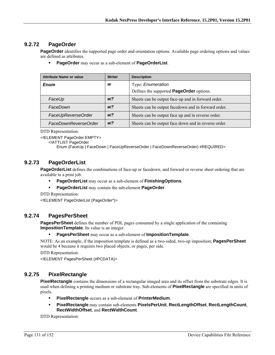# **9.2.72 PageOrder**

**PageOrder** identifies the supported page order and orientation options. Available page ordering options and values are defined as attributes.

**PageOrder** may occur as a sub-element of **PageOrderList**.

| <b>Attribute Name or value</b> | <b>Writer</b>  | <b>Description</b>                                   |
|--------------------------------|----------------|------------------------------------------------------|
| Enum                           | W              | Type: Enumeration                                    |
|                                |                | Defines the supported <b>PageOrder</b> options.      |
| FaceUp                         | w?             | Sheets can be output face-up and in forward order.   |
| FaceDown                       | W <sup>2</sup> | Sheets can be output facedown and in forward order.  |
| FaceUpReverseOrder             | w?             | Sheets can be output face up and in reverse order.   |
| FaceDownReverseOrder           | w?             | Sheets can be output face down and in reverse order. |

DTD Representation:

<!ELEMENT PageOrder EMPTY>

<!ATTLIST PageOrder

Enum (FaceUp | FaceDown | FaceUpReverseOrder | FaceDownReverseOrder) #REQUIRED>

## **9.2.73 PageOrderList**

**PageOrderList** defines the combinations of face-up or facedown, and forward or reverse sheet ordering that are available to a print job.

- **PageOrderList** may occur as a sub-element of **FinishingOptions**.
- **PageOrderList** may contain the sub-element **PageOrder**.

DTD Representation:

<!ELEMENT PageOrderList (PageOrder\*)>

#### **9.2.74 PagesPerSheet**

**PagesPerSheet** defines the number of PDL pages consumed by a single application of the containing **ImpositionTemplate**. Its value is an integer.

**PagesPerSheet** may occur as a sub-element of **ImpositionTemplate**.

NOTE: As an example, if the imposition template is defined as a two-sided, two-up imposition; **PagesPerSheet** would be 4 because it requires two placed objects, or pages, per side.

DTD Representation:

<!ELEMENT PagesPerSheet (#PCDATA)>

## **9.2.75 PixelRectangle**

**PixelRectangle** contains the dimensions of a rectangular imaged area and its offset from the substrate edges. It is used when defining a printing medium or substrate tray. Sub-elements of **PixelRectangle** are specified in units of pixels.

- **PixelRectangle** occurs as a sub-element of **PrinterMedium**.
- **PixelRectangle** may contain sub-elements **PixelsPerUnit**, **RectLengthOffset**, **RectLengthCount**, **RectWidthOffset**, and **RectWidthCount**.

DTD Representation: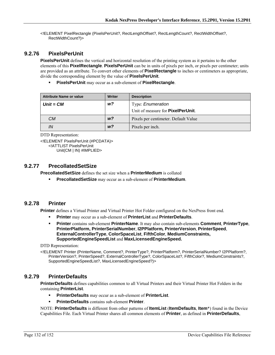<!ELEMENT PixelRectangle (PixelsPerUnit?, RectLengthOffset?, RectLengthCount?, RectWidthOffset?, RectWidthCount?)>

## **9.2.76 PixelsPerUnit**

**PixelsPerUnit** defines the vertical and horizontal resolution of the printing system as it pertains to the other elements of this **PixelRectangle**. **PixelsPerUnit** can be in units of pixels per inch, or pixels per centimeter; units are provided as an attribute. To convert other elements of **PixelRectangle** to inches or centimeters as appropriate, divide the corresponding element by the value of **PixelsPerUnit**.

**PixelsPerUnit** may occur as a sub-element of **PixelRectangle**.

| Attribute Name or value | Writer         | <b>Description</b>                        |
|-------------------------|----------------|-------------------------------------------|
| $Unit = CM$             | w?             | Type: Enumeration                         |
|                         |                | Unit of measure for <b>PixelPerUnit</b> . |
| CМ                      | W <sup>2</sup> | Pixels per centimeter. Default Value      |
| IN                      | W <sup>2</sup> | Pixels per inch.                          |

```
DTD Representation:
```
<!ELEMENT PixelsPerUnit (#PCDATA)> <!ATTLIST PixelsPerUnit Unit(CM | IN) #IMPLIED>

## **9.2.77 PrecollatedSetSize**

**PrecollatedSetSize** defines the set size when a **PrinterMedium** is collated

**PrecollatedSetSize** may occur as a sub-element of **PrinterMedium**.

#### **9.2.78 Printer**

**Printer** defines a Virtual Printer and Virtual Printer Hot Folder configured on the NexPress front end.

- **Printer** may occur as a sub-element of **PrinterList** and **PrinterDefaults**.
- **Printer** contains sub-element **PrinterName**. It may also contain sub-elements **Comment**, **PrinterType**, **PrinterPlatform, PrinterSerialNumber**, **I2PPlatform***,* **PrinterVersion**, **PrinterSpeed**, **ExternalControllerType**, **ColorSpaceList**, **FifthColor**, **MediumConstraints, SupportedEngineSpeedList** and **MaxLicensedEngineSpeed.**

DTD Representation:

<!ELEMENT Printer (PrinterName, Comment?, PrinterType?, PrinterPlatform?, PrinterSerialNumber? I2PPlatform?, PrinterVersion?, PrinterSpeed?, ExternalControllerType?, ColorSpaceList?, FifthColor?, MediumConstraints?, SupportedEngineSpeedList?, MaxLicensedEngineSpeed?)>

## **9.2.79 PrinterDefaults**

**PrinterDefaults** defines capabilities common to all Virtual Printers and their Virtual Printer Hot Folders in the containing **PrinterList**.

- **PrinterDefaults** may occur as a sub-element of **PrinterList**.
- **PrinterDefaults** contains sub-element **Printer**.

NOTE: **PrinterDefaults** is different from other patterns of **ItemList** (**ItemDefaults**, **Item**\*) found in the Device Capabilities File. Each Virtual Printer shares all common elements of **Printer**, as defined in **PrinterDefaults**,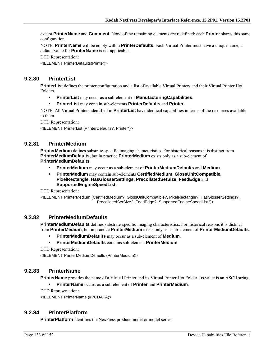except **PrinterName** and **Comment**. None of the remaining elements are redefined; each **Printer** shares this same configuration.

NOTE: **PrinterName** will be empty within **PrinterDefaults**. Each Virtual Printer must have a unique name; a default value for **PrinterName** is not applicable.

DTD Representation:

<!ELEMENT PrinterDefaults(Printer)>

## **9.2.80 PrinterList**

**PrinterList** defines the printer configuration and a list of available Virtual Printers and their Virtual Printer Hot Folders.

- **PrinterList** may occur as a sub-element of **ManufacturingCapabilities**.
- **PrinterList** may contain sub-elements **PrinterDefaults** and **Printer**.

NOTE: All Virtual Printers identified in **PrinterList** have identical capabilities in terms of the resources available to them.

DTD Representation:

<!ELEMENT PrinterList (PrinterDefaults?, Printer\*)>

## **9.2.81 PrinterMedium**

**PrinterMedium** defines substrate-specific imaging characteristics. For historical reasons it is distinct from **PrinterMediumDefaults**, but in practice **PrinterMedium** exists only as a sub-element of **PrinterMediumDefaults**.

- **PrinterMedium** may occur as a sub-element of **PrinterMediumDefaults** and **Medium**.
- **PrinterMedium** may contain sub-elements **CertifiedMedium, GlossUnitCompatible**, **PixelRectangle, HasGlosserSettings, PrecollatedSetSize, FeedEdge** and **SupportedEngineSpeedList.**

DTD Representation:

<!ELEMENT PrinterMedium (CertifiedMedium?, GlossUnitCompatible?, PixelRectangle?, HasGlosserSettings?, PrecollatedSetSize?, FeedEdge?, SupportedEngineSpeedList?)>

#### **9.2.82 PrinterMediumDefaults**

**PrinterMediumDefaults** defines substrate-specific imaging characteristics. For historical reasons it is distinct from **PrinterMedium**, but in practice **PrinterMedium** exists only as a sub-element of **PrinterMediumDefaults**.

- **PrinterMediumDefaults** may occur as a sub-element of **Medium**.
- **PrinterMediumDefaults** contains sub-element **PrinterMedium**.

DTD Representation:

<!ELEMENT PrinterMediumDefaults (PrinterMedium)>

#### **9.2.83 PrinterName**

**PrinterName** provides the name of a Virtual Printer and its Virtual Printer Hot Folder. Its value is an ASCII string.

**PrinterName** occurs as a sub-element of **Printer** and **PrinterMedium**.

DTD Representation:

<!ELEMENT PrinterName (#PCDATA)>

#### **9.2.84 PrinterPlatform**

**PrinterPlatform** identifies the NexPress product model or model series.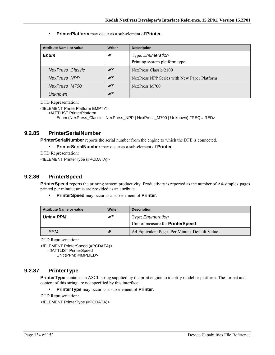**PrinterPlatform** may occur as a sub-element of **Printer**.

| <b>Attribute Name or value</b> | <b>Writer</b> | <b>Description</b>                          |
|--------------------------------|---------------|---------------------------------------------|
| Enum                           | W             | Type: Enumeration                           |
|                                |               | Printing system platform type.              |
| <b>NexPress Classic</b>        | w?            | NexPress Classic 2100                       |
| <b>NexPress NPP</b>            | w?            | NexPress NPP Series with New Paper Platform |
| NexPress M700                  | w?            | NexPress M700                               |
| Unknown                        | w?            |                                             |

DTD Representation:

<!ELEMENT PrinterPlatform EMPTY>

<!ATTLIST PrinterPlatform

Enum (NexPress\_Classic | NexPress\_NPP | NexPress\_M700 | Unknown) #REQUIRED>

## **9.2.85 PrinterSerialNumber**

**PrinterSerialNumber** reports the serial number from the engine to which the DFE is connected.

**PrinterSerialNumber** may occur as a sub-element of **Printer**.

DTD Representation:

<!ELEMENT PrinterType (#PCDATA)>

## **9.2.86 PrinterSpeed**

**PrinterSpeed** reports the printing system productivity. Productivity is reported as the number of A4-simplex pages printed per minute; units are provided as an attribute.

**PrinterSpeed** may occur as a sub-element of **Printer**.

| <b>Attribute Name or value</b> | Writer | <b>Description</b>                                                    |
|--------------------------------|--------|-----------------------------------------------------------------------|
| $Unit = PPM$                   | w?     | Type: <i>Enumeration</i><br>Unit of measure for <b>PrinterSpeed</b> . |
| <b>PPM</b>                     | W      | A4 Equivalent Pages Per Minute. Default Value.                        |

DTD Representation:

<!ELEMENT PrinterSpeed (#PCDATA)> <!ATTLIST PrinterSpeed Unit (PPM) #IMPLIED>

## **9.2.87 PrinterType**

**PrinterType** contains an ASCII string supplied by the print engine to identify model or platform. The format and content of this string are not specified by this interface.

**PrinterType** may occur as a sub-element of **Printer**.

DTD Representation: <!ELEMENT PrinterType (#PCDATA)>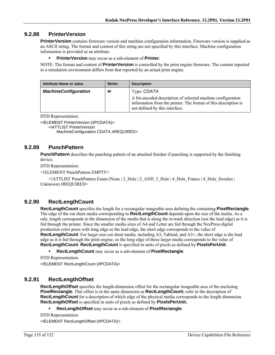## **9.2.88 PrinterVersion**

**PrinterVersion** contains firmware version and machine configuration information. Firmware version is supplied as an ASCII string. The format and content of this string are not specified by this interface. Machine configuration information is provided as an attribute.

#### **PrinterVersion** may occur as a sub-element of **Printer**.

NOTE: The format and content of **PrinterVersion** is controlled by the print engine firmware. The content reported in a simulation environment differs from that reported by an actual print engine.

| <b>Attribute Name or value</b> | Writer | <b>Description</b>                                                                                                                                               |
|--------------------------------|--------|------------------------------------------------------------------------------------------------------------------------------------------------------------------|
| <b>MachineConfiguration</b>    | W      | Type: CDATA                                                                                                                                                      |
|                                |        | A bit-encoded description of selected machine configuration<br>information from the printer. The format of this description is<br>not defined by this interface. |

DTD Representation:

<!ELEMENT PrinterVersion (#PCDATA)>

<!ATTLIST PrinterVersion

MachineConfiguration CDATA #REQUIRED>

#### **9.2.89 PunchPattern**

**PunchPattern** describes the punching pattern of an attached finisher if punching is supported by the finishing device.

DTD Representation:

<!ELEMENT PunchPattern EMPTY>

 $\leq$  ATTLIST PunchPattern Enum (None | 2\_Hole | 2\_AND\_3\_Hole | 4\_Hole France | 4\_Hole\_Sweden | Unknown) #REQUIRED>

## **9.2.90 RectLengthCount**

**RectLengthCount** specifies the length for a rectangular imageable area defining the containing **PixelRectangle**. The edge of the cut sheet media corresponding to **RectLengthCount** depends upon the size of the media. As a rule, length corresponds to the dimension of the media that is along the in-track direction (not the lead edge) as it is fed through the printer. Since the smaller media sizes of A4 and Letter are fed through the NexPress digital production color press with long edge as the lead edge, the short edge corresponds to the value of **RectLengthCount**. For larger size cut sheet media, including A3, Tabloid, and A3+, the short edge is the lead edge as it is fed through the print engine, so the long edge of these larger media corresponds to the value of **RectLengthCount**. **RectLengthCount** is specified in units of pixels as defined by **PixelsPerUnit**.

**RectLengthCount** may occur as a sub-element of **PixelRectangle**.

DTD Representation: <!ELEMENT RectLengthCount (#PCDATA)>

#### **9.2.91 RectLengthOffset**

**RectLengthOffset** specifies the length-dimension offset for the rectangular imageable area of the enclosing **PixelRectangle**. This offset is in the same dimension as **RectLengthCount**; refer to the description of **RectLengthCount** for a description of which edge of the physical media corresponds to the length dimension. **RectLengthOffset** is specified in units of pixels as defined by **PixelsPerUnit.**

**RecLengthOffset** may occur as a sub-element of **PixelRectangle**.

```
DTD Representation:
```
<!ELEMENT RectLengthOffset (#PCDATA)>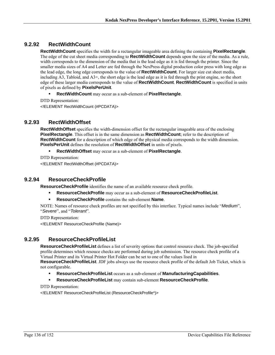## **9.2.92 RectWidthCount**

**RectWidthCount** specifies the width for a rectangular imageable area defining the containing **PixelRectangle**. The edge of the cut sheet media corresponding to **RectWidthCount** depends upon the size of the media. As a rule, width corresponds to the dimension of the media that is the lead edge as it is fed through the printer. Since the smaller media sizes of A4 and Letter are fed through the NexPress digital production color press with long edge as the lead edge, the long edge corresponds to the value of **RectWidthCount**. For larger size cut sheet media, including A3, Tabloid, and A3+, the short edge is the lead edge as it is fed through the print engine, so the short edge of these larger media corresponds to the value of **RectWidthCount**. **RectWidthCount** is specified in units of pixels as defined by **PixelsPerUnit**.

- **RectWidthCount** may occur as a sub-element of **PixelRectangle**.
- DTD Representation:

<!ELEMENT RectWidthCount (#PCDATA)>

## **9.2.93 RectWidthOffset**

**RectWidthOffset** specifies the width-dimension offset for the rectangular imageable area of the enclosing **PixelRectangle**. This offset is in the same dimension as **RectWidthCount**; refer to the description of **RectWidthCount** for a description of which edge of the physical media corresponds to the width dimension. **PixelsPerUnit** defines the resolution of **RectWidthOffset** in units of pixels.

**RectWidthOffset** may occur as a sub-element of **PixelRectangle**.

DTD Representation:

<!ELEMENT RectWidthOffset (#PCDATA)>

## **9.2.94 ResourceCheckProfile**

**ResourceCheckProfile** identifies the name of an available resource check profile.

- **ResourceCheckProfile** may occur as a sub-element of **ResourceCheckProfileList**.
- **ResourceCheckProfile** contains the sub-element **Name**.

NOTE: Names of resource check profiles are not specified by this interface. Typical names include "*Medium*", "*Severe*", and "*Tolerant*".

DTD Representation:

<!ELEMENT ResourceCheckProfile (Name)>

## **9.2.95 ResourceCheckProfileList**

**ResourceCheckProfileList** defines a list of severity options that control resource check. The job-specified profile determines which resouce checks are performed during job submission. The resource check profile of a Virtual Printer and its Virtual Printer Hot Folder can be set to one of the values lised in

**ResourceCheckProfileList**. JDF jobs always use the resource check profile of the default Job Ticket, which is not configurable.

- **ResourceCheckProfileList** occurs as a sub-element of **ManufacturingCapabilities**.
- **ResourceCheckProfileList** may contain sub-element **ResourceCheckProfile**.

DTD Representation:

<!ELEMENT ResourceCheckProfileList (ResourceCheckProfile\*)>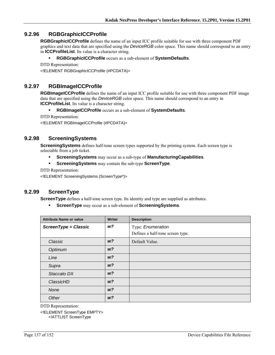## **9.2.96 RGBGraphicICCProfile**

**RGBGraphicICCProfile** defines the name of an input ICC profile suitable for use with three component PDF graphics and text data that are specified using the *DeviceRGB* color space. This name should correspond to an entry in **ICCProfileList**. Its value is a character string.

#### **RGBGraphicICCProfile** occurs as a sub-element of **SystemDefaults**.

```
DTD Representation:
```
<!ELEMENT RGBGraphicICCProfile (#PCDATA)>

## **9.2.97 RGBImageICCProfile**

**RGBImageICCProfile** defines the name of an input ICC profile suitable for use with three component PDF image data that are specified using the *DeviceRGB* color space. This name should correspond to an entry in **ICCProfileList**. Its value is a character string.

#### **RGBImageICCProfile** occurs as a sub-element of **SystemDefaults**.

DTD Representation:

<!ELEMENT RGBImageICCProfile (#PCDATA)>

#### **9.2.98 ScreeningSystems**

**ScreeningSystems** defines half-tone screen types supported by the printing system. Each screen type is selectable from a job ticket.

- **ScreeningSystems** may occur as a sub-type of **ManufacturingCapabilities**.
- **ScreeningSystems** may contain the sub-type **ScreenType**.

DTD Representation:

<!ELEMENT ScreeningSystems (ScreenType\*)>

#### **9.2.99 ScreenType**

**ScreenType** defines a half-tone screen type. Its identity and type are supplied as attributes.

**ScreenType** may occur as a sub-element of **ScreeningSystems**.

| <b>Attribute Name or value</b> | <b>Writer</b>  | <b>Description</b>               |
|--------------------------------|----------------|----------------------------------|
| ScreenType = Classic           | w?             | Type: Enumeration                |
|                                |                | Defines a half-tone screen type. |
| Classic                        | W <sup>2</sup> | Default Value.                   |
| Optimum                        | W <sup>2</sup> |                                  |
| Line                           | W <sub>2</sub> |                                  |
| Supra                          | W <sup>2</sup> |                                  |
| Staccato DX                    | W <sup>2</sup> |                                  |
| ClassicHD                      | W <sup>2</sup> |                                  |
| None                           | W <sup>2</sup> |                                  |
| Other                          | W <sub>2</sub> |                                  |

DTD Representation:

<!ELEMENT ScreenType EMPTY> <!ATTLIST ScreenType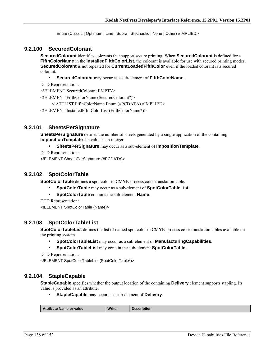Enum (Classic | Optimum | Line | Supra | Stochastic | None | Other) #IMPLIED>

#### **9.2.100 SecuredColorant**

**SecuredColorant** identifies colorants that support secure printing. When **SecuredColorant** is defined for a **FifthColorName** in the **InstalledFifthColorList**, the colorant is available for use with secured printing modes. **SecuredColorant** is not repeated for **CurrentLoadedFifthColor** even if the loaded colorant is a secured colorant.

**SecuredColorant** may occur as a sub-element of **FifthColorName**.

DTD Representation:

<!ELEMENT SecuredColorant EMPTY>

<!ELEMENT FifthColorName (SecuredColorant?)>

<!ATTLIST FifthColorName Enum (#PCDATA) #IMPLIED>

<!ELEMENT InstalledFifthColorList (FifthColorName\*)>

#### **9.2.101 SheetsPerSignature**

**SheetsPerSignature** defines the number of sheets generated by a single application of the containing **ImpositionTemplate**. Its value is an integer.

#### **SheetsPerSignature** may occur as a sub-element of **ImpositionTemplate**.

DTD Representation:

<!ELEMENT SheetsPerSignature (#PCDATA)>

#### **9.2.102 SpotColorTable**

**SpotColorTable** defines a spot color to CMYK process color translation table.

- **SpotColorTable** may occur as a sub-element of **SpotColorTableList**.
- **SpotColorTable** contains the sub-element **Name**.

DTD Representation:

<!ELEMENT SpotColorTable (Name)>

#### **9.2.103 SpotColorTableList**

**SpotColorTableList** defines the list of named spot color to CMYK process color translation tables available on the printing system.

- **SpotColorTableList** may occur as a sub-element of **ManufacturingCapabilities**.
- **SpotColorTableList** may contain the sub-element **SpotColorTable**.

```
DTD Representation:
```
<!ELEMENT SpotColorTableList (SpotColorTable\*)>

#### **9.2.104 StapleCapable**

**StapleCapable** specifies whether the output location of the containing **Delivery** element supports stapling. Its value is provided as an attribute.

**StapleCapable** may occur as a sub-element of **Delivery**.

| <b>Att</b><br>: Name or value<br>ribute | Writer | <b>Description</b> |
|-----------------------------------------|--------|--------------------|
|                                         |        |                    |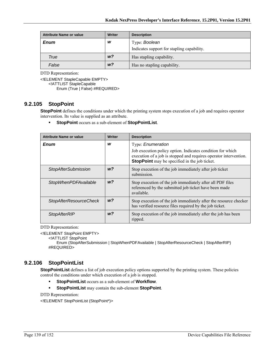| <b>Attribute Name or value</b> | Writer         | <b>Description</b>                         |
|--------------------------------|----------------|--------------------------------------------|
| <b>Enum</b>                    | w              | Type: Boolean                              |
|                                |                | Indicates support for stapling capability. |
| True                           | w?             | Has stapling capability.                   |
| False                          | w <sup>2</sup> | Has no stapling capability.                |

<!ELEMENT StapleCapable EMPTY> <!ATTLIST StapleCapable Enum (True | False) #REQUIRED>

#### **9.2.105 StopPoint**

**StopPoint** defines the conditions under which the printing system stops execution of a job and requires operator intervention. Its value is supplied as an attribute.

**StopPoint** occurs as a sub-element of **StopPointList**.

| <b>Attribute Name or value</b> | <b>Writer</b>  | <b>Description</b>                                                                                                                                                                      |
|--------------------------------|----------------|-----------------------------------------------------------------------------------------------------------------------------------------------------------------------------------------|
| Enum                           | w              | Type: <i>Enumeration</i>                                                                                                                                                                |
|                                |                | Job execution policy option. Indicates condition for which<br>execution of a job is stopped and requires operator intervention.<br><b>StopPoint</b> may be specified in the job ticket. |
| <b>StopAfterSubmission</b>     | W <sup>2</sup> | Stop execution of the job immediately after job ticket<br>submission.                                                                                                                   |
| <b>StopWhenPDFAvailable</b>    | W <sup>2</sup> | Stop execution of the job immediately after all PDF files<br>referenced by the submitted job ticket have been made<br>available.                                                        |
| <b>StopAfterResourceCheck</b>  | W <sup>2</sup> | Stop execution of the job immediately after the resource checker<br>has verified resource files required by the job ticket.                                                             |
| <b>StopAfterRIP</b>            | w?             | Stop execution of the job immediately after the job has been<br>ripped.                                                                                                                 |

DTD Representation:

<!ELEMENT StopPoint EMPTY>

<!ATTLIST StopPoint

Enum (StopAfterSubmission | StopWhenPDFAvailable | StopAfterResourceCheck | StopAfterRIP) #REQUIRED>

# **9.2.106 StopPointList**

**StopPointList** defines a list of job execution policy options supported by the printing system. These policies control the conditions under which execution of a job is stopped.

- **StopPointList** occurs as a sub-element of **Workflow**.
- **StopPointList** may contain the sub-element **StopPoint**.

DTD Representation:

<!ELEMENT StopPointList (StopPoint\*)>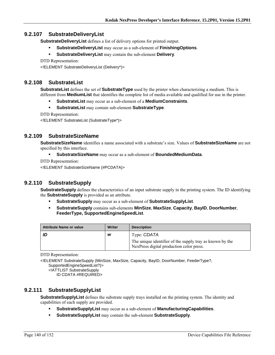## **9.2.107 SubstrateDeliveryList**

**SubstrateDeliveryList** defines a list of delivery options for printed output.

- **SubstrateDeliveryList** may occur as a sub-element of **FinishingOptions**.
- **SubstrateDeliveryList** may contain the sub-element **Delivery**.

DTD Representation:

<!ELEMENT SubstrateDeliveryList (Delivery\*)>

## **9.2.108 SubstrateList**

**SubstrateList** defines the set of **SubstrateType** used by the printer when characterizing a medium. This is different from **MediumList** that identifies the complete list of media available and qualified for use in the printer.

- **SubstrateList** may occur as a sub-element of a **MediumConstraints**.
- **SubstrateList** may contain sub-element **SubstrateType**.

DTD Representation:

<!ELEMENT SubstrateList (SubstrateType\*)>

## **9.2.109 SubstrateSizeName**

**SubstrateSizeName** identifies a name associated with a substrate's size. Values of **SubstrateSizeName** are not specified by this interface.

- **SubstrateSizeName** may occur as a sub-element of **BoundedMediumData**.
- DTD Representation:

<!ELEMENT SubstrateSizeName (#PCDATA)>

## **9.2.110 SubstrateSupply**

**SubstrateSupply** defines the characteristics of an input substrate supply in the printing system. The ID identifying the **SubstrateSupply** is provided as an attribute.

- **SubstrateSupply** may occur as a sub-element of **SubstrateSupplyList**.
- **SubstrateSupply** contains sub-elements **MinSize**, **MaxSize**, **Capacity**, **BayID**, **DoorNumber**, **FeederType, SupportedEngineSpeedList**.

| <b>Attribute Name or value</b> | Writer | <b>Description</b>                                                                                   |
|--------------------------------|--------|------------------------------------------------------------------------------------------------------|
|                                | W      | Type: CDATA                                                                                          |
|                                |        | The unique identifier of the supply tray as known by the<br>NexPress digital production color press. |

DTD Representation:

<!ELEMENT SubstrateSupply (MinSize, MaxSize, Capacity, BayID, DoorNumber, FeederType?, SupportedEngineSpeedList?)>

<!ATTLIST SubstrateSupply

ID CDATA #REQUIRED>

## **9.2.111 SubstrateSupplyList**

**SubstrateSupplyList** defines the substrate supply trays installed on the printing system. The identity and capabilities of each supply are provided.

- **SubstrateSupplyList** may occur as a sub-element of **ManufacturingCapabilities**.
- **SubstrateSupplyList** may contain the sub-element **SubstrateSupply**.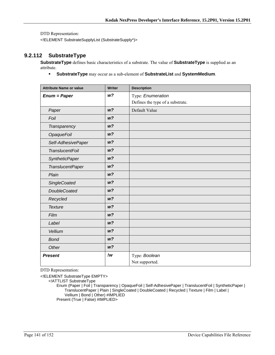<!ELEMENT SubstrateSupplyList (SubstrateSupply\*)>

## **9.2.112 SubstrateType**

**SubstrateType** defines basic characteristics of a substrate. The value of **SubstrateType** is supplied as an attribute.

**SubstrateType** may occur as a sub-element of **SubstrateList** and **SystemMedium**.

| <b>Attribute Name or value</b> | Writer         | <b>Description</b>               |
|--------------------------------|----------------|----------------------------------|
| $Enum = Paper$                 | W <sup>2</sup> | Type: Enumeration                |
|                                |                | Defines the type of a substrate. |
| Paper                          | W <sup>2</sup> | Default Value                    |
| Foil                           | W <sup>2</sup> |                                  |
| Transparency                   | W <sup>2</sup> |                                  |
| <b>OpaqueFoil</b>              | W <sup>2</sup> |                                  |
| Self-AdhesivePaper             | W <sup>2</sup> |                                  |
| <b>TranslucentFoil</b>         | W <sup>2</sup> |                                  |
| <b>SyntheticPaper</b>          | W <sup>2</sup> |                                  |
| <b>TranslucentPaper</b>        | W <sup>2</sup> |                                  |
| Plain                          | W <sup>2</sup> |                                  |
| <b>SingleCoated</b>            | W <sup>2</sup> |                                  |
| <b>DoubleCoated</b>            | W <sub>2</sub> |                                  |
| Recycled                       | W <sup>2</sup> |                                  |
| <b>Texture</b>                 | W <sup>2</sup> |                                  |
| Film                           | W <sup>2</sup> |                                  |
| Label                          | W <sup>2</sup> |                                  |
| Vellium                        | W <sub>2</sub> |                                  |
| <b>Bond</b>                    | W <sup>2</sup> |                                  |
| Other                          | W <sup>2</sup> |                                  |
| <b>Present</b>                 | !w             | Type: Boolean                    |
|                                |                | Not supported.                   |

DTD Representation:

<!ELEMENT SubstrateType EMPTY>

<!ATTLIST SubstrateType

Enum (Paper | Foil | Transparency | OpaqueFoil | Self-AdhesivePaper | TranslucentFoil | SyntheticPaper | TranslucentPaper | Plain | SingleCoated | DoubleCoated | Recycled | Texture | Film | Label | Vellium | Bond | Other) #IMPLIED Present (True | False) #IMPLIED>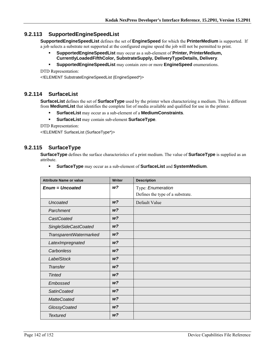## **9.2.113 SupportedEngineSpeedList**

**SupportedEngineSpeedList** defines the set of **EngineSpeed** for which the **PrinterMedium** is supported. If a job selects a substrate not supported at the configured engine speed the job will not be permitted to print.

- **SupportedEngineSpeedList** may occur as a sub-element of **Printer, PrinterMedium, CurrentlyLoadedFifthColor, SubstrateSupply, DeliveryTypeDetails, Delivery**.
- **SupportedEngineSpeedList** may contain zero or more **EngineSpeed** enumerations.

DTD Representation:

<!ELEMENT SubstrateEngineSpeedList (EngineSpeed\*)>

#### **9.2.114 SurfaceList**

**SurfaceList** defines the set of **SurfaceType** used by the printer when characterizing a medium. This is different from **MediumList** that identifies the complete list of media available and qualified for use in the printer.

- **SurfaceList** may occur as a sub-element of a **MediumConstraints**.
- **SurfaceList** may contain sub-element **SurfaceType**.

DTD Representation:

<!ELEMENT SurfaceList (SurfaceType\*)>

## **9.2.115 SurfaceType**

**SurfaceType** defines the surface characteristics of a print medium. The value of **SurfaceType** is supplied as an attribute.

**SurfaceType** may occur as a sub-element of **SurfaceList** and **SystemMedium**.

| <b>Attribute Name or value</b> | <b>Writer</b>  | <b>Description</b>               |
|--------------------------------|----------------|----------------------------------|
| <b>Enum = Uncoated</b>         | w?             | Type: Enumeration                |
|                                |                | Defines the type of a substrate. |
| <b>Uncoated</b>                | W <sup>2</sup> | Default Value                    |
| Parchment                      | W <sup>2</sup> |                                  |
| CastCoated                     | W <sup>2</sup> |                                  |
| <b>SingleSideCastCoated</b>    | W <sup>2</sup> |                                  |
| TransparentWatermarked         | W <sup>2</sup> |                                  |
| LatexImpregnated               | W <sup>2</sup> |                                  |
| Carbonless                     | W <sup>2</sup> |                                  |
| <b>LabelStock</b>              | W <sup>2</sup> |                                  |
| <b>Transfer</b>                | W <sup>2</sup> |                                  |
| <b>Tinted</b>                  | W <sup>2</sup> |                                  |
| Embossed                       | W <sup>2</sup> |                                  |
| <b>SatinCoated</b>             | W <sup>2</sup> |                                  |
| <b>MatteCoated</b>             | W <sup>2</sup> |                                  |
| GlossyCoated                   | W <sup>2</sup> |                                  |
| <b>Textured</b>                | W <sup>2</sup> |                                  |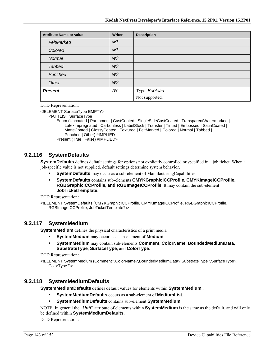| <b>Attribute Name or value</b> | Writer         | <b>Description</b> |
|--------------------------------|----------------|--------------------|
| FeltMarked                     | W <sup>2</sup> |                    |
| Colored                        | W <sup>2</sup> |                    |
| Normal                         | W <sup>2</sup> |                    |
| <b>Tabbed</b>                  | W <sup>2</sup> |                    |
| Punched                        | W <sup>2</sup> |                    |
| Other                          | W <sup>2</sup> |                    |
| <b>Present</b>                 | !w             | Type: Boolean      |
|                                |                | Not supported.     |

<!ELEMENT SurfaceType EMPTY>

<!ATTLIST SurfaceType

Enum (Uncoated | Parchment | CastCoated | SingleSideCastCoated | TransparentWatermarked | LatexImpregnated | Carbonless | LabelStock | Transfer | Tinted | Embossed | SatinCoated | MatteCoated | GlossyCoated | Textured | FeltMarked | Colored | Normal | Tabbed | Punched | Other) #IMPLIED

Present (True | False) #IMPLIED>

## **9.2.116 SystemDefaults**

**SystemDefaults** defines default settings for options not explicitly controlled or specified in a job ticket. When a job-specific value is not supplied, default settings determine system behavior.

- **SystemDefaults** may occur as a sub-element of ManufacturingCapabilities.
- **SystemDefaults** contains sub-elements **CMYKGraphicICCProfile**, **CMYKImageICCProfile**, **RGBGraphicICCProfile**, **and RGBImageICCProfile**. It may contain the sub-element **JobTicketTemplate**.

DTD Representation:

<!ELEMENT SystemDefaults (CMYKGraphicICCProfile, CMYKImageICCProfile, RGBGraphicICCProfile, RGBImageICCProfile, JobTicketTemplate?)>

## **9.2.117 SystemMedium**

**SystemMedium** defines the physical characteristics of a print media.

- **SystemMedium** may occur as a sub-element of **Medium**.
- **SystemMedium** may contain sub-elements **Comment**, **ColorName**, **BoundedMediumData**, **SubstrateType**, **SurfaceType**, and **ColorType**.

DTD Representation:

<!ELEMENT SystemMedium (Comment?,ColorName?,BoundedMediumData?,SubstrateType?,SurfaceType?, ColorType?)>

#### **9.2.118 SystemMediumDefaults**

**SystemMediumDefaults** defines default values for elements within **SystemMedium**..

- **SystemMediumDefaults** occurs as a sub-element of **MediumList**.
- **SystemMediumDefaults** contains sub-element **SystemMedium**.

NOTE: In general the "*Unit*" attribute of elements within **SystemMedium** is the same as the default, and will only be defined within **SystemMediumDefaults**.

DTD Representation: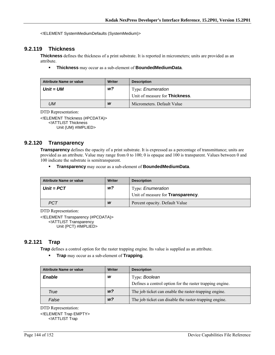<!ELEMENT SystemMediumDefaults (SystemMedium)>

## **9.2.119 Thickness**

**Thickness** defines the thickness of a print substrate. It is reported in micrometers; units are provided as an attribute.

**Thickness** may occur as a sub-element of **BoundedMediumData**.

| <b>Attribute Name or value</b> | <b>Writer</b> | <b>Description</b>                                                 |
|--------------------------------|---------------|--------------------------------------------------------------------|
| Unit = UM                      | w?            | Type: <i>Enumeration</i><br>Unit of measure for <b>Thickness</b> . |
| UМ                             | W             | Micrometers. Default Value                                         |

DTD Representation:

<!ELEMENT Thickness (#PCDATA)> <!ATTLIST Thickness Unit (UM) #IMPLIED>

#### **9.2.120 Transparency**

**Transparency** defines the opacity of a print substrate. It is expressed as a percentage of transmittance; units are provided as an attribute. Value may range from 0 to 100; 0 is opaque and 100 is transparent. Values between 0 and 100 indicate the substrate is semitransparent.

**Transparency** may occur as a sub-element of **BoundedMediumData**.

| <b>Attribute Name or value</b> | Writer | <b>Description</b>                        |
|--------------------------------|--------|-------------------------------------------|
| $Unit = PCT$                   | w?     | Type: <i>Enumeration</i>                  |
|                                |        | Unit of measure for <b>Transparency</b> . |
| <b>PCT</b>                     | W      | Percent opacity. Default Value            |

DTD Representation:

<!ELEMENT Transparency (#PCDATA)> <!ATTLIST Transparency Unit (PCT) #IMPLIED>

## **9.2.121 Trap**

**Trap** defines a control option for the raster trapping engine. Its value is supplied as an attribute.

**Trap** may occur as a sub-element of **Trapping**.

| <b>Attribute Name or value</b> | Writer         | <b>Description</b>                                       |
|--------------------------------|----------------|----------------------------------------------------------|
| <b>Enable</b>                  | W              | Type: Boolean                                            |
|                                |                | Defines a control option for the raster trapping engine. |
| True                           | W <sup>2</sup> | The job ticket can enable the raster-trapping engine.    |
| False                          | w <sub>2</sub> | The job ticket can disable the raster-trapping engine.   |

DTD Representation:

<!ELEMENT Trap EMPTY> <!ATTLIST Trap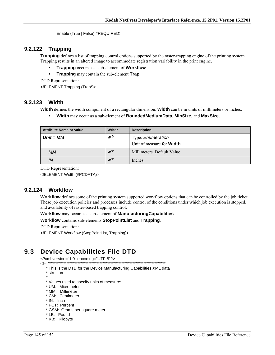Enable (True | False) #REQUIRED>

#### 9.2.122 **Trapping**

**Trapping** defines a list of trapping control options supported by the raster-trapping engine of the printing system. Trapping results in an altered image to accommodate registration variability in the print engine.

- Trapping occurs as a sub-element of Workflow.
- $\blacksquare$ **Trapping** may contain the sub-element Trap.

DTD Representation:

<! ELEMENT Trapping (Trap\*)>

# 9.2.123 Width

Width defines the width component of a rectangular dimension. Width can be in units of millimeters or inches.

 $\blacksquare$ Width may occur as a sub-element of BoundedMediumData, MinSize, and MaxSize.

| <b>Attribute Name or value</b> | Writer         | <b>Description</b>                 |
|--------------------------------|----------------|------------------------------------|
| $Unit = MM$                    | w?             | Type: <i>Enumeration</i>           |
|                                |                | Unit of measure for <b>Width</b> . |
| МM                             | W <sup>2</sup> | Millimeters. Default Value         |
| IN                             | W <sup>2</sup> | Inches.                            |

DTD Representation:

<! ELEMENT Width (#PCDATA)>

#### $9.2.124$ Workflow

**Workflow** defines some of the printing system supported workflow options that can be controlled by the job ticket. These job execution policies and processes include control of the conditions under which job execution is stopped, and availability of raster-based trapping control.

Workflow may occur as a sub-element of Manufacturing Capabilities.

## Workflow contains sub-elements StopPointList and Trapping.

DTD Representation:

<!ELEMENT Workflow (StopPointList, Trapping)>

### **Device Capabilities File DTD**  $9.3$

<?xml version="1.0" encoding="UTF-8"?>

=ااںں۔۔۔<br>\*\*\*\*\*\*\*\*\*\*\*\*\*\* --!>

\* This is the DTD for the Device Manufacturing Capabilities XML data

- \* structure.
- \* Values used to specify units of measure:
- \* UM: Micrometer
- \* MM: Millimeter
- \* CM: Centimeter
- \* IN: Inch
- \* PCT: Percent
- \* GSM: Grams per square meter
- \* LB: Pound
- \* KB: Kilobyte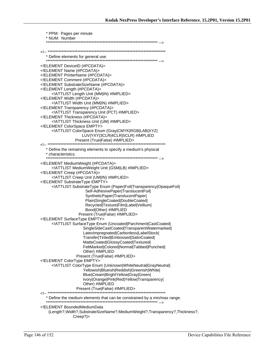| * PPM: Pages per minute                                                                               |
|-------------------------------------------------------------------------------------------------------|
| * NUM: Number                                                                                         |
|                                                                                                       |
|                                                                                                       |
|                                                                                                       |
| ELEMENT DeviceID (#PCDATA)<br>ELEMENT Name (#PCDATA)                                                  |
| ELEMENT PrinterName (#PCDATA)                                                                         |
| ELEMENT Comment (#PCDATA)                                                                             |
| ELEMENT SubstrateSizeName (#PCDATA)<br>ELEMENT Length (#PCDATA)                                       |
| ATTLIST Length Unit (MM IN) #IMPLIED                                                                  |
| ELEMENT Width (#PCDATA)                                                                               |
| ATTLIST Width Unit (MM IN) #IMPLIED<br>ELEMENT Transparency (#PCDATA)                                 |
| ATTLIST Transparency Unit (PCT) #IMPLIED                                                              |
| ELEMENT Thickness (#PCDATA)                                                                           |
| ATTLIST Thickness Unit (UM) #IMPLIED<br>ELEMENT ColorSpace EMPTY                                      |
| ATTLIST ColorSpace Enum (Gray CMYK RGB LAB XYZ </td                                                   |
| LUV YXY 3CLR 4CLR 5CLR) #IMPLIED                                                                      |
| Present (True False) #IMPLIED>                                                                        |
| * Define the remaining elements to specify a medium's physical                                        |
| * characteristics.                                                                                    |
| ELEMENT MediumWeight (#PCDATA)                                                                        |
| ATTLIST Medium Weight Unit (GSM LB) #IMPLIED                                                          |
| ELEMENT Creep (#PCDATA)<br>ATTLIST Creep Unit (UM IN) #IMPLIED                                        |
| ELEMENT Substrate Type EMPTY                                                                          |
| ATTLIST SubstrateType Enum (Paper Foil Transparency OpaqueFoil </td                                   |
| Self-AdhesivePaper TranslucentFoil <br>SyntheticPaper TranslucentPaper                                |
| Plain SingleCoated DoubleCoated                                                                       |
| Recycled Texture Film Label Vellium                                                                   |
| Bond Other) #IMPLIED<br>Present (True False) #IMPLIED>                                                |
| ELEMENT SurfaceType EMPTY                                                                             |
| ATTLIST Surface Type Enum (Uncoated Parchment CastCoated </td                                         |
| SingleSideCastCoated TransparentWatermarked <br>LatexImpregnated Carbonless LabelStock                |
| Transfer Tinted Embossed SatinCoated                                                                  |
| MatteCoated GlossyCoated Textured                                                                     |
| FeltMarked Colored Normal Tabbed Punched <br>Other) #IMPLIED                                          |
| Present (True False) #IMPLIED>                                                                        |
| ELEMENT ColorType EMPTY                                                                               |
| ATTLIST ColorType Enum (Unknown WhiteNeutral GrayNeutral <br Yellowish Blueish Reddish Greenish White |
| Blue Cream BrightYellow Gray Green                                                                    |
| Ivory Orange Pink Red Yellow Transparency                                                             |
| Other) #IMPLIED                                                                                       |
|                                                                                                       |
|                                                                                                       |
| ELEMENT BoundedMediumData</td                                                                         |
| (Length?, Width?, SubstrateSizeName?, MediumWeight?, Transparency?, Thickness?,<br>Creep?             |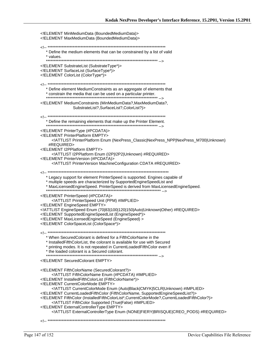| ELEMENT MinMediumData (BoundedMediumData)<br>ELEMENT MaxMediumData (BoundedMediumData)                                                                                                                                                                                                                                                                                                                                                                                                                                                                                                                                    |
|---------------------------------------------------------------------------------------------------------------------------------------------------------------------------------------------------------------------------------------------------------------------------------------------------------------------------------------------------------------------------------------------------------------------------------------------------------------------------------------------------------------------------------------------------------------------------------------------------------------------------|
| * Define the medium elements that can be constrained by a list of valid<br>* values.                                                                                                                                                                                                                                                                                                                                                                                                                                                                                                                                      |
| ELEMENT SubstrateList (SubstrateType*)<br>ELEMENT SurfaceList (SurfaceType*)<br>ELEMENT ColorList (ColorType*)                                                                                                                                                                                                                                                                                                                                                                                                                                                                                                            |
| * Define element MediumConstraints as an aggregate of elements that                                                                                                                                                                                                                                                                                                                                                                                                                                                                                                                                                       |
| ELEMENT MediumConstraints (MinMediumData?, MaxMediumData?,<br SubstrateList?,SurfaceList?,ColorList?)>                                                                                                                                                                                                                                                                                                                                                                                                                                                                                                                    |
| * Define the remaining elements that make up the Printer Element.                                                                                                                                                                                                                                                                                                                                                                                                                                                                                                                                                         |
| ELEMENT PrinterType (#PCDATA)<br>ELEMENT PrinterPlatform EMPTY<br>ATTLIST PrinterPlatform Enum (NexPress_Classic NexPress_NPP NexPress_M700 Unknown)<br #REQUIRED>                                                                                                                                                                                                                                                                                                                                                                                                                                                        |
| ELEMENT I2PPlatform EMPTY<br>ATTLIST I2PPlatform Enum (I2P I2P2 Unknown) #REQUIRED<br>ELEMENT PrinterVersion (#PCDATA)<br>ATTLIST Printer Version Machine Configuration CDATA #REQUIRED                                                                                                                                                                                                                                                                                                                                                                                                                                   |
| * Legacy support for element PrinterSpeed is supported. Engines capable of<br>* multiple speeds are characterized by SupportedEngineSpeedList and<br>* MaxLicensedEngineSpeed. PrinterSpeed is derived from MaxLicensedEngineSpeed.                                                                                                                                                                                                                                                                                                                                                                                       |
| ELEMENT PrinterSpeed (#PCDATA)<br>ATTLIST PrinterSpeed Unit (PPM) #IMPLIED<br>ELEMENT EngineSpeed EMPTY<br>ATTLIST EngineSpeed Enum (70 83 100 120 150 Auto Unknown Other) #REQUIRED<br>ELEMENT SupportedEngineSpeedList (EngineSpeed*)<br>ELEMENT MaxLicensedEngineSpeed (EngineSpeed)<br>ELEMENT ColorSpaceList (ColorSpace*)                                                                                                                                                                                                                                                                                           |
| --ا><br>* When SecuredColorant is defined for a FifthColorName in the<br>* InstalledFifthColorList, the colorant is available for use with Secured<br>* printing modes. It is not repeated in CurrentLoadedFifthColor even if<br>* the loaded colorant is a Secured colorant.                                                                                                                                                                                                                                                                                                                                             |
| ELEMENT SecuredColorant EMPTY                                                                                                                                                                                                                                                                                                                                                                                                                                                                                                                                                                                             |
| ELEMENT FifthColorName (SecuredColorant?)<br>ATTLIST Fifth ColorName Enum (#PCDATA) #IMPLIED<br>ELEMENT InstalledFifthColorList (FifthColorName*)<br>ELEMENT Current ColorMode EMPTY<br>ATTLIST CurrentColorMode Enum (Auto Black CMYK 5CLR Unknown) #IMPLIED<br>ELEMENT CurrentLoadedFifthColor (FifthColorName, SupportedEngineSpeedList?)<br>ELEMENT FifthColor (InstalledFifthColorList*,CurrentColorMode?,CurrentLoadedFifthColor?)<br>ATTLIST Fifth Color Supported (True False) #IMPLIED<br>ELEMENT External Controller Type EMPTY<br>ATTLIST ExternalControllerType Enum (NONE FIERY BRISQUE CREO_PODS) #REQUIRED |
|                                                                                                                                                                                                                                                                                                                                                                                                                                                                                                                                                                                                                           |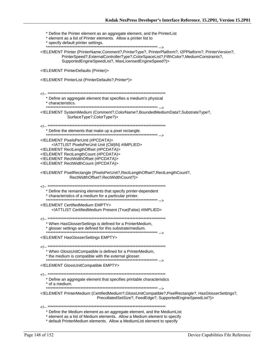\* Define the Printer element as an aggregate element, and the PrinterList \* element as a list of Printer elements. Allow a printer list to \* specify default printer settings. <!ELEMENT Printer (PrinterName,Comment?,PrinterType?, PrinterPlatform?, I2PPlatform?, PrinterVersion?, PrinterSpeed?, ExternalControllerType?, ColorSpaceList?, FifthColor?, MediumConstraints?, SupportedEngineSpeedList?, MaxLicensedEngineSpeed?)> <!ELEMENT PrinterDefaults (Printer)> <!ELEMENT PrinterList (PrinterDefaults?, Printer\*)> \* Define an aggregate element that specifies a medium's physical \* characteristics. <!ELEMENT SystemMedium (Comment?,ColorName?,BoundedMediumData?,SubstrateType?, SurfaceType?,ColorType?)> \* Define the elements that make up a pixel rectangle. ,...<br>\*\*\*\*\*\*\*\*\*\*\*\*\*\*\* --> <! ELEMENT Pixels PerUnit (#PCDATA)> <! ATTLIST Pixels PerUnit Unit (CM|IN) #IMPLIED> <!ELEMENT RectLengthOffset (#PCDATA)> <!ELEMENT RectLengthCount (#PCDATA)> <! ELEMENT RectWidthOffset (#PCDATA)> <! ELEMENT RectWidthCount (#PCDATA)> <!ELEMENT PixelRectangle (PixelsPerUnit?, RectLengthOffset?, RectLengthCount?, RectWidthOffset?,RectWidthCount?)> \* Define the remaining elements that specify printer-dependent \* characteristics of a medium for a particular printer. <! ELEMENT CertifiedMedium EMPTY> <!ATTLIST CertifiedMedium Present (True|False) #IMPLIED> \* When HasGlosserSettings is defined for a PrinterMedium, \* glosser settings are defined for this substrate/medium. <! ELEMENT Has Glosser Settings EMPTY> \* When GlossUnitCompatible is defined for a PrinterMedium, \* the medium is compatible with the external glosser. <! ELEMENT GlossUnitCompatible EMPTY> \* Define an aggregate element that specifies printable characteristics \* of a medium. <!ELEMENT PrinterMedium (CertifiedMedium?, GlossUnitCompatible?, PixelRectangle?, HasGlosserSettings?, PrecollatedSetSize?, FeedEdge?, SupportedEngineSpeedList?)> \* Define the Medium element as an aggregate element, and the MediumList \* element as a list of Medium elements. Allow a Medium element to specify \* default PrinterMedium elements. Allow a MediumList element to specify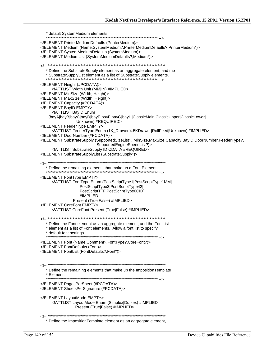\* default SystemMedium elements. <!ELEMENT PrinterMediumDefaults (PrinterMedium)> <!ELEMENT Medium (Name, SystemMedium?, PrinterMediumDefaults?, PrinterMedium\*)> <!ELEMENT SystemMediumDefaults (SystemMedium)> <!ELEMENT MediumList (SystemMediumDefaults?, Medium\*)> \* Define the SubstrateSupply element as an aggregate element, and the \* SubstrateSupplyList element as a list of SubstrateSupply elements. <!ELEMENT Height (#PCDATA)> <! ATTLIST Width Unit (MM|IN) #IMPLIED> <! ELEMENT MinSize (Width, Height)> <! ELEMENT MaxSize (Width, Height)> <! ELEMENT Capacity (#PCDATA)> <! ELEMENT BayID EMPTY> <!ATTLIST BayID Enum (bayA|bayB|bayC|bayD|bayE|bayF|bayG|bayH|ClassicMain|ClassicUpper|ClassicLower| Unknown) #REQUIRED> <! ELEMENT FeederType EMPTY> <!ATTLIST FeederType Enum (1K\_Drawer|4.5KDrawer|RollFeed|Unknown) #IMPLIED> <! ELEMENT DoorNumber (#PCDATA)> ./!ELEMENT SubstrateSupply (SupportedSizeList?, MinSize,MaxSize,Capacity,BayID,DoorNumber,FeederType SupportedEngineSpeedList?)> <!ATTLIST SubstrateSupply ID CDATA #REQUIRED> <!ELEMENT SubstrateSupplyList (SubstrateSupply\*)> \* Define the remaining elements that make up a Font Element. <! ELEMENT FontType EMPTY> <! ATTLIST FontType Enum (PostScriptType1|PostScriptType1MM| PostScriptType3|PostScriptType42| PostScriptTTF|PostScriptType0CID) #IMPLIED Present (True|False) #IMPLIED> <! ELEMENT CoreFont EMPTY> <! ATTLIST CoreFont Present (True|False) #IMPLIED> \* Define the Font element as an aggregate element, and the FontList \* element as a list of Font elements. Allow a font list to specify \* default font settings. <!ELEMENT Font (Name, Comment?, FontType?, CoreFont?)> <!ELEMENT FontDefaults (Font)> <!ELEMENT FontList (FontDefaults?,Font\*)> \* Define the remaining elements that make up the Imposition Template \* Element. <!ELEMENT PagesPerSheet (#PCDATA)> <! ELEMENT Sheets PerSignature (#PCDATA)> <! ELEMENT LayoutMode EMPTY> <! ATTLIST LayoutMode Enum (Simplex|Duplex) #IMPLIED Present (True|False) #IMPLIED> Define the ImpositionTemplate element as an aggregate element,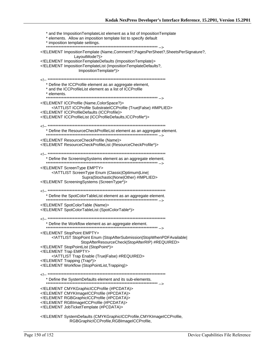\* and the Imposition TemplateList element as a list of Imposition Template \* elements. Allow an imposition template list to specify default \* imposition template settings. <!ELEMENT ImpositionTemplate (Name,Comment?,PagesPerSheet?,SheetsPerSignature?, LayoutMode?)> <!ELEMENT ImpositionTemplateDefaults (ImpositionTemplate)> <!ELEMENT ImpositionTemplateList (ImpositionTemplateDefaults?, ImpositionTemplate\*)> \* Define the ICCProfile element as an aggregate element, \* and the ICCProfileList element as a list of ICCProfile \* elements. <!ELEMENT ICCProfile (Name,ColorSpace?)> <!ATTLIST ICCProfile SubstrateICCProfile (True|False) #IMPLIED> <!ELEMENT ICCProfileDefaults (ICCProfile)> <!ELEMENT ICCProfileList (ICCProfileDefaults, ICCProfile\*)> \* Define the ResourceCheckProfileList element as an aggregate element. <! ELEMENT Resource Check Profile (Name)> <! ELEMENT ResourceCheckProfileList (ResourceCheckProfile\*)> \* Define the ScreeningSystems element as an aggregate element. <! ELEMENT ScreenType EMPTY> <!ATTLIST ScreenType Enum (Classic|Optimum|Line| Supra|Stochastic|None|Other) #IMPLIED> <!ELEMENT ScreeningSystems (ScreenType\*)> \* Define the SpotColorTableList element as an aggregate element. <! ELEMENT SpotColorTable (Name)> <!ELEMENT SpotColorTableList (SpotColorTable\*)> \* Define the Workflow element as an aggregate element. <! ELEMENT StopPoint EMPTY> <!ATTLIST StopPoint Enum (StopAfterSubmission|StopWhenPDFAvailable) StopAfterResourceCheck|StopAfterRIP) #REQUIRED> <! ELEMENT StopPointList (StopPoint\*)> <! ELEMENT Trap EMPTY> <!ATTLIST Trap Enable (True|False) #REQUIRED> <!ELEMENT Trapping (Trap\*)> <!ELEMENT Workflow (StopPointList, Trapping)> \* Define the SystemDefaults element and its sub-elements. <!ELEMENT CMYKGraphicICCProfile (#PCDATA)> <!ELEMENT CMYKImageICCProfile (#PCDATA)> <! ELEMENT RGBGraphicICCProfile (#PCDATA)> <!ELEMENT RGBImageICCProfile (#PCDATA)> <!ELEMENT JobTicketTemplate (#PCDATA)> <!ELEMENT SystemDefaults (CMYKGraphicICCProfile,CMYKImageICCProfile,

RGBGraphicICCProfile,RGBImageICCProfile,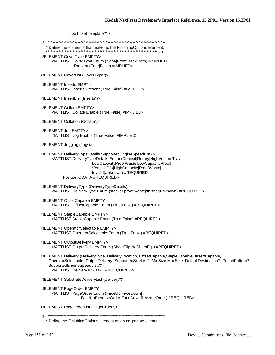JobTicketTemplate?)>

\* Define the elements that make up the FinishingOptions Element. 

<! ELEMENT CoverType EMPTY> <!ATTLIST CoverType Enum (None|Front|Back|Both) #IMPLIED Present (True|False) #IMPLIED>

<!ELEMENT CoverList (CoverType\*)>

<! ELEMENT Inserts EMPTY> <! ATTLIST Inserts Present (True|False) #IMPLIED>

<! ELEMENT InsertList (Inserts\*)>

<! ELEMENT Collate EMPTY> <! ATTLIST Collate Enable (True|False) #IMPLIED>

<! ELEMENT Collation (Collate\*)>

<!ELEMENT Jog EMPTY> <!ATTLIST Jog Enable (True|False) #IMPLIED>

<!ELEMENT Jogging (Jog\*)>

<!ELEMENT DeliveryTypeDetails SupportedEngineSpeedList?> <!ATTLIST DeliveryTypeDetails Enum (Deposit|Rotary|HighVolumeTray| LowCapacityProofWaste|LowCapacityProof| Vertical|Dfa|HighCapacity|ProofWaste| Invalid|Unknown) #REQUIRED Position CDATA #REQUIRED>

<!ELEMENT DeliveryType (DeliveryTypeDetails)> <!ATTLIST DeliveryType Enum (stacker|proof|waste|finisher|unknown) #REQUIRED>

<!ELEMENT OffsetCapable EMPTY> <! ATTLIST Offset Capable Enum (True | False) #REQUIRED>

<! ELEMENT StapleCapable EMPTY> <! ATTLIST Staple Capable Enum (True|False) #REQUIRED>

<! ELEMENT OperatorSelectable EMPTY> <!ATTLIST OperatorSelectable Enum (True|False) #REQUIRED>

<! ELEMENT Output Delivery EMPTY> <!ATTLIST OutputDelivery Enum (SheetFlip|NoSheetFlip) #REQUIRED>

<!ELEMENT Delivery (DeliveryType, DeliveryLocation, OffsetCapable,StapleCapable, InsertCapable, OperatorSelectable, OutputDelivery, SupportedSizeList?, MinSize, MaxSize, DefaultDestination?, PunchPattern?, SupportedEngineSpeedList?)> <! ATTLIST Delivery ID CDATA #REQUIRED>

<! ELEMENT Substrate Delivery List (Delivery\*)>

<! ELEMENT PageOrder EMPTY> <!ATTLIST PageOrder Enum (FaceUp|FaceDown| FaceUpReverseOrder|FaceDownReverseOrder) #REQUIRED>

<!ELEMENT PageOrderList (PageOrder\*)>

\* Define the FinishingOptions element as an aggregate element.